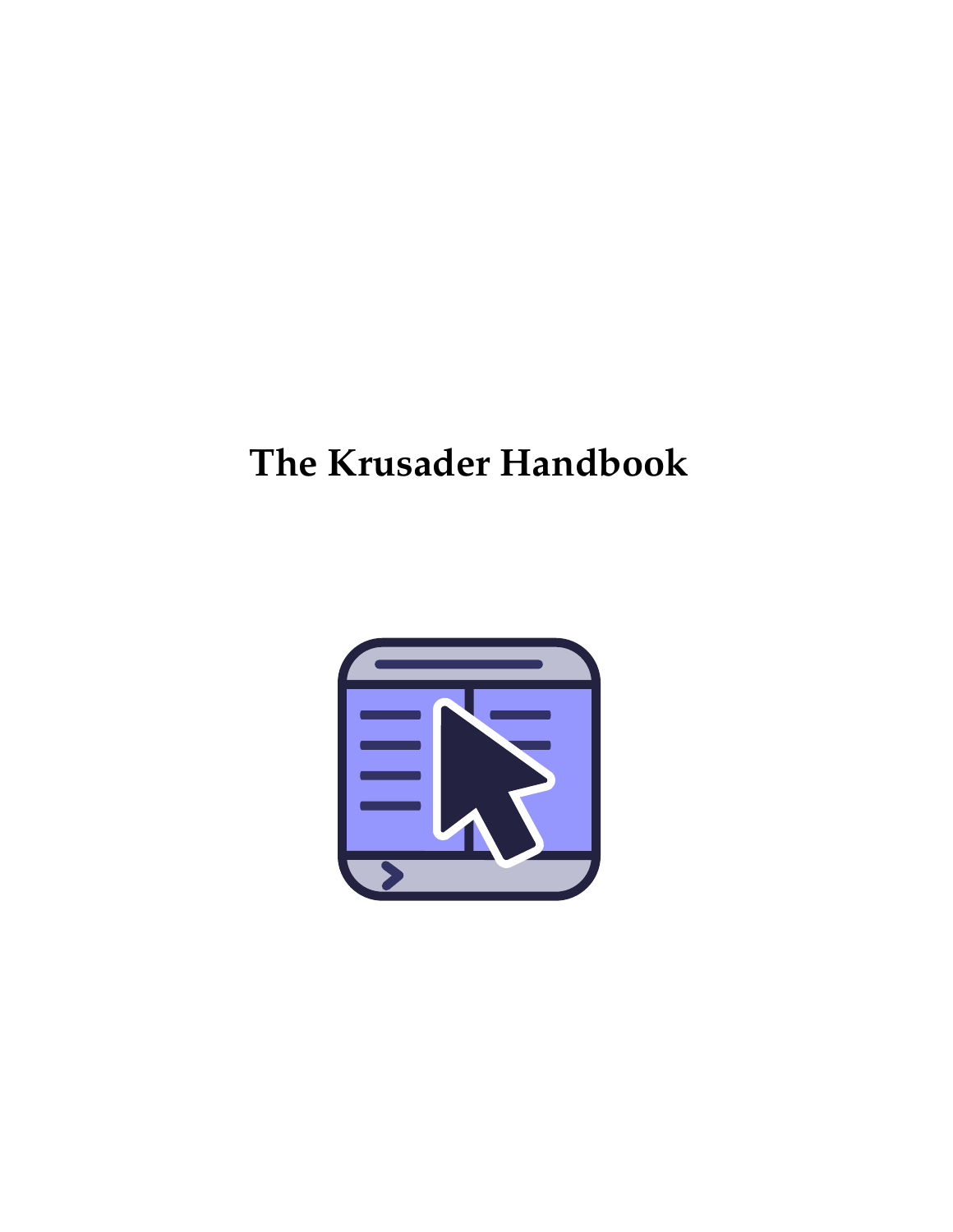<span id="page-0-0"></span>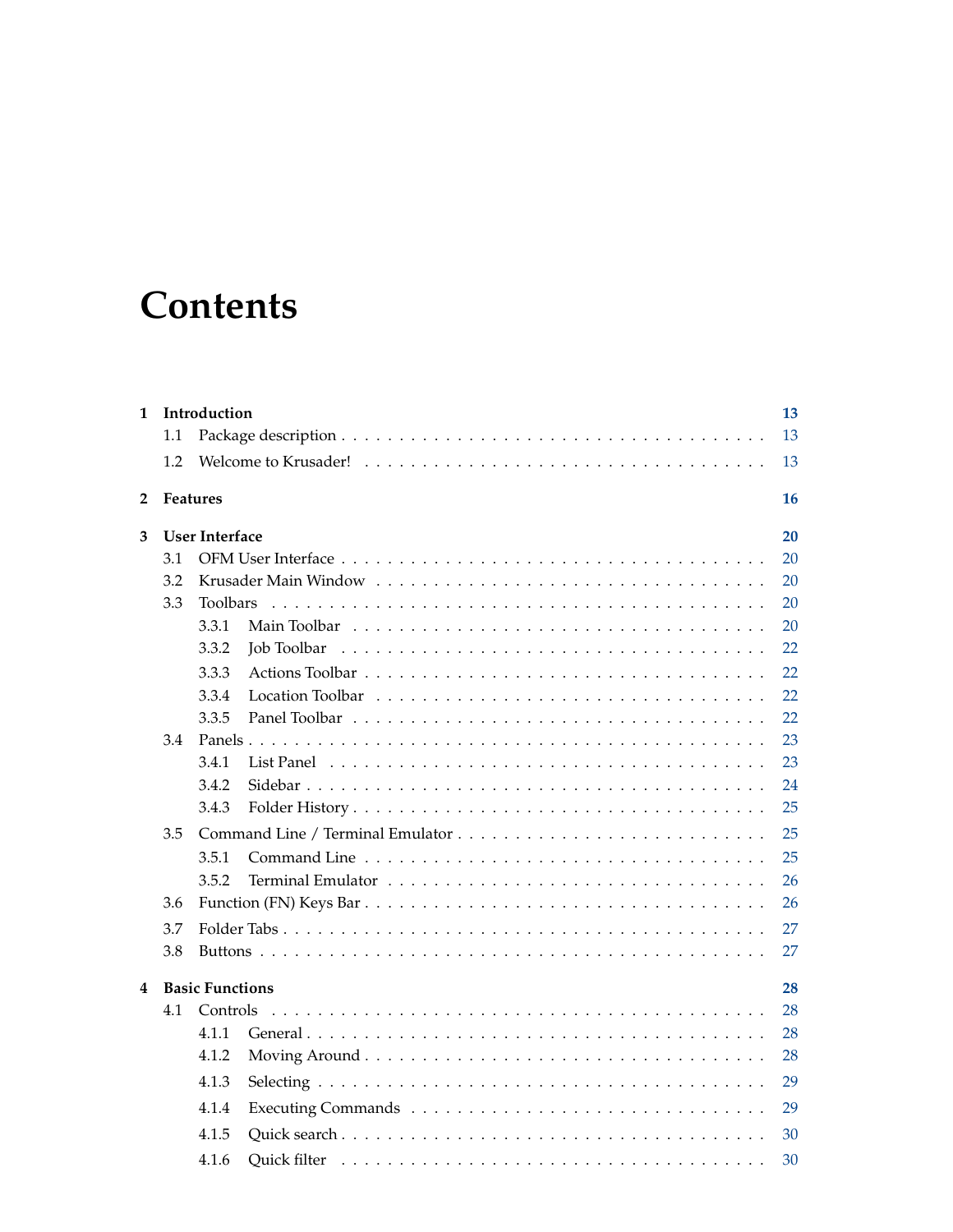# **Contents**

| 1 |     | Introduction           |             | 13 |
|---|-----|------------------------|-------------|----|
|   | 1.1 |                        |             | 13 |
|   | 1.2 |                        |             | 13 |
| 2 |     | <b>Features</b>        |             | 16 |
| 3 |     | <b>User Interface</b>  |             | 20 |
|   | 3.1 |                        |             | 20 |
|   | 3.2 |                        |             | 20 |
|   | 3.3 | <b>Toolbars</b>        |             | 20 |
|   |     | 3.3.1                  |             | 20 |
|   |     | 3.3.2                  | Job Toolbar | 22 |
|   |     | 3.3.3                  |             | 22 |
|   |     | 3.3.4                  |             | 22 |
|   |     | 3.3.5                  |             | 22 |
|   | 3.4 |                        |             | 23 |
|   |     | 3.4.1                  |             | 23 |
|   |     | 3.4.2                  |             | 24 |
|   |     | 3.4.3                  |             | 25 |
|   | 3.5 |                        |             | 25 |
|   |     | 3.5.1                  |             | 25 |
|   |     | 3.5.2                  |             | 26 |
|   | 3.6 |                        |             | 26 |
|   | 3.7 |                        |             | 27 |
|   | 3.8 |                        |             | 27 |
| 4 |     | <b>Basic Functions</b> |             | 28 |
|   | 4.1 | Controls               |             | 28 |
|   |     | 4.1.1                  |             | 28 |
|   |     | 4.1.2                  |             | 28 |
|   |     | 4.1.3                  |             | 29 |
|   |     | 4.1.4                  |             | 29 |
|   |     | 4.1.5                  |             | 30 |
|   |     | 4.1.6                  |             | 30 |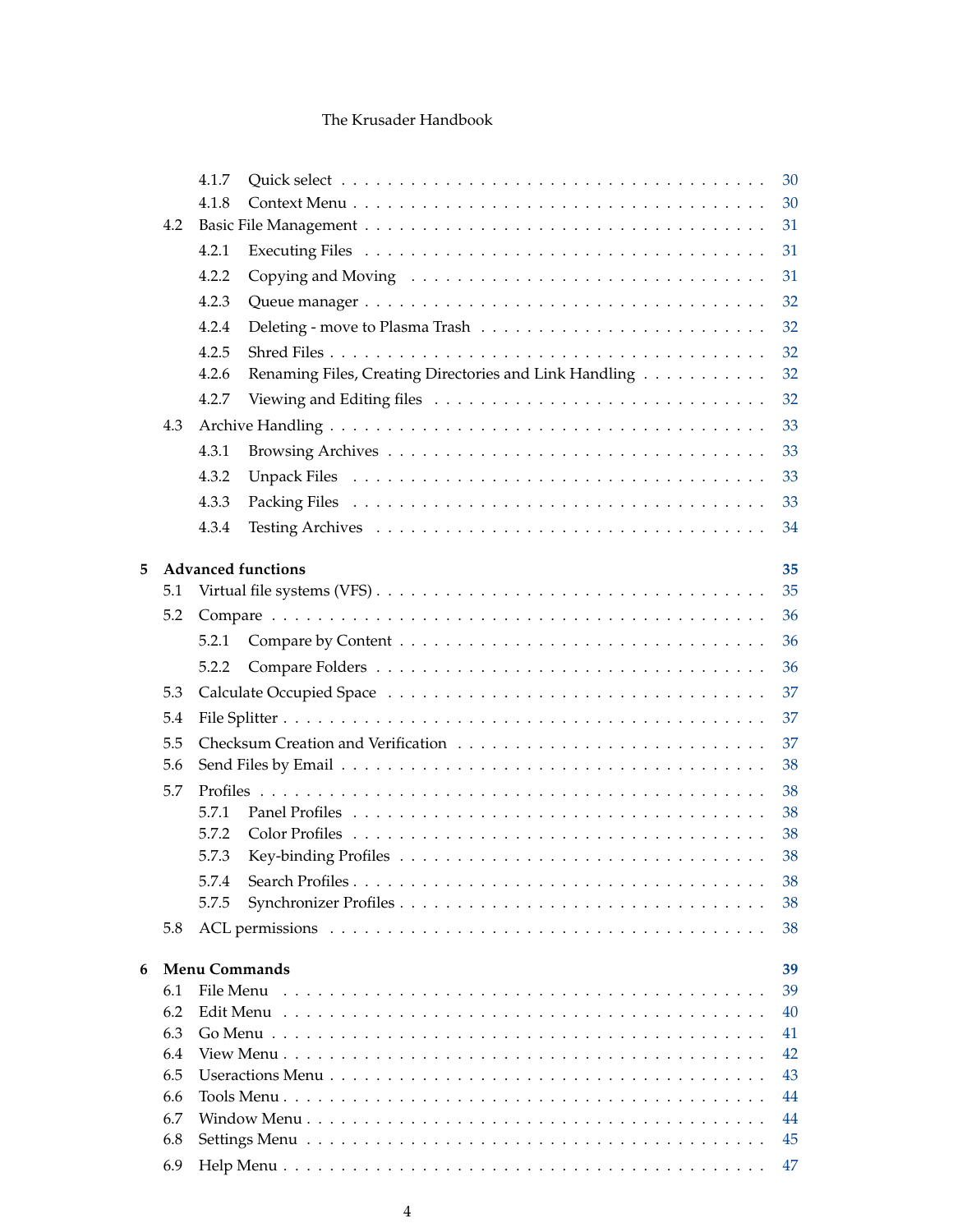|   |            | 4.1.7                |                                                                                                                  | 30       |
|---|------------|----------------------|------------------------------------------------------------------------------------------------------------------|----------|
|   |            | 4.1.8                |                                                                                                                  | 30       |
|   | 4.2        |                      |                                                                                                                  | 31       |
|   |            | 4.2.1                |                                                                                                                  | 31       |
|   |            | 4.2.2                |                                                                                                                  | 31       |
|   |            | 4.2.3                |                                                                                                                  | 32       |
|   |            | 4.2.4                |                                                                                                                  | 32       |
|   |            | 4.2.5                |                                                                                                                  | 32       |
|   |            | 4.2.6                | Renaming Files, Creating Directories and Link Handling                                                           | 32       |
|   |            | 4.2.7                |                                                                                                                  | 32       |
|   | 4.3        |                      |                                                                                                                  | 33       |
|   |            | 4.3.1                |                                                                                                                  | 33       |
|   |            | 4.3.2                |                                                                                                                  | 33       |
|   |            | 4.3.3                |                                                                                                                  | 33       |
|   |            | 4.3.4                |                                                                                                                  | 34       |
|   |            |                      |                                                                                                                  |          |
| 5 |            |                      | <b>Advanced functions</b>                                                                                        | 35       |
|   | 5.1        |                      | Virtual file systems (VFS) $\dots \dots \dots \dots \dots \dots \dots \dots \dots \dots \dots \dots \dots \dots$ | 35       |
|   | 5.2        |                      |                                                                                                                  | 36       |
|   |            | 5.2.1                |                                                                                                                  | 36       |
|   |            | 5.2.2                |                                                                                                                  | 36       |
|   | 5.3        |                      |                                                                                                                  | 37       |
|   | 5.4        |                      |                                                                                                                  | 37       |
|   | 5.5        |                      |                                                                                                                  | 37       |
|   | 5.6        |                      |                                                                                                                  | 38       |
|   | 5.7        |                      |                                                                                                                  | 38       |
|   |            | 5.7.1                |                                                                                                                  | 38       |
|   |            | 5.7.2                |                                                                                                                  | 38       |
|   |            | 5.7.3                |                                                                                                                  | 38       |
|   |            | 5.7.4                |                                                                                                                  | 38       |
|   |            | 5.7.5                |                                                                                                                  | 38       |
|   | 5.8        |                      |                                                                                                                  | 38       |
| 6 |            | <b>Menu Commands</b> |                                                                                                                  | 39       |
|   | 6.1        | File Menu            |                                                                                                                  | 39       |
|   | 6.2        |                      |                                                                                                                  | 40       |
|   | 6.3        |                      |                                                                                                                  | 41       |
|   | 6.4        |                      |                                                                                                                  | 42       |
|   | 6.5        |                      |                                                                                                                  | 43       |
|   | 6.6<br>6.7 |                      |                                                                                                                  | 44<br>44 |
|   | 6.8        |                      |                                                                                                                  | 45       |
|   | 6.9        |                      |                                                                                                                  | 47       |
|   |            |                      |                                                                                                                  |          |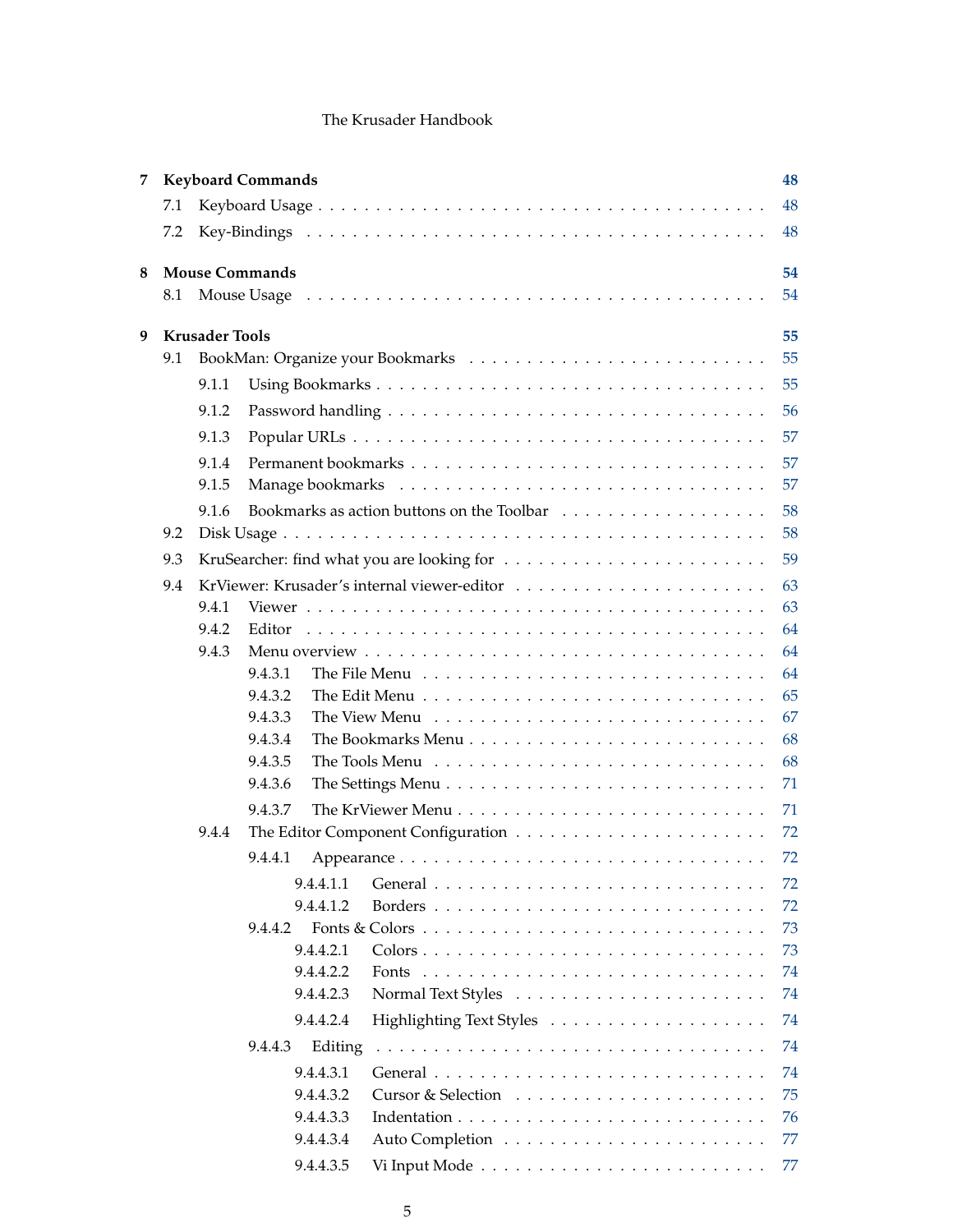| 7 |     | <b>Keyboard Commands</b><br>48 |                                                                                                      |          |  |  |  |  |  |  |
|---|-----|--------------------------------|------------------------------------------------------------------------------------------------------|----------|--|--|--|--|--|--|
|   | 7.1 | 48                             |                                                                                                      |          |  |  |  |  |  |  |
|   | 7.2 | 48                             |                                                                                                      |          |  |  |  |  |  |  |
| 8 |     |                                | <b>Mouse Commands</b>                                                                                | 54       |  |  |  |  |  |  |
|   | 8.1 |                                |                                                                                                      | 54       |  |  |  |  |  |  |
|   |     | <b>Krusader Tools</b>          |                                                                                                      |          |  |  |  |  |  |  |
| 9 | 9.1 |                                |                                                                                                      | 55<br>55 |  |  |  |  |  |  |
|   |     | 9.1.1                          |                                                                                                      | 55       |  |  |  |  |  |  |
|   |     | 9.1.2                          |                                                                                                      | 56       |  |  |  |  |  |  |
|   |     |                                |                                                                                                      |          |  |  |  |  |  |  |
|   |     | 9.1.3                          |                                                                                                      | 57       |  |  |  |  |  |  |
|   |     | 9.1.4                          |                                                                                                      | 57       |  |  |  |  |  |  |
|   |     | 9.1.5                          |                                                                                                      | 57       |  |  |  |  |  |  |
|   |     | 9.1.6                          |                                                                                                      | 58       |  |  |  |  |  |  |
|   | 9.2 |                                |                                                                                                      | 58       |  |  |  |  |  |  |
|   | 9.3 |                                |                                                                                                      | 59       |  |  |  |  |  |  |
|   | 9.4 |                                |                                                                                                      | 63       |  |  |  |  |  |  |
|   |     | 9.4.1                          |                                                                                                      | 63       |  |  |  |  |  |  |
|   |     | 9.4.2                          | Editor                                                                                               | 64       |  |  |  |  |  |  |
|   |     | 9.4.3                          |                                                                                                      | 64       |  |  |  |  |  |  |
|   |     |                                | 9.4.3.1                                                                                              | 64<br>65 |  |  |  |  |  |  |
|   |     |                                | 9.4.3.2<br>9.4.3.3                                                                                   | 67       |  |  |  |  |  |  |
|   |     |                                | 9.4.3.4<br>The Bookmarks Menu $\ldots \ldots \ldots \ldots \ldots \ldots \ldots \ldots \ldots$       | 68       |  |  |  |  |  |  |
|   |     |                                | 9.4.3.5<br>The Tools Menu $\dots \dots \dots \dots \dots \dots \dots \dots \dots \dots \dots$        | 68       |  |  |  |  |  |  |
|   |     |                                | 9.4.3.6<br>The Settings Menu $\ldots \ldots \ldots \ldots \ldots \ldots \ldots \ldots \ldots \ldots$ | 71       |  |  |  |  |  |  |
|   |     |                                | 9.4.3.7                                                                                              | 71       |  |  |  |  |  |  |
|   |     | 9.4.4                          |                                                                                                      | 72       |  |  |  |  |  |  |
|   |     |                                | 9.4.4.1                                                                                              | 72       |  |  |  |  |  |  |
|   |     |                                |                                                                                                      |          |  |  |  |  |  |  |
|   |     |                                | 9.4.4.1.1<br>9.4.4.1.2                                                                               | 72<br>72 |  |  |  |  |  |  |
|   |     |                                | 9.4.4.2                                                                                              | 73       |  |  |  |  |  |  |
|   |     |                                | 9.4.4.2.1                                                                                            | 73       |  |  |  |  |  |  |
|   |     |                                | 9.4.4.2.2                                                                                            | 74       |  |  |  |  |  |  |
|   |     |                                | 9.4.4.2.3                                                                                            | 74       |  |  |  |  |  |  |
|   |     |                                | 9.4.4.2.4                                                                                            | 74       |  |  |  |  |  |  |
|   |     |                                | 9.4.4.3<br>Editing                                                                                   | 74       |  |  |  |  |  |  |
|   |     |                                | 9.4.4.3.1                                                                                            | 74       |  |  |  |  |  |  |
|   |     |                                | 9.4.4.3.2                                                                                            | 75       |  |  |  |  |  |  |
|   |     |                                | 9.4.4.3.3                                                                                            | 76       |  |  |  |  |  |  |
|   |     |                                | 9.4.4.3.4                                                                                            | 77       |  |  |  |  |  |  |
|   |     |                                | 9.4.4.3.5                                                                                            | 77       |  |  |  |  |  |  |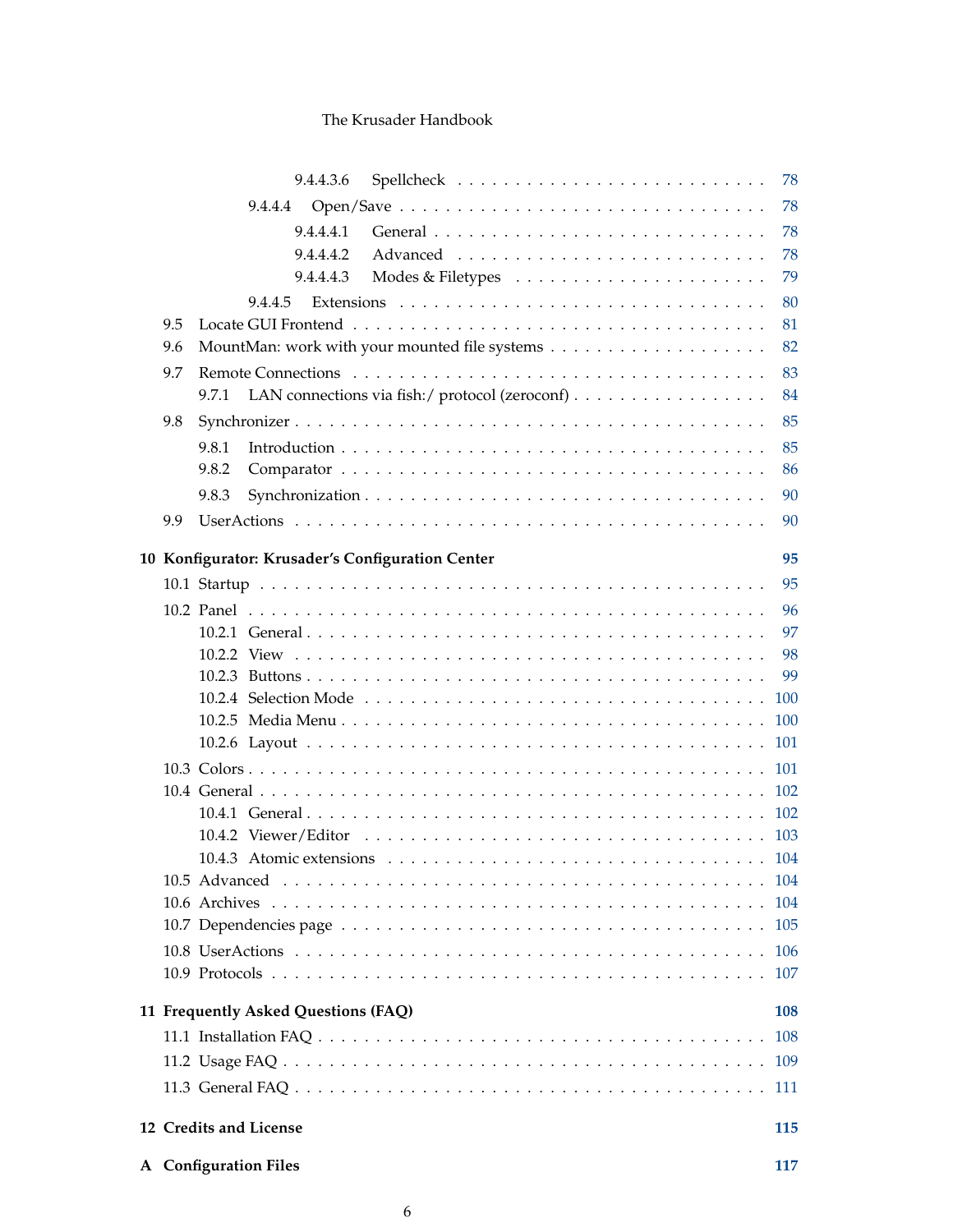|     | 9.4.4.3.6                                               | 78   |
|-----|---------------------------------------------------------|------|
|     | 9.4.4.4                                                 | 78   |
|     | 9.4.4.4.1                                               | 78   |
|     | 9.4.4.4.2                                               | 78   |
|     | 9.4.4.4.3                                               | 79   |
|     | 9.4.4.5                                                 | 80   |
| 9.5 |                                                         | 81   |
| 9.6 |                                                         | 82   |
| 9.7 |                                                         | 83   |
|     | LAN connections via fish:/ protocol (zeroconf)<br>9.7.1 | 84   |
| 9.8 |                                                         | 85   |
|     | 9.8.1                                                   | 85   |
|     | 9.8.2                                                   | 86   |
|     | 9.8.3                                                   | 90   |
| 9.9 |                                                         | 90   |
|     | 10 Konfigurator: Krusader's Configuration Center        | 95   |
|     |                                                         | 95   |
|     |                                                         | 96   |
|     |                                                         | 97   |
|     |                                                         | 98   |
|     |                                                         | 99   |
|     |                                                         | 100  |
|     |                                                         |      |
|     |                                                         |      |
|     |                                                         |      |
|     |                                                         |      |
|     |                                                         |      |
|     |                                                         |      |
|     |                                                         |      |
|     |                                                         | 104  |
|     |                                                         |      |
|     |                                                         | 106  |
|     |                                                         | 107  |
|     | 11 Frequently Asked Questions (FAQ)                     | 108  |
|     |                                                         |      |
|     |                                                         | 108  |
|     |                                                         | 109  |
|     |                                                         | -111 |
|     | 12 Credits and License                                  | 115  |
|     | A Configuration Files                                   | 117  |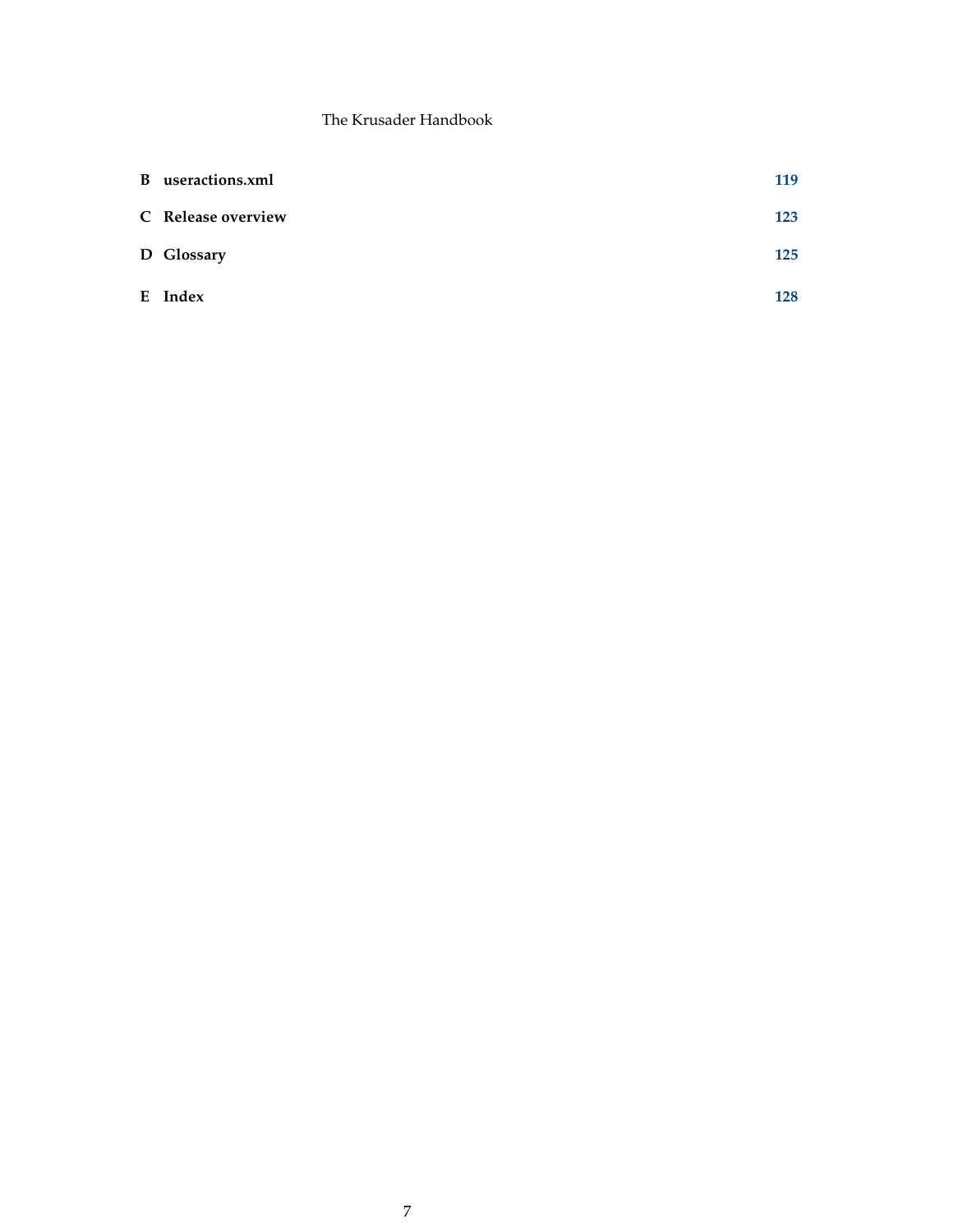| B useractions.xml  | 119 |
|--------------------|-----|
| C Release overview | 123 |
| D Glossary         | 125 |
| E Index            | 128 |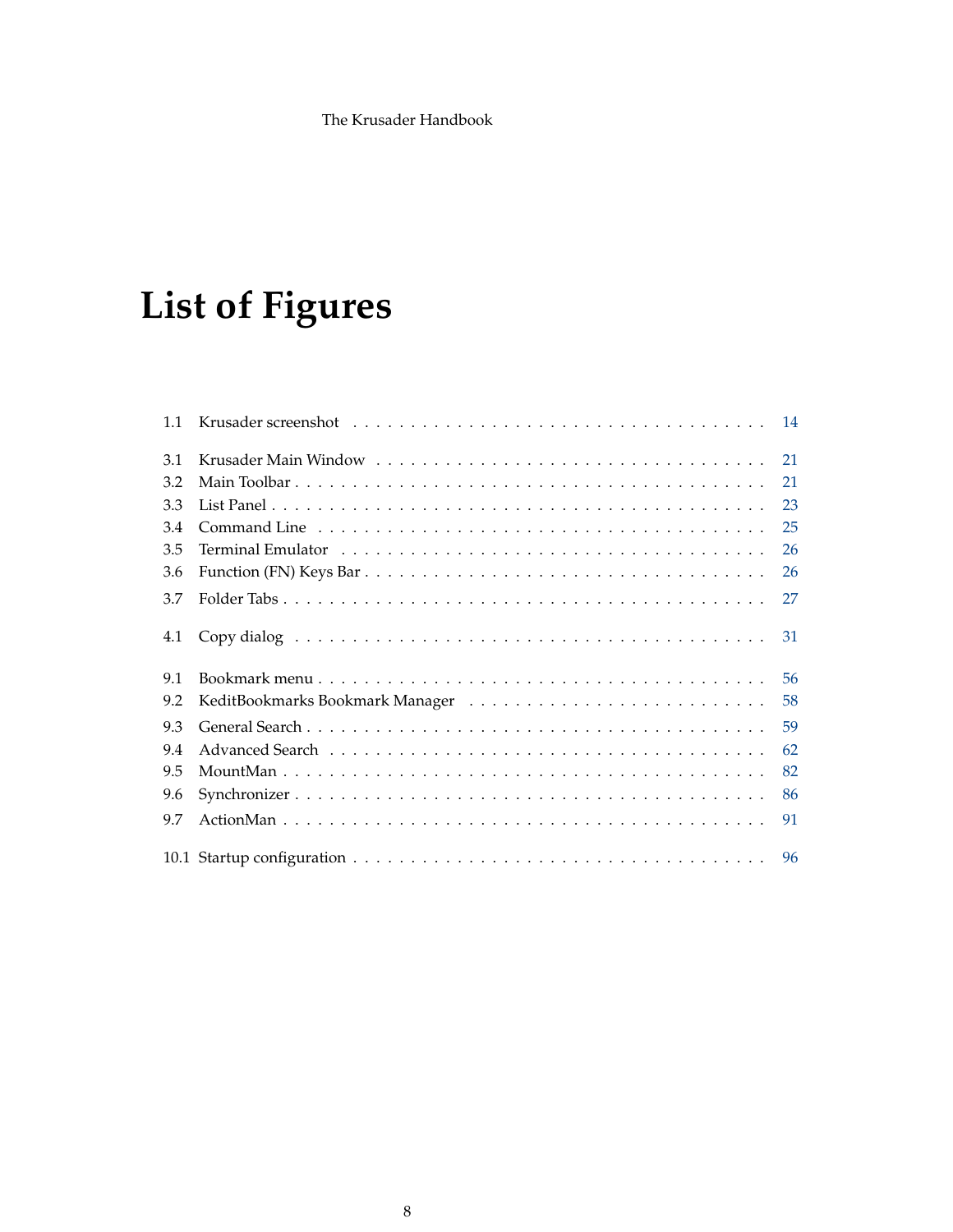# **List of Figures**

| 1.1 |                                                                                                                                |    |
|-----|--------------------------------------------------------------------------------------------------------------------------------|----|
| 3.1 |                                                                                                                                | 21 |
| 3.2 |                                                                                                                                | 21 |
| 3.3 |                                                                                                                                | 23 |
| 3.4 |                                                                                                                                | 25 |
| 3.5 | Terminal Emulator (also contained a series and series and series and series and series are series and series of $\mathbb{R}^n$ | 26 |
| 3.6 |                                                                                                                                | 26 |
| 3.7 |                                                                                                                                | 27 |
| 4.1 |                                                                                                                                | 31 |
| 9.1 |                                                                                                                                | 56 |
| 9.2 |                                                                                                                                | 58 |
| 9.3 |                                                                                                                                | 59 |
| 9.4 |                                                                                                                                | 62 |
| 9.5 |                                                                                                                                | 82 |
| 9.6 |                                                                                                                                | 86 |
| 9.7 |                                                                                                                                | 91 |
|     |                                                                                                                                |    |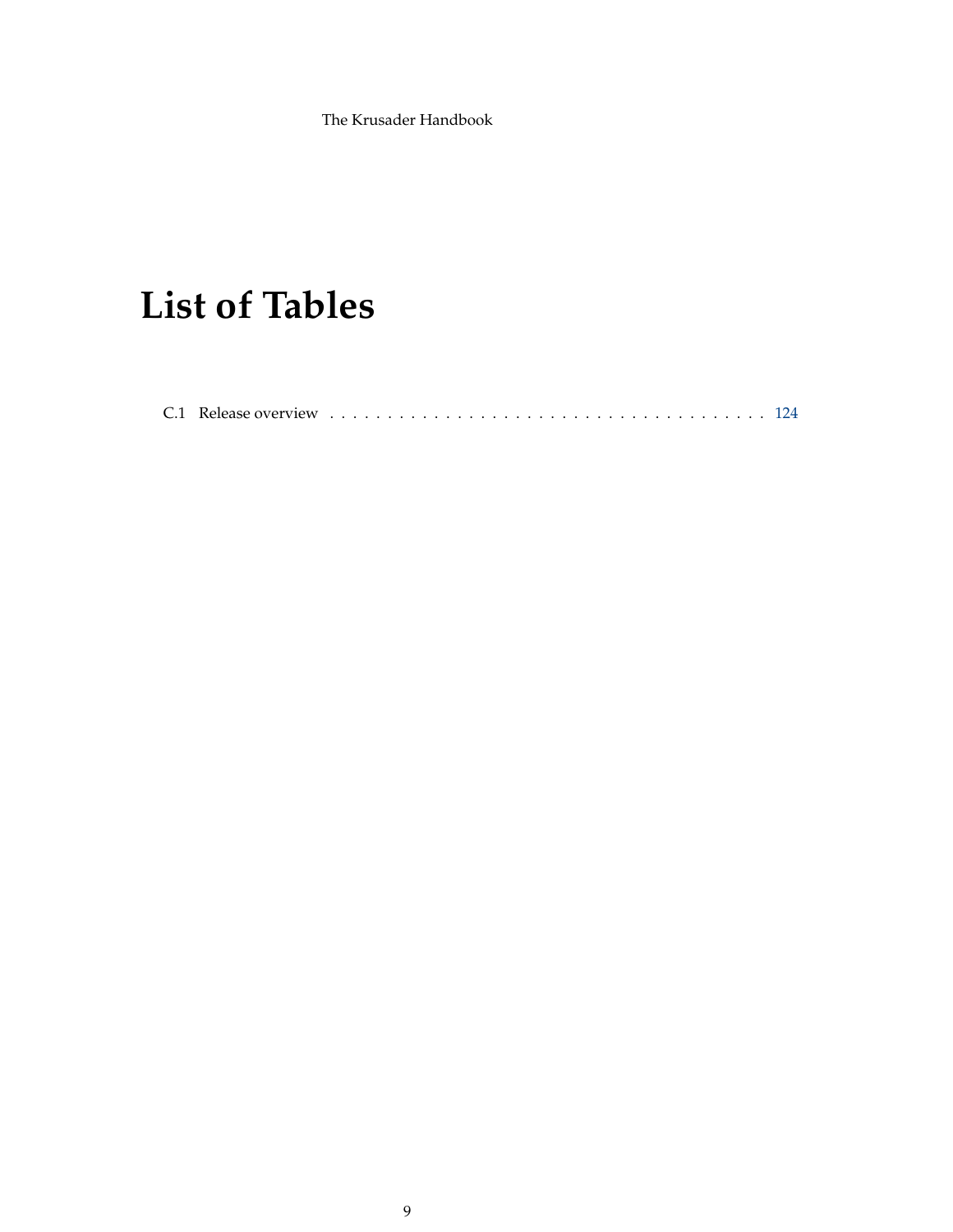# **List of Tables**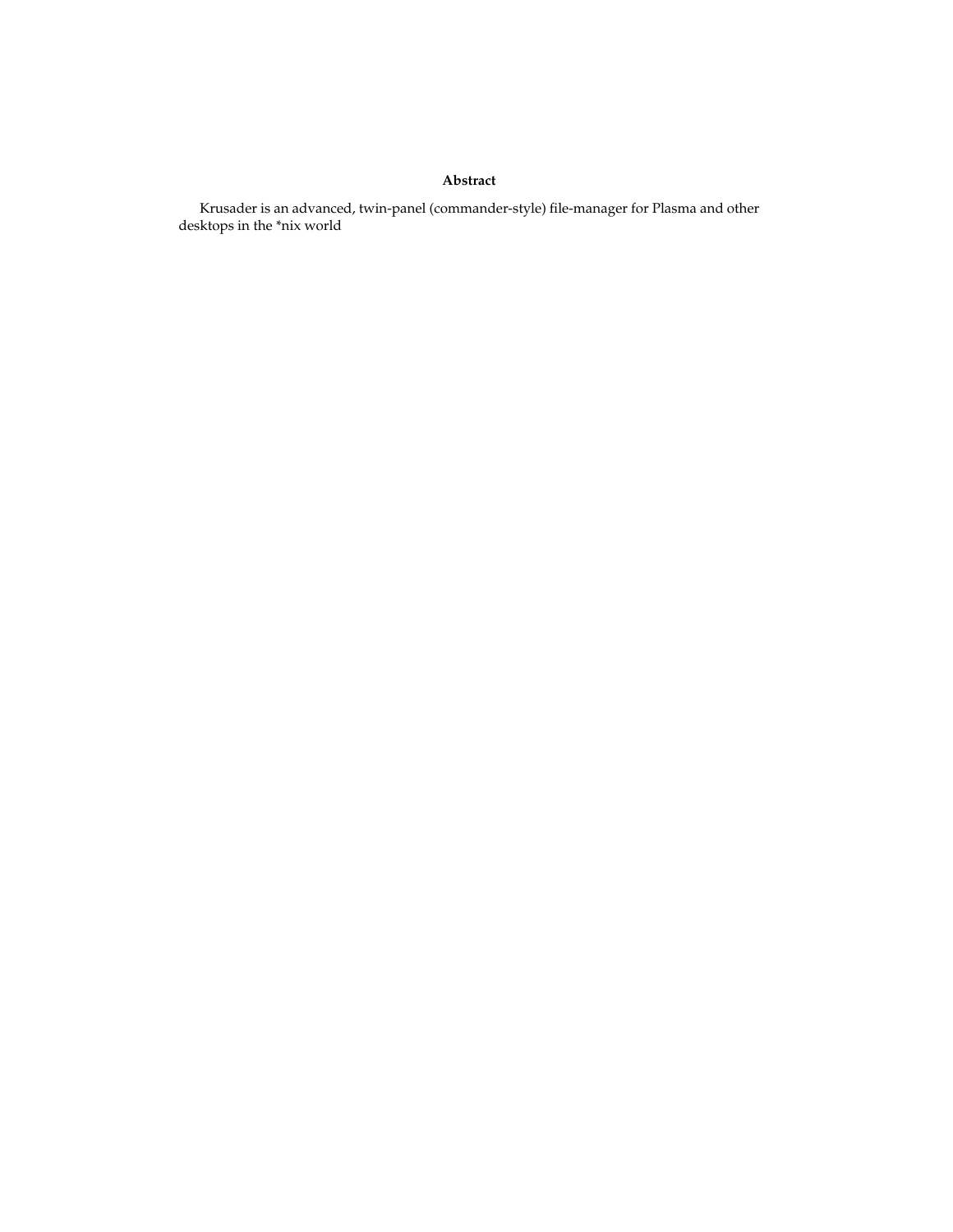### **Abstract**

Krusader is an advanced, twin-panel (commander-style) file-manager for Plasma and other desktops in the \*nix world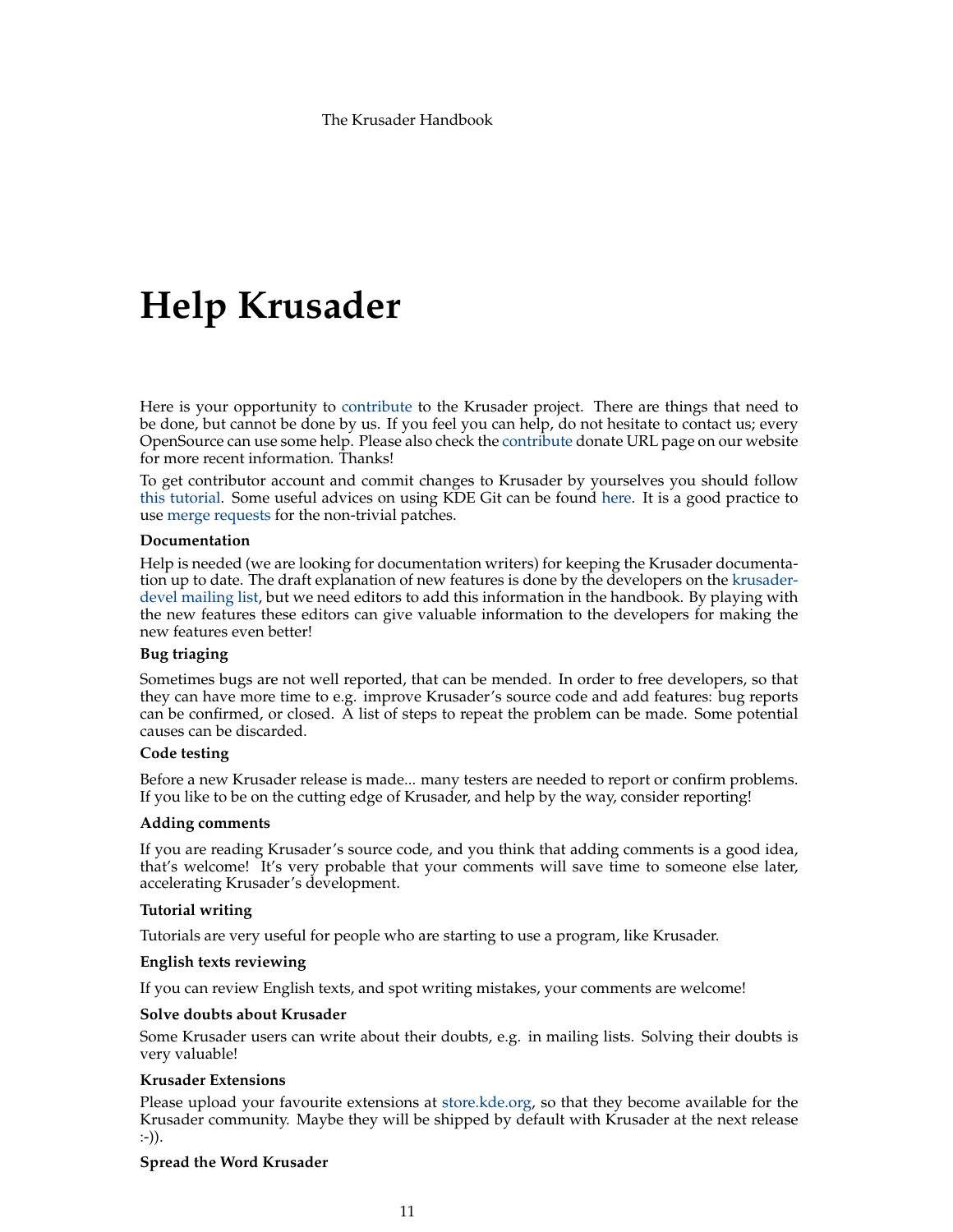# **Help Krusader**

Here is your opportunity to [contribute](https://krusader.org/get-involved/index.html) to the Krusader project. There are things that need to be done, but cannot be done by us. If you feel you can help, do not hesitate to contact us; every OpenSource can use some help. Please also check the [contribute](https://krusader.org/get-involved/index.html) donate URL page on our website for more recent information. Thanks!

To get contributor account and commit changes to Krusader by yourselves you should follow [this tutorial.](https://community.kde.org/Infrastructure/Get_a_Developer_Account) Some useful advices on using KDE Git can be found [here.](https://community.kde.org/Infrastructure/Git) It is a good practice to use [merge requests](https://invent.kde.org/utilities/krusader/-/merge_requests) for the non-trivial patches.

#### **Documentation**

Help is needed (we are looking for documentation writers) for keeping the Krusader documentation up to date. The draft explanation of new features is done by the developers on the [krusader](https://groups.google.com/group/krusader-devel)[devel mailing list,](https://groups.google.com/group/krusader-devel) but we need editors to add this information in the handbook. By playing with the new features these editors can give valuable information to the developers for making the new features even better!

### **Bug triaging**

Sometimes bugs are not well reported, that can be mended. In order to free developers, so that they can have more time to e.g. improve Krusader's source code and add features: bug reports can be confirmed, or closed. A list of steps to repeat the problem can be made. Some potential causes can be discarded.

#### **Code testing**

Before a new Krusader release is made... many testers are needed to report or confirm problems. If you like to be on the cutting edge of Krusader, and help by the way, consider reporting!

#### **Adding comments**

If you are reading Krusader's source code, and you think that adding comments is a good idea, that's welcome! It's very probable that your comments will save time to someone else later, accelerating Krusader's development.

#### **Tutorial writing**

Tutorials are very useful for people who are starting to use a program, like Krusader.

#### **English texts reviewing**

If you can review English texts, and spot writing mistakes, your comments are welcome!

#### **Solve doubts about Krusader**

Some Krusader users can write about their doubts, e.g. in mailing lists. Solving their doubts is very valuable!

#### **Krusader Extensions**

Please upload your favourite extensions at [store.kde.org,](https://store.kde.org/) so that they become available for the Krusader community. Maybe they will be shipped by default with Krusader at the next release :-)).

#### **Spread the Word Krusader**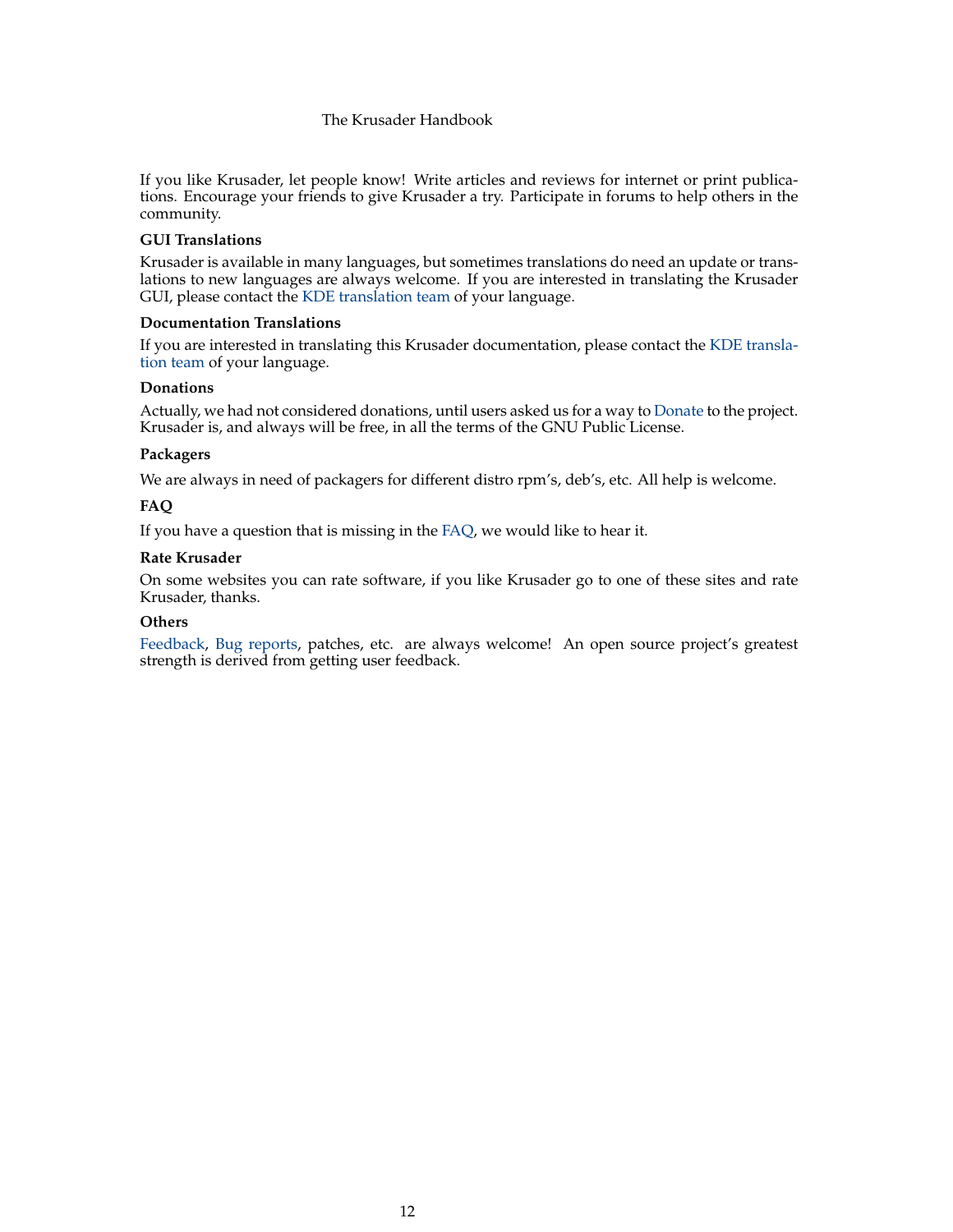If you like Krusader, let people know! Write articles and reviews for internet or print publications. Encourage your friends to give Krusader a try. Participate in forums to help others in the community.

#### **GUI Translations**

Krusader is available in many languages, but sometimes translations do need an update or translations to new languages are always welcome. If you are interested in translating the Krusader GUI, please contact the [KDE translation team](https://l10n.kde.org/teams-list.php) of your language.

#### **Documentation Translations**

If you are interested in translating this Krusader documentation, please contact the [KDE transla](https://l10n.kde.org/teams-list.php)[tion team](https://l10n.kde.org/teams-list.php) of your language.

#### **Donations**

Actually, we had not considered donations, until users asked us for a way to [Donate](https://sourceforge.net/project/project_donations.php?group_id=6488) to the project. Krusader is, and always will be free, in all the terms of the GNU Public License.

### **Packagers**

We are always in need of packagers for different distro rpm's, deb's, etc. All help is welcome.

### **FAQ**

If you have a question that is missing in the [FAQ,](#page-108-2) we would like to hear it.

#### **Rate Krusader**

On some websites you can rate software, if you like Krusader go to one of these sites and rate Krusader, thanks.

#### **Others**

[Feedback,](#page-0-0) [Bug reports,](#page-0-0) patches, etc. are always welcome! An open source project's greatest strength is derived from getting user feedback.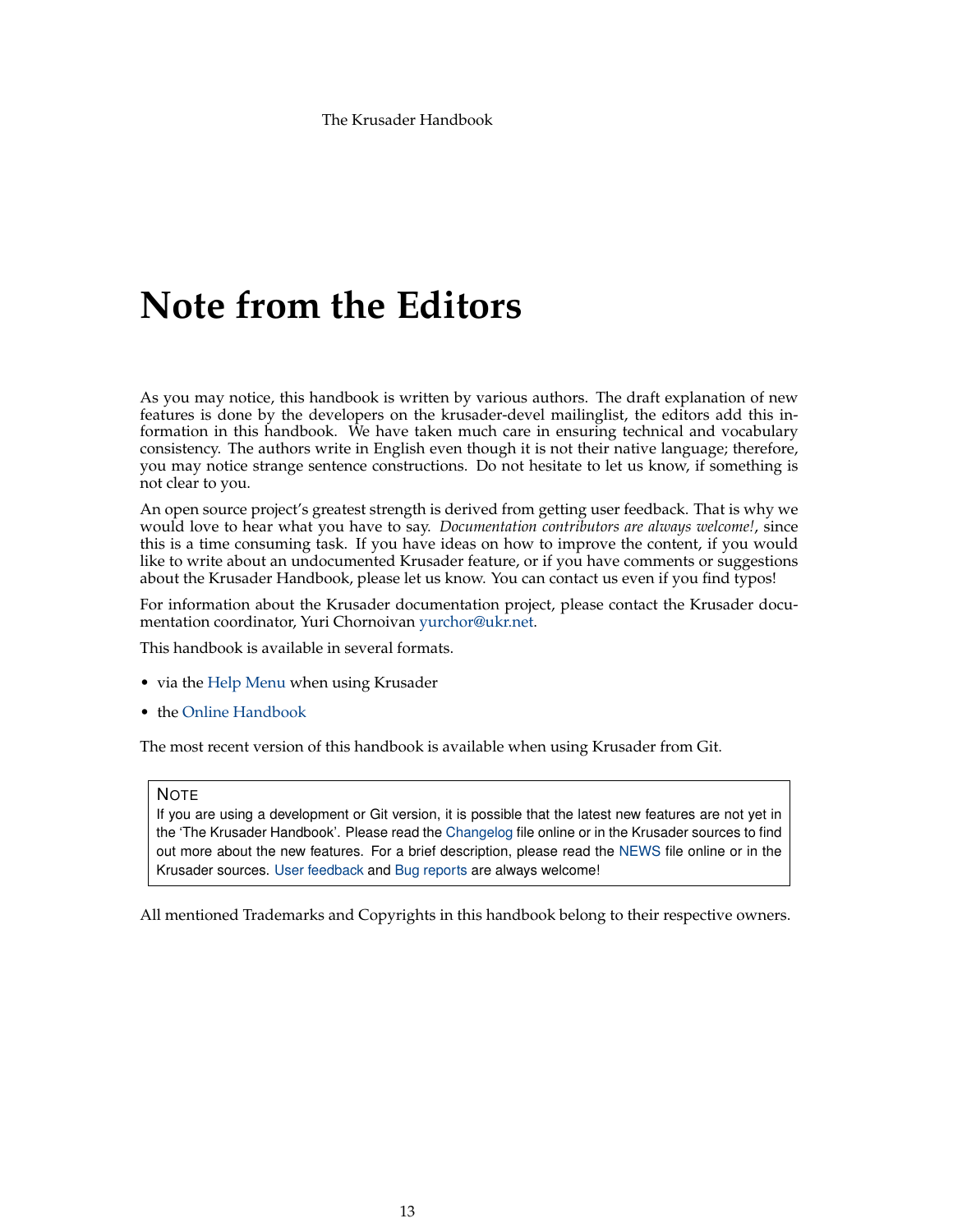# **Note from the Editors**

As you may notice, this handbook is written by various authors. The draft explanation of new features is done by the developers on the krusader-devel mailinglist, the editors add this information in this handbook. We have taken much care in ensuring technical and vocabulary consistency. The authors write in English even though it is not their native language; therefore, you may notice strange sentence constructions. Do not hesitate to let us know, if something is not clear to you.

An open source project's greatest strength is derived from getting user feedback. That is why we would love to hear what you have to say. *Documentation contributors are always welcome!*, since this is a time consuming task. If you have ideas on how to improve the content, if you would like to write about an undocumented Krusader feature, or if you have comments or suggestions about the Krusader Handbook, please let us know. You can contact us even if you find typos!

For information about the Krusader documentation project, please contact the Krusader documentation coordinator, Yuri Chornoivan [yurchor@ukr.net.](mailto:yurchor@ukr.net)

This handbook is available in several formats.

- via the [Help Menu](help-menu.html) when using Krusader
- the [Online Handbook](https://docs.kde.org/?application=krusader)

The most recent version of this handbook is available when using Krusader from Git.

#### **NOTE**

If you are using a development or Git version, it is possible that the latest new features are not yet in the 'The Krusader Handbook'. Please read the [Changelog](https://commits.kde.org/krusader?path=ChangeLog) file online or in the Krusader sources to find out more about the new features. For a brief description, please read the [NEWS](https://commits.kde.org/krusader?path=NEWS) file online or in the Krusader sources. [User feedback](#page-0-0) and [Bug reports](#page-0-0) are always welcome!

All mentioned Trademarks and Copyrights in this handbook belong to their respective owners.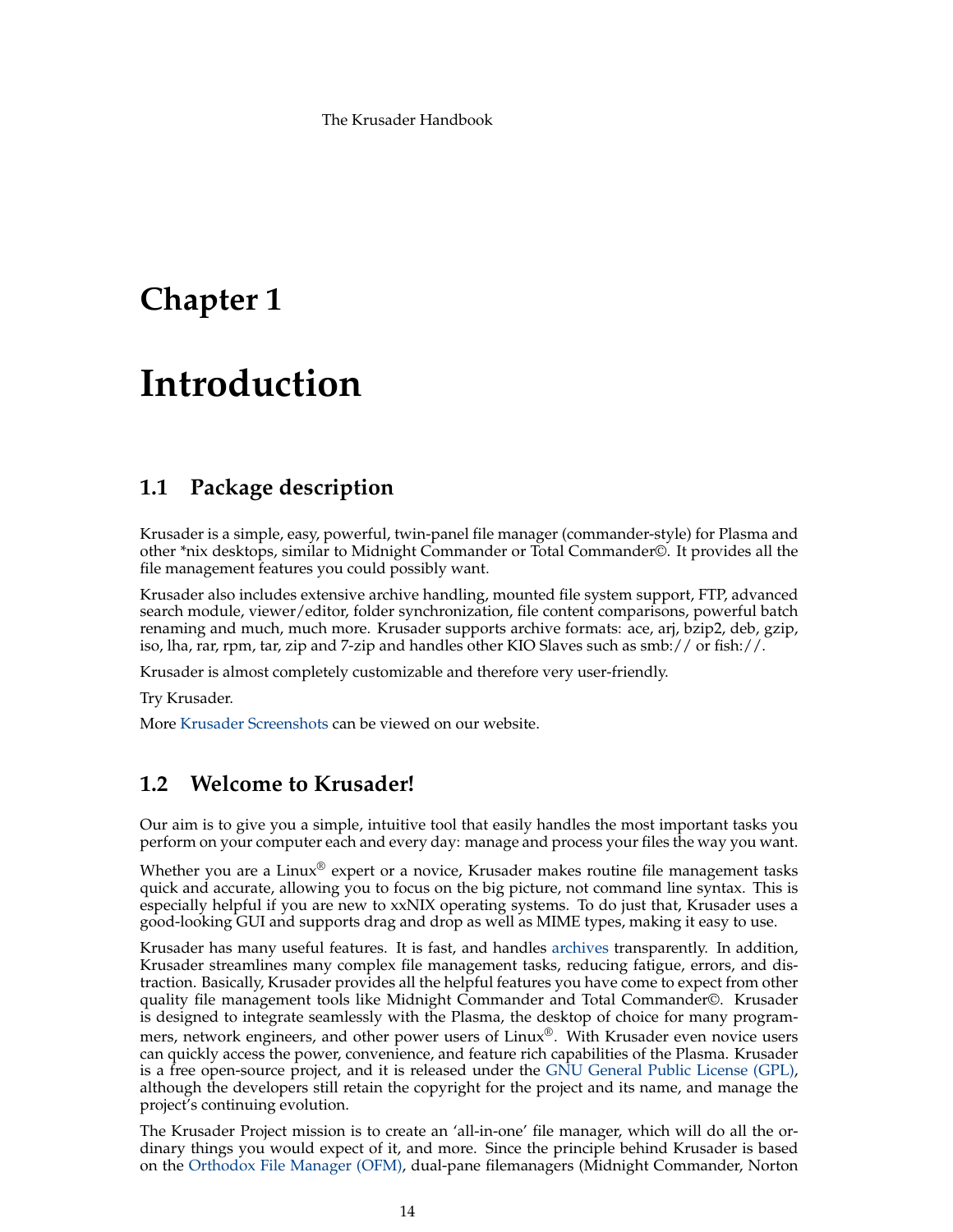# <span id="page-13-0"></span>**Chapter 1**

# **Introduction**

# <span id="page-13-1"></span>**1.1 Package description**

Krusader is a simple, easy, powerful, twin-panel file manager (commander-style) for Plasma and other \*nix desktops, similar to Midnight Commander or Total Commander©. It provides all the file management features you could possibly want.

Krusader also includes extensive archive handling, mounted file system support, FTP, advanced search module, viewer/editor, folder synchronization, file content comparisons, powerful batch renaming and much, much more. Krusader supports archive formats: ace, arj, bzip2, deb, gzip, iso, lha, rar, rpm, tar, zip and 7-zip and handles other KIO Slaves such as  $smb://$  or fish://.

Krusader is almost completely customizable and therefore very user-friendly.

Try Krusader.

More [Krusader Screenshots](https://krusader.org/) can be viewed on our website.

# <span id="page-13-2"></span>**1.2 Welcome to Krusader!**

Our aim is to give you a simple, intuitive tool that easily handles the most important tasks you perform on your computer each and every day: manage and process your files the way you want.

Whether you are a Linux<sup>®</sup> expert or a novice, Krusader makes routine file management tasks quick and accurate, allowing you to focus on the big picture, not command line syntax. This is especially helpful if you are new to xxNIX operating systems. To do just that, Krusader uses a good-looking GUI and supports drag and drop as well as MIME types, making it easy to use.

Krusader has many useful features. It is fast, and handles [archives](#page-33-1) transparently. In addition, Krusader streamlines many complex file management tasks, reducing fatigue, errors, and distraction. Basically, Krusader provides all the helpful features you have come to expect from other quality file management tools like Midnight Commander and Total Commander©. Krusader is designed to integrate seamlessly with the Plasma, the desktop of choice for many programmers, network engineers, and other power users of Linux<sup>®</sup>. With Krusader even novice users can quickly access the power, convenience, and feature rich capabilities of the Plasma. Krusader is a free open-source project, and it is released under the [GNU General Public License \(GPL\),](#page-115-1) although the developers still retain the copyright for the project and its name, and manage the project's continuing evolution.

The Krusader Project mission is to create an 'all-in-one' file manager, which will do all the ordinary things you would expect of it, and more. Since the principle behind Krusader is based on the [Orthodox File Manager \(OFM\),](http://www.softpanorama.org/OFM/index.shtml) dual-pane filemanagers (Midnight Commander, Norton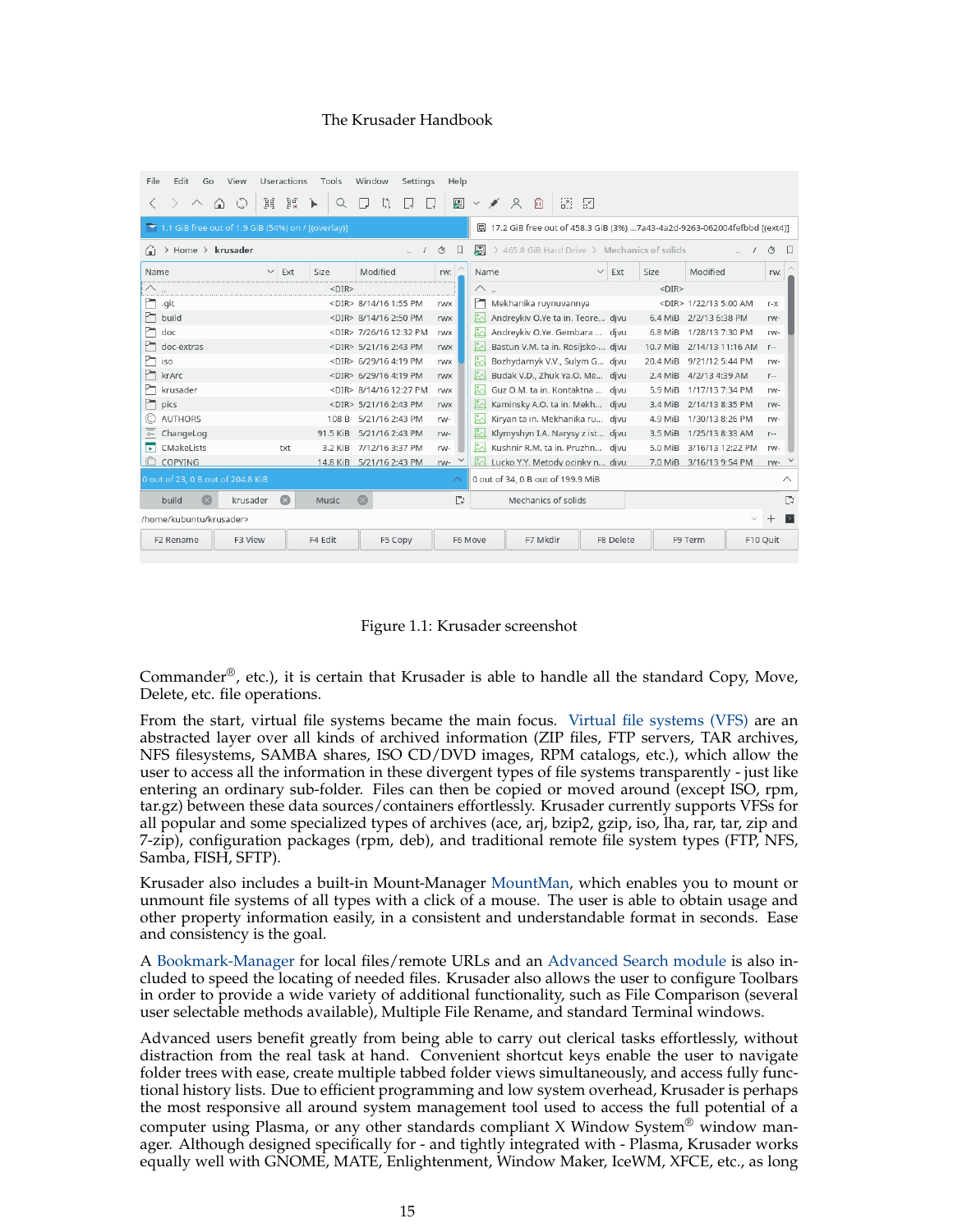| File<br>Edit<br>View<br>Go                                                                                                                              | Useractions         | Tools    | Window<br>Settings           | Help               |              |                                              |                     |           |                             |              |             |  |
|---------------------------------------------------------------------------------------------------------------------------------------------------------|---------------------|----------|------------------------------|--------------------|--------------|----------------------------------------------|---------------------|-----------|-----------------------------|--------------|-------------|--|
| $\wedge$<br>⋒                                                                                                                                           | Ъď<br>Ēď,           | ኈ<br>Q   | J.<br>∣∡                     | 廮<br>L.            | $\checkmark$ | $\approx$<br>向                               | $\frac{1}{2}$       |           |                             |              |             |  |
| $\blacktriangleright$ 1.1 GiB free out of 1.9 GiB (54%) on / [(overlay)]<br>2) 17.2 GiB free out of 458.3 GiB (3%) 7a43-4a2d-9263-062004fefbbd [(ext4)] |                     |          |                              |                    |              |                                              |                     |           |                             |              |             |  |
| $>$ Home $>$ krusader<br>Ωì                                                                                                                             |                     |          | a.                           | Ω<br>Ô             | 圓            | > 465.8 GiB Hard Drive > Mechanics of solids |                     |           |                             |              | Ô<br>$\Box$ |  |
| Name                                                                                                                                                    | Ext<br>$\checkmark$ | Size     | Modified                     | rw:                | Name         |                                              | $\checkmark$<br>Ext | Size      | Modified                    |              | rw:         |  |
|                                                                                                                                                         |                     | $<$ DIR> |                              | .                  | △            |                                              |                     | $<$ DIR>  |                             |              |             |  |
| n<br>.git                                                                                                                                               |                     |          | <dir> 8/14/16 1:55 PM</dir>  | <b>rwx</b>         | ħ            | Mekhanika ruynuvannya                        |                     |           | <dir> 1/22/13 5:00 AM</dir> |              | $r - x$     |  |
| m<br>build                                                                                                                                              |                     |          | <dir> 8/14/16 2:50 PM</dir>  | <b>rwx</b>         | Ŀ.           | Andreykiv O.Ye ta in. Teore djvu             |                     | 6.4 MiB   | 2/2/13 6:38 PM              |              | rw-         |  |
| m<br>doc                                                                                                                                                |                     |          | <dir> 7/26/16 12:32 PM</dir> | rwx                | k.           | Andreykiv O.Ye. Gembara  djvu                |                     | 6.8 MiB   | 1/28/13 7:30 PM             |              | rw-         |  |
| m<br>doc-extras                                                                                                                                         |                     |          | <dir> 5/21/16 2:43 PM</dir>  | rwx                | Ŀ.           | Bastun V.M. ta in. Rosijsko- djvu            |                     | 10.7 MiB  | 2/14/13 11:16 AM            |              | $r-$        |  |
| m<br>iso                                                                                                                                                |                     |          | <dir> 6/29/16 4:19 PM</dir>  | rwx                | Ł            | Bozhydarnyk V.V., Sulym G djvu               |                     | 20.4 MiB  | 9/21/12 5:44 PM             |              | rw-         |  |
| m<br>krArc                                                                                                                                              |                     |          | <dir> 6/29/16 4:19 PM</dir>  | <b>rwx</b>         | い            | Budak V.D., Zhuk Ya.O. Me djvu               |                     | $2.4$ MiB | 4/2/13 4:39 AM              |              | $r-$        |  |
| m<br>krusader                                                                                                                                           |                     |          | <dir> 8/14/16 12:27 PM</dir> | rwx                | kΔ.          | Guz O.M. ta in. Kontaktna  divu              |                     | 5.9 MiB   | 1/17/13 7:34 PM             |              | rw-         |  |
| m<br>pics                                                                                                                                               |                     |          | <dir> 5/21/16 2:43 PM</dir>  | <b>rwx</b>         | k.           | Kaminsky A.O. ta in. Mekh djvu               |                     | 3.4 MiB   | 2/14/13 8:35 PM             |              | rw-         |  |
| O<br><b>AUTHORS</b>                                                                                                                                     |                     | 108 B    | 5/21/16 2:43 PM              | rw-                | Ŀ.           | Kiryan ta in. Mekhanika ru djvu              |                     | 4.9 MiB   | 1/30/13 8:26 PM             |              | rw-         |  |
| Ţ<br>ChangeLog                                                                                                                                          |                     | 91.5 KiB | 5/21/16 2:43 PM              | rw-                | ይ            | Klymyshyn I.A. Narysy z ist djyu             |                     | 3.5 MiB   | 1/25/13 8:33 AM             |              | $r-$        |  |
| Б<br>CMakeLists                                                                                                                                         | txt                 | 3.2 KiB  | 7/12/16 3:37 PM              | rw-                | ⊠            | Kushnir R.M. ta in. Pruzhn djvu              |                     | 5.0 MiB   | 3/16/13 12:22 PM            |              | rw-         |  |
| $\odot$<br>COPYING                                                                                                                                      |                     |          | 14.8 KiB 5/21/16 2:43 PM     | rw-                | ⊠            | Lucko Y.Y. Metody ocinky n djvu              |                     | 7.0 MiB   | 3/16/13 9:54 PM             |              | rw-         |  |
| 0 out of 23, 0 B out of 204.8 KiB                                                                                                                       |                     |          |                              | $\curvearrowright$ |              | 0 out of 34, 0 B out of 199.9 MiB            |                     |           |                             |              | $\wedge$    |  |
| build<br>krusader                                                                                                                                       | $\circ$             | Music    | $\circ$                      | $\Box$             |              | Mechanics of solids                          |                     |           |                             |              | D           |  |
| /home/kubuntu/krusader>                                                                                                                                 |                     |          |                              |                    |              |                                              |                     |           |                             | $\checkmark$ | $^{+}$      |  |
| F3 View<br>F <sub>2</sub> Rename                                                                                                                        |                     | F4 Edit  | F5 Copy                      |                    | F6 Move      | F7 Mkdir                                     | F8 Delete           |           | F9 Term                     | F10 Quit     |             |  |

Figure 1.1: Krusader screenshot

<span id="page-14-0"></span>Commander<sup>®</sup>, etc.), it is certain that Krusader is able to handle all the standard Copy, Move, Delete, etc. file operations.

From the start, virtual file systems became the main focus. [Virtual file systems \(VFS\)](#page-35-2) are an abstracted layer over all kinds of archived information (ZIP files, FTP servers, TAR archives, NFS filesystems, SAMBA shares, ISO CD/DVD images, RPM catalogs, etc.), which allow the user to access all the information in these divergent types of file systems transparently - just like entering an ordinary sub-folder. Files can then be copied or moved around (except ISO, rpm, tar.gz) between these data sources/containers effortlessly. Krusader currently supports VFSs for all popular and some specialized types of archives (ace, arj, bzip2, gzip, iso, lha, rar, tar, zip and 7-zip), configuration packages (rpm, deb), and traditional remote file system types (FTP, NFS, Samba, FISH, SFTP).

Krusader also includes a built-in Mount-Manager [MountMan,](#page-82-2) which enables you to mount or unmount file systems of all types with a click of a mouse. The user is able to obtain usage and other property information easily, in a consistent and understandable format in seconds. Ease and consistency is the goal.

A [Bookmark-Manager](#page-55-3) for local files/remote URLs and an [Advanced Search module](#page-59-2) is also included to speed the locating of needed files. Krusader also allows the user to configure Toolbars in order to provide a wide variety of additional functionality, such as File Comparison (several user selectable methods available), Multiple File Rename, and standard Terminal windows.

Advanced users benefit greatly from being able to carry out clerical tasks effortlessly, without distraction from the real task at hand. Convenient shortcut keys enable the user to navigate folder trees with ease, create multiple tabbed folder views simultaneously, and access fully functional history lists. Due to efficient programming and low system overhead, Krusader is perhaps the most responsive all around system management tool used to access the full potential of a computer using Plasma, or any other standards compliant X Window System<sup>®</sup> window manager. Although designed specifically for - and tightly integrated with - Plasma, Krusader works equally well with GNOME, MATE, Enlightenment, Window Maker, IceWM, XFCE, etc., as long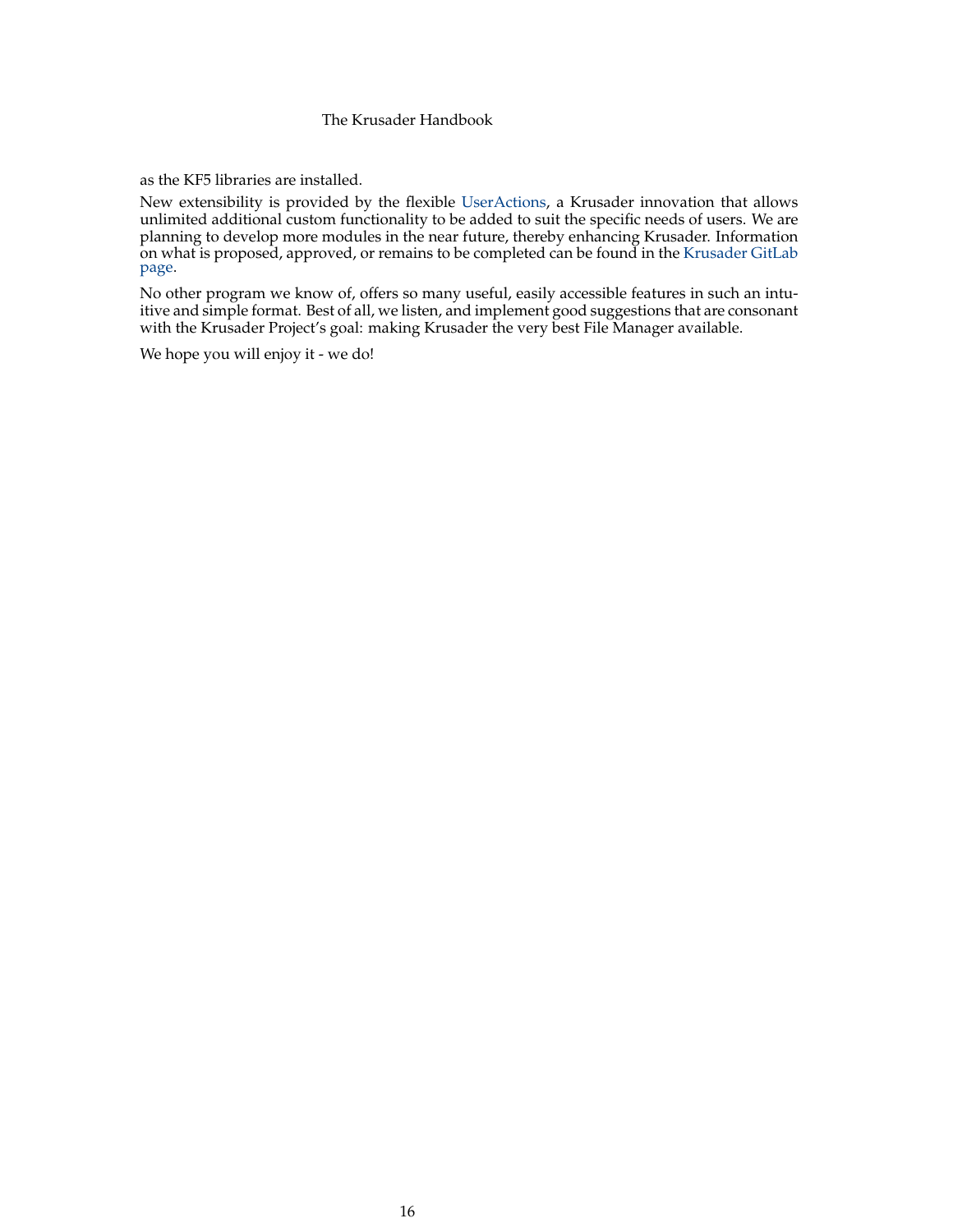as the KF5 libraries are installed.

New extensibility is provided by the flexible [UserActions,](#page-90-2) a Krusader innovation that allows unlimited additional custom functionality to be added to suit the specific needs of users. We are planning to develop more modules in the near future, thereby enhancing Krusader. Information on what is proposed, approved, or remains to be completed can be found in the [Krusader GitLab](https://invent.kde.org/utilities/krusader) [page.](https://invent.kde.org/utilities/krusader)

No other program we know of, offers so many useful, easily accessible features in such an intuitive and simple format. Best of all, we listen, and implement good suggestions that are consonant with the Krusader Project's goal: making Krusader the very best File Manager available.

We hope you will enjoy it - we do!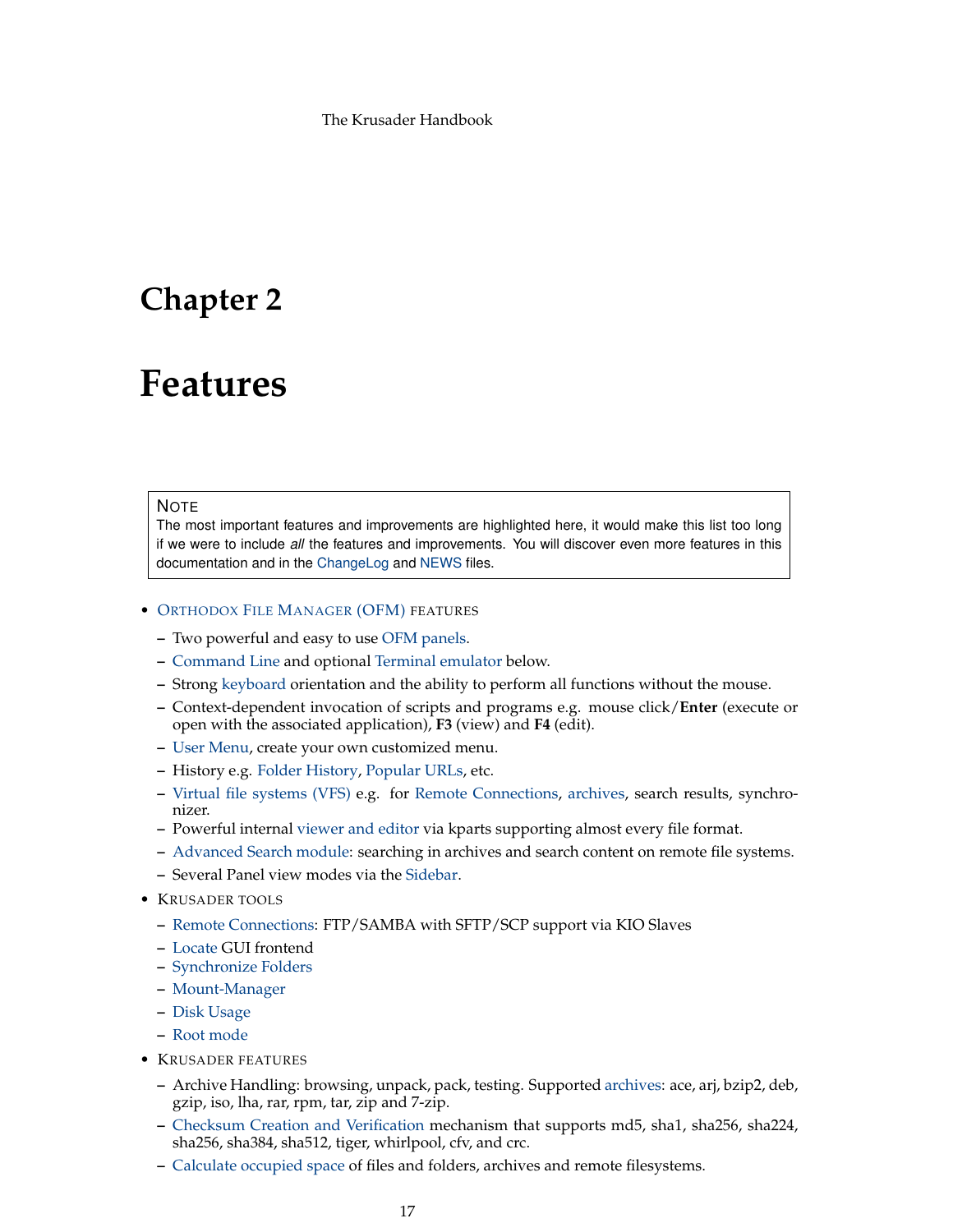# <span id="page-16-0"></span>**Chapter 2**

# **Features**

#### <span id="page-16-1"></span>**NOTE**

The most important features and improvements are highlighted here, it would make this list too long if we were to include *all* the features and improvements. You will discover even more features in this documentation and in the [ChangeLog](https://commits.kde.org/krusader?path=ChangeLog) and [NEWS](https://commits.kde.org/krusader?path=NEWS) files.

#### • O[RTHODOX](http://www.softpanorama.org/OFM/index.shtml) FILE MANAGER (OFM) FEATURES

- **–** Two powerful and easy to use [OFM panels.](#page-23-3)
- **–** [Command Line](#page-25-4) and optional [Terminal emulator](#page-26-4) below.
- **–** Strong [keyboard](#page-48-1) orientation and the ability to perform all functions without the mouse.
- **–** Context-dependent invocation of scripts and programs e.g. mouse click/**Enter** (execute or open with the associated application), **F3** (view) and **F4** (edit).
- **–** [User Menu,](#page-90-2) create your own customized menu.
- **–** History e.g. [Folder History,](#page-25-5) [Popular URLs,](#page-57-3) etc.
- **–** [Virtual file systems \(VFS\)](#page-35-2) e.g. for [Remote Connections,](#page-83-1) [archives,](#page-33-1) search results, synchronizer.
- **–** Powerful internal [viewer and editor](#page-63-2) via kparts supporting almost every file format.
- **–** [Advanced Search module:](#page-59-2) searching in archives and search content on remote file systems.
- **–** Several Panel view modes via the [Sidebar.](#page-24-1)
- KRUSADER TOOLS
	- **–** [Remote Connections:](#page-83-1) FTP/SAMBA with SFTP/SCP support via KIO Slaves
	- **–** [Locate](#page-81-1) GUI frontend
	- **–** [Synchronize Folders](#page-85-1)
	- **–** [Mount-Manager](#page-82-2)
	- **–** [Disk Usage](#page-58-3)
	- **–** [Root mode](#page-44-2)
- KRUSADER FEATURES
	- **–** Archive Handling: browsing, unpack, pack, testing. Supported [archives:](#page-33-1) ace, arj, bzip2, deb, gzip, iso, lha, rar, rpm, tar, zip and 7-zip.
	- **–** [Checksum Creation and Verification](#page-37-3) mechanism that supports md5, sha1, sha256, sha224, sha256, sha384, sha512, tiger, whirlpool, cfv, and crc.
	- **–** [Calculate occupied space](#page-37-4) of files and folders, archives and remote filesystems.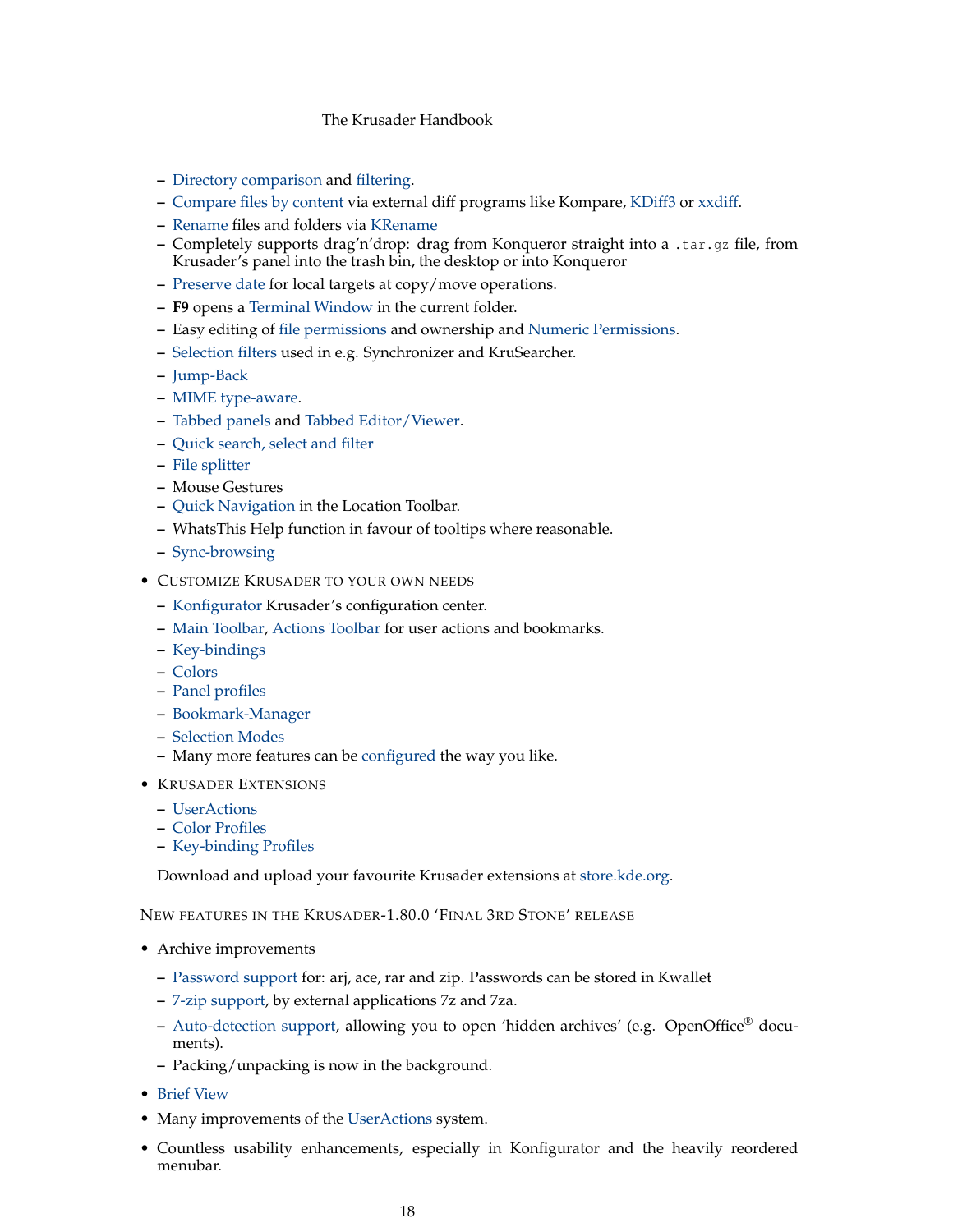- **–** [Directory comparison](#page-36-3) and [filtering.](#page-42-1)
- **–** [Compare files by content](#page-36-4) via external diff programs like Kompare, [KDiff3](https://www.kde.org/applications/development/kdiff3/) or [xxdiff.](http://furius.ca/xxdiff/)
- **–** [Rename](#page-40-1) files and folders via [KRename](https://www.kde.org/applications/utilities/krename/)
- **–** Completely supports drag'n'drop: drag from Konqueror straight into a .tar.gz file, from Krusader's panel into the trash bin, the desktop or into Konqueror
- **–** [Preserve date](#page-104-3) for local targets at copy/move operations.
- **– F9** opens a [Terminal Window](#page-44-3) in the current folder.
- **–** Easy editing of [file permissions](#page-39-2) and ownership and [Numeric Permissions.](#page-98-1)
- **–** [Selection filters](#page-59-2) used in e.g. Synchronizer and KruSearcher.
- **–** [Jump-Back](#page-57-4)
- **–** [MIME type-aware.](#page-102-2)
- **–** [Tabbed panels](#page-27-3) and [Tabbed Editor/Viewer.](#page-63-2)
- **–** [Quick search, select and filter](#page-30-4)
- **–** [File splitter](#page-37-5)
- **–** Mouse Gestures
- **–** [Quick Navigation](#page-23-4) in the Location Toolbar.
- **–** WhatsThis Help function in favour of tooltips where reasonable.
- **–** [Sync-browsing](#page-22-4)
- CUSTOMIZE KRUSADER TO YOUR OWN NEEDS
	- **–** [Konfigurator](#page-95-2) Krusader's configuration center.
	- **–** [Main Toolbar,](#page-20-5) [Actions Toolbar](#page-22-5) for user actions and bookmarks.
	- **–** [Key-bindings](#page-48-3)
	- **–** [Colors](#page-101-2)
	- **–** [Panel profiles](#page-38-8)
	- **–** [Bookmark-Manager](#page-55-3)
	- **–** [Selection Modes](#page-100-2)
	- **–** Many more features can be [configured](#page-95-2) the way you like.
- KRUSADER EXTENSIONS
	- **–** [UserActions](#page-90-2)
	- **–** [Color Profiles](#page-101-2)
	- **–** [Key-binding Profiles](#page-46-0)

Download and upload your favourite Krusader extensions at [store.kde.org.](https://store.kde.org/)

NEW FEATURES IN THE KRUSADER-1.80.0 'FINAL 3RD STONE' RELEASE

- Archive improvements
	- **–** [Password support](#page-33-1) for: arj, ace, rar and zip. Passwords can be stored in Kwallet
	- **–** [7-zip support,](#page-33-1) by external applications 7z and 7za.
	- **–** [Auto-detection support,](#page-33-1) allowing you to open 'hidden archives' (e.g. OpenOffice® documents).
	- **–** Packing/unpacking is now in the background.
- [Brief View](#page-23-4)
- Many improvements of the [UserActions](#page-90-2) system.
- Countless usability enhancements, especially in Konfigurator and the heavily reordered menubar.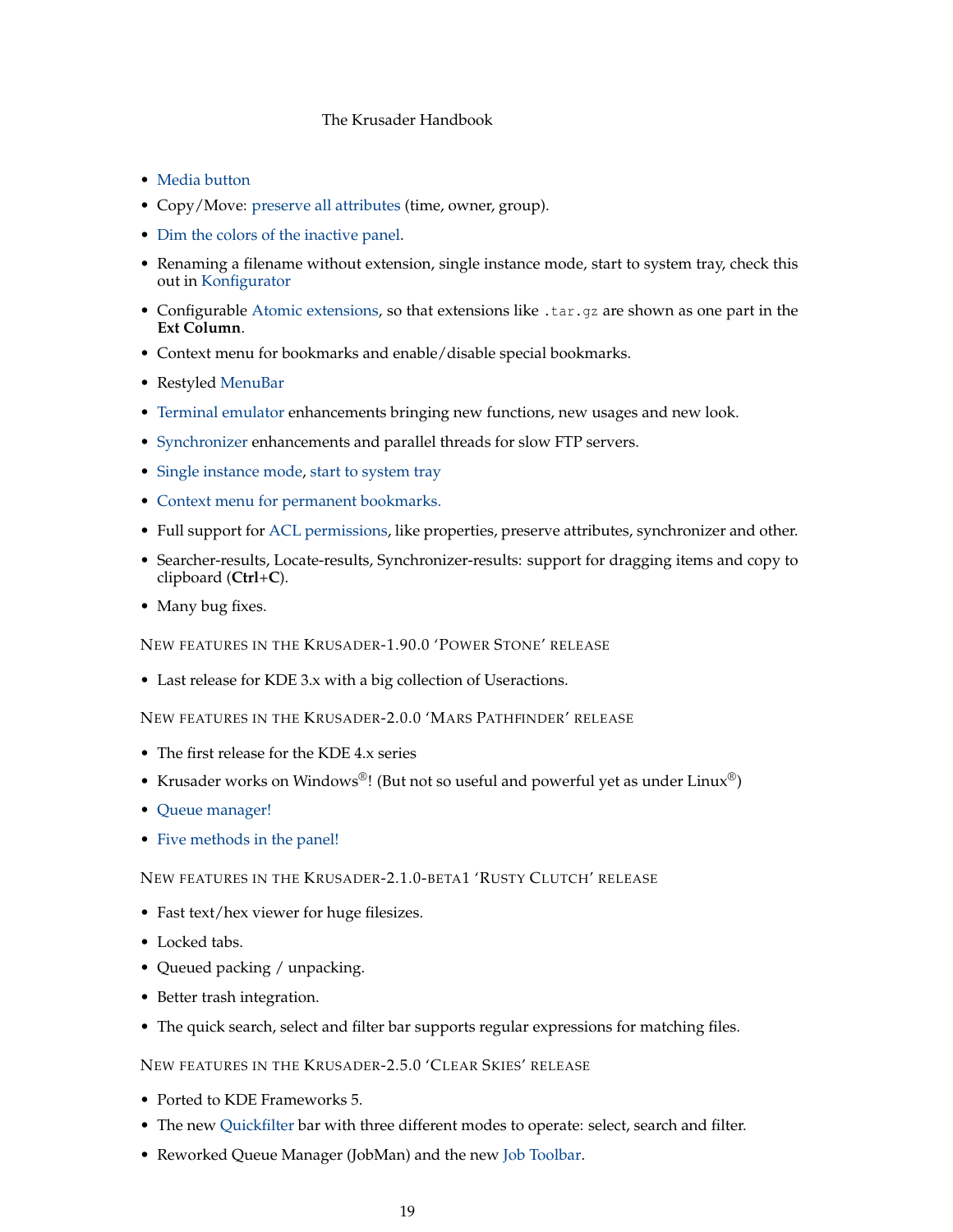- [Media button](#page-0-0)
- Copy/Move: [preserve all attributes](#page-31-4) (time, owner, group).
- [Dim the colors of the inactive panel.](#page-101-2)
- Renaming a filename without extension, single instance mode, start to system tray, check this out in [Konfigurator](#page-95-3)
- Configurable [Atomic extensions,](#page-23-4) so that extensions like .tar.gz are shown as one part in the **Ext Column**.
- Context menu for bookmarks and enable/disable special bookmarks.
- Restyled [MenuBar](#page-39-1)
- [Terminal emulator](#page-26-4) enhancements bringing new functions, new usages and new look.
- [Synchronizer](#page-85-1) enhancements and parallel threads for slow FTP servers.
- [Single instance mode,](#page-95-2) [start to system tray](#page-95-2)
- [Context menu for permanent bookmarks.](#page-30-5)
- Full support for [ACL permissions,](#page-38-9) like properties, preserve attributes, synchronizer and other.
- Searcher-results, Locate-results, Synchronizer-results: support for dragging items and copy to clipboard (**Ctrl**+**C**).
- Many bug fixes.

NEW FEATURES IN THE KRUSADER-1.90.0 'POWER STONE' RELEASE

• Last release for KDE 3.x with a big collection of Useractions.

NEW FEATURES IN THE KRUSADER-2.0.0 'MARS PATHFINDER' RELEASE

- The first release for the KDE 4.x series
- Krusader works on Windows®! (But not so useful and powerful yet as under Linux®)
- [Queue manager!](#page-32-5)
- [Five methods in the panel!](#page-96-2)

## NEW FEATURES IN THE KRUSADER-2.1.0-BETA1 'RUSTY CLUTCH' RELEASE

- Fast text/hex viewer for huge filesizes.
- Locked tabs.
- Queued packing / unpacking.
- Better trash integration.
- The quick search, select and filter bar supports regular expressions for matching files.

#### NEW FEATURES IN THE KRUSADER-2.5.0 'CLEAR SKIES' RELEASE

- Ported to KDE Frameworks 5.
- The new [Quickfilter](#page-30-6) bar with three different modes to operate: select, search and filter.
- Reworked Queue Manager (JobMan) and the new [Job Toolbar.](#page-22-6)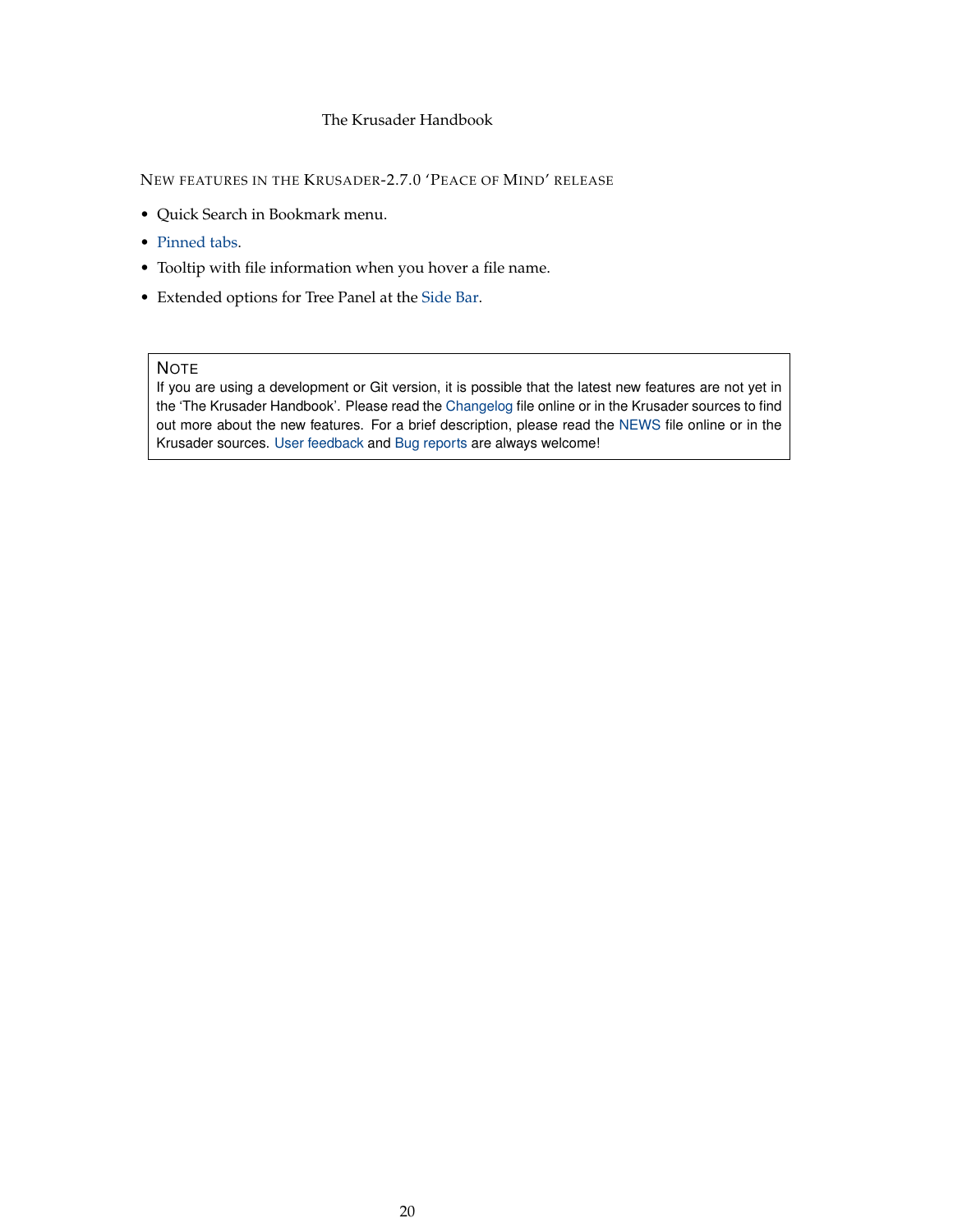NEW FEATURES IN THE KRUSADER-2.7.0 'PEACE OF MIND' RELEASE

- Quick Search in Bookmark menu.
- [Pinned tabs.](#page-27-3)
- Tooltip with file information when you hover a file name.
- Extended options for Tree Panel at the [Side Bar.](#page-24-1)

#### **NOTE**

If you are using a development or Git version, it is possible that the latest new features are not yet in the 'The Krusader Handbook'. Please read the [Changelog](https://commits.kde.org/krusader?path=ChangeLog) file online or in the Krusader sources to find out more about the new features. For a brief description, please read the [NEWS](https://commits.kde.org/krusader?path=NEWS) file online or in the Krusader sources. [User feedback](#page-0-0) and [Bug reports](#page-0-0) are always welcome!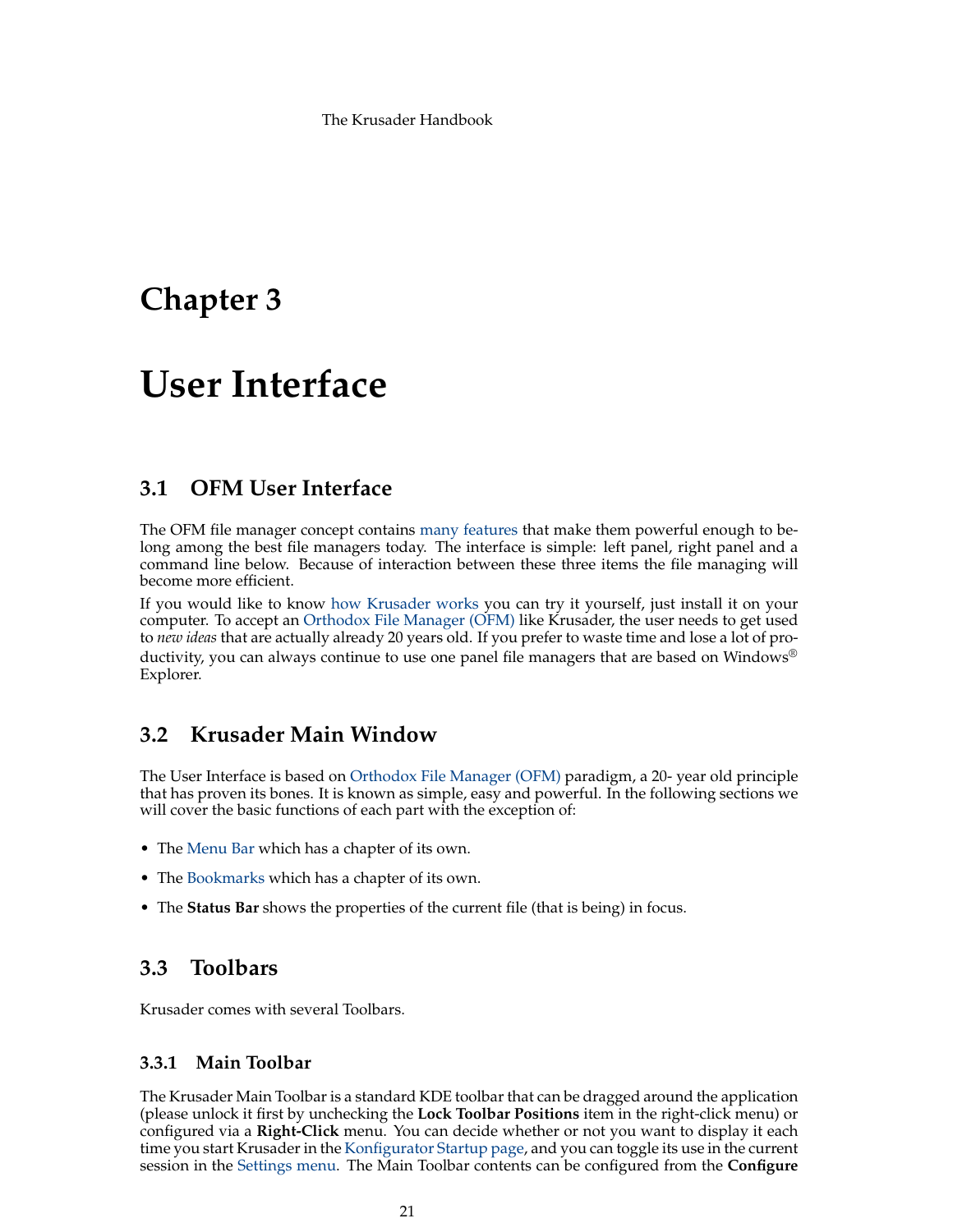# <span id="page-20-0"></span>**Chapter 3**

# **User Interface**

# <span id="page-20-1"></span>**3.1 OFM User Interface**

The OFM file manager concept contains [many features](#page-16-1) that make them powerful enough to belong among the best file managers today. The interface is simple: left panel, right panel and a command line below. Because of interaction between these three items the file managing will become more efficient.

If you would like to know [how Krusader works](http://www.softpedia.com/reviews/linux/Krusader-Review-18193.shtml) you can try it yourself, just install it on your computer. To accept an [Orthodox File Manager \(OFM\)](http://www.softpanorama.org/OFM/index.shtml) like Krusader, the user needs to get used to *new ideas* that are actually already 20 years old. If you prefer to waste time and lose a lot of productivity, you can always continue to use one panel file managers that are based on Windows<sup>®</sup> Explorer.

# <span id="page-20-2"></span>**3.2 Krusader Main Window**

<span id="page-20-5"></span>The User Interface is based on [Orthodox File Manager \(OFM\)](http://www.softpanorama.org/OFM/index.shtml) paradigm, a 20- year old principle that has proven its bones. It is known as simple, easy and powerful. In the following sections we will cover the basic functions of each part with the exception of:

- The [Menu Bar](#page-39-1) which has a chapter of its own.
- The [Bookmarks](#page-55-3) which has a chapter of its own.
- The **Status Bar** shows the properties of the current file (that is being) in focus.

# <span id="page-20-3"></span>**3.3 Toolbars**

Krusader comes with several Toolbars.

# <span id="page-20-4"></span>**3.3.1 Main Toolbar**

<span id="page-20-6"></span>The Krusader Main Toolbar is a standard KDE toolbar that can be dragged around the application (please unlock it first by unchecking the **Lock Toolbar Positions** item in the right-click menu) or configured via a **Right-Click** menu. You can decide whether or not you want to display it each time you start Krusader in the [Konfigurator Startup page,](#page-95-3) and you can toggle its use in the current session in the [Settings menu.](#page-45-1) The Main Toolbar contents can be configured from the **Configure**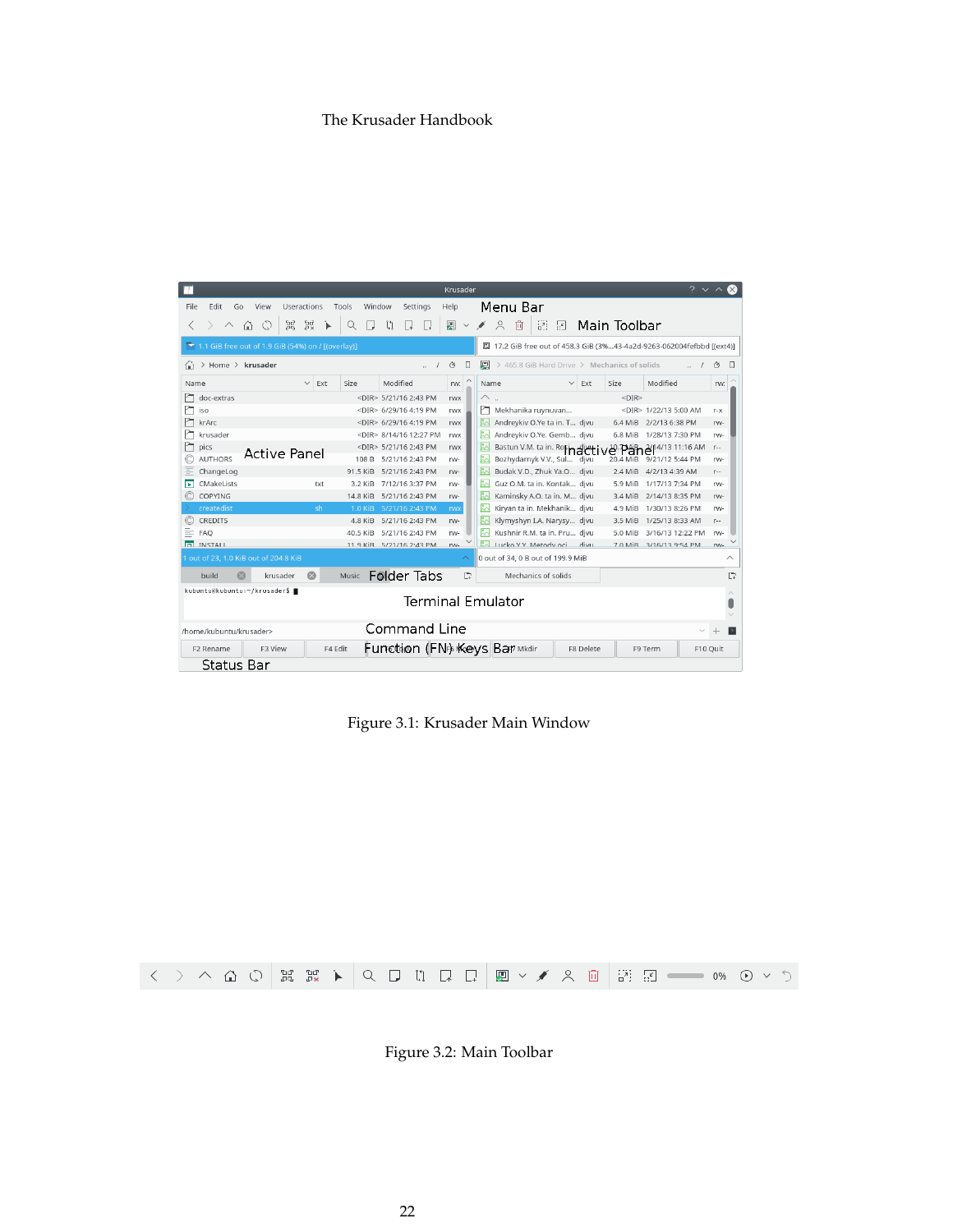|      |                                                    |    |                |              |         |          |        |                              |        | Krusader |          |          |                                   |                     |                           |                  |                                                                        |                             |           | $\vee$ $\wedge$ |
|------|----------------------------------------------------|----|----------------|--------------|---------|----------|--------|------------------------------|--------|----------|----------|----------|-----------------------------------|---------------------|---------------------------|------------------|------------------------------------------------------------------------|-----------------------------|-----------|-----------------|
| File | Edit                                               | Go | View           | Useractions  |         | Tools    | Window | Settings                     |        | Help     |          |          | Menu Bar                          |                     |                           |                  |                                                                        |                             |           |                 |
|      |                                                    | ⋒  | C              | 음량<br>Ъď,    |         |          |        |                              |        | 慁        |          |          | $\approx$<br>向                    | æ                   | $\overline{\mathbb{R}^k}$ |                  | Main Toolbar                                                           |                             |           |                 |
|      | 1.1 GiB free out of 1.9 GiB (54%) on / [(overlay)] |    |                |              |         |          |        |                              |        |          |          |          |                                   |                     |                           |                  | 圆 17.2 GiB free out of 458.3 GiB (3%43-4a2d-9263-062004fefbbd [(ext4)] |                             |           |                 |
|      | > Home > krusader                                  |    |                |              |         |          |        |                              | $\sim$ | Ò        | Ω        | 阒        |                                   |                     |                           |                  | > 465.8 GiB Hard Drive > Mechanics of solids                           |                             | $\cdot$ / | Ò<br>Ш          |
| Name |                                                    |    |                | $\checkmark$ | Ext     | Size     |        | Modified                     |        | rw:      |          | Name     |                                   |                     | $\checkmark$              | Ext              | Size                                                                   | Modified                    |           | rw:             |
| ۳    | doc-extras                                         |    |                |              |         |          |        | <dir> 5/21/16 2:43 PM</dir>  |        | rwx      |          | △.       |                                   |                     |                           |                  | $<$ DIR>                                                               |                             |           |                 |
|      | iso                                                |    |                |              |         |          |        | <dir> 6/29/16 4:19 PM</dir>  |        | rwx      |          | m        | Mekhanika ruynuvan                |                     |                           |                  |                                                                        | <dir> 1/22/13 5:00 AM</dir> |           | $r - x$         |
|      | krArc                                              |    |                |              |         |          |        | <dir> 6/29/16 4:19 PM</dir>  |        | rwx      |          | ŖΔ.      | Andreykiv O.Ye ta in. T djvu      |                     |                           |                  | 6.4 MiB                                                                | 2/2/13 6:38 PM              |           | rw-             |
|      | krusader                                           |    |                |              |         |          |        | <dir> 8/14/16 12:27 PM</dir> |        | rwx      |          | l.<br>En | Andreykiv O.Ye. Gemb djvu         |                     |                           |                  | 6.8 MiB                                                                | 1/28/13 7:30 PM             |           | rw-             |
|      | pics                                               |    |                |              |         |          |        | <dir> 5/21/16 2:43 PM</dir>  |        | rwx      |          |          | Bastun V.M. ta in. Rosinatt       |                     |                           |                  | e Panel                                                                | 4/13 11:16 AM               |           | $r-$            |
|      | <b>AUTHORS</b>                                     |    |                | Active Panel |         | 108 B    |        | 5/21/16 2:43 PM              |        | rw-      |          | Ł        | Bozhydarnyk V.V., Sul djvu        |                     |                           |                  | 20.4 MiB                                                               | 9/21/12 5:44 PM             |           | rw-             |
| ⋷    | ChangeLog                                          |    |                |              |         | 91.5 KiB |        | 5/21/16 2:43 PM              |        | rw-      |          | Ŀ.       | Budak V.D., Zhuk Ya.O djvu        |                     |                           |                  | 2.4 MiB                                                                | 4/2/13 4:39 AM              |           | $r-$            |
|      | CMakeLists                                         |    |                |              | txt     | 3.2 KiB  |        | 7/12/16 3:37 PM              |        | rw-      |          | Ł        | Guz O.M. ta in. Kontak divu       |                     |                           |                  | 5.9 MiB                                                                | 1/17/13 7:34 PM             |           | rw-             |
|      | COPYING                                            |    |                |              |         | 14.8 KiB |        | 5/21/16 2:43 PM              |        | rw-      |          | Ŀ.       | Kaminsky A.O. ta in. M djvu       |                     |                           |                  | 3.4 MiB                                                                | 2/14/13 8:35 PM             |           | rw-             |
|      | createdist                                         |    |                |              | sh      | 1.0 KiB  |        | 5/21/16 2:43 PM              |        | rwx      |          | Ł        | Kiryan ta in. Mekhanik divu       |                     |                           |                  | 4.9 MiB                                                                | 1/30/13 8:26 PM             |           | rw-             |
| C    | CREDITS                                            |    |                |              |         | 4.8 KiB  |        | 5/21/16 2:43 PM              |        | rw-      |          | Ŀ.       | Klymyshyn I.A. Narysy djvu        |                     |                           |                  | 3.5 MiB                                                                | 1/25/13 8:33 AM             |           | $r-$            |
|      | <b>FAO</b>                                         |    |                |              |         | 40.5 KiB |        | 5/21/16 2:43 PM              |        | rw-      |          |          | Kushnir R.M. ta in. Pru divu      |                     |                           |                  | 5.0 MiB                                                                | 3/16/13 12:22 PM            |           | rw-             |
|      | <b>n</b> INSTALL                                   |    |                |              |         |          |        | 11 9 KiR 5/21/16 2:43 PM     |        | rw-      |          |          | I Lucko VV Metody oci divar       |                     |                           |                  |                                                                        | 7 0 MiR 3/16/13 9:54 PM     |           | rw-             |
|      | 1 out of 23, 1.0 KiB out of 204.8 KiB              |    |                |              |         |          |        |                              |        |          | $\wedge$ |          | 0 out of 34, 0 B out of 199.9 MiB |                     |                           |                  |                                                                        |                             |           | ∧               |
|      | build                                              |    |                | krusader     | $\odot$ | Music    |        | <b>Folder Tabs</b>           |        |          | D        |          |                                   | Mechanics of solids |                           |                  |                                                                        |                             |           | D.              |
|      | kubuntu@kubuntu:~/krusader\$                       |    |                |              |         |          |        |                              |        |          |          |          | Terminal Emulator                 |                     |                           |                  |                                                                        |                             |           |                 |
|      |                                                    |    |                |              |         |          |        |                              |        |          |          |          |                                   |                     |                           |                  |                                                                        |                             |           |                 |
|      | /home/kubuntu/krusader>                            |    |                |              |         |          |        | Command Line                 |        |          |          |          |                                   |                     |                           |                  |                                                                        |                             |           | $\rightarrow$   |
|      | F <sub>2</sub> Rename                              |    | <b>F3 View</b> |              |         | F4 Edit  |        | Function (FNB Keys Bar Mkdir |        |          |          |          |                                   |                     |                           | <b>F8 Delete</b> |                                                                        | F9 Term                     |           | F10 Ouit        |
|      | Status Bar                                         |    |                |              |         |          |        |                              |        |          |          |          |                                   |                     |                           |                  |                                                                        |                             |           |                 |

<span id="page-21-0"></span>Figure 3.1: Krusader Main Window

<span id="page-21-1"></span>

Figure 3.2: Main Toolbar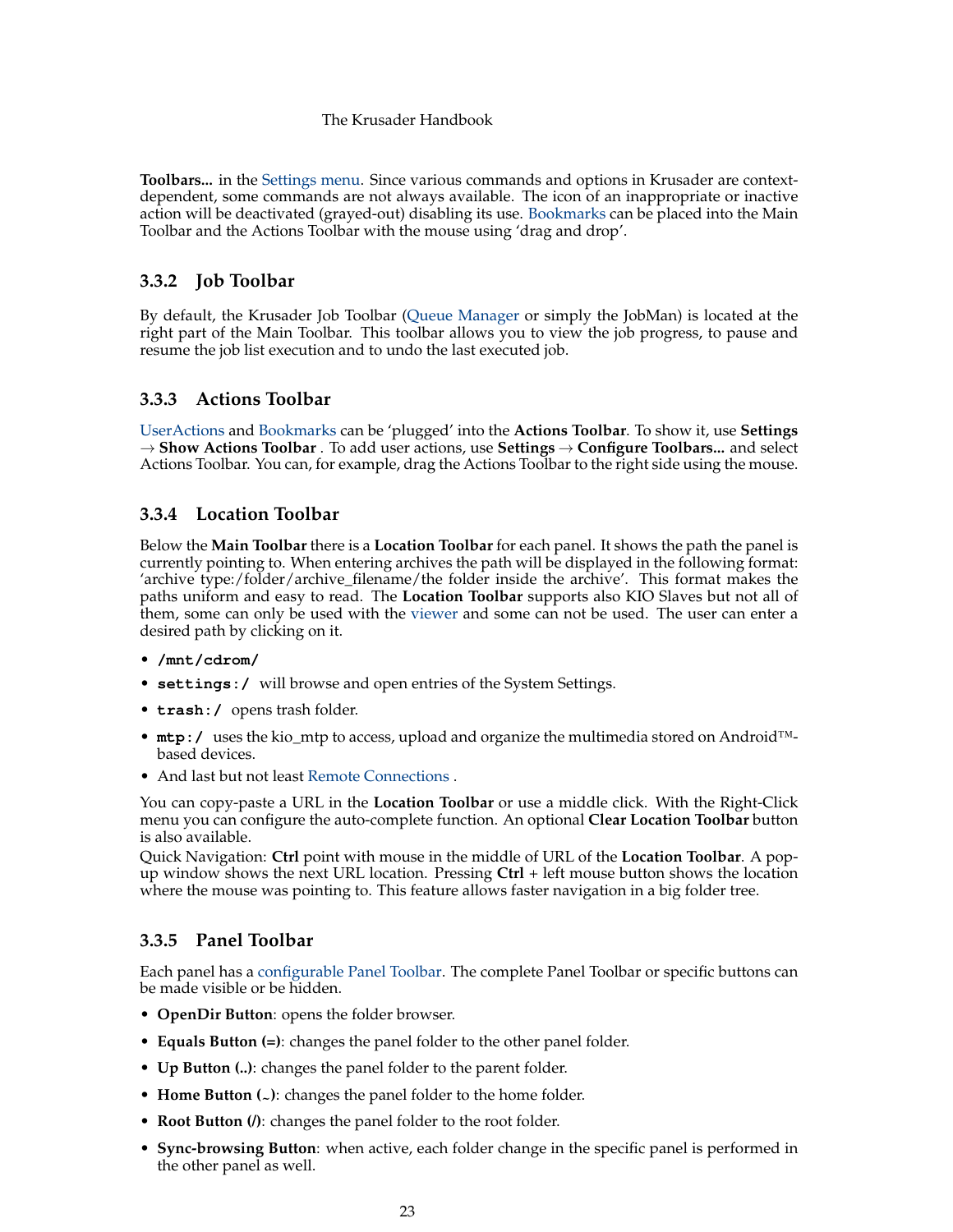**Toolbars...** in the [Settings menu.](#page-45-1) Since various commands and options in Krusader are contextdependent, some commands are not always available. The icon of an inappropriate or inactive action will be deactivated (grayed-out) disabling its use. [Bookmarks](#page-55-3) can be placed into the Main Toolbar and the Actions Toolbar with the mouse using 'drag and drop'.

## <span id="page-22-0"></span>**3.3.2 Job Toolbar**

<span id="page-22-6"></span>By default, the Krusader Job Toolbar [\(Queue Manager](#page-32-5) or simply the JobMan) is located at the right part of the Main Toolbar. This toolbar allows you to view the job progress, to pause and resume the job list execution and to undo the last executed job.

## <span id="page-22-1"></span>**3.3.3 Actions Toolbar**

<span id="page-22-5"></span>[UserActions](#page-90-2) and [Bookmarks](#page-55-3) can be 'plugged' into the **Actions Toolbar**. To show it, use **Settings** → **Show Actions Toolbar** . To add user actions, use **Settings** → **Configure Toolbars...** and select Actions Toolbar. You can, for example, drag the Actions Toolbar to the right side using the mouse.

## <span id="page-22-2"></span>**3.3.4 Location Toolbar**

<span id="page-22-7"></span>Below the **Main Toolbar** there is a **Location Toolbar** for each panel. It shows the path the panel is currently pointing to. When entering archives the path will be displayed in the following format: 'archive type:/folder/archive\_filename/the folder inside the archive'. This format makes the paths uniform and easy to read. The **Location Toolbar** supports also KIO Slaves but not all of them, some can only be used with the [viewer](#page-63-2) and some can not be used. The user can enter a desired path by clicking on it.

- **/mnt/cdrom/**
- **settings:/** will browse and open entries of the System Settings.
- **trash:/** opens trash folder.
- **mtp:/** uses the kio\_mtp to access, upload and organize the multimedia stored on Android™ based devices.
- And last but not least [Remote Connections](#page-83-1) .

You can copy-paste a URL in the **Location Toolbar** or use a middle click. With the Right-Click menu you can configure the auto-complete function. An optional **Clear Location Toolbar** button is also available.

Quick Navigation: **Ctrl** point with mouse in the middle of URL of the **Location Toolbar**. A popup window shows the next URL location. Pressing **Ctrl** + left mouse button shows the location where the mouse was pointing to. This feature allows faster navigation in a big folder tree.

# <span id="page-22-3"></span>**3.3.5 Panel Toolbar**

<span id="page-22-4"></span>Each panel has a [configurable Panel Toolbar.](#page-99-1) The complete Panel Toolbar or specific buttons can be made visible or be hidden.

- **OpenDir Button**: opens the folder browser.
- **Equals Button (=)**: changes the panel folder to the other panel folder.
- **Up Button (..)**: changes the panel folder to the parent folder.
- **Home Button** (<sub>~</sub>): changes the panel folder to the home folder.
- **Root Button (/)**: changes the panel folder to the root folder.
- **Sync-browsing Button**: when active, each folder change in the specific panel is performed in the other panel as well.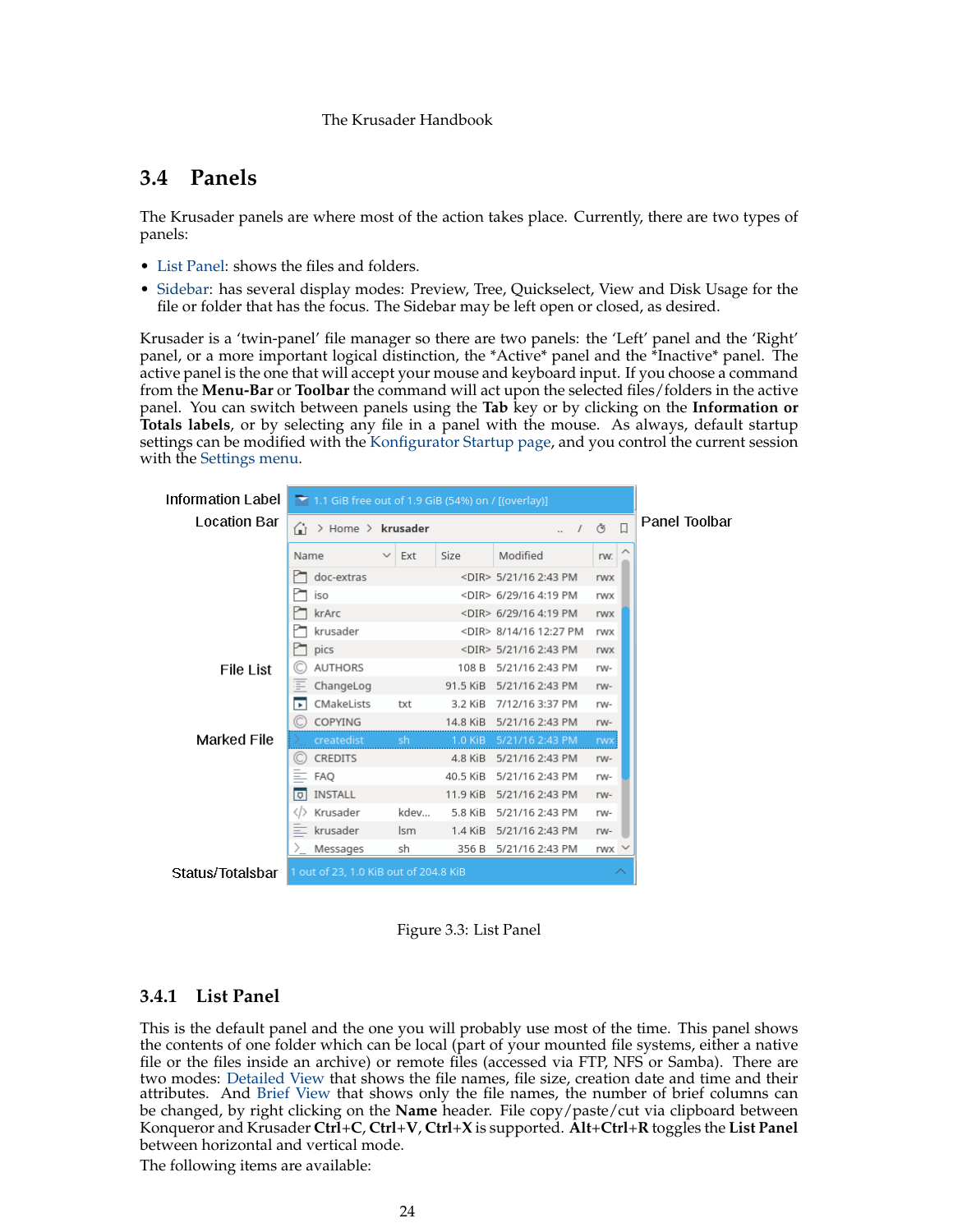# <span id="page-23-0"></span>**3.4 Panels**

<span id="page-23-3"></span>The Krusader panels are where most of the action takes place. Currently, there are two types of panels:

- [List Panel:](#page-23-4) shows the files and folders.
- [Sidebar:](#page-24-1) has several display modes: Preview, Tree, Quickselect, View and Disk Usage for the file or folder that has the focus. The Sidebar may be left open or closed, as desired.

Krusader is a 'twin-panel' file manager so there are two panels: the 'Left' panel and the 'Right' panel, or a more important logical distinction, the \*Active\* panel and the \*Inactive\* panel. The active panel is the one that will accept your mouse and keyboard input. If you choose a command from the **Menu-Bar** or **Toolbar** the command will act upon the selected files/folders in the active panel. You can switch between panels using the **Tab** key or by clicking on the **Information or Totals labels**, or by selecting any file in a panel with the mouse. As always, default startup settings can be modified with the [Konfigurator Startup page,](#page-95-3) and you control the current session with the [Settings menu.](#page-45-1)

| Information Label  | $\blacktriangleright$ 1.1 GiB free out of 1.9 GiB (54%) on / [(overlay)] |                     |           |                              |               |  |
|--------------------|--------------------------------------------------------------------------|---------------------|-----------|------------------------------|---------------|--|
| Location Bar       | ⋒<br>> Home > krusader                                                   |                     |           | $\Box$<br>Ò<br>$\prime$      | Panel Toolbar |  |
|                    | Name                                                                     | Ext<br>$\checkmark$ | Size      | Modified                     | rw:           |  |
|                    | doc-extras                                                               |                     |           | <dir> 5/21/16 2:43 PM</dir>  | rwx           |  |
|                    | iso                                                                      |                     |           | <dir> 6/29/16 4:19 PM</dir>  | rwx           |  |
|                    | krArc                                                                    |                     |           | <dir> 6/29/16 4:19 PM</dir>  | rwx           |  |
|                    | krusader                                                                 |                     |           | <dir> 8/14/16 12:27 PM</dir> | rwx           |  |
|                    | pics                                                                     |                     |           | <dir> 5/21/16 2:43 PM</dir>  | rwx           |  |
| <b>File List</b>   | <b>AUTHORS</b>                                                           |                     | 108 B     | 5/21/16 2:43 PM              | rw-           |  |
|                    | Ξ<br>ChangeLog                                                           |                     | 91.5 KiB  | 5/21/16 2:43 PM              | rw-           |  |
|                    | CMakeLists<br>ъ                                                          | txt                 | 3.2 KiB   | 7/12/16 3:37 PM              | rw-           |  |
|                    | COPYING                                                                  |                     | 14.8 KiB  | 5/21/16 2:43 PM              | rw-           |  |
| <b>Marked File</b> | createdist                                                               | 'sh                 |           | 1.0 KiB 5/21/16 2:43 PM      | <b>rwx</b>    |  |
|                    | CREDITS                                                                  |                     | 4.8 KiB   | 5/21/16 2:43 PM              | rw-           |  |
|                    | $\equiv$ FAQ                                                             |                     | 40.5 KiB  | 5/21/16 2:43 PM              | rw-           |  |
|                    | INSTALL<br>ाज                                                            |                     | 11.9 KiB  | 5/21/16 2:43 PM              | rw-           |  |
|                    | Krusader<br>⇔                                                            | kdev                | 5.8 KiB   | 5/21/16 2:43 PM              | rw-           |  |
|                    | krusader                                                                 | lsm                 | $1.4$ KiB | 5/21/16 2:43 PM              | rw-           |  |
|                    | Messages<br>冫.                                                           | sh                  | 356 B     | 5/21/16 2:43 PM              | rwx           |  |
| Status/Totalsbar   | 1 out of 23, 1.0 KiB out of 204.8 KiB                                    |                     |           |                              | ∧             |  |

Figure 3.3: List Panel

# <span id="page-23-2"></span><span id="page-23-1"></span>**3.4.1 List Panel**

<span id="page-23-4"></span>This is the default panel and the one you will probably use most of the time. This panel shows the contents of one folder which can be local (part of your mounted file systems, either a native file or the files inside an archive) or remote files (accessed via FTP, NFS or Samba). There are two modes: [Detailed View](#page-42-1) that shows the file names, file size, creation date and time and their attributes. And [Brief View](#page-42-1) that shows only the file names, the number of brief columns can be changed, by right clicking on the **Name** header. File copy/paste/cut via clipboard between Konqueror and Krusader **Ctrl**+**C**, **Ctrl**+**V**, **Ctrl**+**X** is supported. **Alt**+**Ctrl**+**R** toggles the **List Panel** between horizontal and vertical mode.

The following items are available: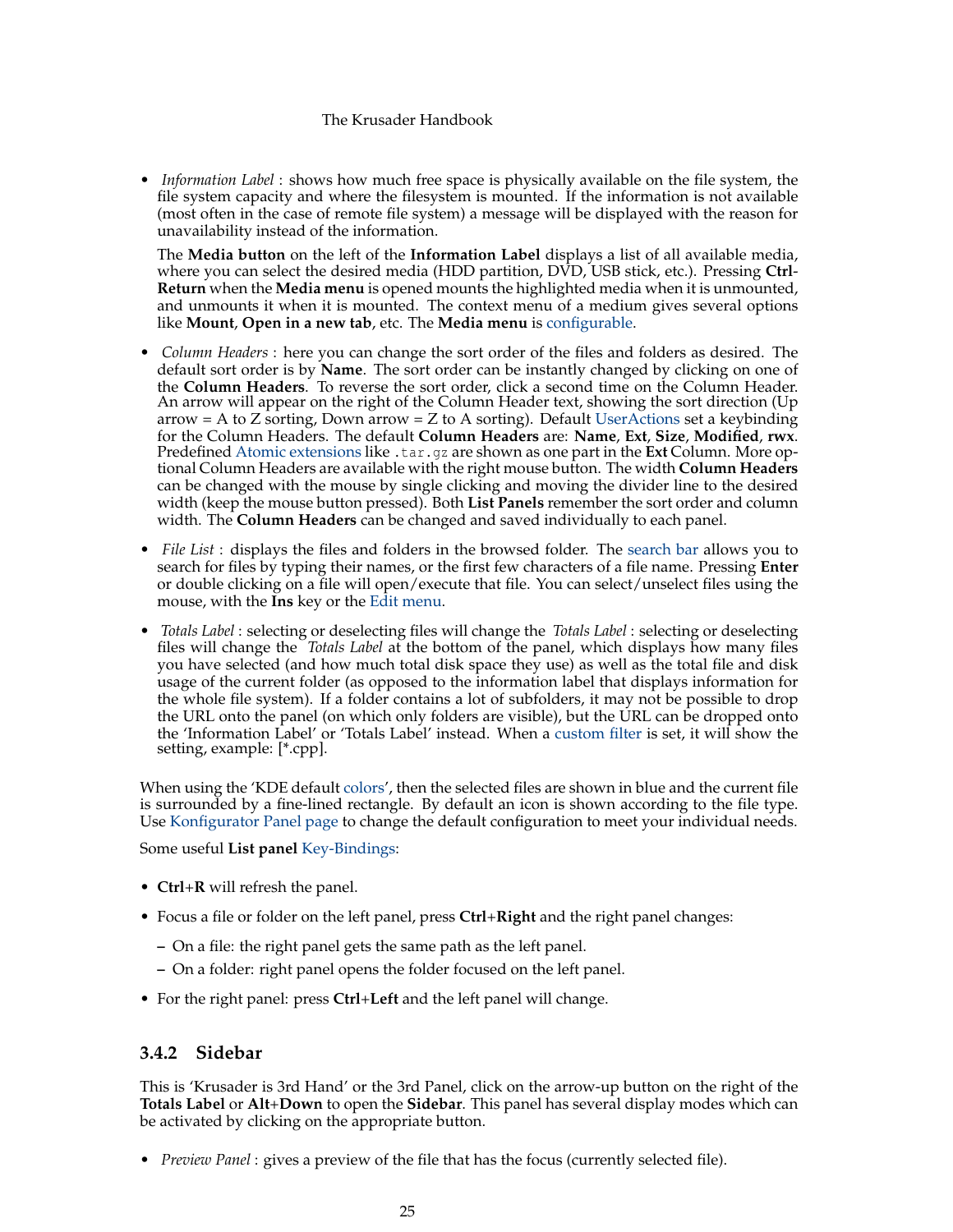• *Information Label* : shows how much free space is physically available on the file system, the file system capacity and where the filesystem is mounted. If the information is not available (most often in the case of remote file system) a message will be displayed with the reason for unavailability instead of the information.

The **Media button** on the left of the **Information Label** displays a list of all available media, where you can select the desired media (HDD partition, DVD, USB stick, etc.). Pressing **Ctrl**-**Return** when the **Media menu** is opened mounts the highlighted media when it is unmounted, and unmounts it when it is mounted. The context menu of a medium gives several options like **Mount**, **Open in a new tab**, etc. The **Media menu** is [configurable.](#page-100-3)

- *Column Headers* : here you can change the sort order of the files and folders as desired. The default sort order is by **Name**. The sort order can be instantly changed by clicking on one of the **Column Headers**. To reverse the sort order, click a second time on the Column Header. An arrow will appear on the right of the Column Header text, showing the sort direction (Up arrow = A to Z sorting, Down arrow = Z to A sorting). Default [UserActions](#page-90-2) set a keybinding for the Column Headers. The default **Column Headers** are: **Name**, **Ext**, **Size**, **Modified**, **rwx**. Predefined [Atomic extensions](#page-102-2) like .tar.gz are shown as one part in the **Ext** Column. More optional Column Headers are available with the right mouse button. The width **Column Headers** can be changed with the mouse by single clicking and moving the divider line to the desired width (keep the mouse button pressed). Both **List Panels** remember the sort order and column width. The **Column Headers** can be changed and saved individually to each panel.
- *File List* : displays the files and folders in the browsed folder. The [search bar](#page-30-4) allows you to search for files by typing their names, or the first few characters of a file name. Pressing **Enter** or double clicking on a file will open/execute that file. You can select/unselect files using the mouse, with the **Ins** key or the [Edit menu.](#page-40-2)
- *Totals Label* : selecting or deselecting files will change the *Totals Label* : selecting or deselecting files will change the *Totals Label* at the bottom of the panel, which displays how many files you have selected (and how much total disk space they use) as well as the total file and disk usage of the current folder (as opposed to the information label that displays information for the whole file system). If a folder contains a lot of subfolders, it may not be possible to drop the URL onto the panel (on which only folders are visible), but the URL can be dropped onto the 'Information Label' or 'Totals Label' instead. When a [custom filter](#page-42-1) is set, it will show the setting, example: [\*.cpp].

When using the 'KDE default [colors'](#page-101-2), then the selected files are shown in blue and the current file is surrounded by a fine-lined rectangle. By default an icon is shown according to the file type. Use [Konfigurator Panel page](#page-96-2) to change the default configuration to meet your individual needs.

Some useful **List panel** [Key-Bindings:](#page-48-3)

- **Ctrl**+**R** will refresh the panel.
- Focus a file or folder on the left panel, press **Ctrl**+**Right** and the right panel changes:
	- **–** On a file: the right panel gets the same path as the left panel.
	- **–** On a folder: right panel opens the folder focused on the left panel.
- For the right panel: press **Ctrl**+**Left** and the left panel will change.

## <span id="page-24-0"></span>**3.4.2 Sidebar**

<span id="page-24-1"></span>This is 'Krusader is 3rd Hand' or the 3rd Panel, click on the arrow-up button on the right of the **Totals Label** or **Alt**+**Down** to open the **Sidebar**. This panel has several display modes which can be activated by clicking on the appropriate button.

• *Preview Panel* : gives a preview of the file that has the focus (currently selected file).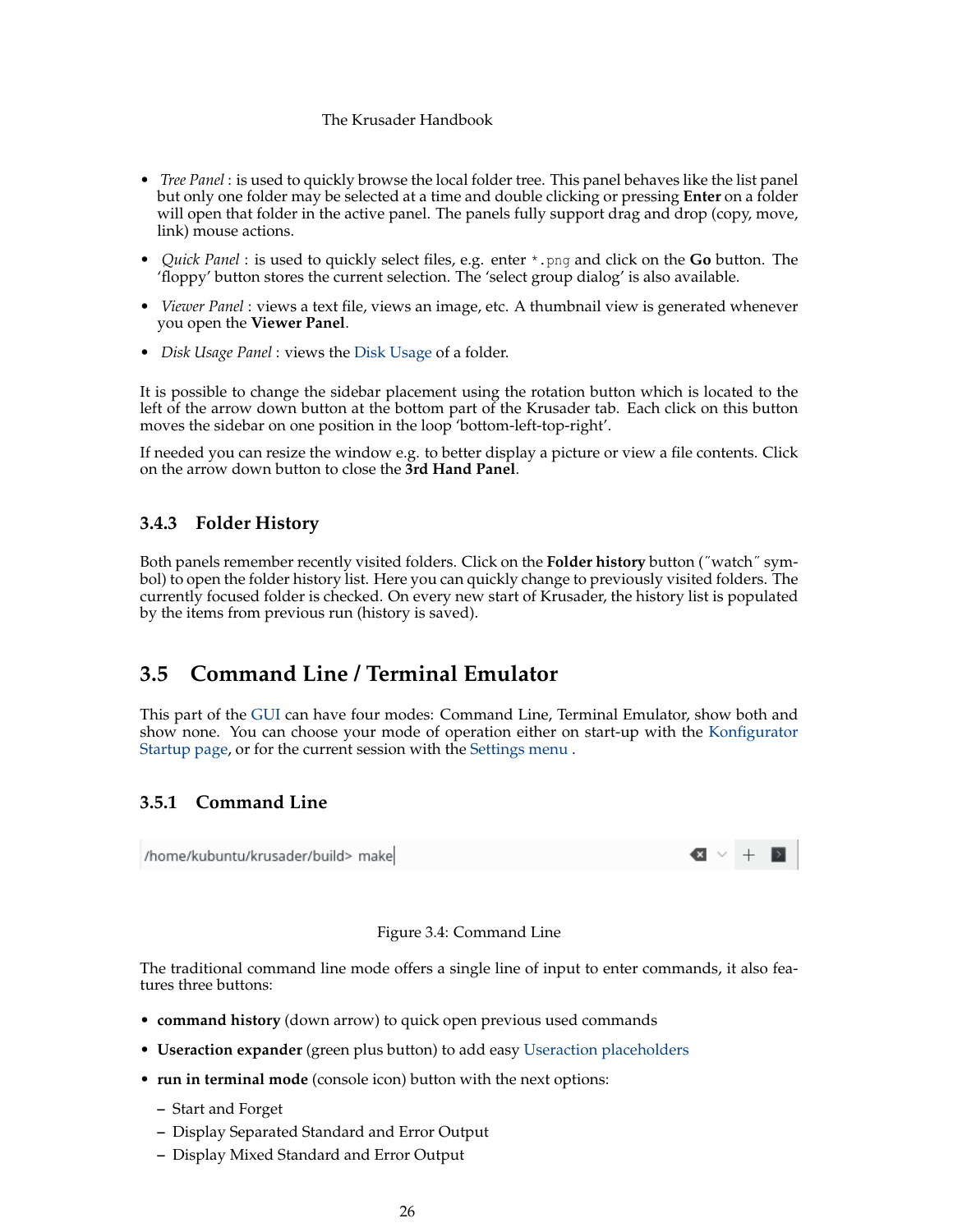- *Tree Panel* : is used to quickly browse the local folder tree. This panel behaves like the list panel but only one folder may be selected at a time and double clicking or pressing **Enter** on a folder will open that folder in the active panel. The panels fully support drag and drop (copy, move, link) mouse actions.
- *Quick Panel* : is used to quickly select files, e.g. enter \*.png and click on the **Go** button. The 'floppy' button stores the current selection. The 'select group dialog' is also available.
- *Viewer Panel* : views a text file, views an image, etc. A thumbnail view is generated whenever you open the **Viewer Panel**.
- *Disk Usage Panel* : views the [Disk Usage](#page-58-3) of a folder.

It is possible to change the sidebar placement using the rotation button which is located to the left of the arrow down button at the bottom part of the Krusader tab. Each click on this button moves the sidebar on one position in the loop 'bottom-left-top-right'.

If needed you can resize the window e.g. to better display a picture or view a file contents. Click on the arrow down button to close the **3rd Hand Panel**.

## <span id="page-25-0"></span>**3.4.3 Folder History**

<span id="page-25-5"></span>Both panels remember recently visited folders. Click on the **Folder history** button (˝watch˝ symbol) to open the folder history list. Here you can quickly change to previously visited folders. The currently focused folder is checked. On every new start of Krusader, the history list is populated by the items from previous run (history is saved).

# <span id="page-25-1"></span>**3.5 Command Line / Terminal Emulator**

This part of the [GUI](#page-126-0) can have four modes: Command Line, Terminal Emulator, show both and show none. You can choose your mode of operation either on start-up with the [Konfigurator](#page-95-3) [Startup page,](#page-95-3) or for the current session with the [Settings menu](#page-45-1) .

## <span id="page-25-4"></span><span id="page-25-2"></span>**3.5.1 Command Line**

<span id="page-25-3"></span>/home/kubuntu/krusader/build> make

#### Figure 3.4: Command Line

The traditional command line mode offers a single line of input to enter commands, it also features three buttons:

- **command history** (down arrow) to quick open previous used commands
- **Useraction expander** (green plus button) to add easy [Useraction placeholders](#page-90-2)
- **run in terminal mode** (console icon) button with the next options:
	- **–** Start and Forget
	- **–** Display Separated Standard and Error Output
	- **–** Display Mixed Standard and Error Output

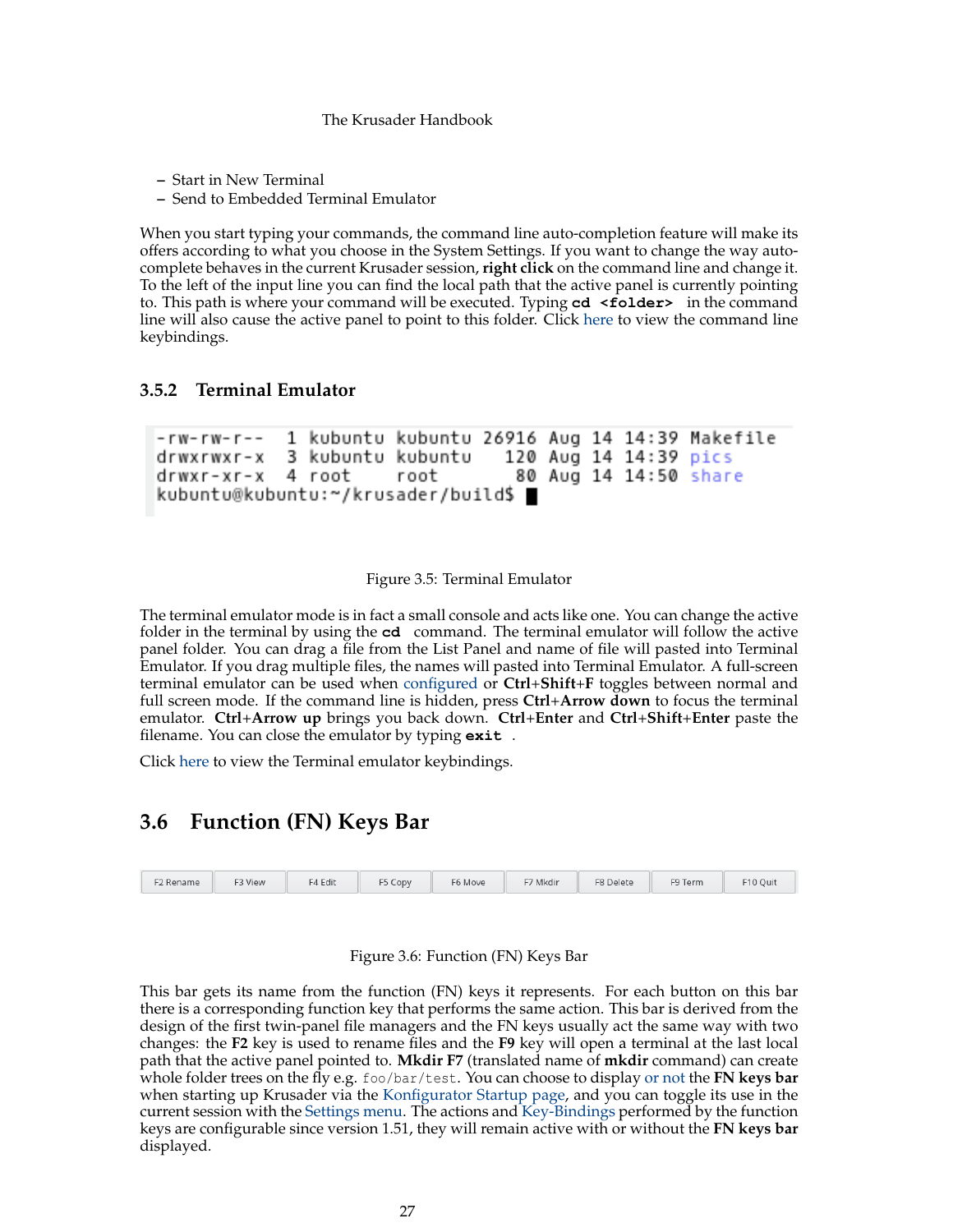- **–** Start in New Terminal
- **–** Send to Embedded Terminal Emulator

When you start typing your commands, the command line auto-completion feature will make its offers according to what you choose in the System Settings. If you want to change the way autocomplete behaves in the current Krusader session, **right click** on the command line and change it. To the left of the input line you can find the local path that the active panel is currently pointing to. This path is where your command will be executed. Typing **cd <folder>** in the command line will also cause the active panel to point to this folder. Click [here](#page-0-0) to view the command line keybindings.

#### <span id="page-26-4"></span><span id="page-26-0"></span>**3.5.2 Terminal Emulator**

```
1 kubuntu kubuntu 26916 Aug 14 14:39 Makefile
-<sub>r</sub>w-<sub>r</sub>w-<sub>r</sub>-<sub>r</sub>3 kubuntu kubuntu
drwxrwxr-x
                                        120 Aug 14 14:39 pics
drwxr-xr-x
              4 root
                            root
                                          80 Aug 14 14:50 share
kubuntu@kubuntu:~/krusader/build$ ■
```
#### Figure 3.5: Terminal Emulator

<span id="page-26-2"></span>The terminal emulator mode is in fact a small console and acts like one. You can change the active folder in the terminal by using the **cd** command. The terminal emulator will follow the active panel folder. You can drag a file from the List Panel and name of file will pasted into Terminal Emulator. If you drag multiple files, the names will pasted into Terminal Emulator. A full-screen terminal emulator can be used when [configured](#page-102-3) or **Ctrl**+**Shift**+**F** toggles between normal and full screen mode. If the command line is hidden, press **Ctrl**+**Arrow down** to focus the terminal emulator. **Ctrl**+**Arrow up** brings you back down. **Ctrl**+**Enter** and **Ctrl**+**Shift**+**Enter** paste the filename. You can close the emulator by typing **exit** .

Click [here](#page-0-0) to view the Terminal emulator keybindings.

# <span id="page-26-5"></span><span id="page-26-1"></span>**3.6 Function (FN) Keys Bar**



#### Figure 3.6: Function (FN) Keys Bar

<span id="page-26-3"></span>This bar gets its name from the function (FN) keys it represents. For each button on this bar there is a corresponding function key that performs the same action. This bar is derived from the design of the first twin-panel file managers and the FN keys usually act the same way with two changes: the **F2** key is used to rename files and the **F9** key will open a terminal at the last local path that the active panel pointed to. **Mkdir F7** (translated name of **mkdir** command) can create whole folder trees on the fly e.g. foo/bar/test. You can choose to display [or not](#page-0-0) the **FN keys bar** when starting up Krusader via the [Konfigurator Startup page,](#page-95-3) and you can toggle its use in the current session with the [Settings menu.](#page-45-1) The actions and [Key-Bindings](#page-48-3) performed by the function keys are configurable since version 1.51, they will remain active with or without the **FN keys bar** displayed.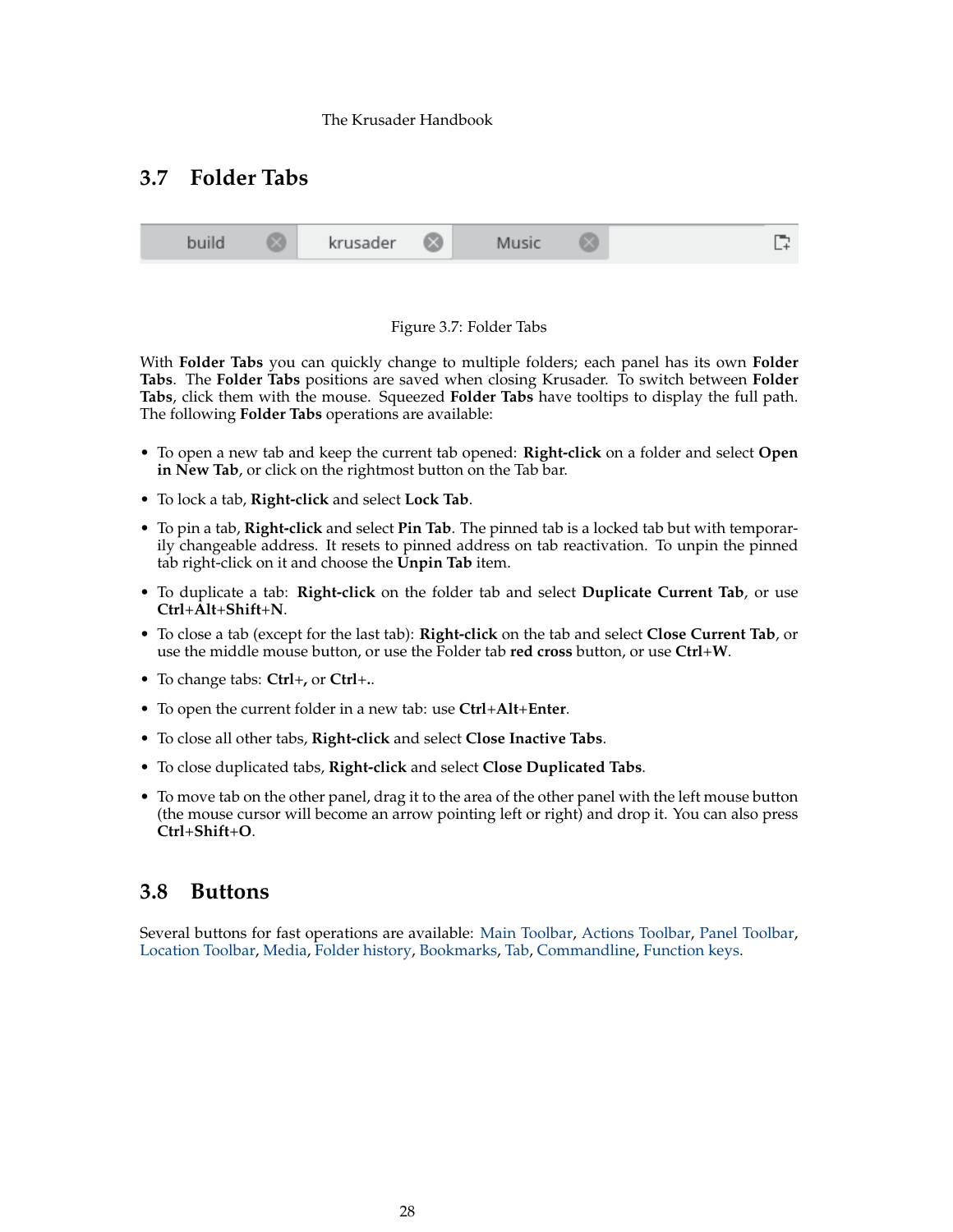# <span id="page-27-3"></span><span id="page-27-0"></span>**3.7 Folder Tabs**





<span id="page-27-2"></span>With **Folder Tabs** you can quickly change to multiple folders; each panel has its own **Folder Tabs**. The **Folder Tabs** positions are saved when closing Krusader. To switch between **Folder Tabs**, click them with the mouse. Squeezed **Folder Tabs** have tooltips to display the full path. The following **Folder Tabs** operations are available:

- To open a new tab and keep the current tab opened: **Right-click** on a folder and select **Open** in New Tab, or click on the rightmost button on the Tab bar.
- To lock a tab, **Right-click** and select **Lock Tab**.
- To pin a tab, **Right-click** and select **Pin Tab**. The pinned tab is a locked tab but with temporarily changeable address. It resets to pinned address on tab reactivation. To unpin the pinned tab right-click on it and choose the **Unpin Tab** item.
- To duplicate a tab: **Right-click** on the folder tab and select **Duplicate Current Tab**, or use **Ctrl**+**Alt**+**Shift**+**N**.
- To close a tab (except for the last tab): **Right-click** on the tab and select **Close Current Tab**, or use the middle mouse button, or use the Folder tab **red cross** button, or use **Ctrl**+**W**.
- To change tabs: **Ctrl**+**,** or **Ctrl**+**.**.
- To open the current folder in a new tab: use **Ctrl**+**Alt**+**Enter**.
- To close all other tabs, **Right-click** and select **Close Inactive Tabs**.
- To close duplicated tabs, **Right-click** and select **Close Duplicated Tabs**.
- To move tab on the other panel, drag it to the area of the other panel with the left mouse button (the mouse cursor will become an arrow pointing left or right) and drop it. You can also press **Ctrl**+**Shift**+**O**.

# <span id="page-27-1"></span>**3.8 Buttons**

Several buttons for fast operations are available: [Main Toolbar,](#page-20-6) [Actions Toolbar,](#page-22-5) [Panel Toolbar,](#page-22-4) [Location Toolbar,](#page-22-7) [Media,](#page-23-4) [Folder history,](#page-25-5) [Bookmarks,](#page-55-3) [Tab,](#page-27-3) [Commandline,](#page-25-4) [Function keys.](#page-26-5)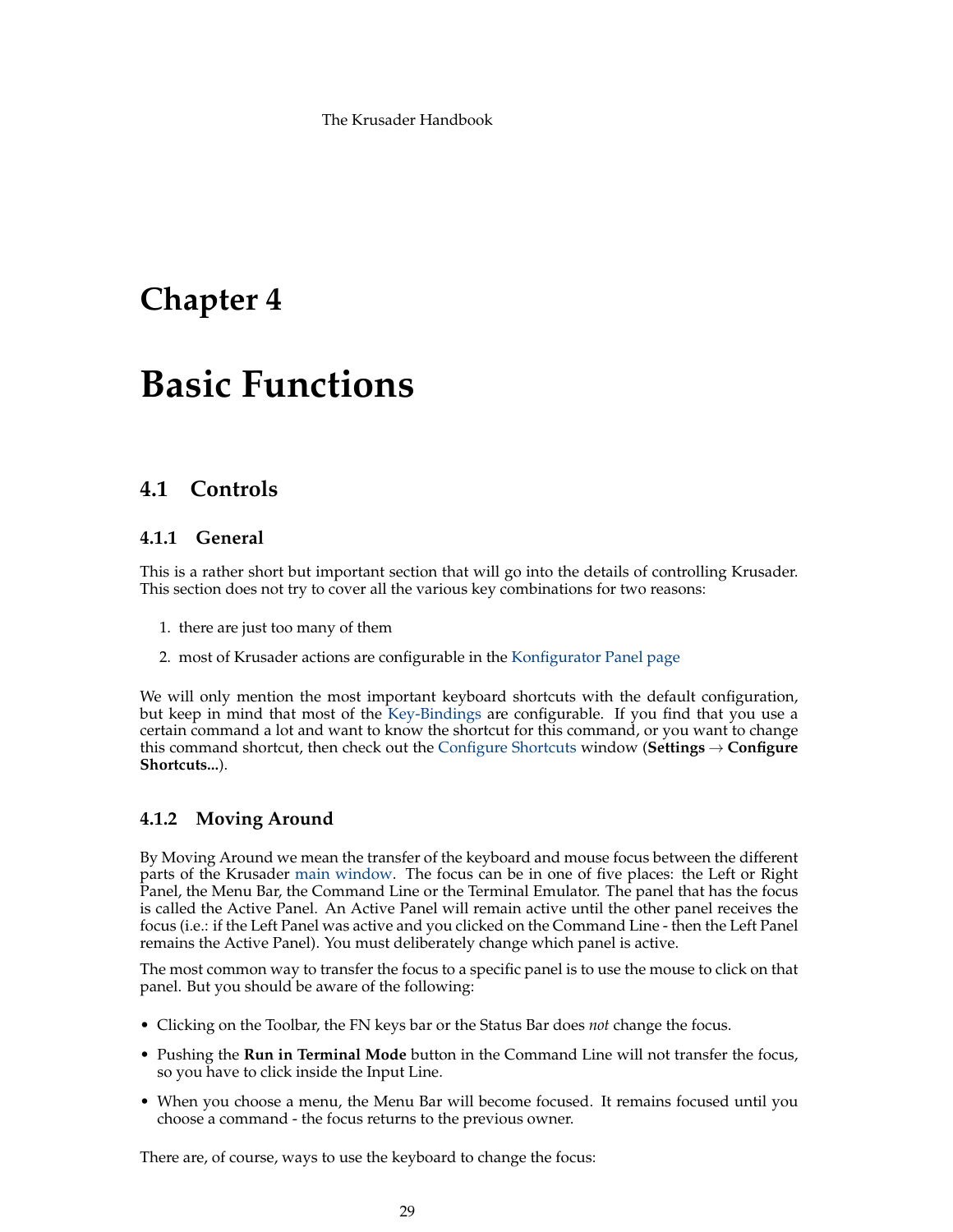# <span id="page-28-0"></span>**Chapter 4**

# **Basic Functions**

# <span id="page-28-1"></span>**4.1 Controls**

# <span id="page-28-2"></span>**4.1.1 General**

This is a rather short but important section that will go into the details of controlling Krusader. This section does not try to cover all the various key combinations for two reasons:

- 1. there are just too many of them
- 2. most of Krusader actions are configurable in the [Konfigurator Panel page](#page-96-2)

We will only mention the most important keyboard shortcuts with the default configuration, but keep in mind that most of the [Key-Bindings](#page-48-3) are configurable. If you find that you use a certain command a lot and want to know the shortcut for this command, or you want to change this command shortcut, then check out the [Configure Shortcuts](#page-48-3) window (**Settings** → **Configure Shortcuts...**).

# <span id="page-28-3"></span>**4.1.2 Moving Around**

By Moving Around we mean the transfer of the keyboard and mouse focus between the different parts of the Krusader [main window.](#page-20-5) The focus can be in one of five places: the Left or Right Panel, the Menu Bar, the Command Line or the Terminal Emulator. The panel that has the focus is called the Active Panel. An Active Panel will remain active until the other panel receives the focus (i.e.: if the Left Panel was active and you clicked on the Command Line - then the Left Panel remains the Active Panel). You must deliberately change which panel is active.

The most common way to transfer the focus to a specific panel is to use the mouse to click on that panel. But you should be aware of the following:

- Clicking on the Toolbar, the FN keys bar or the Status Bar does *not* change the focus.
- Pushing the **Run in Terminal Mode** button in the Command Line will not transfer the focus, so you have to click inside the Input Line.
- When you choose a menu, the Menu Bar will become focused. It remains focused until you choose a command - the focus returns to the previous owner.

There are, of course, ways to use the keyboard to change the focus: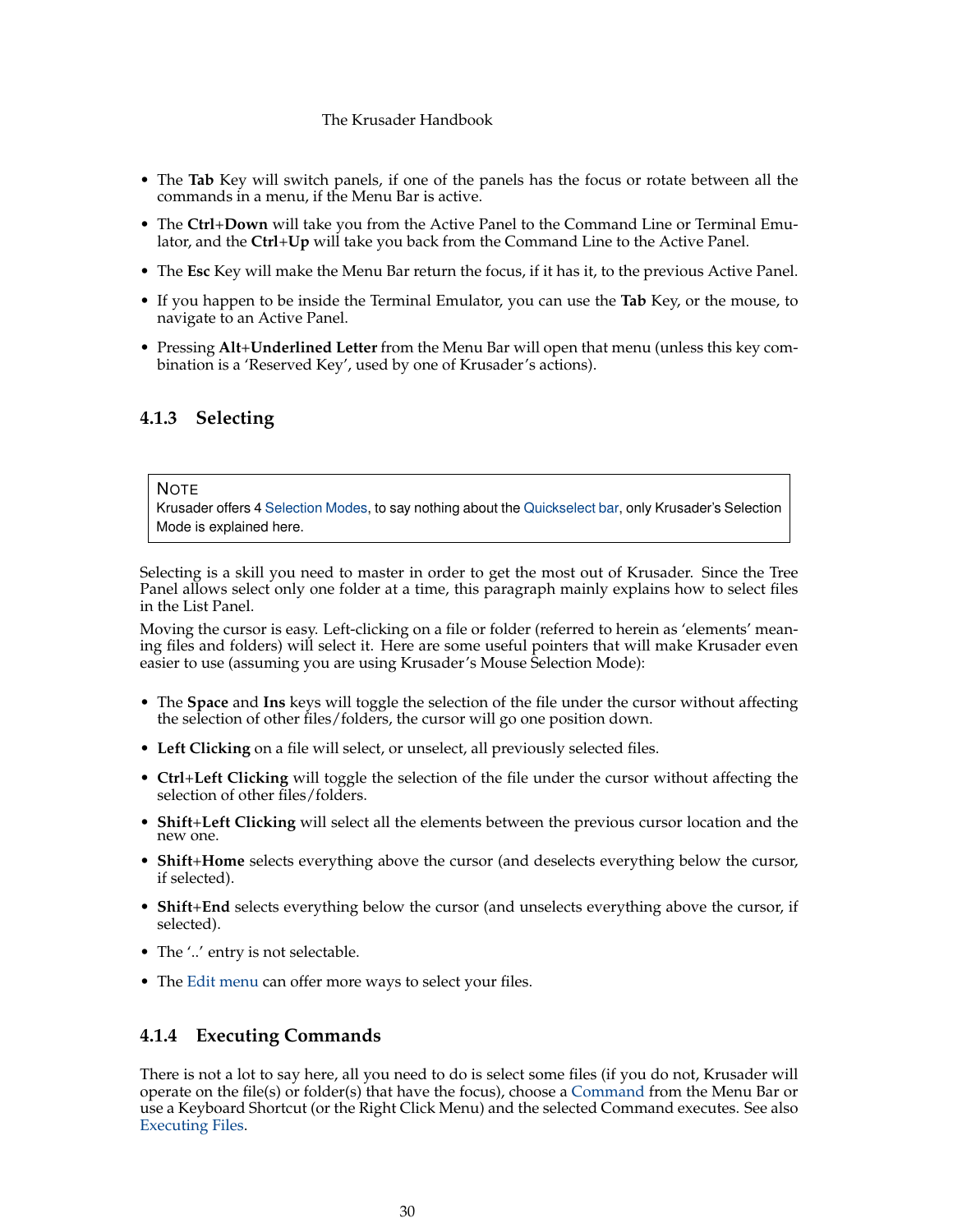- The **Tab** Key will switch panels, if one of the panels has the focus or rotate between all the commands in a menu, if the Menu Bar is active.
- The **Ctrl**+**Down** will take you from the Active Panel to the Command Line or Terminal Emulator, and the **Ctrl**+**Up** will take you back from the Command Line to the Active Panel.
- The **Esc** Key will make the Menu Bar return the focus, if it has it, to the previous Active Panel.
- If you happen to be inside the Terminal Emulator, you can use the **Tab** Key, or the mouse, to navigate to an Active Panel.
- Pressing **Alt**+**Underlined Letter** from the Menu Bar will open that menu (unless this key combination is a 'Reserved Key', used by one of Krusader's actions).

## <span id="page-29-0"></span>**4.1.3 Selecting**

#### **NOTE**

Krusader offers 4 [Selection Modes,](#page-100-2) to say nothing about the [Quickselect bar,](#page-30-7) only Krusader's Selection Mode is explained here.

Selecting is a skill you need to master in order to get the most out of Krusader. Since the Tree Panel allows select only one folder at a time, this paragraph mainly explains how to select files in the List Panel.

Moving the cursor is easy. Left-clicking on a file or folder (referred to herein as 'elements' meaning files and folders) will select it. Here are some useful pointers that will make Krusader even easier to use (assuming you are using Krusader's Mouse Selection Mode):

- The **Space** and **Ins** keys will toggle the selection of the file under the cursor without affecting the selection of other files/folders, the cursor will go one position down.
- **Left Clicking** on a file will select, or unselect, all previously selected files.
- **Ctrl**+**Left Clicking** will toggle the selection of the file under the cursor without affecting the selection of other files/folders.
- **Shift**+**Left Clicking** will select all the elements between the previous cursor location and the new one.
- **Shift**+**Home** selects everything above the cursor (and deselects everything below the cursor, if selected).
- **Shift**+**End** selects everything below the cursor (and unselects everything above the cursor, if selected).
- The '..' entry is not selectable.
- The [Edit menu](#page-40-2) can offer more ways to select your files.

### <span id="page-29-1"></span>**4.1.4 Executing Commands**

There is not a lot to say here, all you need to do is select some files (if you do not, Krusader will operate on the file(s) or folder(s) that have the focus), choose a [Command](#page-39-1) from the Menu Bar or use a Keyboard Shortcut (or the Right Click Menu) and the selected Command executes. See also [Executing Files.](#page-31-5)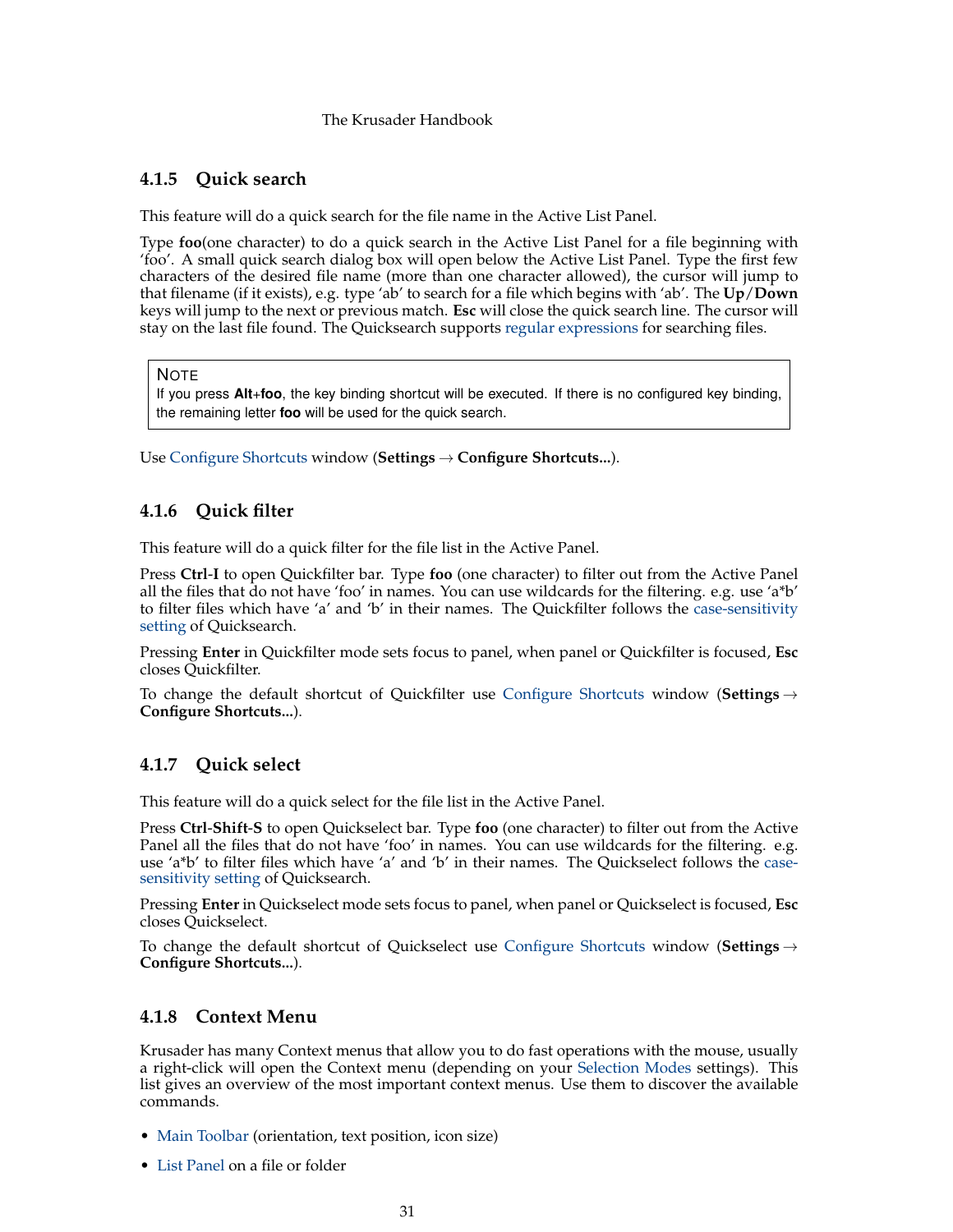# <span id="page-30-0"></span>**4.1.5 Quick search**

<span id="page-30-4"></span>This feature will do a quick search for the file name in the Active List Panel.

Type **foo**(one character) to do a quick search in the Active List Panel for a file beginning with 'foo'. A small quick search dialog box will open below the Active List Panel. Type the first few characters of the desired file name (more than one character allowed), the cursor will jump to that filename (if it exists), e.g. type 'ab' to search for a file which begins with 'ab'. The **Up**/**Down** keys will jump to the next or previous match. **Esc** will close the quick search line. The cursor will stay on the last file found. The Quicksearch supports [regular expressions](https://en.wikipedia.org/wiki/Regular_expression) for searching files.

**NOTE** 

If you press **Alt**+**foo**, the key binding shortcut will be executed. If there is no configured key binding, the remaining letter **foo** will be used for the quick search.

Use [Configure Shortcuts](#page-48-3) window (**Settings** → **Configure Shortcuts...**).

# <span id="page-30-1"></span>**4.1.6 Quick filter**

<span id="page-30-6"></span>This feature will do a quick filter for the file list in the Active Panel.

Press **Ctrl**-**I** to open Quickfilter bar. Type **foo** (one character) to filter out from the Active Panel all the files that do not have 'foo' in names. You can use wildcards for the filtering. e.g. use 'a\*b' to filter files which have 'a' and 'b' in their names. The Quickfilter follows the [case-sensitivity](#page-97-1) [setting](#page-97-1) of Quicksearch.

Pressing **Enter** in Quickfilter mode sets focus to panel, when panel or Quickfilter is focused, **Esc** closes Quickfilter.

To change the default shortcut of Quickfilter use [Configure Shortcuts](#page-48-3) window (**Settings** → **Configure Shortcuts...**).

# <span id="page-30-2"></span>**4.1.7 Quick select**

<span id="page-30-7"></span>This feature will do a quick select for the file list in the Active Panel.

Press **Ctrl**-**Shift**-**S** to open Quickselect bar. Type **foo** (one character) to filter out from the Active Panel all the files that do not have 'foo' in names. You can use wildcards for the filtering. e.g. use 'a\*b' to filter files which have 'a' and 'b' in their names. The Quickselect follows the [case](#page-97-1)[sensitivity setting](#page-97-1) of Quicksearch.

Pressing **Enter** in Quickselect mode sets focus to panel, when panel or Quickselect is focused, **Esc** closes Quickselect.

To change the default shortcut of Quickselect use [Configure Shortcuts](#page-48-3) window (**Settings** → **Configure Shortcuts...**).

# <span id="page-30-3"></span>**4.1.8 Context Menu**

<span id="page-30-5"></span>Krusader has many Context menus that allow you to do fast operations with the mouse, usually a right-click will open the Context menu (depending on your [Selection Modes](#page-100-2) settings). This list gives an overview of the most important context menus. Use them to discover the available commands.

- [Main Toolbar](#page-20-5) (orientation, text position, icon size)
- [List Panel](#page-23-4) on a file or folder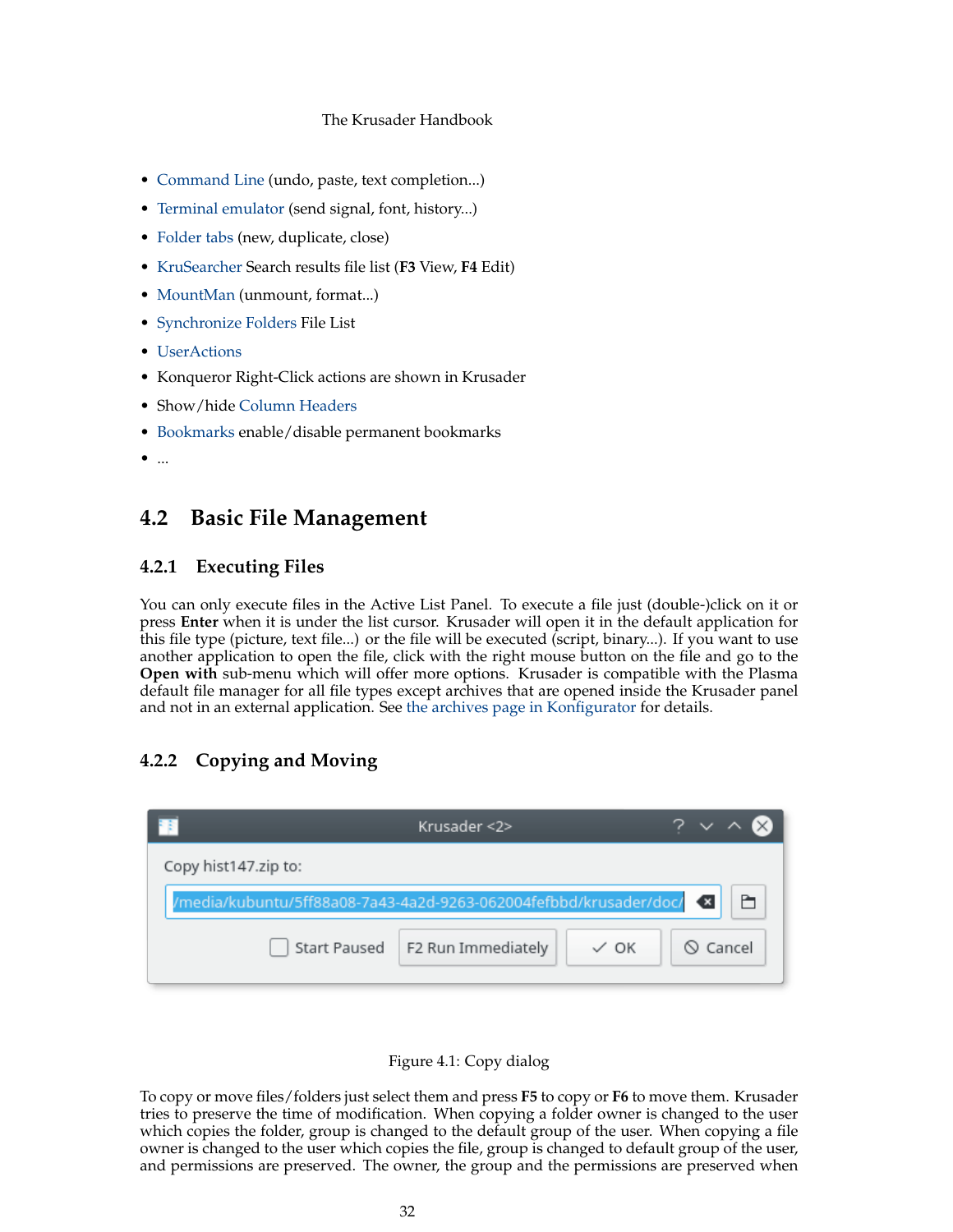- [Command Line](#page-25-4) (undo, paste, text completion...)
- [Terminal emulator](#page-26-4) (send signal, font, history...)
- [Folder tabs](#page-27-3) (new, duplicate, close)
- [KruSearcher](#page-59-2) Search results file list (**F3** View, **F4** Edit)
- [MountMan](#page-82-2) (unmount, format...)
- [Synchronize Folders](#page-85-1) File List
- [UserActions](#page-90-2)
- Konqueror Right-Click actions are shown in Krusader
- Show/hide [Column Headers](#page-23-4)
- [Bookmarks](#page-55-3) enable/disable permanent bookmarks
- ...

# <span id="page-31-0"></span>**4.2 Basic File Management**

## <span id="page-31-1"></span>**4.2.1 Executing Files**

<span id="page-31-5"></span>You can only execute files in the Active List Panel. To execute a file just (double-)click on it or press **Enter** when it is under the list cursor. Krusader will open it in the default application for this file type (picture, text file...) or the file will be executed (script, binary...). If you want to use another application to open the file, click with the right mouse button on the file and go to the **Open with** sub-menu which will offer more options. Krusader is compatible with the Plasma default file manager for all file types except archives that are opened inside the Krusader panel and not in an external application. See [the archives page in Konfigurator](#page-104-4) for details.

# <span id="page-31-4"></span><span id="page-31-2"></span>**4.2.2 Copying and Moving**

|                                                                   | Krusader <2>                      |                 |                |  |  |  |  |  |  |
|-------------------------------------------------------------------|-----------------------------------|-----------------|----------------|--|--|--|--|--|--|
| Copy hist147.zip to:                                              |                                   |                 |                |  |  |  |  |  |  |
| /media/kubuntu/5ff88a08-7a43-4a2d-9263-062004fefbbd/krusader/doc/ |                                   |                 |                |  |  |  |  |  |  |
|                                                                   | Start Paused   F2 Run Immediately | $\checkmark$ ok | $\odot$ Cancel |  |  |  |  |  |  |



<span id="page-31-3"></span>To copy or move files/folders just select them and press **F5** to copy or **F6** to move them. Krusader tries to preserve the time of modification. When copying a folder owner is changed to the user which copies the folder, group is changed to the default group of the user. When copying a file owner is changed to the user which copies the file, group is changed to default group of the user, and permissions are preserved. The owner, the group and the permissions are preserved when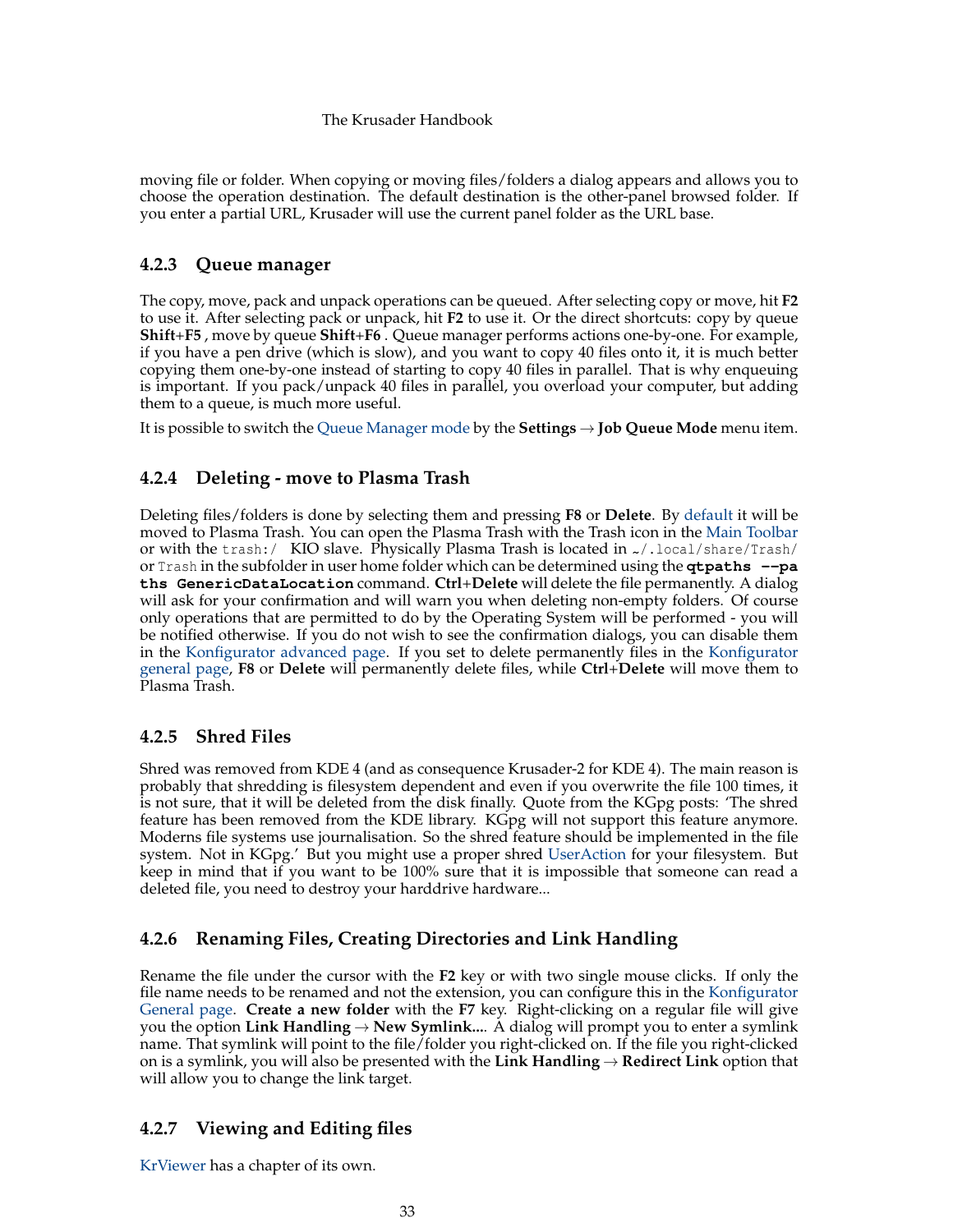moving file or folder. When copying or moving files/folders a dialog appears and allows you to choose the operation destination. The default destination is the other-panel browsed folder. If you enter a partial URL, Krusader will use the current panel folder as the URL base.

# <span id="page-32-0"></span>**4.2.3 Queue manager**

<span id="page-32-5"></span>The copy, move, pack and unpack operations can be queued. After selecting copy or move, hit **F2** to use it. After selecting pack or unpack, hit **F2** to use it. Or the direct shortcuts: copy by queue **Shift**+**F5** , move by queue **Shift**+**F6** . Queue manager performs actions one-by-one. For example, if you have a pen drive (which is slow), and you want to copy 40 files onto it, it is much better copying them one-by-one instead of starting to copy 40 files in parallel. That is why enqueuing is important. If you pack/unpack 40 files in parallel, you overload your computer, but adding them to a queue, is much more useful.

It is possible to switch the [Queue Manager mode](#page-46-1) by the **Settings** → **Job Queue Mode** menu item.

# <span id="page-32-1"></span>**4.2.4 Deleting - move to Plasma Trash**

Deleting files/folders is done by selecting them and pressing **F8** or **Delete**. By [default](#page-102-2) it will be moved to Plasma Trash. You can open the Plasma Trash with the Trash icon in the [Main Toolbar](#page-20-6) or with the trash:/ KIO slave. Physically Plasma Trash is located in  $\alpha$ /.local/share/Trash/ or Trash in the subfolder in user home folder which can be determined using the **qtpaths --pa ths GenericDataLocation** command. **Ctrl**+**Delete** will delete the file permanently. A dialog will ask for your confirmation and will warn you when deleting non-empty folders. Of course only operations that are permitted to do by the Operating System will be performed - you will be notified otherwise. If you do not wish to see the confirmation dialogs, you can disable them in the [Konfigurator advanced page.](#page-104-3) If you set to delete permanently files in the [Konfigurator](#page-102-2) [general page,](#page-102-2) **F8** or **Delete** will permanently delete files, while **Ctrl**+**Delete** will move them to Plasma Trash.

# <span id="page-32-2"></span>**4.2.5 Shred Files**

Shred was removed from KDE 4 (and as consequence Krusader-2 for KDE 4). The main reason is probably that shredding is filesystem dependent and even if you overwrite the file 100 times, it is not sure, that it will be deleted from the disk finally. Quote from the KGpg posts: 'The shred feature has been removed from the KDE library. KGpg will not support this feature anymore. Moderns file systems use journalisation. So the shred feature should be implemented in the file system. Not in KGpg.' But you might use a proper shred [UserAction](#page-90-2) for your filesystem. But keep in mind that if you want to be 100% sure that it is impossible that someone can read a deleted file, you need to destroy your harddrive hardware...

# <span id="page-32-3"></span>**4.2.6 Renaming Files, Creating Directories and Link Handling**

Rename the file under the cursor with the **F2** key or with two single mouse clicks. If only the file name needs to be renamed and not the extension, you can configure this in the [Konfigurator](#page-104-5) [General page.](#page-104-5) **Create a new folder** with the **F7** key. Right-clicking on a regular file will give you the option **Link Handling**  $\rightarrow$  **New Symlink...**. A dialog will prompt you to enter a symlink name. That symlink will point to the file/folder you right-clicked on. If the file you right-clicked on is a symlink, you will also be presented with the **Link Handling**  $\rightarrow$  **Redirect Link** option that will allow you to change the link target.

# <span id="page-32-4"></span>**4.2.7 Viewing and Editing files**

[KrViewer](#page-63-2) has a chapter of its own.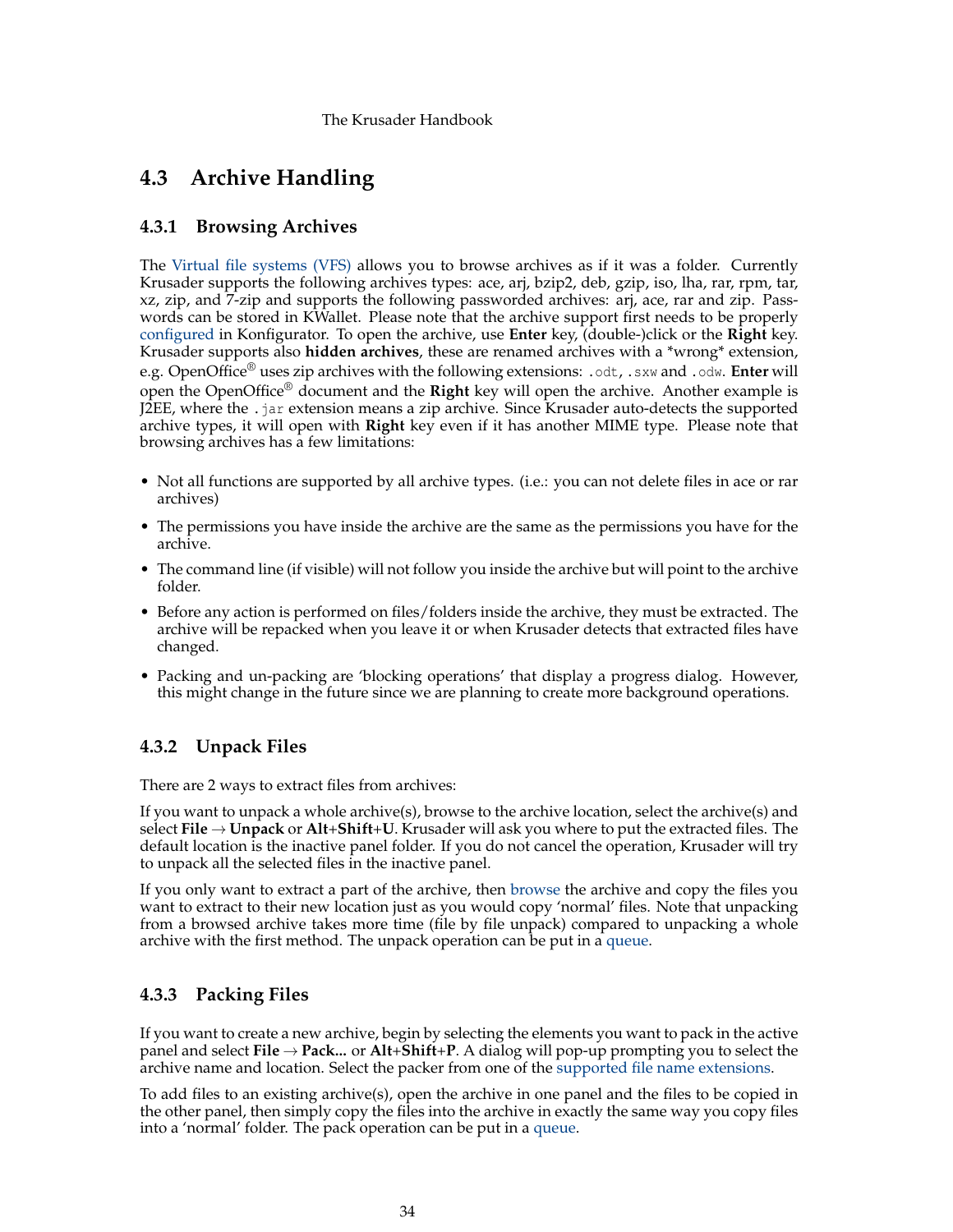# <span id="page-33-0"></span>**4.3 Archive Handling**

# <span id="page-33-1"></span>**4.3.1 Browsing Archives**

<span id="page-33-4"></span>The [Virtual file systems \(VFS\)](#page-35-2) allows you to browse archives as if it was a folder. Currently Krusader supports the following archives types: ace, arj, bzip2, deb, gzip, iso, lha, rar, rpm, tar, xz, zip, and 7-zip and supports the following passworded archives: arj, ace, rar and zip. Passwords can be stored in KWallet. Please note that the archive support first needs to be properly [configured](#page-104-4) in Konfigurator. To open the archive, use **Enter** key, (double-)click or the **Right** key. Krusader supports also **hidden archives**, these are renamed archives with a \*wrong\* extension, e.g. OpenOffice® uses zip archives with the following extensions: .odt, .sxw and .odw. **Enter** will open the OpenOffice® document and the **Right** key will open the archive. Another example is J2EE, where the .jar extension means a zip archive. Since Krusader auto-detects the supported archive types, it will open with **Right** key even if it has another MIME type. Please note that browsing archives has a few limitations:

- Not all functions are supported by all archive types. (i.e.: you can not delete files in ace or rar archives)
- The permissions you have inside the archive are the same as the permissions you have for the archive.
- The command line (if visible) will not follow you inside the archive but will point to the archive folder.
- Before any action is performed on files/folders inside the archive, they must be extracted. The archive will be repacked when you leave it or when Krusader detects that extracted files have changed.
- Packing and un-packing are 'blocking operations' that display a progress dialog. However, this might change in the future since we are planning to create more background operations.

# <span id="page-33-2"></span>**4.3.2 Unpack Files**

There are 2 ways to extract files from archives:

If you want to unpack a whole archive(s), browse to the archive location, select the archive(s) and select **File** → **Unpack** or **Alt**+**Shift**+**U**. Krusader will ask you where to put the extracted files. The default location is the inactive panel folder. If you do not cancel the operation, Krusader will try to unpack all the selected files in the inactive panel.

If you only want to extract a part of the archive, then [browse](#page-33-4) the archive and copy the files you want to extract to their new location just as you would copy 'normal' files. Note that unpacking from a browsed archive takes more time (file by file unpack) compared to unpacking a whole archive with the first method. The unpack operation can be put in a [queue.](#page-32-5)

# <span id="page-33-3"></span>**4.3.3 Packing Files**

If you want to create a new archive, begin by selecting the elements you want to pack in the active panel and select **File** → **Pack...** or **Alt**+**Shift**+**P**. A dialog will pop-up prompting you to select the archive name and location. Select the packer from one of the [supported file name extensions.](#page-104-4)

To add files to an existing archive(s), open the archive in one panel and the files to be copied in the other panel, then simply copy the files into the archive in exactly the same way you copy files into a 'normal' folder. The pack operation can be put in a [queue.](#page-32-5)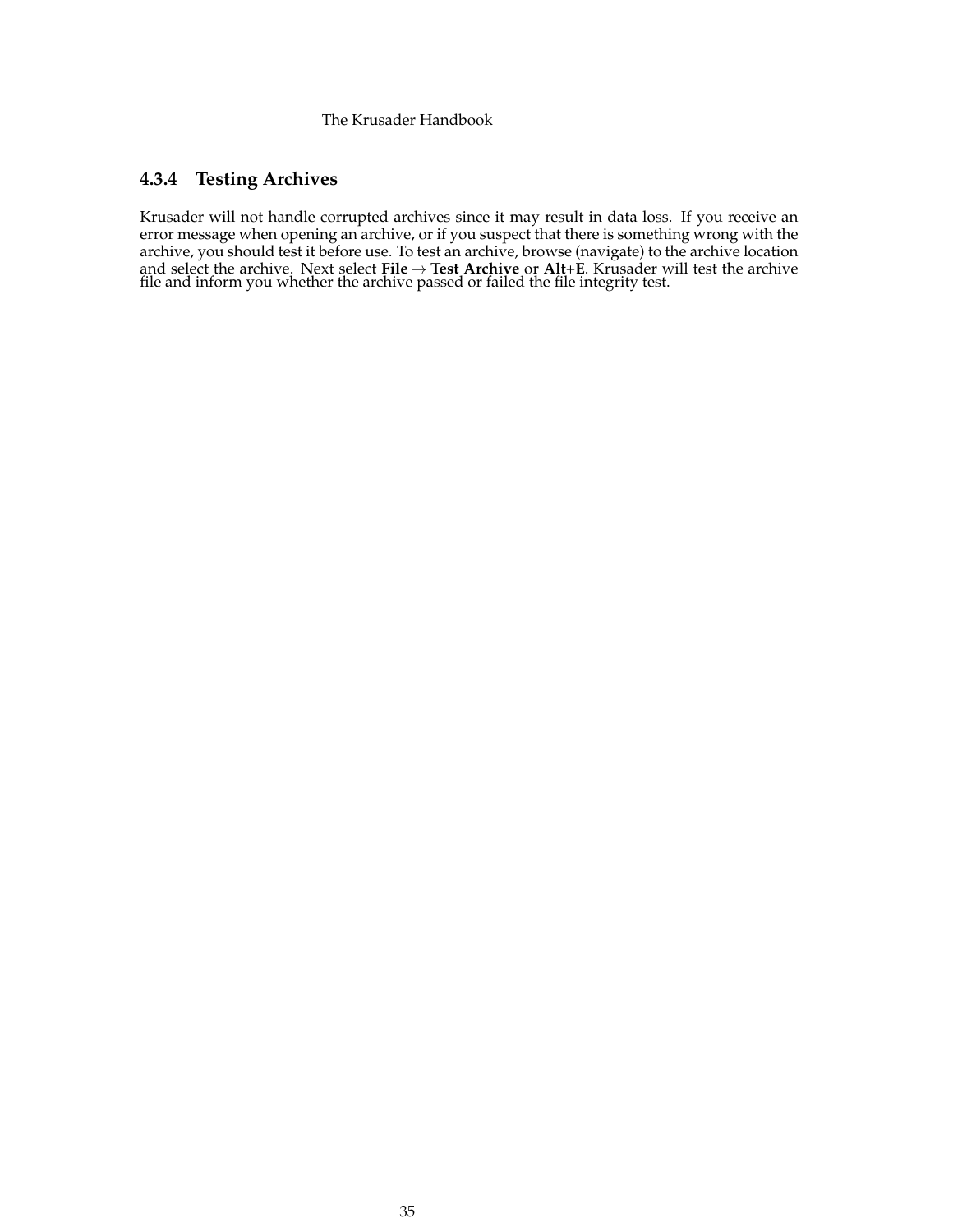# <span id="page-34-0"></span>**4.3.4 Testing Archives**

Krusader will not handle corrupted archives since it may result in data loss. If you receive an error message when opening an archive, or if you suspect that there is something wrong with the archive, you should test it before use. To test an archive, browse (navigate) to the archive location and select the archive. Next select **File** → **Test Archive** or **Alt**+**E**. Krusader will test the archive file and inform you whether the archive passed or failed the file integrity test.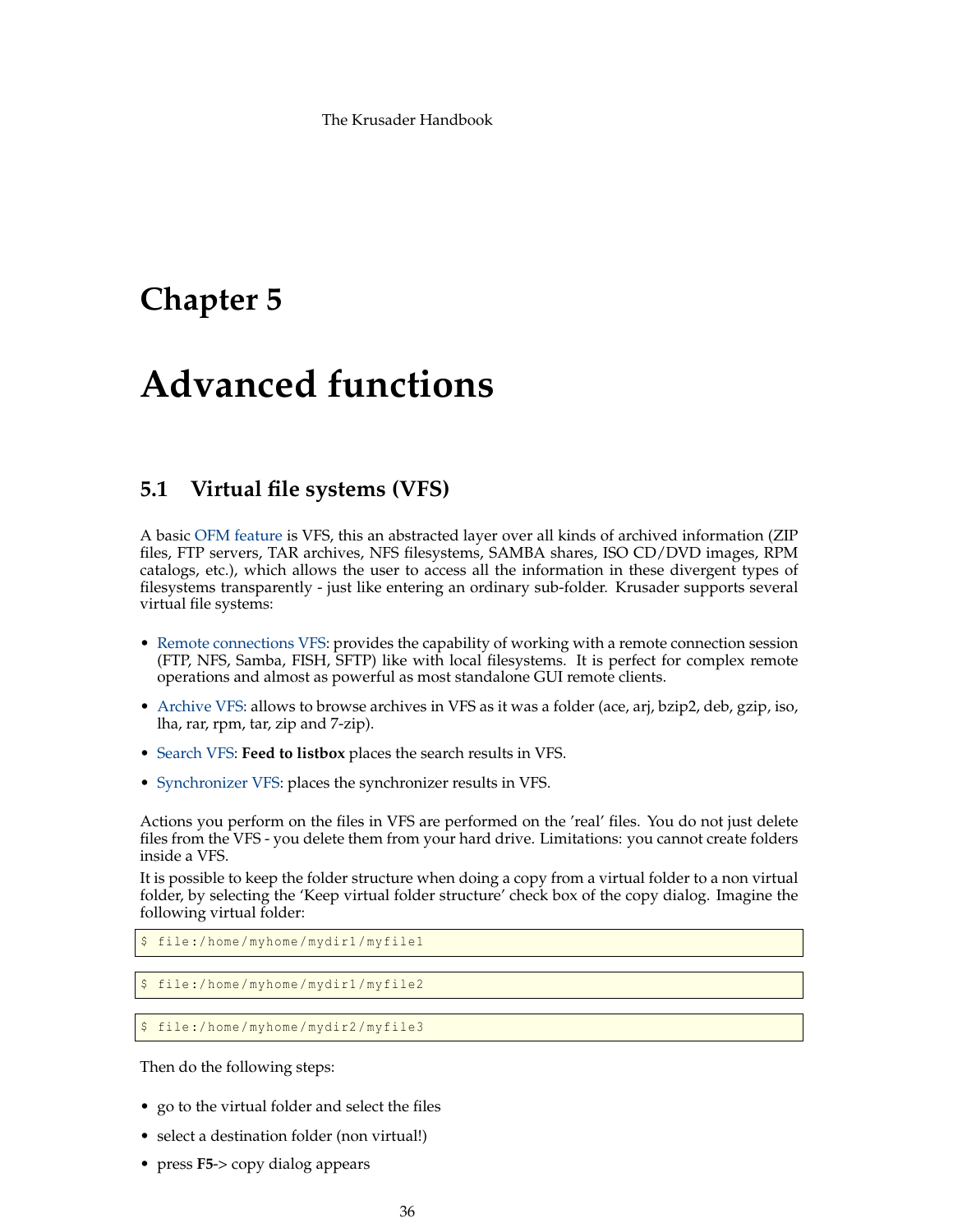# <span id="page-35-0"></span>**Chapter 5**

# **Advanced functions**

# <span id="page-35-1"></span>**5.1 Virtual file systems (VFS)**

<span id="page-35-2"></span>A basic [OFM feature](#page-16-1) is VFS, this an abstracted layer over all kinds of archived information (ZIP files, FTP servers, TAR archives, NFS filesystems, SAMBA shares, ISO CD/DVD images, RPM catalogs, etc.), which allows the user to access all the information in these divergent types of filesystems transparently - just like entering an ordinary sub-folder. Krusader supports several virtual file systems:

- [Remote connections VFS:](#page-83-1) provides the capability of working with a remote connection session (FTP, NFS, Samba, FISH, SFTP) like with local filesystems. It is perfect for complex remote operations and almost as powerful as most standalone GUI remote clients.
- [Archive VFS:](#page-33-1) allows to browse archives in VFS as it was a folder (ace, arj, bzip2, deb, gzip, iso, lha, rar, rpm, tar, zip and 7-zip).
- [Search VFS:](#page-33-1) **Feed to listbox** places the search results in VFS.
- [Synchronizer VFS:](#page-85-1) places the synchronizer results in VFS.

Actions you perform on the files in VFS are performed on the 'real' files. You do not just delete files from the VFS - you delete them from your hard drive. Limitations: you cannot create folders inside a VFS.

It is possible to keep the folder structure when doing a copy from a virtual folder to a non virtual folder, by selecting the 'Keep virtual folder structure' check box of the copy dialog. Imagine the following virtual folder:

```
$ file :/ home/myhome/mydir1/myfile1
```
file:/home/myhome/mydir1/myfile2

\$ file :/ home/myhome/mydir2/myfile3

Then do the following steps:

- go to the virtual folder and select the files
- select a destination folder (non virtual!)
- press **F5**-> copy dialog appears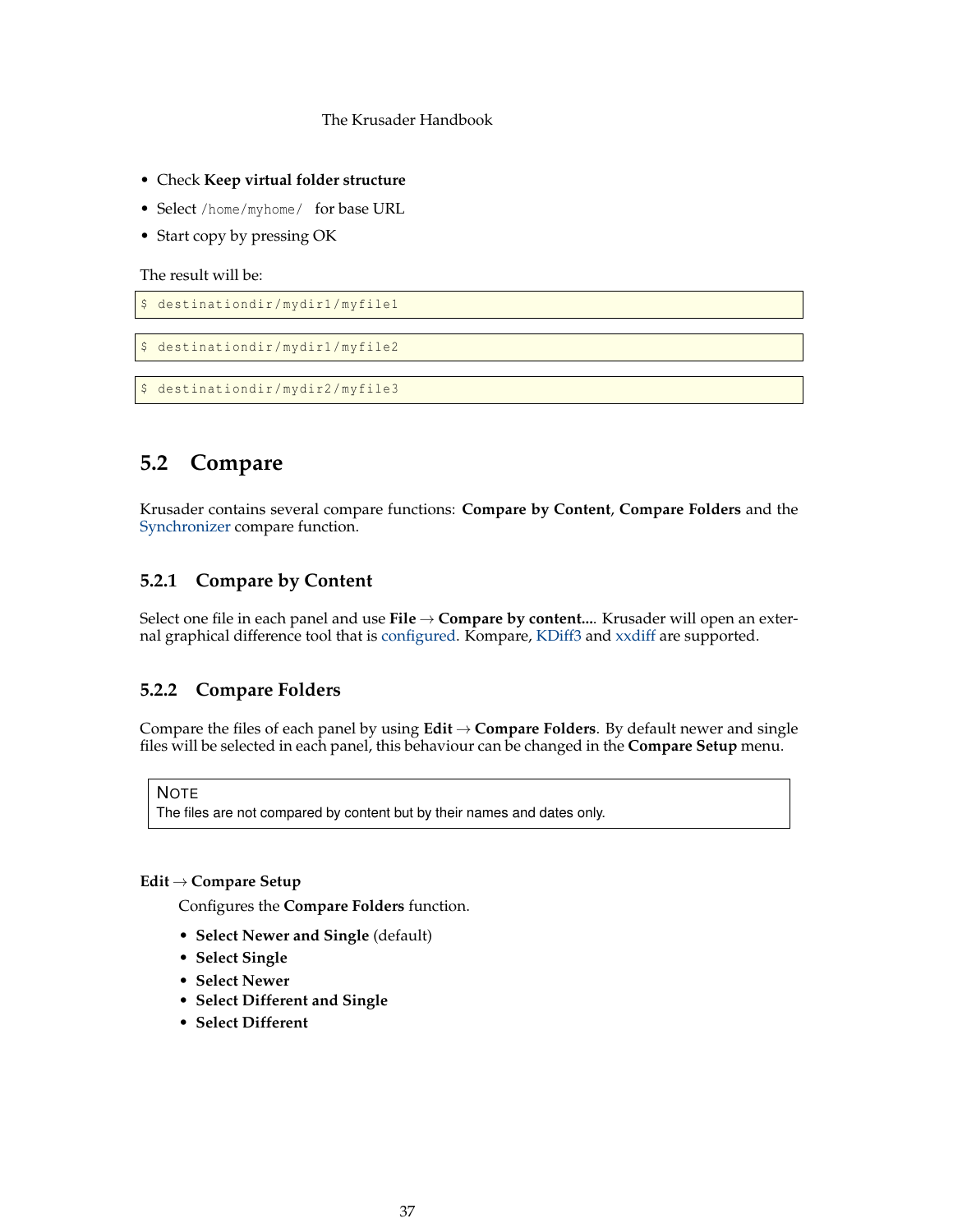- Check **Keep virtual folder structure**
- Select /home/myhome/ for base URL
- Start copy by pressing OK

The result will be:

```
$ destinationdir /mydir1/myfile1
```

```
$ destinationdir /mydir1/myfile2
```
\$ destinationdir /mydir2/myfile3

# **5.2 Compare**

Krusader contains several compare functions: **Compare by Content**, **Compare Folders** and the [Synchronizer](#page-85-0) compare function.

# **5.2.1 Compare by Content**

Select one file in each panel and use **File** → **Compare by content...**. Krusader will open an external graphical difference tool that is [configured.](#page-105-0) Kompare, [KDiff3](https://www.kde.org/applications/development/kdiff3/) and [xxdiff](http://furius.ca/xxdiff/) are supported.

# **5.2.2 Compare Folders**

<span id="page-36-0"></span>Compare the files of each panel by using  $Edit \rightarrow Compare$  **Folders**. By default newer and single files will be selected in each panel, this behaviour can be changed in the **Compare Setup** menu.

# **NOTE**

The files are not compared by content but by their names and dates only.

# **Edit** → **Compare Setup**

Configures the **Compare Folders** function.

- **Select Newer and Single** (default)
- **Select Single**
- **Select Newer**
- **Select Different and Single**
- **Select Different**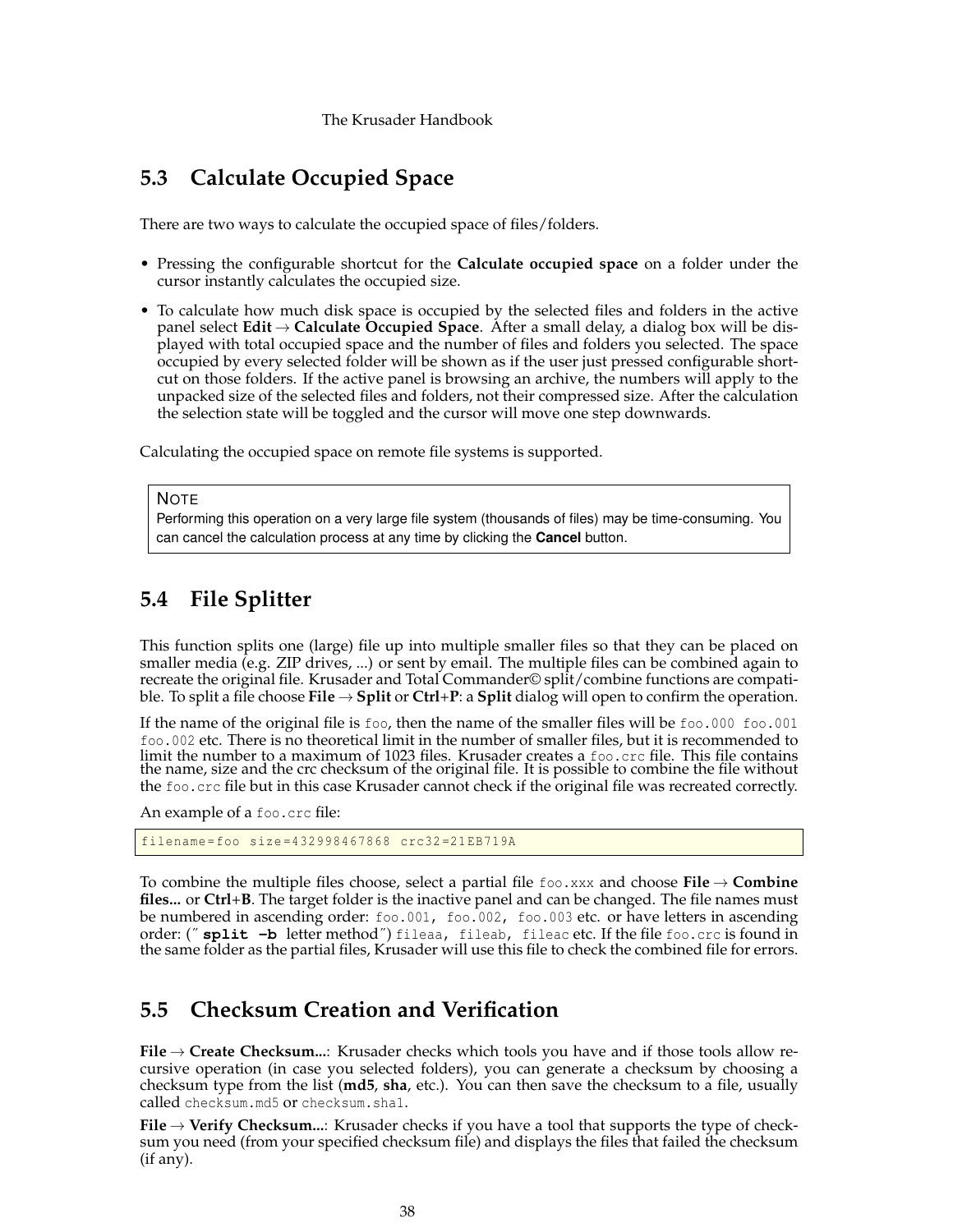# **5.3 Calculate Occupied Space**

<span id="page-37-2"></span>There are two ways to calculate the occupied space of files/folders.

- Pressing the configurable shortcut for the **Calculate occupied space** on a folder under the cursor instantly calculates the occupied size.
- To calculate how much disk space is occupied by the selected files and folders in the active panel select **Edit** → **Calculate Occupied Space**. After a small delay, a dialog box will be displayed with total occupied space and the number of files and folders you selected. The space occupied by every selected folder will be shown as if the user just pressed configurable shortcut on those folders. If the active panel is browsing an archive, the numbers will apply to the unpacked size of the selected files and folders, not their compressed size. After the calculation the selection state will be toggled and the cursor will move one step downwards.

Calculating the occupied space on remote file systems is supported.

#### **NOTE**

Performing this operation on a very large file system (thousands of files) may be time-consuming. You can cancel the calculation process at any time by clicking the **Cancel** button.

# **5.4 File Splitter**

<span id="page-37-1"></span>This function splits one (large) file up into multiple smaller files so that they can be placed on smaller media (e.g. ZIP drives, ...) or sent by email. The multiple files can be combined again to recreate the original file. Krusader and Total Commander© split/combine functions are compatible. To split a file choose **File**  $\rightarrow$  **Split** or **Ctrl**+**P**: a **Split** dialog will open to confirm the operation.

If the name of the original file is foo, then the name of the smaller files will be foo.000 foo.001 foo.002 etc. There is no theoretical limit in the number of smaller files, but it is recommended to limit the number to a maximum of 1023 files. Krusader creates a foo.crc file. This file contains the name, size and the crc checksum of the original file. It is possible to combine the file without the foo.crc file but in this case Krusader cannot check if the original file was recreated correctly.

An example of a foo.crc file:

```
filename=foo size =432998467868 crc32 =21 EB719A
```
To combine the multiple files choose, select a partial file foo.xxx and choose **File** → **Combine files...** or **Ctrl**+**B**. The target folder is the inactive panel and can be changed. The file names must be numbered in ascending order: foo.001, foo.002, foo.003 etc. or have letters in ascending order: ("split -b letter method") fileaa, fileab, fileac etc. If the file foo.crc is found in the same folder as the partial files, Krusader will use this file to check the combined file for errors.

# **5.5 Checksum Creation and Verification**

<span id="page-37-0"></span>**File** → **Create Checksum...**: Krusader checks which tools you have and if those tools allow recursive operation (in case you selected folders), you can generate a checksum by choosing a checksum type from the list (**md5**, **sha**, etc.). You can then save the checksum to a file, usually called checksum.md5 or checksum.sha1.

**File** → **Verify Checksum...**: Krusader checks if you have a tool that supports the type of checksum you need (from your specified checksum file) and displays the files that failed the checksum (if any).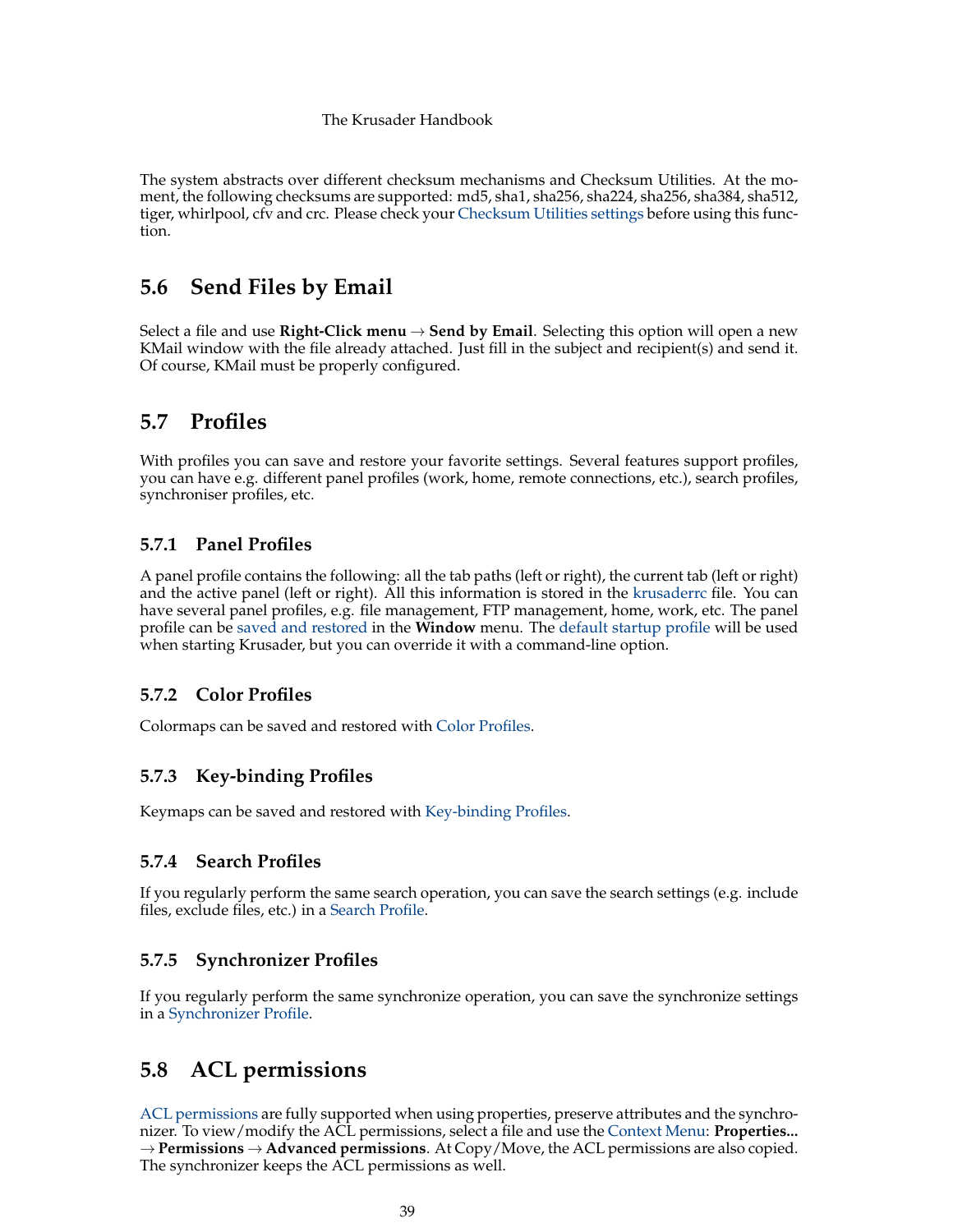The system abstracts over different checksum mechanisms and Checksum Utilities. At the moment, the following checksums are supported: md5, sha1, sha256, sha224, sha256, sha384, sha512, tiger, whirlpool, cfv and crc. Please check your [Checksum Utilities settings](#page-105-0) before using this function.

# **5.6 Send Files by Email**

Select a file and use **Right-Click menu**  $\rightarrow$  **Send by Email**. Selecting this option will open a new KMail window with the file already attached. Just fill in the subject and recipient(s) and send it. Of course, KMail must be properly configured.

# **5.7 Profiles**

<span id="page-38-0"></span>With profiles you can save and restore your favorite settings. Several features support profiles, you can have e.g. different panel profiles (work, home, remote connections, etc.), search profiles, synchroniser profiles, etc.

# **5.7.1 Panel Profiles**

<span id="page-38-1"></span>A panel profile contains the following: all the tab paths (left or right), the current tab (left or right) and the active panel (left or right). All this information is stored in the [krusaderrc](#page-117-0) file. You can have several panel profiles, e.g. file management, FTP management, home, work, etc. The panel profile can be [saved and restored](#page-45-0) in the **Window** menu. The [default startup profile](#page-95-0) will be used when starting Krusader, but you can override it with a command-line option.

# **5.7.2 Color Profiles**

Colormaps can be saved and restored with [Color Profiles.](#page-101-0)

# **5.7.3 Key-binding Profiles**

Keymaps can be saved and restored with [Key-binding Profiles.](#page-46-0)

# **5.7.4 Search Profiles**

If you regularly perform the same search operation, you can save the search settings (e.g. include files, exclude files, etc.) in a [Search Profile.](#page-59-0)

# **5.7.5 Synchronizer Profiles**

If you regularly perform the same synchronize operation, you can save the synchronize settings in a [Synchronizer Profile.](#page-85-0)

# **5.8 ACL permissions**

[ACL permissions](#page-125-0) are fully supported when using properties, preserve attributes and the synchronizer. To view/modify the ACL permissions, select a file and use the [Context Menu:](#page-30-0) **Properties...** → **Permissions** → **Advanced permissions**. At Copy/Move, the ACL permissions are also copied. The synchronizer keeps the ACL permissions as well.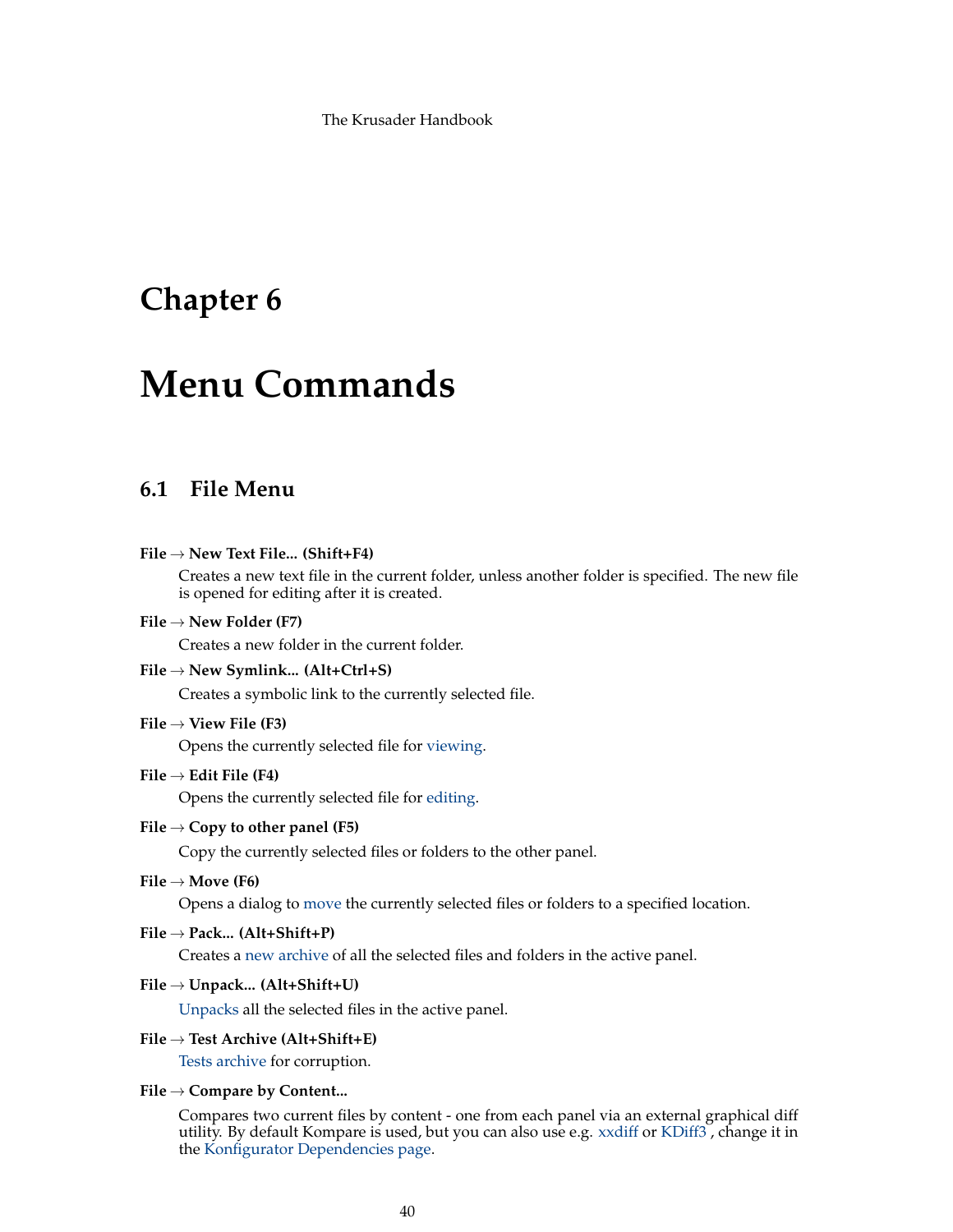# **Chapter 6**

# **Menu Commands**

# <span id="page-39-0"></span>**6.1 File Menu**

### **File** → **New Text File... (Shift+F4)**

Creates a new text file in the current folder, unless another folder is specified. The new file is opened for editing after it is created.

## **File** → **New Folder (F7)**

Creates a new folder in the current folder.

### **File** → **New Symlink... (Alt+Ctrl+S)**

Creates a symbolic link to the currently selected file.

# **File** → **View File (F3)**

Opens the currently selected file for [viewing.](#page-64-0)

### **File** → **Edit File (F4)**

Opens the currently selected file for [editing.](#page-64-0)

# **File** → **Copy to other panel (F5)**

Copy the currently selected files or folders to the other panel.

# **File** → **Move (F6)**

Opens a dialog to [move](#page-31-0) the currently selected files or folders to a specified location.

### **File** → **Pack... (Alt+Shift+P)**

Creates a [new archive](#page-33-0) of all the selected files and folders in the active panel.

# **File** → **Unpack... (Alt+Shift+U)**

[Unpacks](#page-33-1) all the selected files in the active panel.

# **File** → **Test Archive (Alt+Shift+E)**

[Tests archive](#page-34-0) for corruption.

### **File** → **Compare by Content...**

Compares two current files by content - one from each panel via an external graphical diff utility. By default Kompare is used, but you can also use e.g. [xxdiff](http://furius.ca/xxdiff/) or [KDiff3](https://www.kde.org/applications/development/kdiff3/) , change it in the [Konfigurator Dependencies page.](#page-105-0)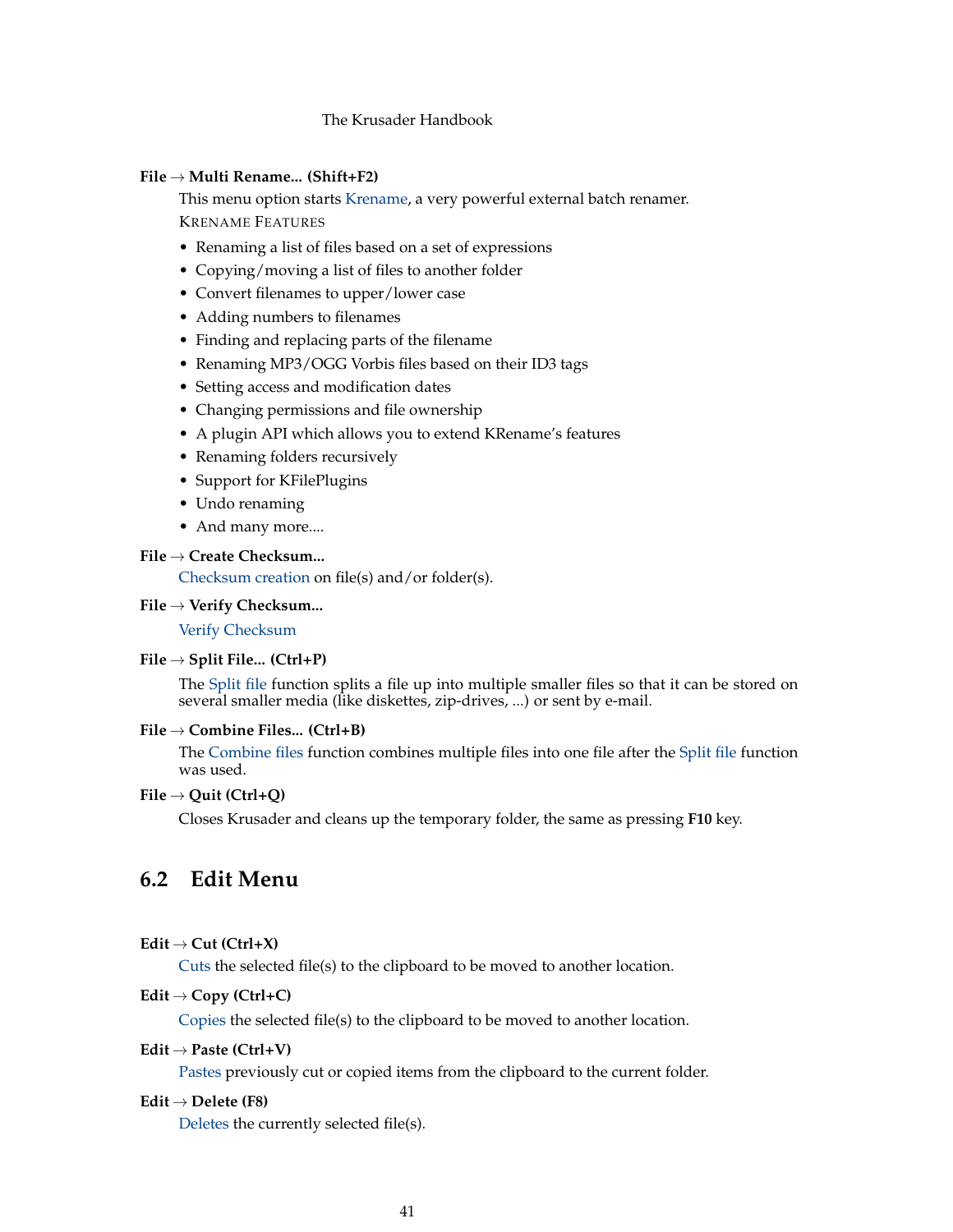## <span id="page-40-1"></span>**File** → **Multi Rename... (Shift+F2)**

This menu option starts [Krename,](https://www.kde.org/applications/utilities/krename/) a very powerful external batch renamer. KRENAME FEATURES

- Renaming a list of files based on a set of expressions
- Copying/moving a list of files to another folder
- Convert filenames to upper/lower case
- Adding numbers to filenames
- Finding and replacing parts of the filename
- Renaming MP3/OGG Vorbis files based on their ID3 tags
- Setting access and modification dates
- Changing permissions and file ownership
- A plugin API which allows you to extend KRename's features
- Renaming folders recursively
- Support for KFilePlugins
- Undo renaming
- And many more....

# **File** → **Create Checksum...**

[Checksum creation](#page-37-0) on file(s) and/or folder(s).

### **File** → **Verify Checksum...**

[Verify Checksum](#page-37-0)

### **File** → **Split File... (Ctrl+P)**

The [Split file](#page-37-1) function splits a file up into multiple smaller files so that it can be stored on several smaller media (like diskettes, zip-drives, ...) or sent by e-mail.

# **File** → **Combine Files... (Ctrl+B)**

The [Combine files](#page-37-1) function combines multiple files into one file after the [Split file](#page-37-1) function was used.

# **File** → **Quit (Ctrl+Q)**

Closes Krusader and cleans up the temporary folder, the same as pressing **F10** key.

# <span id="page-40-0"></span>**6.2 Edit Menu**

### $Edit \rightarrow Cut (Ctrl+X)$

[Cuts](#page-31-0) the selected file(s) to the clipboard to be moved to another location.

# **Edit** → **Copy (Ctrl+C)**

[Copies](#page-31-0) the selected file(s) to the clipboard to be moved to another location.

# **Edit** → **Paste (Ctrl+V)**

[Pastes](#page-31-0) previously cut or copied items from the clipboard to the current folder.

### **Edit** → **Delete (F8)**

[Deletes](#page-32-0) the currently selected file(s).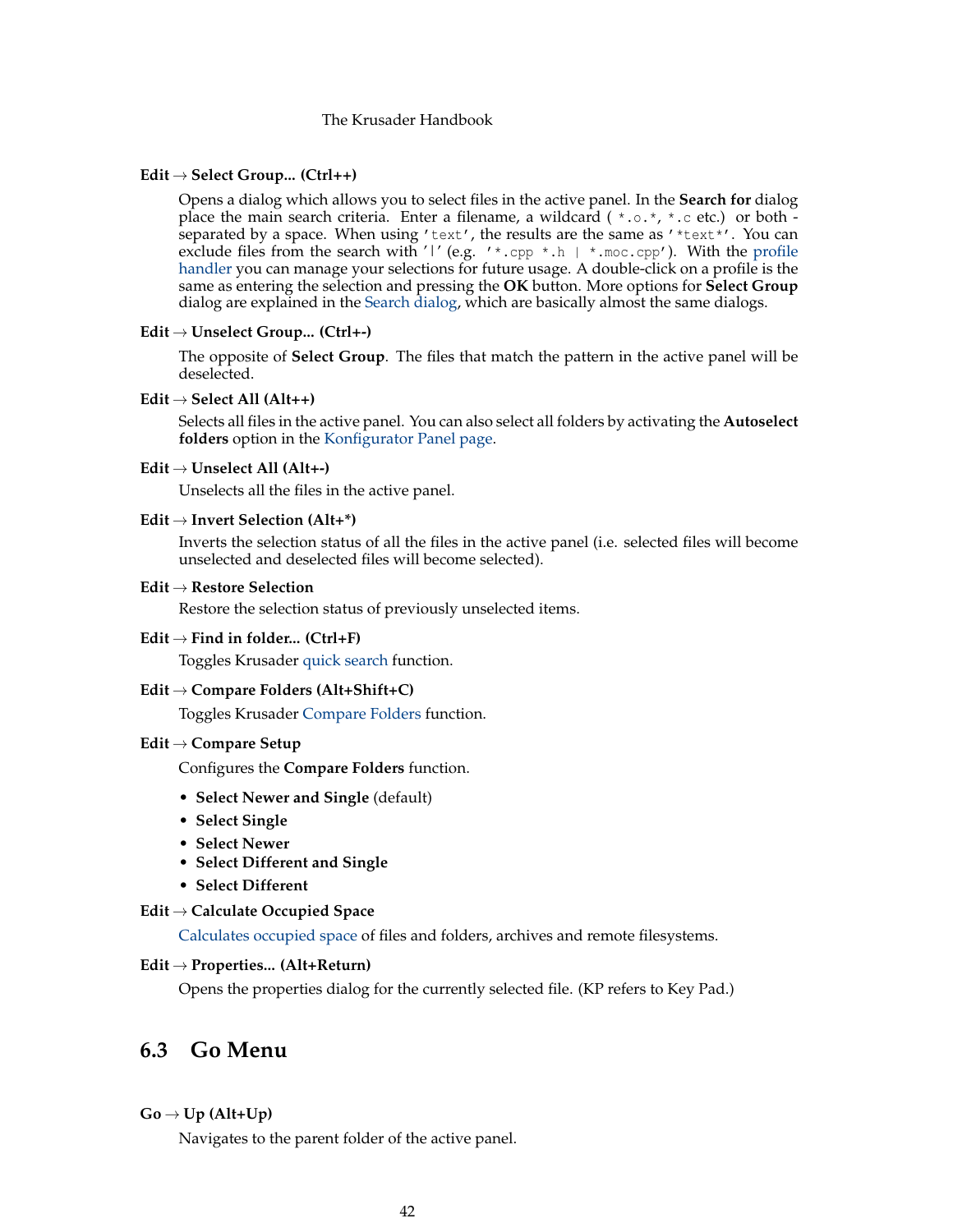### **Edit** → **Select Group... (Ctrl++)**

Opens a dialog which allows you to select files in the active panel. In the **Search for** dialog place the main search criteria. Enter a filename, a wildcard ( $\star$ , $\circ$ , $\star$ , $\star$ , $\circ$ , etc.) or both separated by a space. When using 'text', the results are the same as '\*text\*'. You can exclude files from the search with '|' (e.g. '\*.cpp \*.h | \*.moc.cpp'). With the [profile](#page-38-0) [handler](#page-38-0) you can manage your selections for future usage. A double-click on a profile is the same as entering the selection and pressing the **OK** button. More options for **Select Group** dialog are explained in the [Search dialog,](#page-59-0) which are basically almost the same dialogs.

### **Edit** → **Unselect Group... (Ctrl+-)**

The opposite of **Select Group**. The files that match the pattern in the active panel will be deselected.

### **Edit** → **Select All (Alt++)**

Selects all files in the active panel. You can also select all folders by activating the **Autoselect folders** option in the [Konfigurator Panel page.](#page-96-0)

## **Edit** → **Unselect All (Alt+-)**

Unselects all the files in the active panel.

# **Edit** → **Invert Selection (Alt+\*)**

Inverts the selection status of all the files in the active panel (i.e. selected files will become unselected and deselected files will become selected).

### **Edit** → **Restore Selection**

Restore the selection status of previously unselected items.

#### **Edit** → **Find in folder... (Ctrl+F)**

Toggles Krusader [quick search](#page-30-1) function.

# **Edit** → **Compare Folders (Alt+Shift+C)**

Toggles Krusader [Compare Folders](#page-36-0) function.

# **Edit** → **Compare Setup**

Configures the **Compare Folders** function.

- **Select Newer and Single** (default)
- **Select Single**
- **Select Newer**
- **Select Different and Single**
- **Select Different**

### **Edit** → **Calculate Occupied Space**

[Calculates occupied space](#page-37-2) of files and folders, archives and remote filesystems.

### **Edit** → **Properties... (Alt+Return)**

Opens the properties dialog for the currently selected file. (KP refers to Key Pad.)

# **6.3 Go Menu**

# $Go \rightarrow Up (Alt+Up)$

Navigates to the parent folder of the active panel.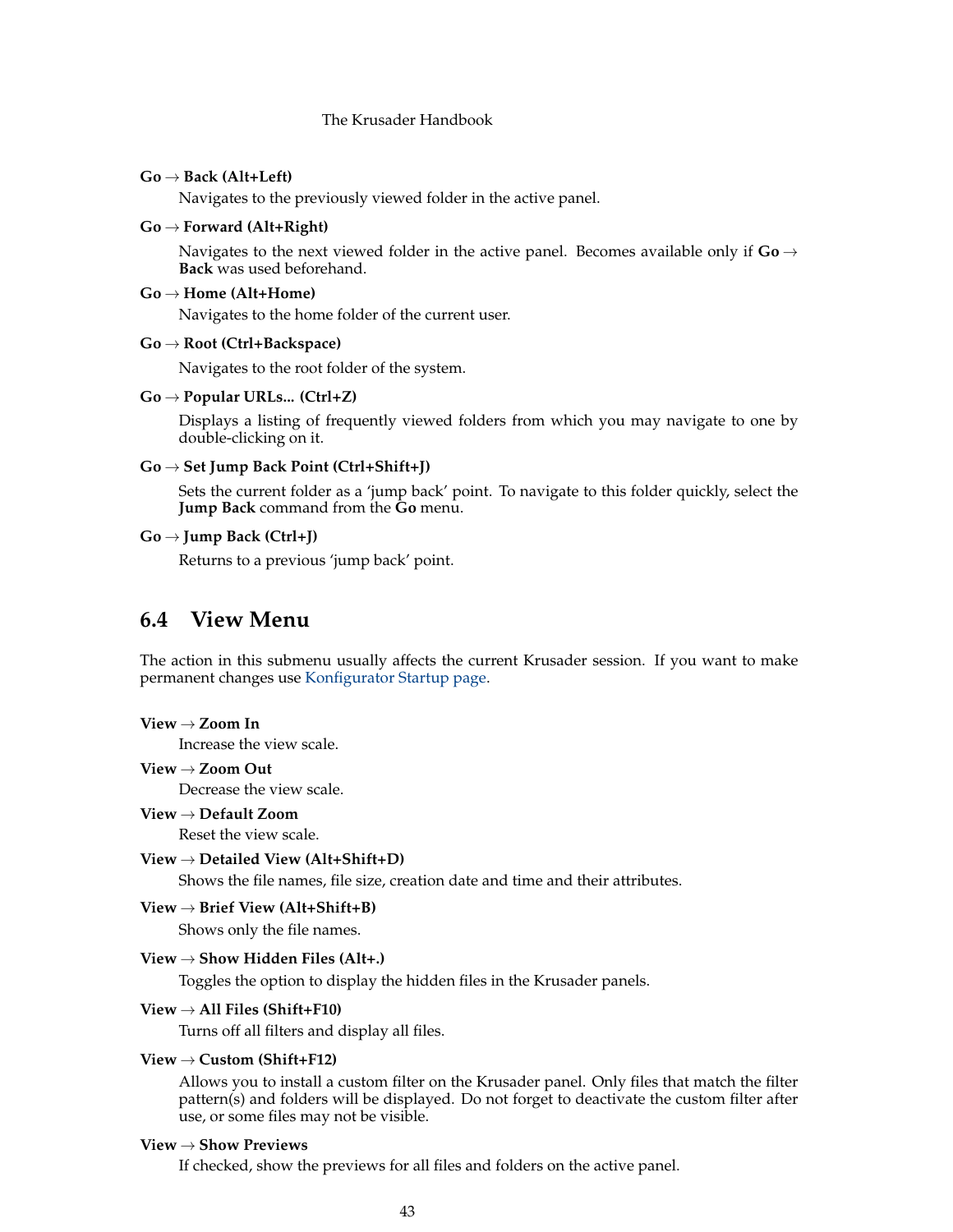### **Go** → **Back (Alt+Left)**

Navigates to the previously viewed folder in the active panel.

### **Go** → **Forward (Alt+Right)**

Navigates to the next viewed folder in the active panel. Becomes available only if  $Go \rightarrow$ **Back** was used beforehand.

### **Go** → **Home (Alt+Home)**

Navigates to the home folder of the current user.

### **Go** → **Root (Ctrl+Backspace)**

Navigates to the root folder of the system.

#### **Go** → **Popular URLs... (Ctrl+Z)**

Displays a listing of frequently viewed folders from which you may navigate to one by double-clicking on it.

### **Go** → **Set Jump Back Point (Ctrl+Shift+J)**

Sets the current folder as a 'jump back' point. To navigate to this folder quickly, select the **Jump Back** command from the **Go** menu.

# **Go** → **Jump Back (Ctrl+J)**

Returns to a previous 'jump back' point.

# **6.4 View Menu**

<span id="page-42-0"></span>The action in this submenu usually affects the current Krusader session. If you want to make permanent changes use [Konfigurator Startup page.](#page-95-1)

### **View** → **Zoom In**

Increase the view scale.

# **View** → **Zoom Out**

Decrease the view scale.

# **View** → **Default Zoom**

Reset the view scale.

### **View** → **Detailed View (Alt+Shift+D)**

Shows the file names, file size, creation date and time and their attributes.

# **View** → **Brief View (Alt+Shift+B)**

Shows only the file names.

# **View** → **Show Hidden Files (Alt+.)**

Toggles the option to display the hidden files in the Krusader panels.

# **View** → **All Files (Shift+F10)**

Turns off all filters and display all files.

# **View** → **Custom (Shift+F12)**

Allows you to install a custom filter on the Krusader panel. Only files that match the filter pattern(s) and folders will be displayed. Do not forget to deactivate the custom filter after use, or some files may not be visible.

### **View** → **Show Previews**

If checked, show the previews for all files and folders on the active panel.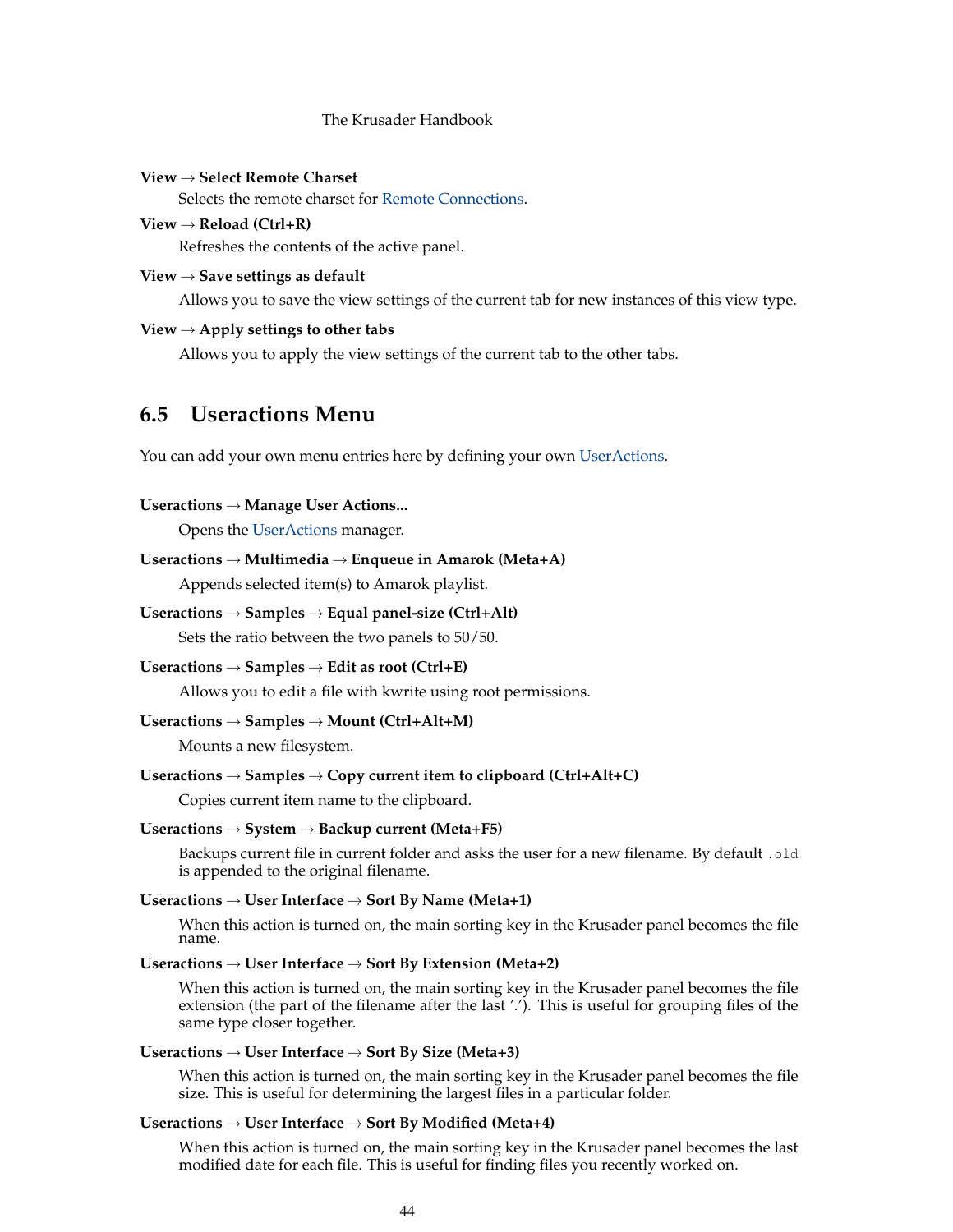**View** → **Select Remote Charset** Selects the remote charset for [Remote Connections.](#page-83-0)

**View** → **Reload (Ctrl+R)** Refreshes the contents of the active panel.

**View** → **Save settings as default**

Allows you to save the view settings of the current tab for new instances of this view type.

# **View** → **Apply settings to other tabs**

Allows you to apply the view settings of the current tab to the other tabs.

# **6.5 Useractions Menu**

<span id="page-43-0"></span>You can add your own menu entries here by defining your own [UserActions.](#page-90-0)

# **Useractions** → **Manage User Actions...**

Opens the [UserActions](#page-90-0) manager.

# **Useractions** → **Multimedia** → **Enqueue in Amarok (Meta+A)**

Appends selected item(s) to Amarok playlist.

### **Useractions** → **Samples** → **Equal panel-size (Ctrl+Alt)**

Sets the ratio between the two panels to 50/50.

### **Useractions** → **Samples** → **Edit as root (Ctrl+E)**

Allows you to edit a file with kwrite using root permissions.

# **Useractions** → **Samples** → **Mount (Ctrl+Alt+M)**

Mounts a new filesystem.

### **Useractions** → **Samples** → **Copy current item to clipboard (Ctrl+Alt+C)**

Copies current item name to the clipboard.

### **Useractions** → **System** → **Backup current (Meta+F5)**

Backups current file in current folder and asks the user for a new filename. By default .old is appended to the original filename.

### **Useractions** → **User Interface** → **Sort By Name (Meta+1)**

When this action is turned on, the main sorting key in the Krusader panel becomes the file name.

# **Useractions** → **User Interface** → **Sort By Extension (Meta+2)**

When this action is turned on, the main sorting key in the Krusader panel becomes the file extension (the part of the filename after the last '.'). This is useful for grouping files of the same type closer together.

# **Useractions** → **User Interface** → **Sort By Size (Meta+3)**

When this action is turned on, the main sorting key in the Krusader panel becomes the file size. This is useful for determining the largest files in a particular folder.

# **Useractions** → **User Interface** → **Sort By Modified (Meta+4)**

When this action is turned on, the main sorting key in the Krusader panel becomes the last modified date for each file. This is useful for finding files you recently worked on.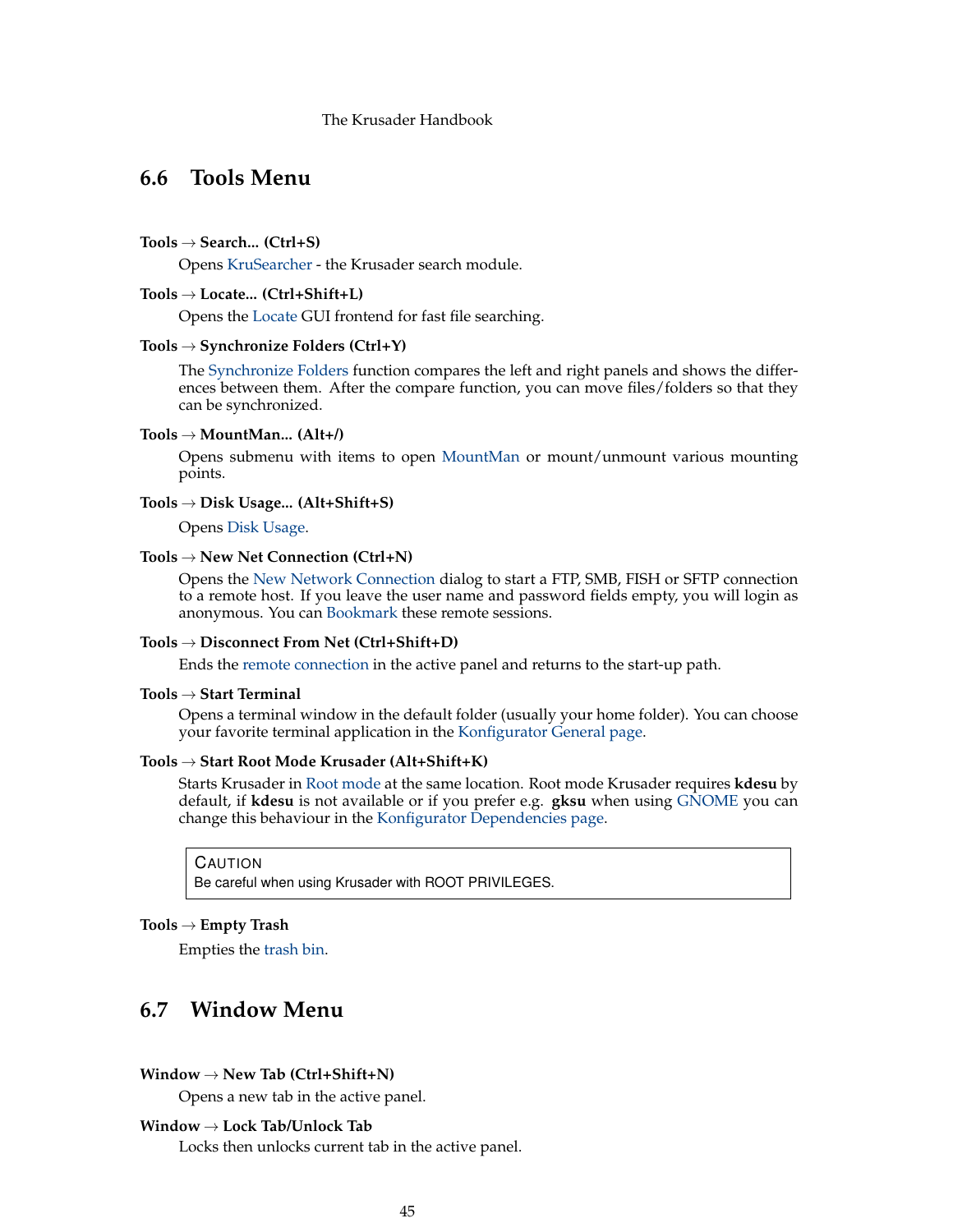# <span id="page-44-1"></span>**6.6 Tools Menu**

### **Tools** → **Search... (Ctrl+S)**

Opens [KruSearcher](#page-59-0) - the Krusader search module.

### **Tools** → **Locate... (Ctrl+Shift+L)**

Opens the [Locate](#page-81-0) GUI frontend for fast file searching.

### **Tools** → **Synchronize Folders (Ctrl+Y)**

The [Synchronize Folders](#page-85-0) function compares the left and right panels and shows the differences between them. After the compare function, you can move files/folders so that they can be synchronized.

### **Tools** → **MountMan... (Alt+/)**

Opens submenu with items to open [MountMan](#page-82-0) or mount/unmount various mounting points.

# **Tools** → **Disk Usage... (Alt+Shift+S)**

Opens [Disk Usage.](#page-58-0)

### **Tools** → **New Net Connection (Ctrl+N)**

Opens the [New Network Connection](#page-83-0) dialog to start a FTP, SMB, FISH or SFTP connection to a remote host. If you leave the user name and password fields empty, you will login as anonymous. You can [Bookmark](#page-55-0) these remote sessions.

### **Tools** → **Disconnect From Net (Ctrl+Shift+D)**

Ends the [remote connection](#page-83-0) in the active panel and returns to the start-up path.

### **Tools** → **Start Terminal**

Opens a terminal window in the default folder (usually your home folder). You can choose your favorite terminal application in the [Konfigurator General page.](#page-102-0)

### <span id="page-44-0"></span>**Tools** → **Start Root Mode Krusader (Alt+Shift+K)**

Starts Krusader in [Root mode](#page-44-0) at the same location. Root mode Krusader requires **kdesu** by default, if **kdesu** is not available or if you prefer e.g. **gksu** when using [GNOME](https://www.gnome.org) you can change this behaviour in the [Konfigurator Dependencies page.](#page-105-0)

CAUTION

Be careful when using Krusader with ROOT PRIVILEGES.

### **Tools** → **Empty Trash**

Empties the [trash bin.](#page-32-0)

# **6.7 Window Menu**

### **Window** → **New Tab (Ctrl+Shift+N)**

Opens a new tab in the active panel.

# **Window** → **Lock Tab/Unlock Tab**

Locks then unlocks current tab in the active panel.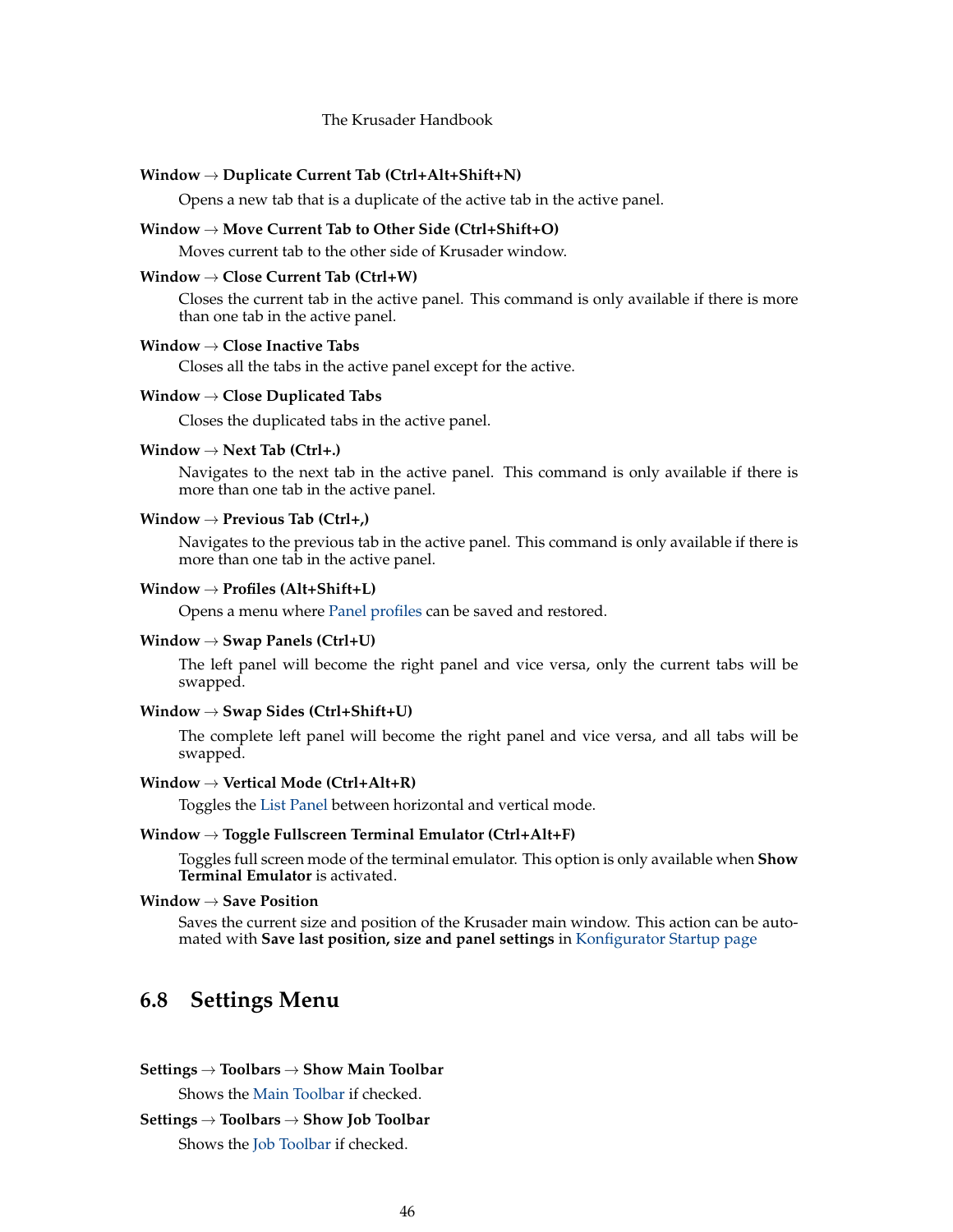### **Window** → **Duplicate Current Tab (Ctrl+Alt+Shift+N)**

Opens a new tab that is a duplicate of the active tab in the active panel.

# **Window** → **Move Current Tab to Other Side (Ctrl+Shift+O)**

Moves current tab to the other side of Krusader window.

# **Window** → **Close Current Tab (Ctrl+W)**

Closes the current tab in the active panel. This command is only available if there is more than one tab in the active panel.

### **Window** → **Close Inactive Tabs**

Closes all the tabs in the active panel except for the active.

### **Window** → **Close Duplicated Tabs**

Closes the duplicated tabs in the active panel.

#### **Window** → **Next Tab (Ctrl+.)**

Navigates to the next tab in the active panel. This command is only available if there is more than one tab in the active panel.

## **Window** → **Previous Tab (Ctrl+,)**

Navigates to the previous tab in the active panel. This command is only available if there is more than one tab in the active panel.

# <span id="page-45-0"></span>**Window** → **Profiles (Alt+Shift+L)**

Opens a menu where [Panel profiles](#page-38-1) can be saved and restored.

### **Window** → **Swap Panels (Ctrl+U)**

The left panel will become the right panel and vice versa, only the current tabs will be swapped.

### **Window** → **Swap Sides (Ctrl+Shift+U)**

The complete left panel will become the right panel and vice versa, and all tabs will be swapped.

### **Window** → **Vertical Mode (Ctrl+Alt+R)**

Toggles the [List Panel](#page-23-0) between horizontal and vertical mode.

#### **Window** → **Toggle Fullscreen Terminal Emulator (Ctrl+Alt+F)**

Toggles full screen mode of the terminal emulator. This option is only available when **Show Terminal Emulator** is activated.

# **Window** → **Save Position**

Saves the current size and position of the Krusader main window. This action can be automated with **Save last position, size and panel settings** in [Konfigurator Startup page](#page-95-1)

# **6.8 Settings Menu**

### **Settings** → **Toolbars** → **Show Main Toolbar**

Shows the [Main Toolbar](#page-20-0) if checked.

# **Settings** → **Toolbars** → **Show Job Toolbar**

Shows the [Job Toolbar](#page-22-0) if checked.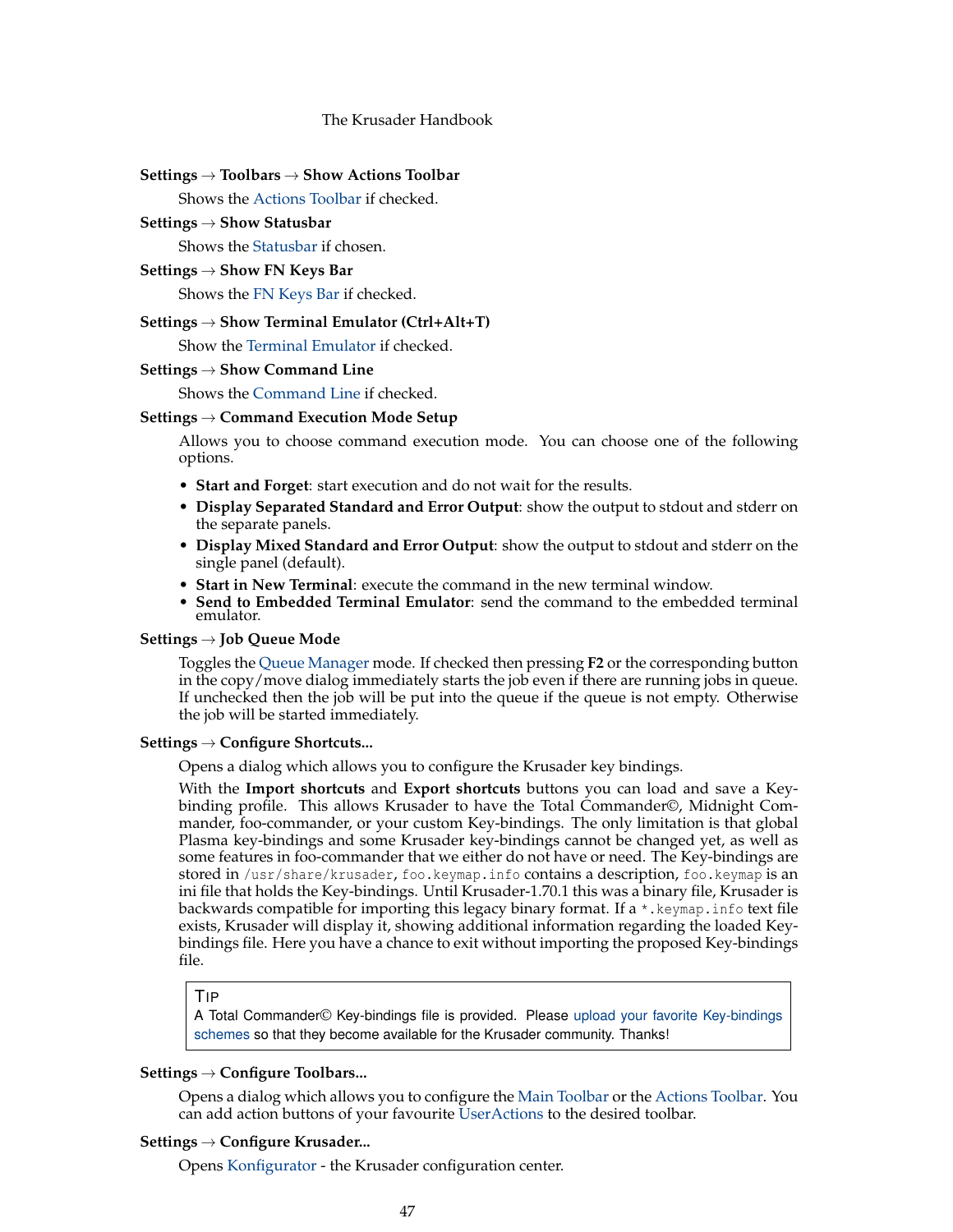## **Settings** → **Toolbars** → **Show Actions Toolbar**

Shows the [Actions Toolbar](#page-22-1) if checked.

### **Settings** → **Show Statusbar**

Shows the [Statusbar](#page-20-0) if chosen.

# **Settings** → **Show FN Keys Bar**

Shows the [FN Keys Bar](#page-26-0) if checked.

### **Settings** → **Show Terminal Emulator (Ctrl+Alt+T)**

Show the [Terminal Emulator](#page-25-0) if checked.

#### **Settings** → **Show Command Line**

Shows the [Command Line](#page-25-0) if checked.

### **Settings** → **Command Execution Mode Setup**

Allows you to choose command execution mode. You can choose one of the following options.

- **Start and Forget**: start execution and do not wait for the results.
- **Display Separated Standard and Error Output**: show the output to stdout and stderr on the separate panels.
- **Display Mixed Standard and Error Output**: show the output to stdout and stderr on the single panel (default).
- **Start in New Terminal**: execute the command in the new terminal window.
- **Send to Embedded Terminal Emulator**: send the command to the embedded terminal emulator.

# **Settings** → **Job Queue Mode**

Toggles the [Queue Manager](#page-32-1) mode. If checked then pressing **F2** or the corresponding button in the copy/move dialog immediately starts the job even if there are running jobs in queue. If unchecked then the job will be put into the queue if the queue is not empty. Otherwise the job will be started immediately.

# <span id="page-46-0"></span>**Settings** → **Configure Shortcuts...**

Opens a dialog which allows you to configure the Krusader key bindings.

With the **Import shortcuts** and **Export shortcuts** buttons you can load and save a Keybinding profile. This allows Krusader to have the Total Commander©, Midnight Commander, foo-commander, or your custom Key-bindings. The only limitation is that global Plasma key-bindings and some Krusader key-bindings cannot be changed yet, as well as some features in foo-commander that we either do not have or need. The Key-bindings are stored in /usr/share/krusader, foo.keymap.info contains a description, foo.keymap is an ini file that holds the Key-bindings. Until Krusader-1.70.1 this was a binary file, Krusader is backwards compatible for importing this legacy binary format. If a \*.keymap.info text file exists, Krusader will display it, showing additional information regarding the loaded Keybindings file. Here you have a chance to exit without importing the proposed Key-bindings file.

### TIP

A Total Commander© Key-bindings file is provided. Please [upload your favorite Key-bindings](#page-10-0) [schemes](#page-10-0) so that they become available for the Krusader community. Thanks!

# **Settings** → **Configure Toolbars...**

Opens a dialog which allows you to configure the [Main Toolbar](#page-20-0) or the [Actions Toolbar.](#page-22-1) You can add action buttons of your favourite [UserActions](#page-90-0) to the desired toolbar.

### **Settings** → **Configure Krusader...**

Opens [Konfigurator](#page-95-1) - the Krusader configuration center.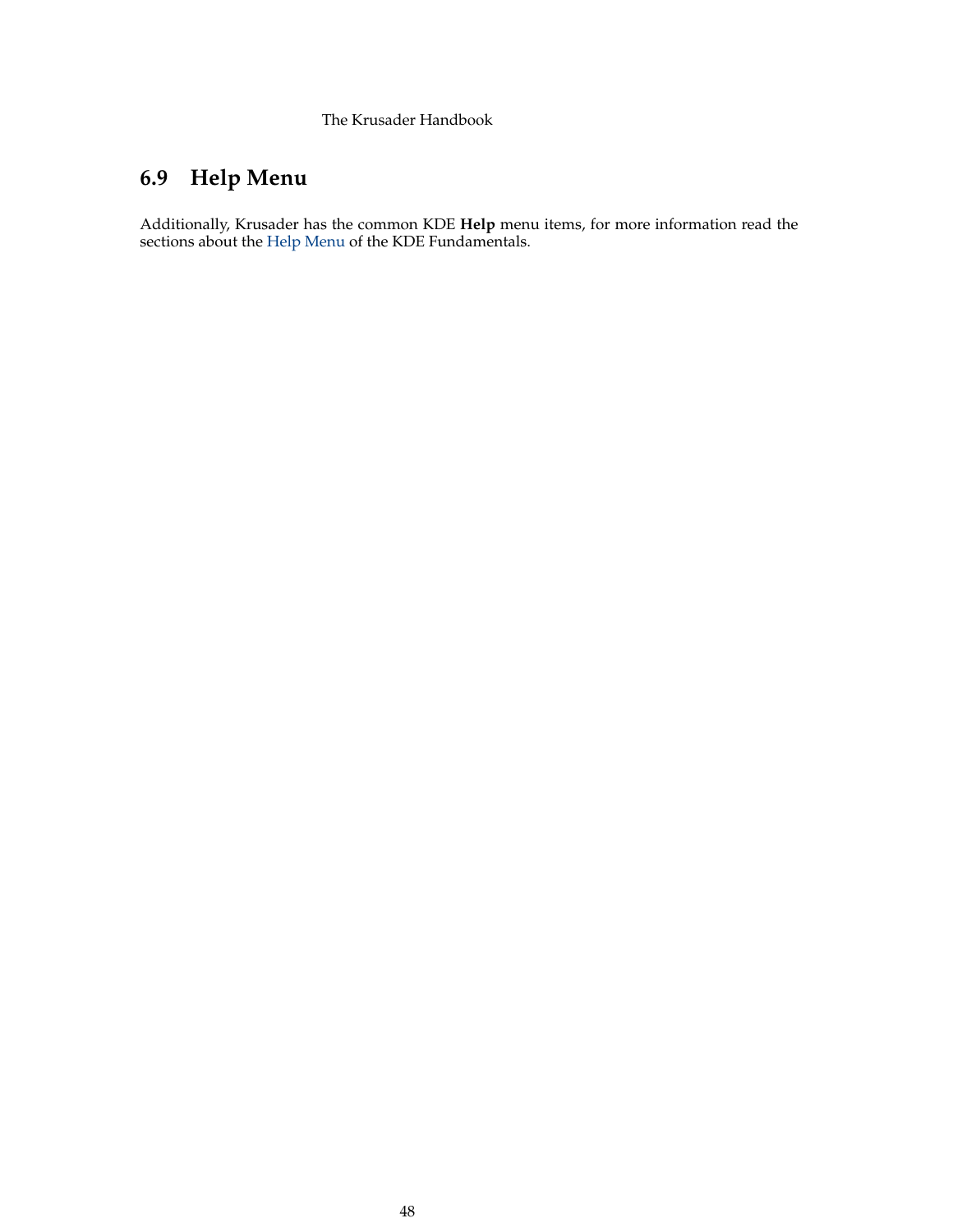# **6.9 Help Menu**

<span id="page-47-0"></span>Additionally, Krusader has the common KDE **Help** menu items, for more information read the sections about the [Help Menu](help:/fundamentals/menus.html#menus-help) of the KDE Fundamentals.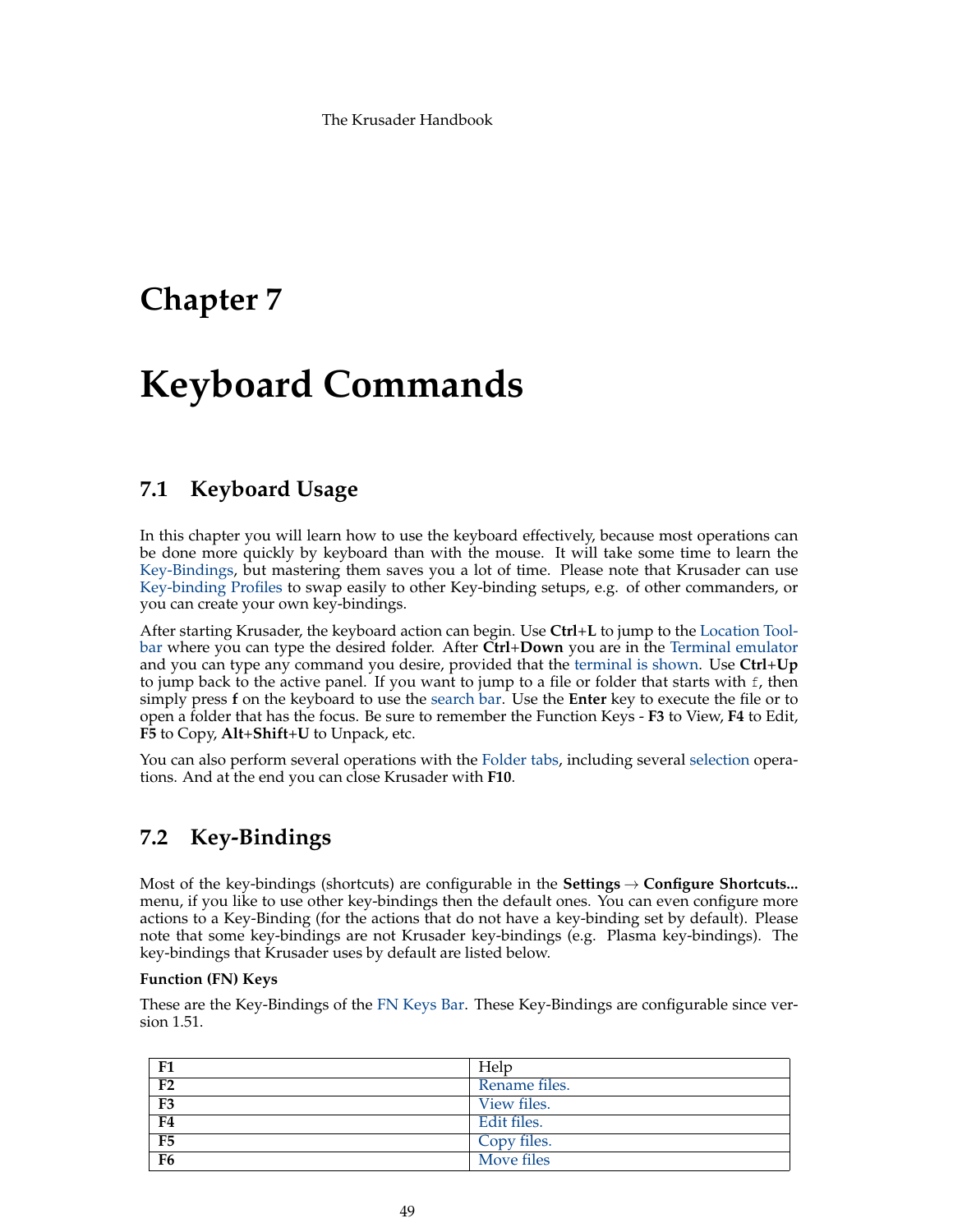# **Chapter 7**

# **Keyboard Commands**

# **7.1 Keyboard Usage**

In this chapter you will learn how to use the keyboard effectively, because most operations can be done more quickly by keyboard than with the mouse. It will take some time to learn the [Key-Bindings,](#page-48-0) but mastering them saves you a lot of time. Please note that Krusader can use [Key-binding Profiles](#page-46-0) to swap easily to other Key-binding setups, e.g. of other commanders, or you can create your own key-bindings.

After starting Krusader, the keyboard action can begin. Use **Ctrl**+**L** to jump to the [Location Tool](#page-23-0)[bar](#page-23-0) where you can type the desired folder. After **Ctrl**+**Down** you are in the [Terminal emulator](#page-26-1) and you can type any command you desire, provided that the [terminal is shown.](#page-95-0) Use **Ctrl**+**Up** to jump back to the active panel. If you want to jump to a file or folder that starts with f, then simply press **f** on the keyboard to use the [search bar.](#page-30-1) Use the **Enter** key to execute the file or to open a folder that has the focus. Be sure to remember the Function Keys - **F3** to View, **F4** to Edit, **F5** to Copy, **Alt**+**Shift**+**U** to Unpack, etc.

You can also perform several operations with the [Folder tabs,](#page-27-0) including several [selection](#page-40-0) operations. And at the end you can close Krusader with **F10**.

# **7.2 Key-Bindings**

<span id="page-48-0"></span>Most of the key-bindings (shortcuts) are configurable in the **Settings** → **Configure Shortcuts...** menu, if you like to use other key-bindings then the default ones. You can even configure more actions to a Key-Binding (for the actions that do not have a key-binding set by default). Please note that some key-bindings are not Krusader key-bindings (e.g. Plasma key-bindings). The key-bindings that Krusader uses by default are listed below.

# **Function (FN) Keys**

These are the Key-Bindings of the [FN Keys Bar.](#page-26-0) These Key-Bindings are configurable since version 1.51.

| F1             | Help          |
|----------------|---------------|
| F <sub>2</sub> | Rename files. |
| F <sub>3</sub> | View files.   |
| F <sub>4</sub> | Edit files.   |
| F <sub>5</sub> | Copy files.   |
| F <sub>6</sub> | Move files    |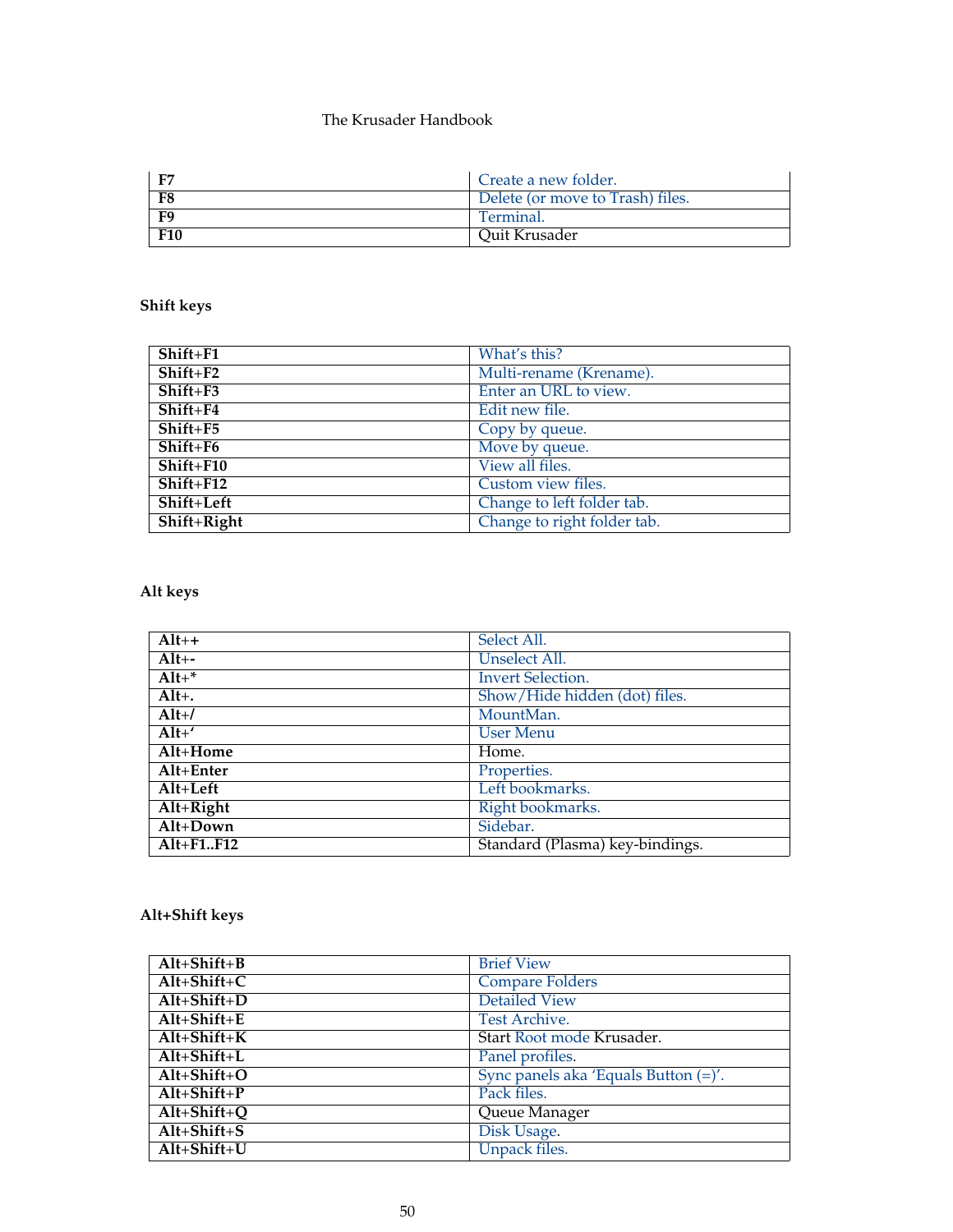| F7         | Create a new folder.             |
|------------|----------------------------------|
| F8         | Delete (or move to Trash) files. |
| F9         | Terminal.                        |
| <b>F10</b> | Quit Krusader                    |

# **Shift keys**

| Shift+F1     | What's this?                |
|--------------|-----------------------------|
| $Shift + F2$ | Multi-rename (Krename).     |
| Shift+F3     | Enter an URL to view.       |
| Shift+F4     | Edit new file.              |
| $Shift+F5$   | Copy by queue.              |
| $Shift+F6$   | Move by queue.              |
| $Shift+F10$  | View all files.             |
| $Shift+F12$  | Custom view files.          |
| Shift+Left   | Change to left folder tab.  |
| Shift+Right  | Change to right folder tab. |

# **Alt keys**

| $Alt++$              | Select All.                     |
|----------------------|---------------------------------|
| $Alt+-$              | Unselect All.                   |
| $Alt+^*$             | <b>Invert Selection.</b>        |
| $Alt+$ .             | Show/Hide hidden (dot) files.   |
| $Alt+1$              | MountMan.                       |
| $Alt+$               | <b>User Menu</b>                |
| Alt+Home             | Home.                           |
| Alt+Enter            | Properties.                     |
| $Alt+Left$           | Left bookmarks.                 |
| $Alt+Right$          | Right bookmarks.                |
| $Alt+Down$           | Sidebar.                        |
| $Alt + F1 \dots F12$ | Standard (Plasma) key-bindings. |

# **Alt+Shift keys**

| $Alt+Shift+B$ | <b>Brief View</b>                    |
|---------------|--------------------------------------|
| $Alt+Shift+C$ | <b>Compare Folders</b>               |
| $Alt+Shift+D$ | <b>Detailed View</b>                 |
| $Alt+Shift+E$ | Test Archive.                        |
| $Alt+Shift+K$ | Start Root mode Krusader.            |
| $Alt+Shift+L$ | Panel profiles.                      |
| $Alt+Shift+O$ | Sync panels aka 'Equals Button (=)'. |
| $Alt+Shift+P$ | Pack files.                          |
| $Alt+Shift+O$ | Queue Manager                        |
| $Alt+Shift+S$ | Disk Usage.                          |
| $Alt+Shift+U$ | Unpack files.                        |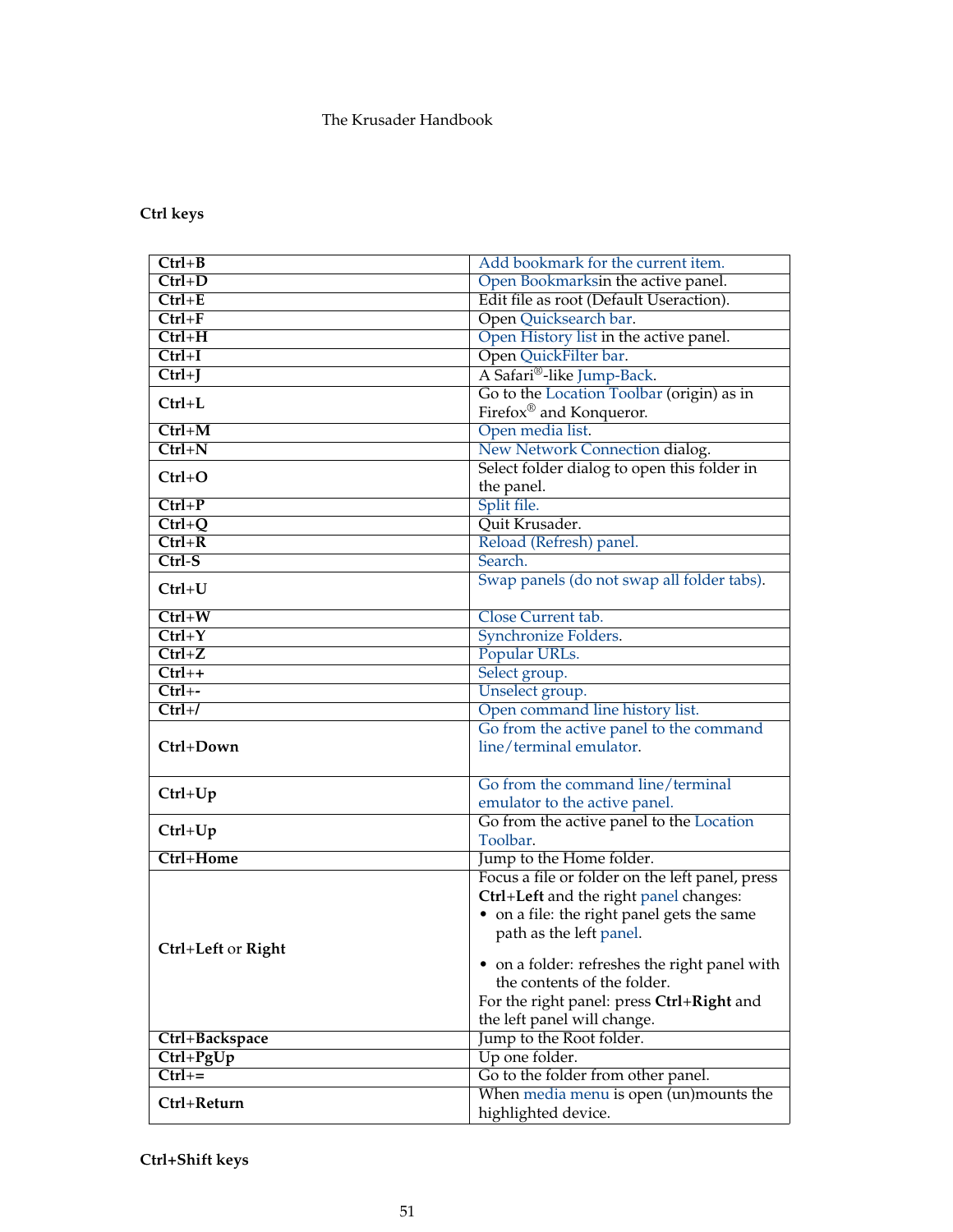# **Ctrl keys**

| Add bookmark for the current item.<br>$Ctrl + B$<br>Open Bookmarksin the active panel.<br>$Ctrl + D$<br>Edit file as root (Default Useraction).<br>$Ctrl+E$<br>Open Quicksearch bar.<br>$Ctrl+F$<br>Open History list in the active panel.<br>$Ctrl+H$<br>Open QuickFilter bar.<br>$Ctrl+I$<br>A Safari®-like Jump-Back.<br>$Ctrl+J$<br>Go to the Location Toolbar (origin) as in<br>$Ctrl+L$<br>Firefox <sup>®</sup> and Konqueror.<br>Open media list.<br>$Ctrl+M$<br>$Ctrl + N$<br>New Network Connection dialog.<br>Select folder dialog to open this folder in<br>$Ctrl + O$<br>the panel.<br>Split file.<br>$Ctrl + P$<br>Quit Krusader.<br>$Ctrl + Q$<br>Reload (Refresh) panel.<br>$Ctrl + R$<br>$Ctrl-S$<br>Search.<br>Swap panels (do not swap all folder tabs).<br>$Ctrl+U$ |
|----------------------------------------------------------------------------------------------------------------------------------------------------------------------------------------------------------------------------------------------------------------------------------------------------------------------------------------------------------------------------------------------------------------------------------------------------------------------------------------------------------------------------------------------------------------------------------------------------------------------------------------------------------------------------------------------------------------------------------------------------------------------------------------|
|                                                                                                                                                                                                                                                                                                                                                                                                                                                                                                                                                                                                                                                                                                                                                                                        |
|                                                                                                                                                                                                                                                                                                                                                                                                                                                                                                                                                                                                                                                                                                                                                                                        |
|                                                                                                                                                                                                                                                                                                                                                                                                                                                                                                                                                                                                                                                                                                                                                                                        |
|                                                                                                                                                                                                                                                                                                                                                                                                                                                                                                                                                                                                                                                                                                                                                                                        |
|                                                                                                                                                                                                                                                                                                                                                                                                                                                                                                                                                                                                                                                                                                                                                                                        |
|                                                                                                                                                                                                                                                                                                                                                                                                                                                                                                                                                                                                                                                                                                                                                                                        |
|                                                                                                                                                                                                                                                                                                                                                                                                                                                                                                                                                                                                                                                                                                                                                                                        |
|                                                                                                                                                                                                                                                                                                                                                                                                                                                                                                                                                                                                                                                                                                                                                                                        |
|                                                                                                                                                                                                                                                                                                                                                                                                                                                                                                                                                                                                                                                                                                                                                                                        |
|                                                                                                                                                                                                                                                                                                                                                                                                                                                                                                                                                                                                                                                                                                                                                                                        |
|                                                                                                                                                                                                                                                                                                                                                                                                                                                                                                                                                                                                                                                                                                                                                                                        |
|                                                                                                                                                                                                                                                                                                                                                                                                                                                                                                                                                                                                                                                                                                                                                                                        |
|                                                                                                                                                                                                                                                                                                                                                                                                                                                                                                                                                                                                                                                                                                                                                                                        |
|                                                                                                                                                                                                                                                                                                                                                                                                                                                                                                                                                                                                                                                                                                                                                                                        |
|                                                                                                                                                                                                                                                                                                                                                                                                                                                                                                                                                                                                                                                                                                                                                                                        |
|                                                                                                                                                                                                                                                                                                                                                                                                                                                                                                                                                                                                                                                                                                                                                                                        |
|                                                                                                                                                                                                                                                                                                                                                                                                                                                                                                                                                                                                                                                                                                                                                                                        |
|                                                                                                                                                                                                                                                                                                                                                                                                                                                                                                                                                                                                                                                                                                                                                                                        |
|                                                                                                                                                                                                                                                                                                                                                                                                                                                                                                                                                                                                                                                                                                                                                                                        |
| Close Current tab.<br>$Ctrl+W$                                                                                                                                                                                                                                                                                                                                                                                                                                                                                                                                                                                                                                                                                                                                                         |
| $Ctrl+Y$<br>Synchronize Folders.                                                                                                                                                                                                                                                                                                                                                                                                                                                                                                                                                                                                                                                                                                                                                       |
| $Ctrl+Z$<br>Popular URLs.                                                                                                                                                                                                                                                                                                                                                                                                                                                                                                                                                                                                                                                                                                                                                              |
| $Ctrl++$<br>Select group.                                                                                                                                                                                                                                                                                                                                                                                                                                                                                                                                                                                                                                                                                                                                                              |
| Unselect group.<br>$Ctrl + -$                                                                                                                                                                                                                                                                                                                                                                                                                                                                                                                                                                                                                                                                                                                                                          |
| Open command line history list.<br>$Ctrl+$                                                                                                                                                                                                                                                                                                                                                                                                                                                                                                                                                                                                                                                                                                                                             |
| Go from the active panel to the command                                                                                                                                                                                                                                                                                                                                                                                                                                                                                                                                                                                                                                                                                                                                                |
| Ctrl+Down<br>line/terminal emulator.                                                                                                                                                                                                                                                                                                                                                                                                                                                                                                                                                                                                                                                                                                                                                   |
|                                                                                                                                                                                                                                                                                                                                                                                                                                                                                                                                                                                                                                                                                                                                                                                        |
| Go from the command line/terminal<br>$Ctrl+Up$                                                                                                                                                                                                                                                                                                                                                                                                                                                                                                                                                                                                                                                                                                                                         |
| emulator to the active panel.                                                                                                                                                                                                                                                                                                                                                                                                                                                                                                                                                                                                                                                                                                                                                          |
|                                                                                                                                                                                                                                                                                                                                                                                                                                                                                                                                                                                                                                                                                                                                                                                        |
| Go from the active panel to the Location                                                                                                                                                                                                                                                                                                                                                                                                                                                                                                                                                                                                                                                                                                                                               |
| $Ctrl+Up$<br>Toolbar.                                                                                                                                                                                                                                                                                                                                                                                                                                                                                                                                                                                                                                                                                                                                                                  |
| Ctrl+Home<br>Jump to the Home folder.                                                                                                                                                                                                                                                                                                                                                                                                                                                                                                                                                                                                                                                                                                                                                  |
| Focus a file or folder on the left panel, press                                                                                                                                                                                                                                                                                                                                                                                                                                                                                                                                                                                                                                                                                                                                        |
| Ctrl+Left and the right panel changes:                                                                                                                                                                                                                                                                                                                                                                                                                                                                                                                                                                                                                                                                                                                                                 |
| • on a file: the right panel gets the same                                                                                                                                                                                                                                                                                                                                                                                                                                                                                                                                                                                                                                                                                                                                             |
| path as the left panel.                                                                                                                                                                                                                                                                                                                                                                                                                                                                                                                                                                                                                                                                                                                                                                |
| Ctrl+Left or Right                                                                                                                                                                                                                                                                                                                                                                                                                                                                                                                                                                                                                                                                                                                                                                     |
| • on a folder: refreshes the right panel with                                                                                                                                                                                                                                                                                                                                                                                                                                                                                                                                                                                                                                                                                                                                          |
| the contents of the folder.                                                                                                                                                                                                                                                                                                                                                                                                                                                                                                                                                                                                                                                                                                                                                            |
| For the right panel: press Ctrl+Right and                                                                                                                                                                                                                                                                                                                                                                                                                                                                                                                                                                                                                                                                                                                                              |
| the left panel will change.                                                                                                                                                                                                                                                                                                                                                                                                                                                                                                                                                                                                                                                                                                                                                            |
| Jump to the Root folder.<br>Ctrl+Backspace                                                                                                                                                                                                                                                                                                                                                                                                                                                                                                                                                                                                                                                                                                                                             |
| Up one folder.<br>$Ctrl + PgUp$                                                                                                                                                                                                                                                                                                                                                                                                                                                                                                                                                                                                                                                                                                                                                        |
| $Ctrl +=$<br>Go to the folder from other panel.<br>When media menu is open (un)mounts the<br>Ctrl+Return                                                                                                                                                                                                                                                                                                                                                                                                                                                                                                                                                                                                                                                                               |

**Ctrl+Shift keys**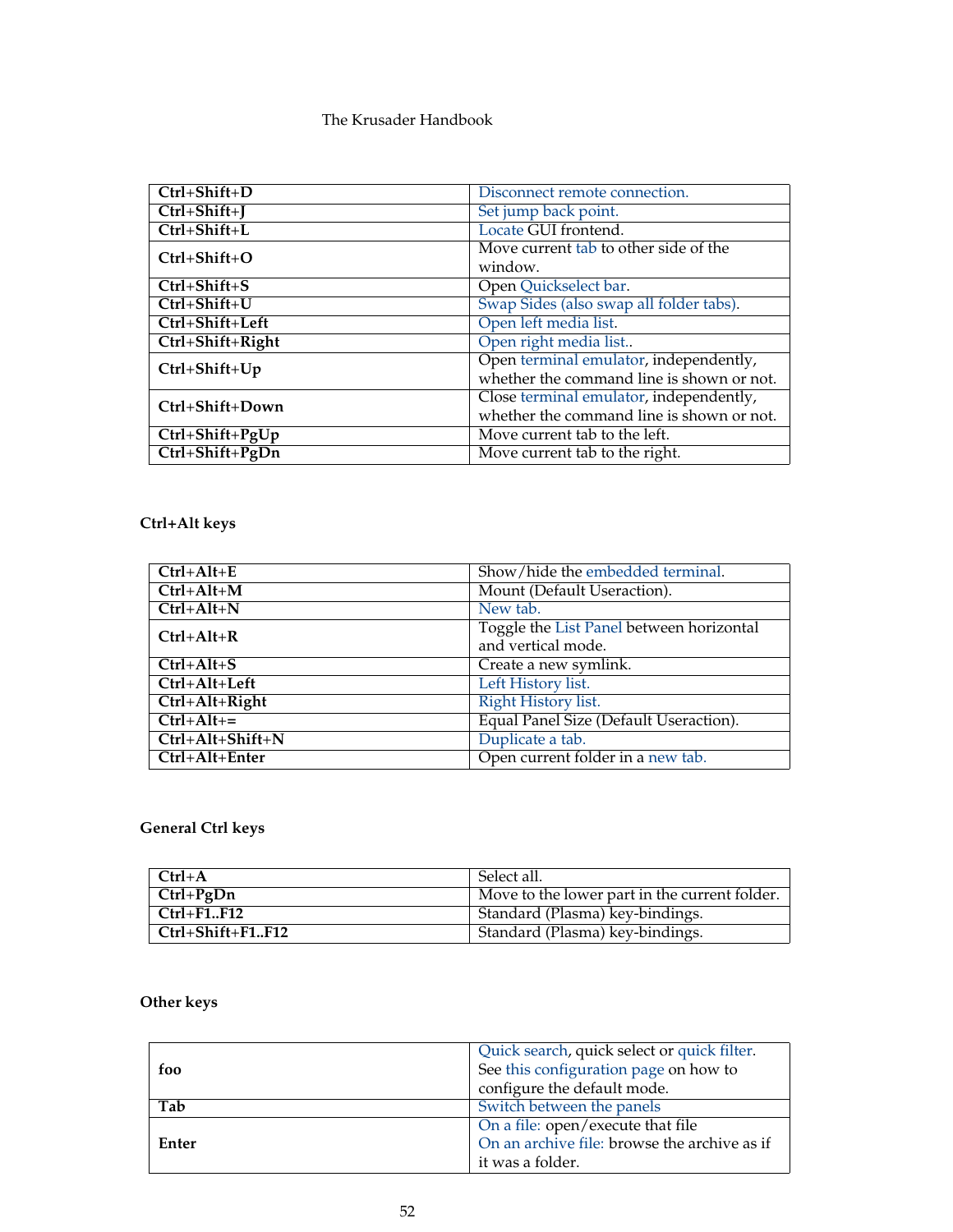| Ctrl+Shift+D        | Disconnect remote connection.             |
|---------------------|-------------------------------------------|
| $Ctrl + Shift + J$  | Set jump back point.                      |
| Ctrl+Shift+L        | Locate GUI frontend.                      |
| $Ctrl + Shift + O$  | Move current tab to other side of the     |
|                     | window.                                   |
| Ctrl+Shift+S        | Open Quickselect bar.                     |
| Ctrl+Shift+U        | Swap Sides (also swap all folder tabs).   |
| Ctrl+Shift+Left     | Open left media list.                     |
| Ctrl+Shift+Right    | Open right media list                     |
| $Ctrl + Shift + Up$ | Open terminal emulator, independently,    |
|                     | whether the command line is shown or not. |
| Ctrl+Shift+Down     | Close terminal emulator, independently,   |
|                     | whether the command line is shown or not. |
| Ctrl+Shift+PgUp     | Move current tab to the left.             |
| Ctrl+Shift+PgDn     | Move current tab to the right.            |

# **Ctrl+Alt keys**

| $Ctrl+Alt+E$       | Show/hide the embedded terminal.         |
|--------------------|------------------------------------------|
| $Ctrl+Alt+M$       | Mount (Default Useraction).              |
| $Ctrl+Alt+N$       | New tab.                                 |
| $Ctrl+Alt+R$       | Toggle the List Panel between horizontal |
|                    | and vertical mode.                       |
| $Ctrl+Alt+S$       | Create a new symlink.                    |
| Ctrl+Alt+Left      | Left History list.                       |
| Ctrl+Alt+Right     | Right History list.                      |
| $Ctrl+Alt +=$      | Equal Panel Size (Default Useraction).   |
| $Ctrl+Alt+Shift+N$ | Duplicate a tab.                         |
| Ctrl+Alt+Enter     | Open current folder in a new tab.        |

# **General Ctrl keys**

| $Ctrl+A$         | - Select all.                                 |
|------------------|-----------------------------------------------|
| $Ctrl + PgDn$    | Move to the lower part in the current folder. |
| $Ctrl + F1.F12$  | Standard (Plasma) key-bindings.               |
| Ctrl+Shift+F1F12 | <b>Standard (Plasma) key-bindings.</b>        |

# **Other keys**

|       | Quick search, quick select or quick filter.  |
|-------|----------------------------------------------|
| foo   | See this configuration page on how to        |
|       | configure the default mode.                  |
| Tab   | Switch between the panels                    |
|       | On a file: open/execute that file            |
| Enter | On an archive file: browse the archive as if |
|       | it was a folder.                             |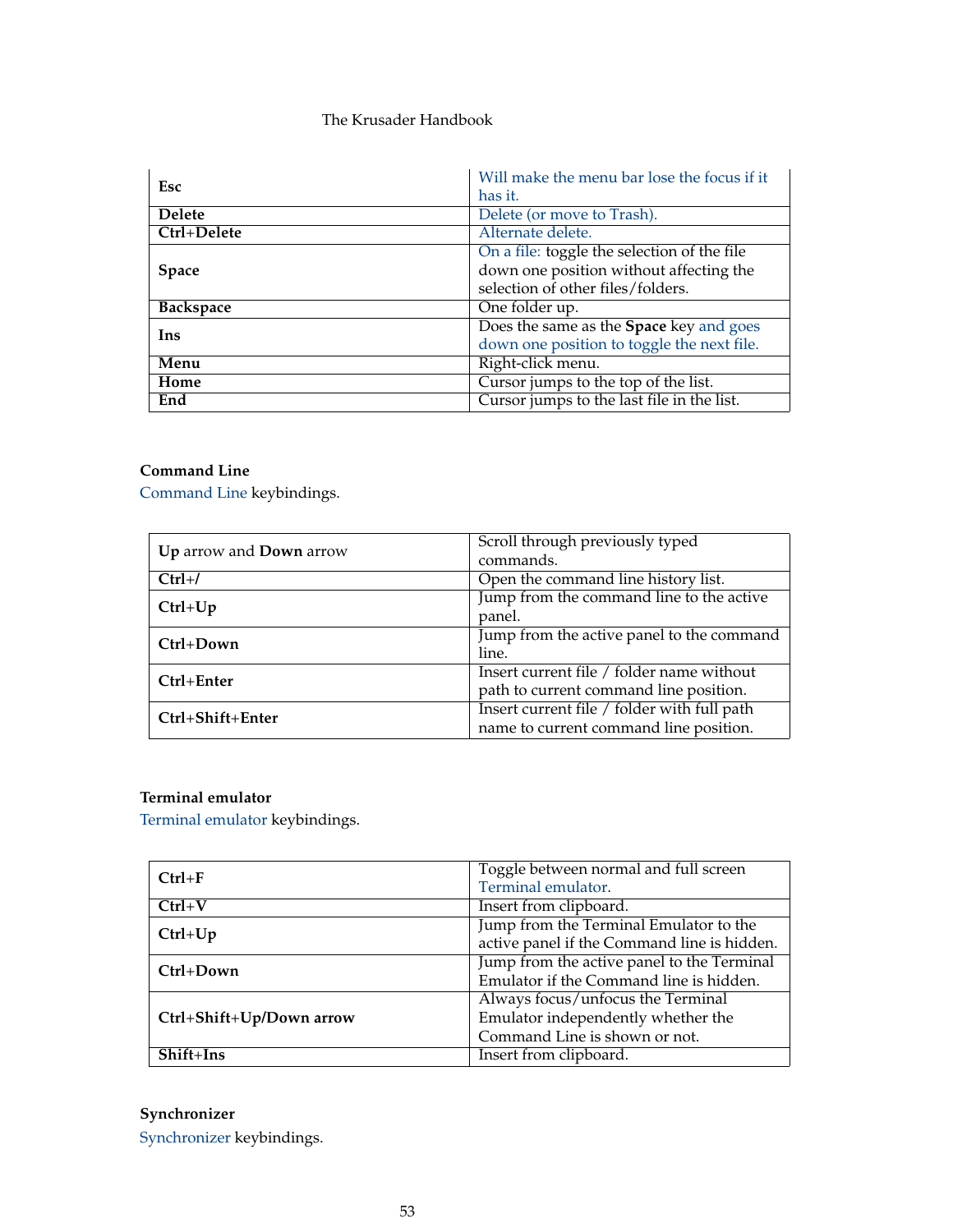| Esc              | Will make the menu bar lose the focus if it              |
|------------------|----------------------------------------------------------|
|                  | has it.                                                  |
| <b>Delete</b>    | Delete (or move to Trash).                               |
| Ctrl+Delete      | Alternate delete.                                        |
|                  | On a file: toggle the selection $\overline{of}$ the file |
| <b>Space</b>     | down one position without affecting the                  |
|                  | selection of other files/folders.                        |
| <b>Backspace</b> | One folder up.                                           |
| Ins              | Does the same as the Space key and goes                  |
|                  | down one position to toggle the next file.               |
| Menu             | Right-click menu.                                        |
| Home             | Cursor jumps to the top of the list.                     |
| End              | Cursor jumps to the last file in the list.               |

# **Command Line**

[Command Line](#page-25-0) keybindings.

| Up arrow and Down arrow | Scroll through previously typed             |
|-------------------------|---------------------------------------------|
|                         | commands.                                   |
| $Ctrl+/$                | Open the command line history list.         |
| $Ctrl+Up$               | Jump from the command line to the active    |
|                         | panel.                                      |
| $Ctrl+Down$             | Jump from the active panel to the command   |
|                         | line.                                       |
| $Ctrl + Enter$          | Insert current file / folder name without   |
|                         | path to current command line position.      |
| Ctrl+Shift+Enter        | Insert current file / folder with full path |
|                         | name to current command line position.      |

# **Terminal emulator**

[Terminal emulator](#page-26-1) keybindings.

| $Ctrl + F$               | Toggle between normal and full screen       |
|--------------------------|---------------------------------------------|
|                          | Terminal emulator.                          |
| $Ctrl+V$                 | Insert from clipboard.                      |
| $Ctrl+Up$                | Jump from the Terminal Emulator to the      |
|                          | active panel if the Command line is hidden. |
| $Ctrl+Down$              | Jump from the active panel to the Terminal  |
|                          | Emulator if the Command line is hidden.     |
|                          | Always focus/unfocus the Terminal           |
| Ctrl+Shift+Up/Down arrow | Emulator independently whether the          |
|                          | Command Line is shown or not.               |
| $Shift+Ins$              | Insert from clipboard.                      |

# **Synchronizer**

[Synchronizer](#page-85-0) keybindings.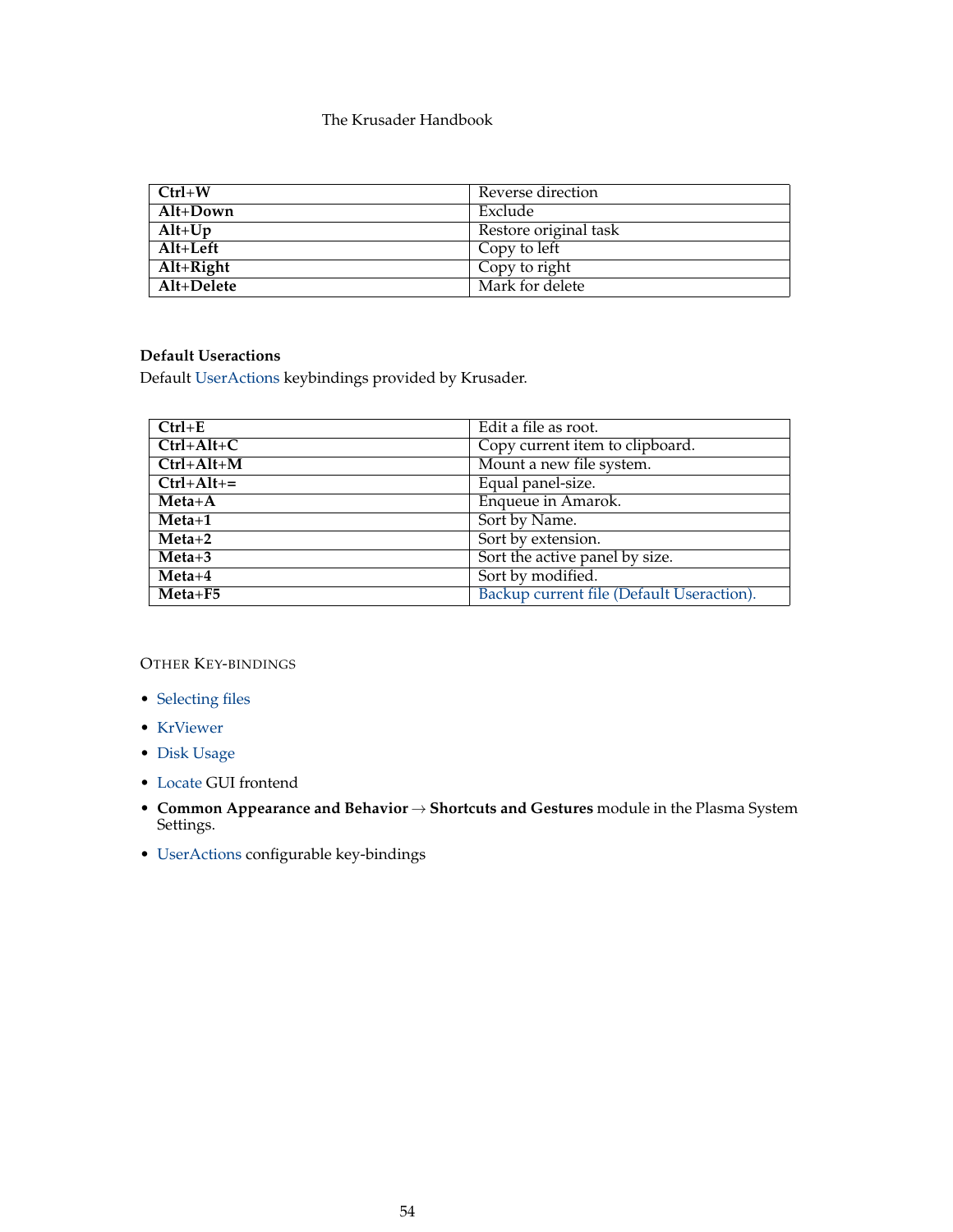| $C$ trl+ $W$ | Reverse direction     |
|--------------|-----------------------|
| Alt+Down     | Exclude               |
| $Alt+Up$     | Restore original task |
| $Alt+Left$   | Copy to left          |
| $Alt+Right$  | Copy to right         |
| Alt+Delete   | Mark for delete       |

# **Default Useractions**

Default [UserActions](#page-90-0) keybindings provided by Krusader.

| $Ctrl + E$    | Edit a file as root.                      |
|---------------|-------------------------------------------|
| $Ctrl+Alt+C$  | Copy current item to clipboard.           |
| $Ctrl+Alt+M$  | Mount a new file system.                  |
| $Ctrl+Alt +=$ | Equal panel-size.                         |
| $Meta+A$      | Enqueue in Amarok.                        |
| $Meta+1$      | Sort by Name.                             |
| $Meta+2$      | Sort by extension.                        |
| $Meta+3$      | Sort the active panel by size.            |
| $Meta+4$      | Sort by modified.                         |
| $Meta + F5$   | Backup current file (Default Useraction). |

OTHER KEY-BINDINGS

- [Selecting files](#page-29-0)
- [KrViewer](#page-63-0)
- [Disk Usage](#page-58-0)
- [Locate](#page-81-0) GUI frontend
- **Common Appearance and Behavior** → **Shortcuts and Gestures** module in the Plasma System Settings.
- [UserActions](#page-90-0) configurable key-bindings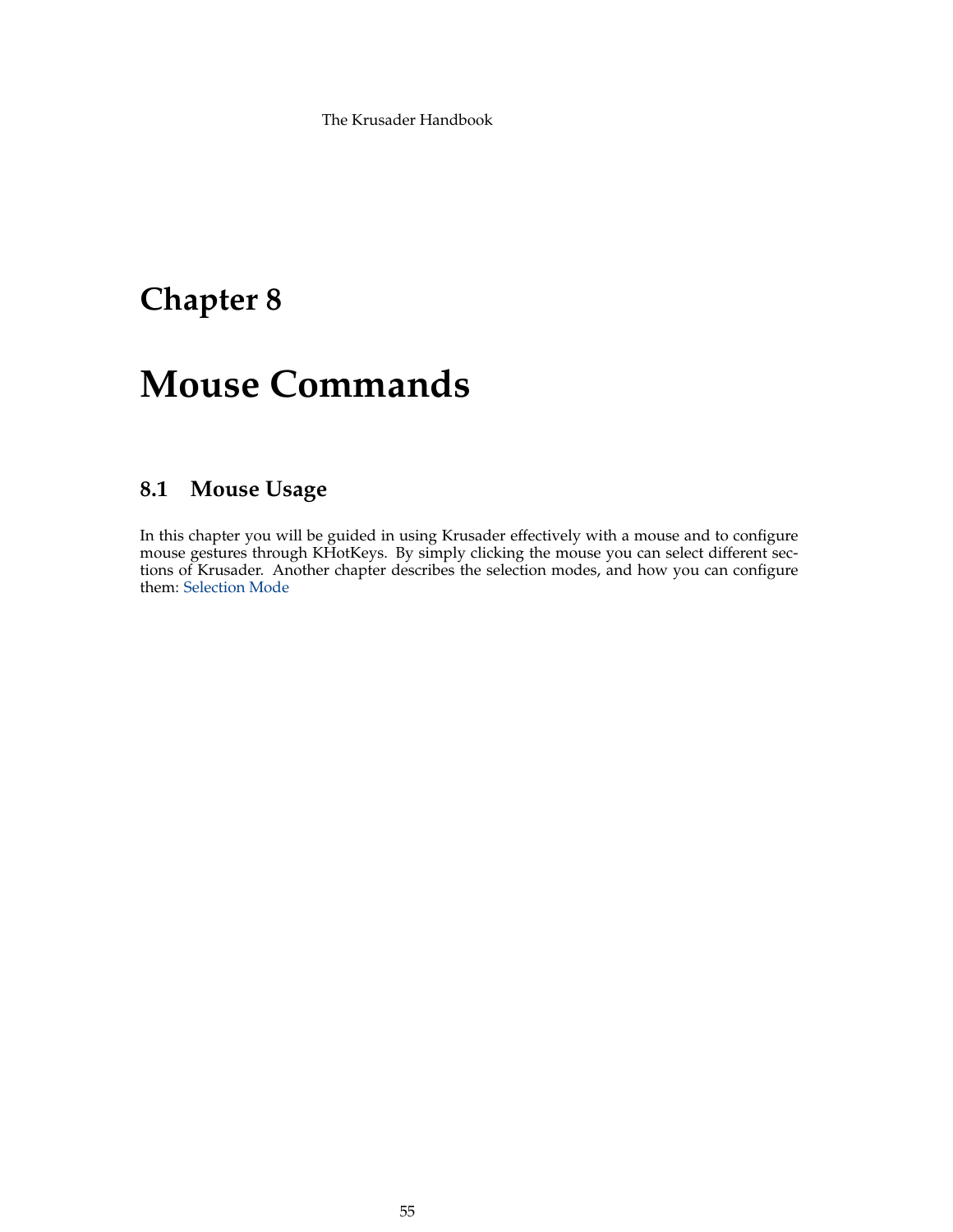# **Chapter 8**

# **Mouse Commands**

# **8.1 Mouse Usage**

In this chapter you will be guided in using Krusader effectively with a mouse and to configure mouse gestures through KHotKeys. By simply clicking the mouse you can select different sections of Krusader. Another chapter describes the selection modes, and how you can configure them: [Selection Mode](#page-100-0)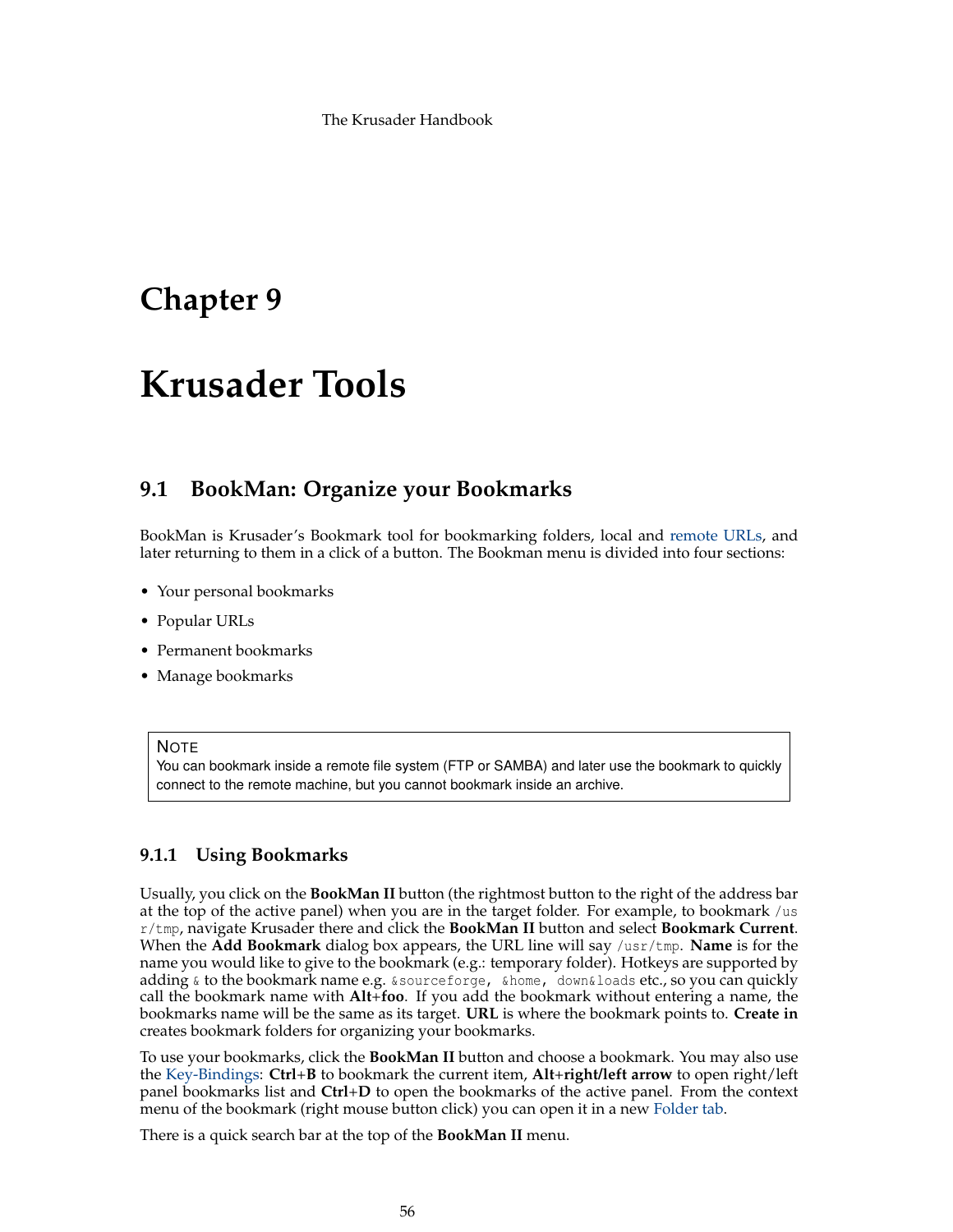# **Chapter 9**

# **Krusader Tools**

# **9.1 BookMan: Organize your Bookmarks**

<span id="page-55-0"></span>BookMan is Krusader's Bookmark tool for bookmarking folders, local and [remote URLs,](#page-83-0) and later returning to them in a click of a button. The Bookman menu is divided into four sections:

- Your personal bookmarks
- Popular URLs
- Permanent bookmarks
- Manage bookmarks

## **NOTE**

You can bookmark inside a remote file system (FTP or SAMBA) and later use the bookmark to quickly connect to the remote machine, but you cannot bookmark inside an archive.

# **9.1.1 Using Bookmarks**

Usually, you click on the **BookMan II** button (the rightmost button to the right of the address bar at the top of the active panel) when you are in the target folder. For example, to bookmark /us r/tmp, navigate Krusader there and click the **BookMan II** button and select **Bookmark Current**. When the **Add Bookmark** dialog box appears, the URL line will say /usr/tmp. **Name** is for the name you would like to give to the bookmark (e.g.: temporary folder). Hotkeys are supported by adding & to the bookmark name e.g. &sourceforge, &home, down&loads etc., so you can quickly call the bookmark name with **Alt**+**foo**. If you add the bookmark without entering a name, the bookmarks name will be the same as its target. **URL** is where the bookmark points to. **Create in** creates bookmark folders for organizing your bookmarks.

To use your bookmarks, click the **BookMan II** button and choose a bookmark. You may also use the [Key-Bindings:](#page-48-0) **Ctrl**+**B** to bookmark the current item, **Alt**+**right/left arrow** to open right/left panel bookmarks list and **Ctrl**+**D** to open the bookmarks of the active panel. From the context menu of the bookmark (right mouse button click) you can open it in a new [Folder tab.](#page-27-0)

There is a quick search bar at the top of the **BookMan II** menu.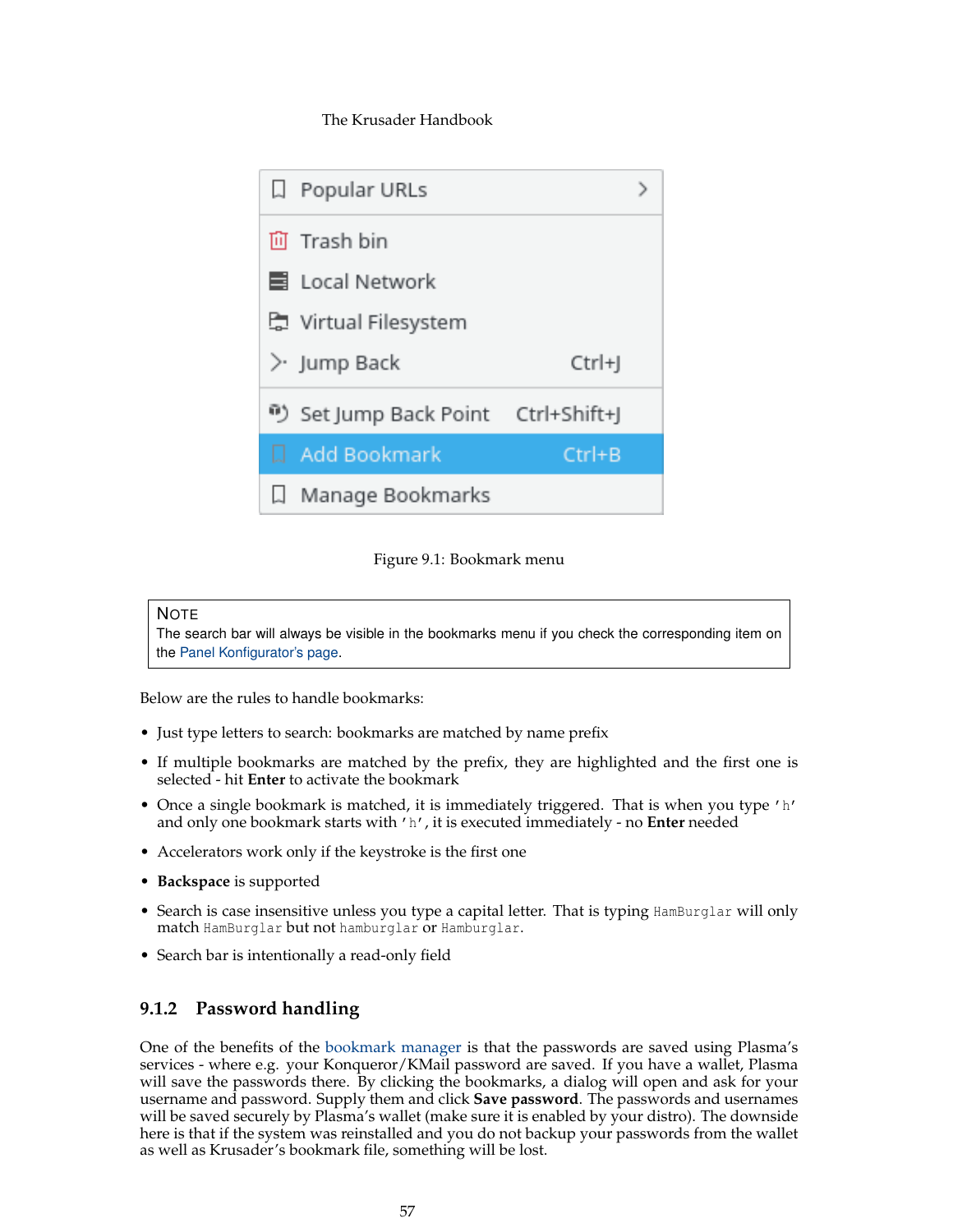

Figure 9.1: Bookmark menu

# **NOTE**

The search bar will always be visible in the bookmarks menu if you check the corresponding item on the [Panel Konfigurator's page.](#page-97-0)

Below are the rules to handle bookmarks:

- Just type letters to search: bookmarks are matched by name prefix
- If multiple bookmarks are matched by the prefix, they are highlighted and the first one is selected - hit **Enter** to activate the bookmark
- Once a single bookmark is matched, it is immediately triggered. That is when you type 'h' and only one bookmark starts with 'h', it is executed immediately - no **Enter** needed
- Accelerators work only if the keystroke is the first one
- **Backspace** is supported
- Search is case insensitive unless you type a capital letter. That is typing HamBurglar will only match HamBurglar but not hamburglar or Hamburglar.
- Search bar is intentionally a read-only field

# **9.1.2 Password handling**

One of the benefits of the [bookmark manager](#page-55-0) is that the passwords are saved using Plasma's services - where e.g. your Konqueror/KMail password are saved. If you have a wallet, Plasma will save the passwords there. By clicking the bookmarks, a dialog will open and ask for your username and password. Supply them and click **Save password**. The passwords and usernames will be saved securely by Plasma's wallet (make sure it is enabled by your distro). The downside here is that if the system was reinstalled and you do not backup your passwords from the wallet as well as Krusader's bookmark file, something will be lost.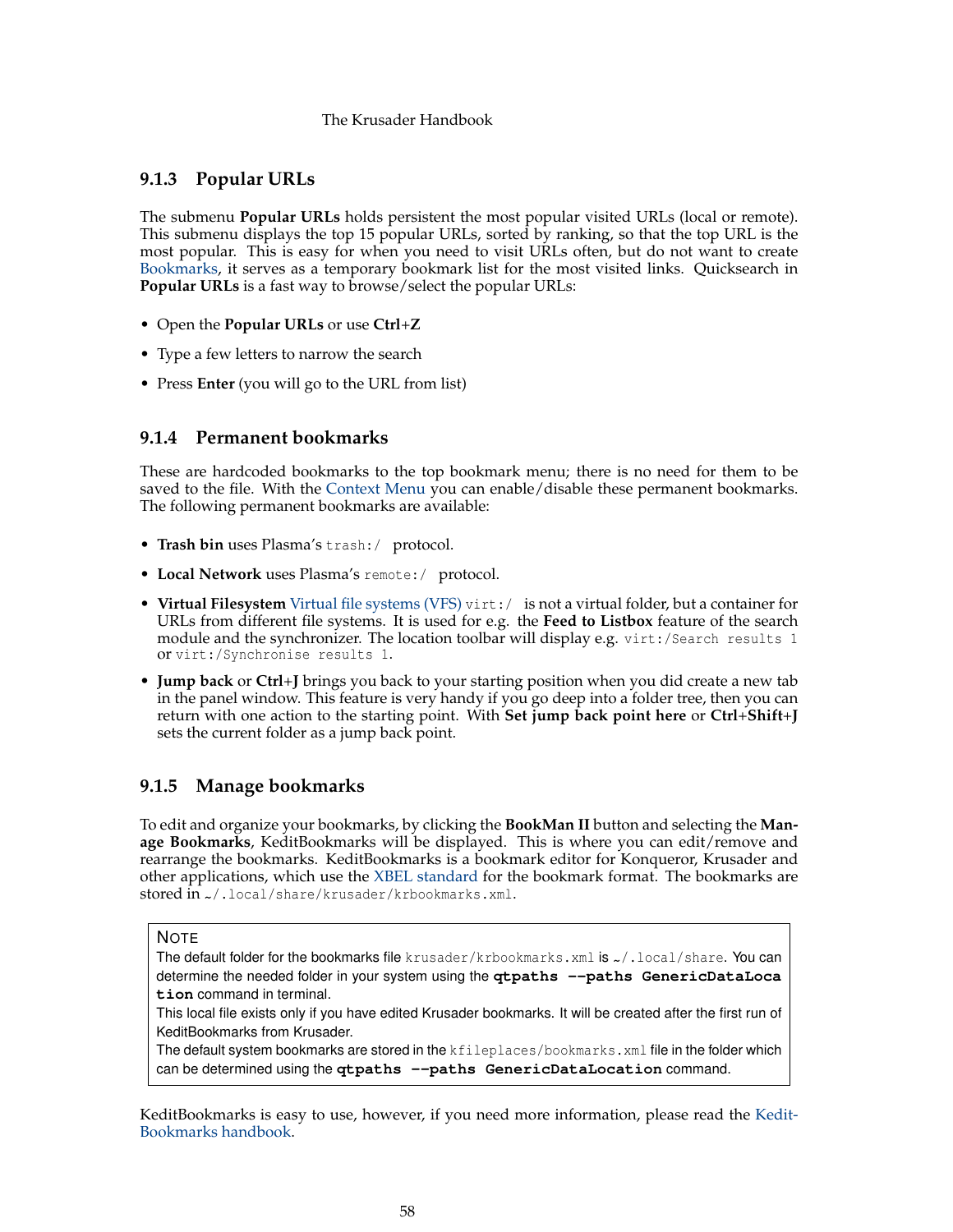# **9.1.3 Popular URLs**

The submenu **Popular URLs** holds persistent the most popular visited URLs (local or remote). This submenu displays the top 15 popular URLs, sorted by ranking, so that the top URL is the most popular. This is easy for when you need to visit URLs often, but do not want to create [Bookmarks,](#page-55-0) it serves as a temporary bookmark list for the most visited links. Quicksearch in **Popular URLs** is a fast way to browse/select the popular URLs:

- Open the **Popular URLs** or use **Ctrl**+**Z**
- Type a few letters to narrow the search
- Press **Enter** (you will go to the URL from list)

# **9.1.4 Permanent bookmarks**

These are hardcoded bookmarks to the top bookmark menu; there is no need for them to be saved to the file. With the [Context Menu](#page-30-0) you can enable/disable these permanent bookmarks. The following permanent bookmarks are available:

- **Trash bin** uses Plasma's trash:/ protocol.
- **Local Network** uses Plasma's remote:/ protocol.
- **Virtual Filesystem** [Virtual file systems \(VFS\)](#page-35-0) virt:/ is not a virtual folder, but a container for URLs from different file systems. It is used for e.g. the **Feed to Listbox** feature of the search module and the synchronizer. The location toolbar will display e.g. virt:/Search results 1 or virt:/Synchronise results 1.
- <span id="page-57-0"></span>• **Jump back** or **Ctrl**+**J** brings you back to your starting position when you did create a new tab in the panel window. This feature is very handy if you go deep into a folder tree, then you can return with one action to the starting point. With **Set jump back point here** or **Ctrl**+**Shift**+**J** sets the current folder as a jump back point.

# **9.1.5 Manage bookmarks**

To edit and organize your bookmarks, by clicking the **BookMan II** button and selecting the **Manage Bookmarks**, KeditBookmarks will be displayed. This is where you can edit/remove and rearrange the bookmarks. KeditBookmarks is a bookmark editor for Konqueror, Krusader and other applications, which use the [XBEL standard](http://grail.sourceforge.net/info/xbel.html) for the bookmark format. The bookmarks are stored in  $\sim$ /.local/share/krusader/krbookmarks.xml.

This local file exists only if you have edited Krusader bookmarks. It will be created after the first run of KeditBookmarks from Krusader.

The default system bookmarks are stored in the kfileplaces/bookmarks.xml file in the folder which can be determined using the **qtpaths --paths GenericDataLocation** command.

KeditBookmarks is easy to use, however, if you need more information, please read the [Kedit-](help:/keditbookmarks/index.html)[Bookmarks handbook.](help:/keditbookmarks/index.html)

**NOTE** 

The default folder for the bookmarks file krusader/krbookmarks.xml is ~/.local/share. You can determine the needed folder in your system using the **qtpaths --paths GenericDataLoca tion** command in terminal.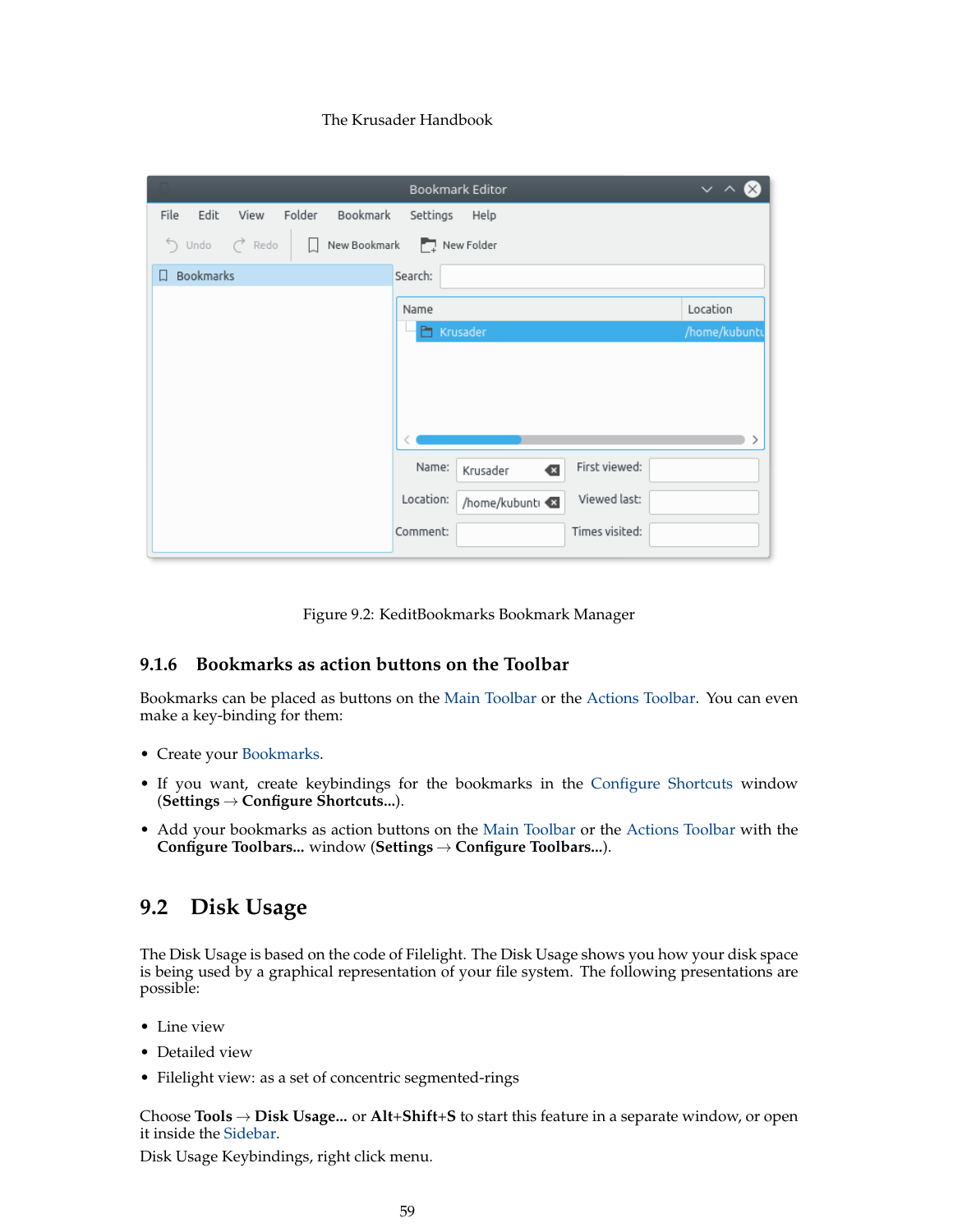|                                                     | Bookmark Editor                                 | $\checkmark$ / |
|-----------------------------------------------------|-------------------------------------------------|----------------|
| Folder<br>Edit<br>View<br>Bookmark<br>File          | Settings<br>Help                                |                |
| $\bigcirc$ Redo<br>New Bookmark<br>J Undo<br>$\Box$ | New Folder                                      |                |
| Bookmarks<br>Π.                                     | Search:                                         |                |
|                                                     | Name                                            | Location       |
|                                                     | Krusader                                        | /home/kubuntu  |
|                                                     |                                                 |                |
|                                                     |                                                 |                |
|                                                     |                                                 |                |
|                                                     |                                                 |                |
|                                                     | First viewed:<br>Name:<br>$\bullet$<br>Krusader |                |
|                                                     | Viewed last:<br>Location:<br>/home/kubunti      |                |
|                                                     | Times visited:<br>Comment:                      |                |

Figure 9.2: KeditBookmarks Bookmark Manager

# **9.1.6 Bookmarks as action buttons on the Toolbar**

Bookmarks can be placed as buttons on the [Main Toolbar](#page-20-0) or the [Actions Toolbar.](#page-22-1) You can even make a key-binding for them:

- Create your [Bookmarks.](#page-55-0)
- If you want, create keybindings for the bookmarks in the [Configure Shortcuts](#page-48-0) window (**Settings** → **Configure Shortcuts...**).
- Add your bookmarks as action buttons on the [Main Toolbar](#page-20-0) or the [Actions Toolbar](#page-22-1) with the **Configure Toolbars...** window (**Settings** → **Configure Toolbars...**).

# **9.2 Disk Usage**

<span id="page-58-0"></span>The Disk Usage is based on the code of Filelight. The Disk Usage shows you how your disk space is being used by a graphical representation of your file system. The following presentations are possible:

- Line view
- Detailed view
- Filelight view: as a set of concentric segmented-rings

Choose **Tools** → **Disk Usage...** or **Alt**+**Shift**+**S** to start this feature in a separate window, or open it inside the [Sidebar.](#page-24-0)

Disk Usage Keybindings, right click menu.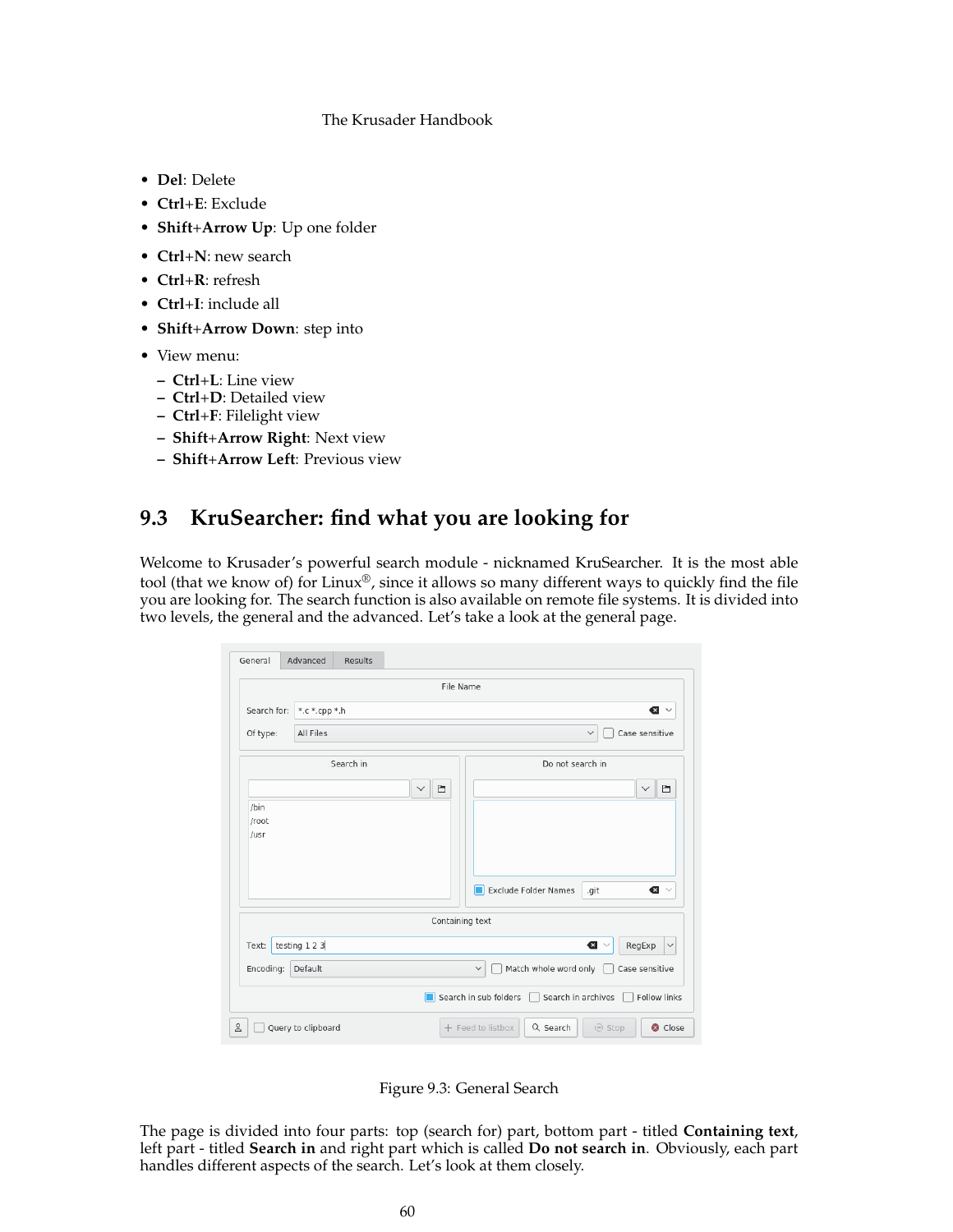- **Del**: Delete
- **Ctrl**+**E**: Exclude
- **Shift**+**Arrow Up**: Up one folder
- **Ctrl**+**N**: new search
- **Ctrl**+**R**: refresh
- **Ctrl**+**I**: include all
- **Shift**+**Arrow Down**: step into
- View menu:
	- **– Ctrl**+**L**: Line view
	- **– Ctrl**+**D**: Detailed view
	- **– Ctrl**+**F**: Filelight view
	- **– Shift**+**Arrow Right**: Next view
	- **– Shift**+**Arrow Left**: Previous view

# **9.3 KruSearcher: find what you are looking for**

<span id="page-59-0"></span>Welcome to Krusader's powerful search module - nicknamed KruSearcher. It is the most able tool (that we know of) for Linux®, since it allows so many different ways to quickly find the file you are looking for. The search function is also available on remote file systems. It is divided into two levels, the general and the advanced. Let's take a look at the general page.

| General       | Advanced<br>Results |                   |                                                             |
|---------------|---------------------|-------------------|-------------------------------------------------------------|
|               |                     | File Name         |                                                             |
| Search for:   | *.c *.cpp *.h       |                   | $\bullet$                                                   |
| Of type:      | All Files           |                   | Case sensitive<br>$\checkmark$                              |
|               | Search in           |                   | Do not search in                                            |
|               |                     | 自<br>$\checkmark$ | Ò<br>$\checkmark$                                           |
| /bin          |                     |                   |                                                             |
| /root<br>/usr |                     |                   |                                                             |
|               |                     |                   |                                                             |
|               |                     |                   |                                                             |
|               |                     |                   | Exclude Folder Names<br>⊓<br>.git<br>$\bullet$              |
|               |                     | Containing text   |                                                             |
| Text:         | testing 1 2 3       |                   | $\bullet$<br>RegExp<br>$\checkmark$                         |
| Encoding:     | Default             |                   | Match whole word only<br>Case sensitive<br>$\checkmark$     |
|               |                     | п                 | Search in sub folders<br>Search in archives<br>Follow links |
|               | Query to clipboard  |                   | + Feed to listbox<br>Q Search<br>⊖ Stop<br>Close            |

Figure 9.3: General Search

The page is divided into four parts: top (search for) part, bottom part - titled **Containing text**, left part - titled **Search in** and right part which is called **Do not search in**. Obviously, each part handles different aspects of the search. Let's look at them closely.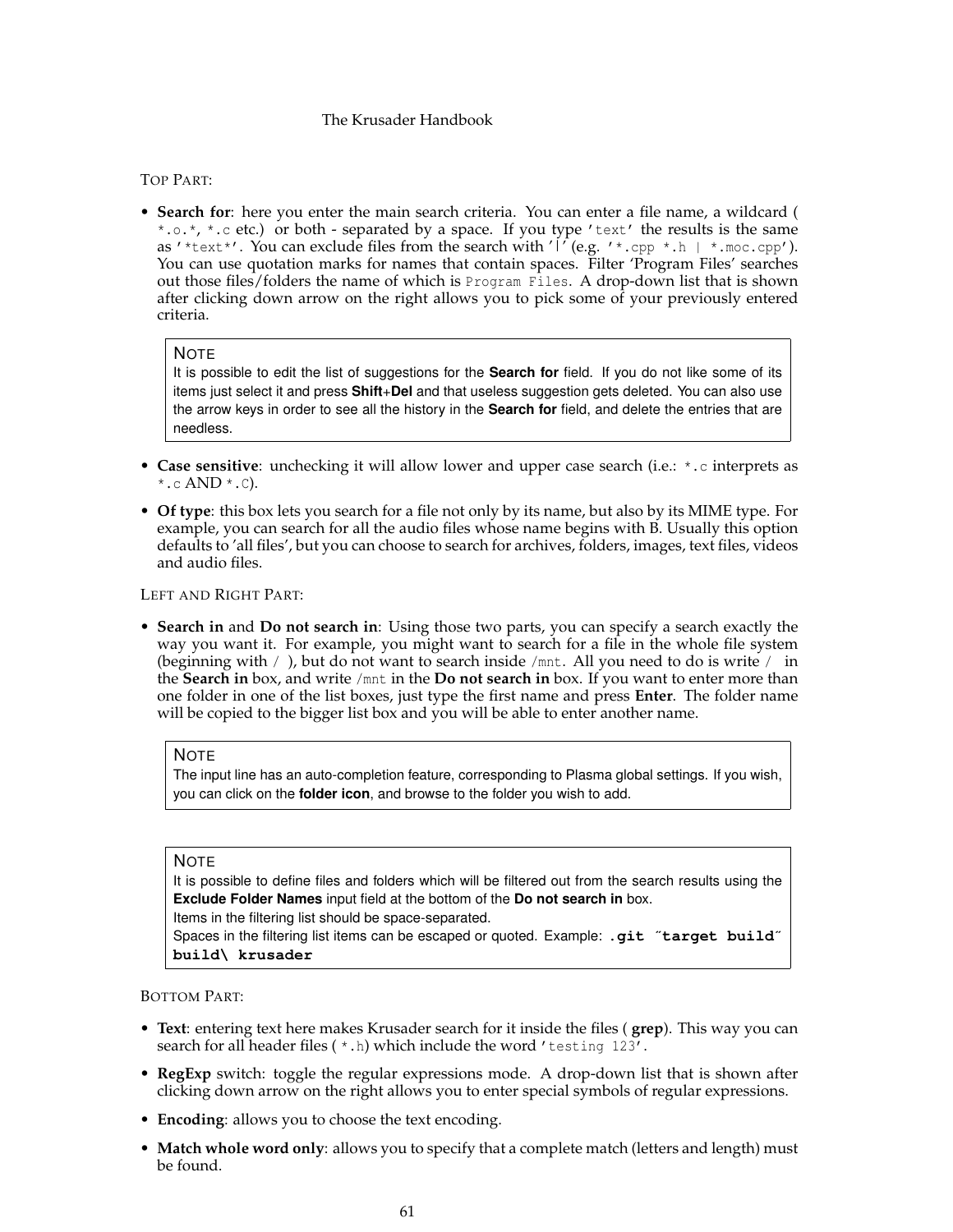# TOP PART:

• **Search for**: here you enter the main search criteria. You can enter a file name, a wildcard ( \*.o.\*, \*.c etc.) or both - separated by a space. If you type 'text' the results is the same as '\*text\*'. You can exclude files from the search with ' $\int$ ' (e.g. '\*.cpp \*.h | \*.moc.cpp'). You can use quotation marks for names that contain spaces. Filter 'Program Files' searches out those files/folders the name of which is Program Files. A drop-down list that is shown after clicking down arrow on the right allows you to pick some of your previously entered criteria.

## **NOTE**

It is possible to edit the list of suggestions for the **Search for** field. If you do not like some of its items just select it and press **Shift**+**Del** and that useless suggestion gets deleted. You can also use the arrow keys in order to see all the history in the **Search for** field, and delete the entries that are needless.

- **Case sensitive**: unchecking it will allow lower and upper case search (i.e.: \*.c interprets as  $^*$ .c AND  $^*$ .c).
- **Of type**: this box lets you search for a file not only by its name, but also by its MIME type. For example, you can search for all the audio files whose name begins with B. Usually this option defaults to 'all files', but you can choose to search for archives, folders, images, text files, videos and audio files.

## LEFT AND RIGHT PART:

• **Search in** and **Do not search in**: Using those two parts, you can specify a search exactly the way you want it. For example, you might want to search for a file in the whole file system (beginning with / ), but do not want to search inside /mnt. All you need to do is write / in the **Search in** box, and write /mnt in the **Do not search in** box. If you want to enter more than one folder in one of the list boxes, just type the first name and press **Enter**. The folder name will be copied to the bigger list box and you will be able to enter another name.

### **NOTE**

The input line has an auto-completion feature, corresponding to Plasma global settings. If you wish, you can click on the **folder icon**, and browse to the folder you wish to add.

### **NOTE**

It is possible to define files and folders which will be filtered out from the search results using the **Exclude Folder Names** input field at the bottom of the **Do not search in** box.

Items in the filtering list should be space-separated.

Spaces in the filtering list items can be escaped or quoted. Example: **.git** ˝**target build**˝ **build\ krusader**

BOTTOM PART:

- **Text**: entering text here makes Krusader search for it inside the files ( **grep**). This way you can search for all header files  $(*.h)$  which include the word 'testing 123'.
- **RegExp** switch: toggle the regular expressions mode. A drop-down list that is shown after clicking down arrow on the right allows you to enter special symbols of regular expressions.
- **Encoding**: allows you to choose the text encoding.
- **Match whole word only**: allows you to specify that a complete match (letters and length) must be found.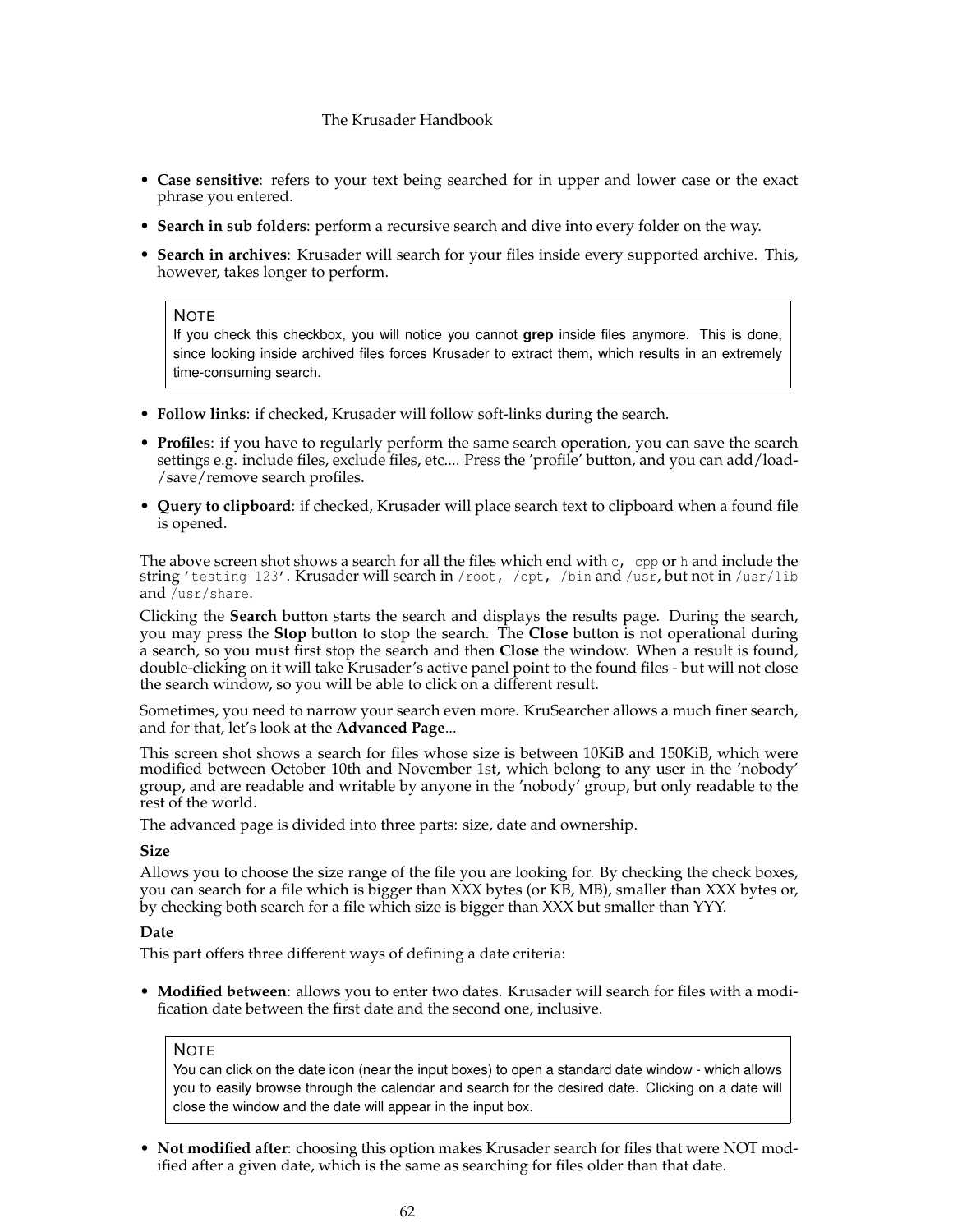- **Case sensitive**: refers to your text being searched for in upper and lower case or the exact phrase you entered.
- **Search in sub folders**: perform a recursive search and dive into every folder on the way.
- **Search in archives**: Krusader will search for your files inside every supported archive. This, however, takes longer to perform.

## **NOTE**

If you check this checkbox, you will notice you cannot **grep** inside files anymore. This is done, since looking inside archived files forces Krusader to extract them, which results in an extremely time-consuming search.

- **Follow links**: if checked, Krusader will follow soft-links during the search.
- **Profiles**: if you have to regularly perform the same search operation, you can save the search settings e.g. include files, exclude files, etc.... Press the 'profile' button, and you can add/load- /save/remove search profiles.
- **Query to clipboard**: if checked, Krusader will place search text to clipboard when a found file is opened.

The above screen shot shows a search for all the files which end with  $c$ , cpp or h and include the string 'testing 123'. Krusader will search in /root, /opt, /bin and /usr, but not in /usr/lib and /usr/share.

Clicking the **Search** button starts the search and displays the results page. During the search, you may press the **Stop** button to stop the search. The **Close** button is not operational during a search, so you must first stop the search and then **Close** the window. When a result is found, double-clicking on it will take Krusader's active panel point to the found files - but will not close the search window, so you will be able to click on a different result.

Sometimes, you need to narrow your search even more. KruSearcher allows a much finer search, and for that, let's look at the **Advanced Page**...

This screen shot shows a search for files whose size is between 10KiB and 150KiB, which were modified between October 10th and November 1st, which belong to any user in the 'nobody' group, and are readable and writable by anyone in the 'nobody' group, but only readable to the rest of the world.

The advanced page is divided into three parts: size, date and ownership.

## **Size**

Allows you to choose the size range of the file you are looking for. By checking the check boxes, you can search for a file which is bigger than XXX bytes (or KB, MB), smaller than XXX bytes or, by checking both search for a file which size is bigger than XXX but smaller than YYY.

## **Date**

This part offers three different ways of defining a date criteria:

• **Modified between**: allows you to enter two dates. Krusader will search for files with a modification date between the first date and the second one, inclusive.

## NOTE

You can click on the date icon (near the input boxes) to open a standard date window - which allows you to easily browse through the calendar and search for the desired date. Clicking on a date will close the window and the date will appear in the input box.

• **Not modified after**: choosing this option makes Krusader search for files that were NOT modified after a given date, which is the same as searching for files older than that date.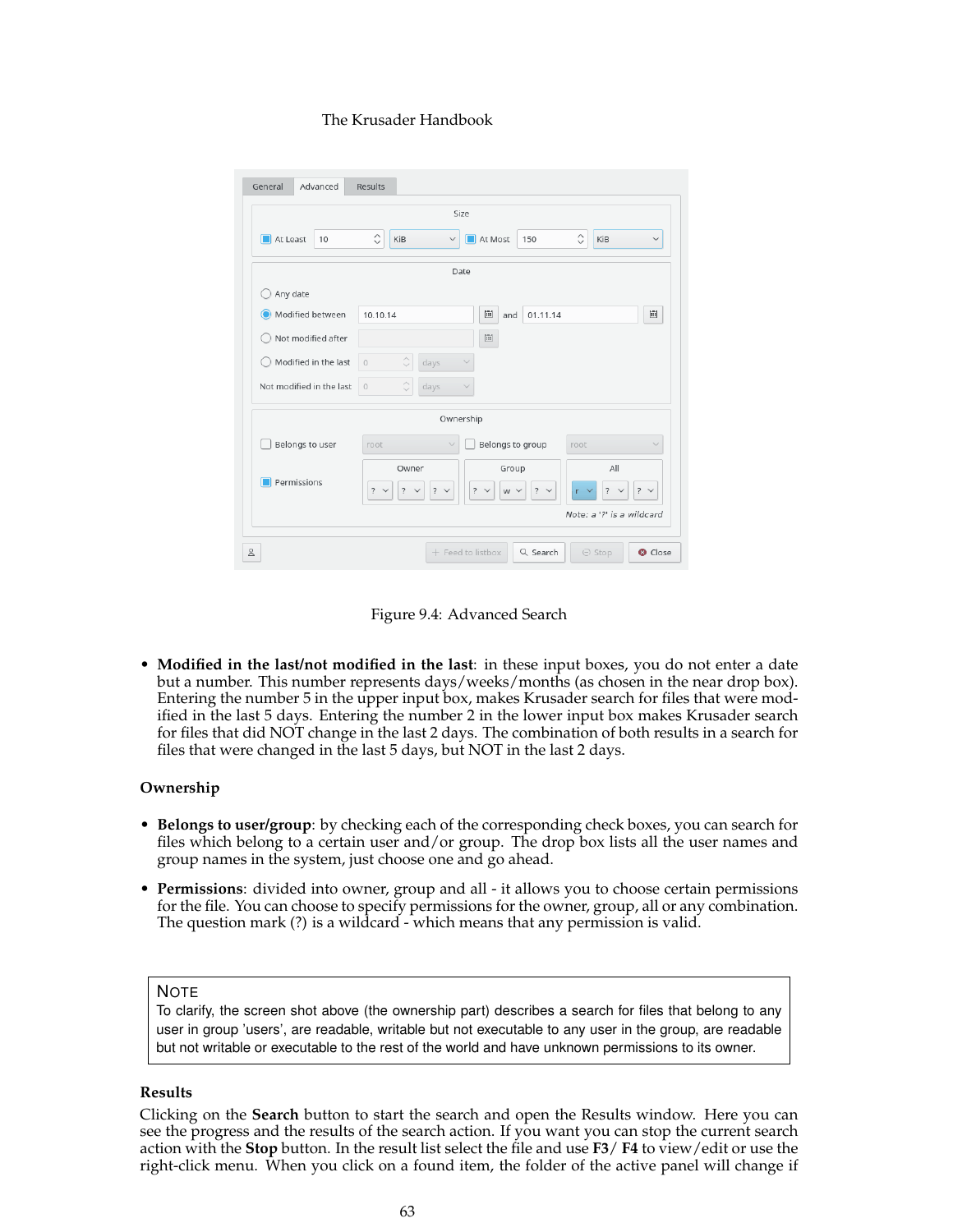| Advanced<br>General       | Results                                                                                                                                                                                            |  |  |
|---------------------------|----------------------------------------------------------------------------------------------------------------------------------------------------------------------------------------------------|--|--|
|                           | Size                                                                                                                                                                                               |  |  |
| $\Box$ At Least<br>10     | $\hat{\mathcal{C}}$<br>$\hat{C}$<br>At Most<br>KiB<br>KiB<br>150<br>$\checkmark$<br>$\checkmark$                                                                                                   |  |  |
|                           | Date                                                                                                                                                                                               |  |  |
| Any date                  |                                                                                                                                                                                                    |  |  |
| Modified between          | 圖<br>圖<br>10.10.14<br>01.11.14<br>and                                                                                                                                                              |  |  |
| Not modified after        | 圖                                                                                                                                                                                                  |  |  |
| Modified in the last      | $\hat{\mathbb{C}}$<br>days<br>$\circ$<br>$\checkmark$                                                                                                                                              |  |  |
| Not modified in the last  | Ĉ<br>$\circ$<br>days                                                                                                                                                                               |  |  |
|                           | Ownership                                                                                                                                                                                          |  |  |
| Belongs to user           | Belongs to group<br>root<br>root                                                                                                                                                                   |  |  |
| Permissions               | All<br>Owner<br>Group<br>$? \vee$<br>$7 \times$<br>$\overline{\mathcal{E}}$<br>$? \vee$<br>$\overline{?}$<br>$?$ $\vee$<br>$7 \times$<br>W V<br>r.<br>$\checkmark$<br>$\checkmark$<br>$\checkmark$ |  |  |
| Note: a '?' is a wildcard |                                                                                                                                                                                                    |  |  |
| Å                         | + Feed to listbox<br>Q Search<br>$\ominus$ Stop<br>Close                                                                                                                                           |  |  |

Figure 9.4: Advanced Search

• **Modified in the last/not modified in the last**: in these input boxes, you do not enter a date but a number. This number represents days/weeks/months (as chosen in the near drop box). Entering the number 5 in the upper input box, makes Krusader search for files that were modified in the last 5 days. Entering the number 2 in the lower input box makes Krusader search for files that did NOT change in the last 2 days. The combination of both results in a search for files that were changed in the last 5 days, but NOT in the last 2 days.

# **Ownership**

- **Belongs to user/group**: by checking each of the corresponding check boxes, you can search for files which belong to a certain user and/or group. The drop box lists all the user names and group names in the system, just choose one and go ahead.
- **Permissions**: divided into owner, group and all it allows you to choose certain permissions for the file. You can choose to specify permissions for the owner, group, all or any combination. The question mark (?) is a wildcard - which means that any permission is valid.

# **NOTE**

To clarify, the screen shot above (the ownership part) describes a search for files that belong to any user in group 'users', are readable, writable but not executable to any user in the group, are readable but not writable or executable to the rest of the world and have unknown permissions to its owner.

# **Results**

Clicking on the **Search** button to start the search and open the Results window. Here you can see the progress and the results of the search action. If you want you can stop the current search action with the **Stop** button. In the result list select the file and use **F3**/ **F4** to view/edit or use the right-click menu. When you click on a found item, the folder of the active panel will change if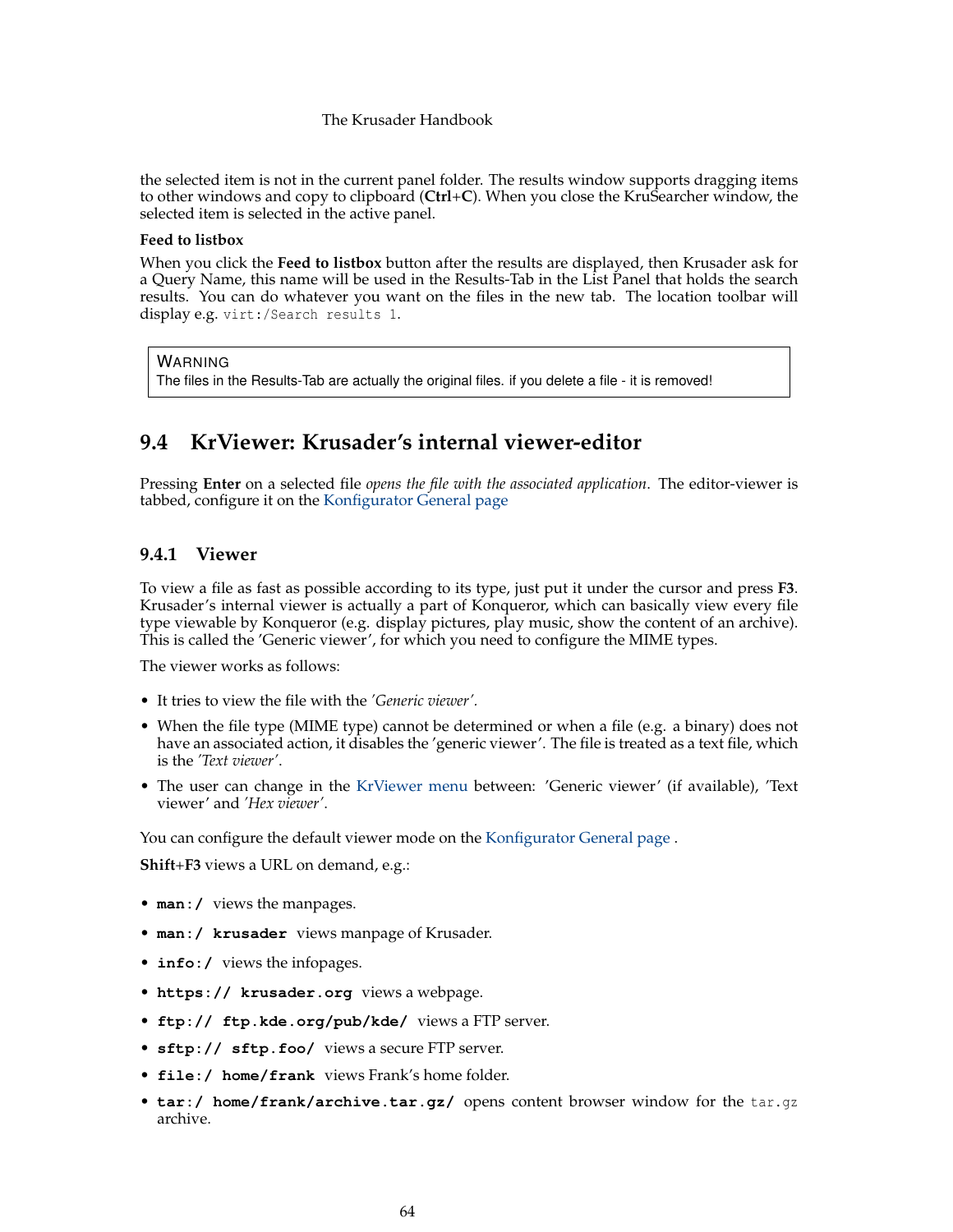the selected item is not in the current panel folder. The results window supports dragging items to other windows and copy to clipboard (**Ctrl**+**C**). When you close the KruSearcher window, the selected item is selected in the active panel.

# **Feed to listbox**

When you click the **Feed to listbox** button after the results are displayed, then Krusader ask for a Query Name, this name will be used in the Results-Tab in the List Panel that holds the search results. You can do whatever you want on the files in the new tab. The location toolbar will display e.g. virt:/Search results 1.

### WARNING

The files in the Results-Tab are actually the original files. if you delete a file - it is removed!

# **9.4 KrViewer: Krusader's internal viewer-editor**

<span id="page-63-0"></span>Pressing **Enter** on a selected file *opens the file with the associated application*. The editor-viewer is tabbed, configure it on the [Konfigurator General page](#page-102-0)

# **9.4.1 Viewer**

To view a file as fast as possible according to its type, just put it under the cursor and press **F3**. Krusader's internal viewer is actually a part of Konqueror, which can basically view every file type viewable by Konqueror (e.g. display pictures, play music, show the content of an archive). This is called the 'Generic viewer', for which you need to configure the MIME types.

The viewer works as follows:

- It tries to view the file with the *'Generic viewer'.*
- When the file type (MIME type) cannot be determined or when a file (e.g. a binary) does not have an associated action, it disables the 'generic viewer'. The file is treated as a text file, which is the *'Text viewer'*.
- The user can change in the [KrViewer menu](#page-71-0) between: 'Generic viewer' (if available), 'Text viewer' and *'Hex viewer'*.

You can configure the default viewer mode on the [Konfigurator General page](#page-102-0).

**Shift**+**F3** views a URL on demand, e.g.:

- **man:** / views the manpages.
- **man:/ krusader** views manpage of Krusader.
- **info:/** views the infopages.
- **https:// krusader.org** views a webpage.
- **ftp:// ftp.kde.org/pub/kde/** views a FTP server.
- **sftp:// sftp.foo/** views a secure FTP server.
- **file:/ home/frank** views Frank's home folder.
- **tar:/ home/frank/archive.tar.gz/** opens content browser window for the tar.gz archive.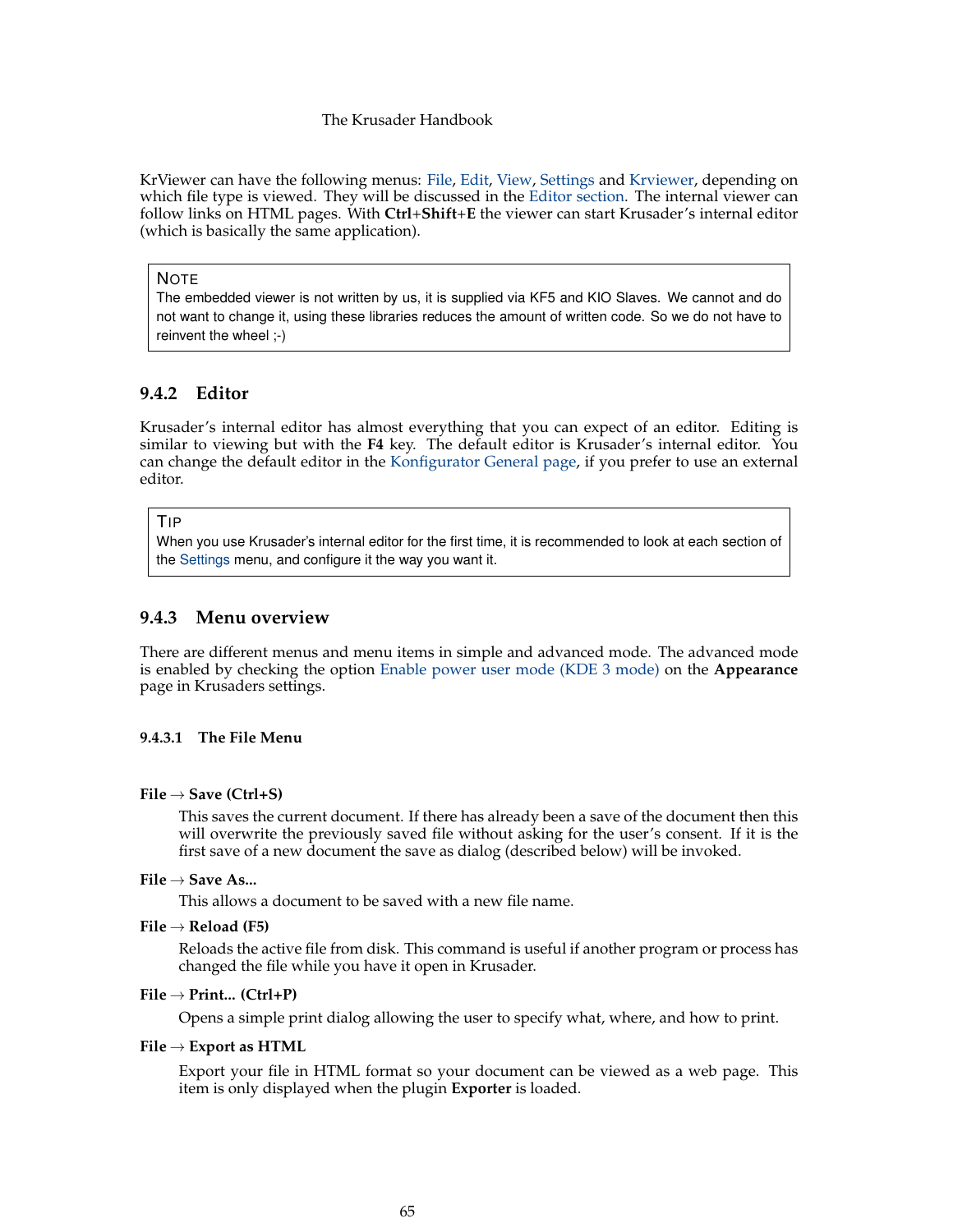KrViewer can have the following menus: [File,](#page-64-1) [Edit,](#page-65-0) [View,](#page-67-0) [Settings](#page-71-1) and [Krviewer,](#page-71-0) depending on which file type is viewed. They will be discussed in the [Editor section.](#page-64-0) The internal viewer can follow links on HTML pages. With **Ctrl**+**Shift**+**E** the viewer can start Krusader's internal editor (which is basically the same application).

### NOTE

The embedded viewer is not written by us, it is supplied via KF5 and KIO Slaves. We cannot and do not want to change it, using these libraries reduces the amount of written code. So we do not have to reinvent the wheel ;-)

# **9.4.2 Editor**

<span id="page-64-0"></span>Krusader's internal editor has almost everything that you can expect of an editor. Editing is similar to viewing but with the **F4** key. The default editor is Krusader's internal editor. You can change the default editor in the [Konfigurator General page,](#page-102-0) if you prefer to use an external editor.

### TIP

When you use Krusader's internal editor for the first time, it is recommended to look at each section of the [Settings](#page-71-1) menu, and configure it the way you want it.

# **9.4.3 Menu overview**

There are different menus and menu items in simple and advanced mode. The advanced mode is enabled by checking the option [Enable power user mode \(KDE 3 mode\)](#page-72-0) on the **Appearance** page in Krusaders settings.

# <span id="page-64-1"></span>**9.4.3.1 The File Menu**

# **File** → **Save (Ctrl+S)**

This saves the current document. If there has already been a save of the document then this will overwrite the previously saved file without asking for the user's consent. If it is the first save of a new document the save as dialog (described below) will be invoked.

# **File** → **Save As...**

This allows a document to be saved with a new file name.

**File** → **Reload (F5)**

Reloads the active file from disk. This command is useful if another program or process has changed the file while you have it open in Krusader.

### **File** → **Print... (Ctrl+P)**

Opens a simple print dialog allowing the user to specify what, where, and how to print.

## **File** → **Export as HTML**

Export your file in HTML format so your document can be viewed as a web page. This item is only displayed when the plugin **Exporter** is loaded.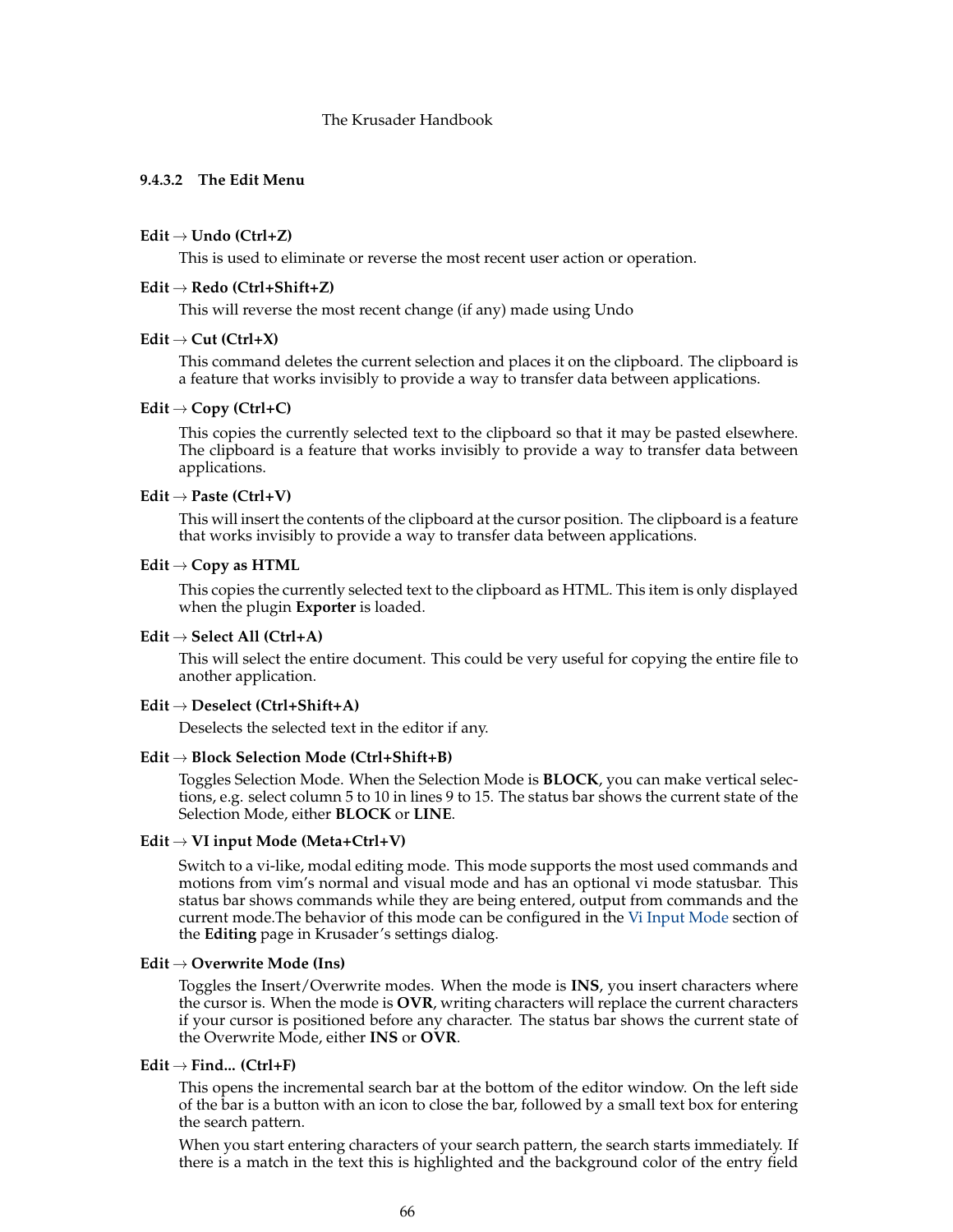# <span id="page-65-0"></span>**9.4.3.2 The Edit Menu**

### **Edit** → **Undo (Ctrl+Z)**

This is used to eliminate or reverse the most recent user action or operation.

### **Edit** → **Redo (Ctrl+Shift+Z)**

This will reverse the most recent change (if any) made using Undo

#### $Edit \rightarrow Cut (Ctrl+X)$

This command deletes the current selection and places it on the clipboard. The clipboard is a feature that works invisibly to provide a way to transfer data between applications.

### **Edit** → **Copy (Ctrl+C)**

This copies the currently selected text to the clipboard so that it may be pasted elsewhere. The clipboard is a feature that works invisibly to provide a way to transfer data between applications.

# **Edit** → **Paste (Ctrl+V)**

This will insert the contents of the clipboard at the cursor position. The clipboard is a feature that works invisibly to provide a way to transfer data between applications.

### **Edit** → **Copy as HTML**

This copies the currently selected text to the clipboard as HTML. This item is only displayed when the plugin **Exporter** is loaded.

### **Edit** → **Select All (Ctrl+A)**

This will select the entire document. This could be very useful for copying the entire file to another application.

#### **Edit** → **Deselect (Ctrl+Shift+A)**

Deselects the selected text in the editor if any.

### **Edit** → **Block Selection Mode (Ctrl+Shift+B)**

Toggles Selection Mode. When the Selection Mode is **BLOCK**, you can make vertical selections, e.g. select column 5 to 10 in lines 9 to 15. The status bar shows the current state of the Selection Mode, either **BLOCK** or **LINE**.

### **Edit** → **VI input Mode (Meta+Ctrl+V)**

Switch to a vi-like, modal editing mode. This mode supports the most used commands and motions from vim's normal and visual mode and has an optional vi mode statusbar. This status bar shows commands while they are being entered, output from commands and the current mode.The behavior of this mode can be configured in the [Vi Input Mode](#page-77-0) section of the **Editing** page in Krusader's settings dialog.

### **Edit** → **Overwrite Mode (Ins)**

Toggles the Insert/Overwrite modes. When the mode is **INS**, you insert characters where the cursor is. When the mode is **OVR**, writing characters will replace the current characters if your cursor is positioned before any character. The status bar shows the current state of the Overwrite Mode, either **INS** or **OVR**.

## **Edit** → **Find... (Ctrl+F)**

This opens the incremental search bar at the bottom of the editor window. On the left side of the bar is a button with an icon to close the bar, followed by a small text box for entering the search pattern.

When you start entering characters of your search pattern, the search starts immediately. If there is a match in the text this is highlighted and the background color of the entry field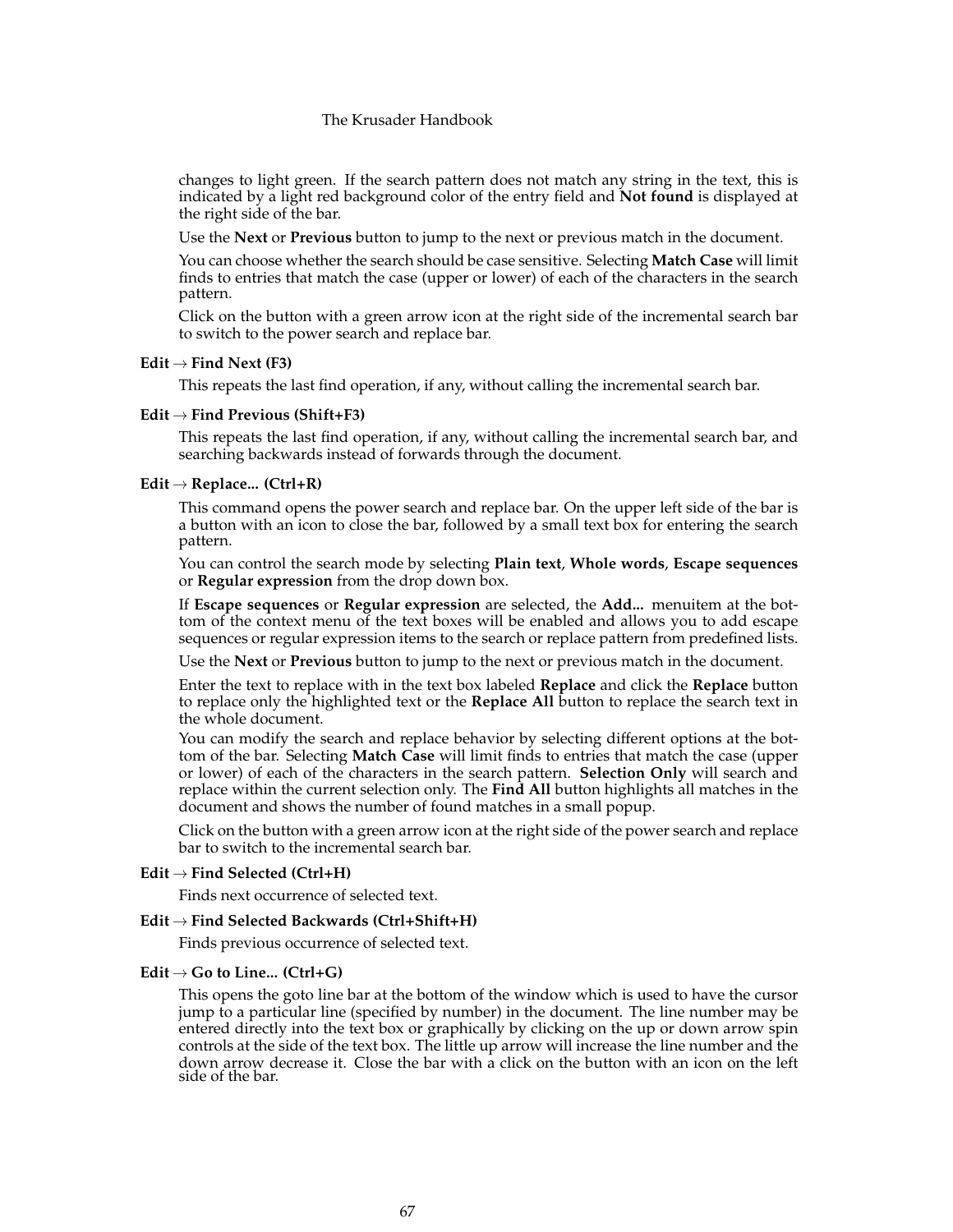changes to light green. If the search pattern does not match any string in the text, this is indicated by a light red background color of the entry field and **Not found** is displayed at the right side of the bar.

Use the **Next** or **Previous** button to jump to the next or previous match in the document.

You can choose whether the search should be case sensitive. Selecting **Match Case** will limit finds to entries that match the case (upper or lower) of each of the characters in the search pattern.

Click on the button with a green arrow icon at the right side of the incremental search bar to switch to the power search and replace bar.

#### $Edit \rightarrow Find Next (F3)$

This repeats the last find operation, if any, without calling the incremental search bar.

#### **Edit** → **Find Previous (Shift+F3)**

This repeats the last find operation, if any, without calling the incremental search bar, and searching backwards instead of forwards through the document.

### **Edit** → **Replace... (Ctrl+R)**

This command opens the power search and replace bar. On the upper left side of the bar is a button with an icon to close the bar, followed by a small text box for entering the search pattern.

You can control the search mode by selecting **Plain text**, **Whole words**, **Escape sequences** or **Regular expression** from the drop down box.

If **Escape sequences** or **Regular expression** are selected, the **Add...** menuitem at the bottom of the context menu of the text boxes will be enabled and allows you to add escape sequences or regular expression items to the search or replace pattern from predefined lists.

Use the **Next** or **Previous** button to jump to the next or previous match in the document.

Enter the text to replace with in the text box labeled **Replace** and click the **Replace** button to replace only the highlighted text or the **Replace All** button to replace the search text in the whole document.

You can modify the search and replace behavior by selecting different options at the bottom of the bar. Selecting **Match Case** will limit finds to entries that match the case (upper or lower) of each of the characters in the search pattern. **Selection Only** will search and replace within the current selection only. The **Find All** button highlights all matches in the document and shows the number of found matches in a small popup.

Click on the button with a green arrow icon at the right side of the power search and replace bar to switch to the incremental search bar.

### **Edit** → **Find Selected (Ctrl+H)**

Finds next occurrence of selected text.

#### **Edit** → **Find Selected Backwards (Ctrl+Shift+H)**

Finds previous occurrence of selected text.

### **Edit** → **Go to Line... (Ctrl+G)**

This opens the goto line bar at the bottom of the window which is used to have the cursor jump to a particular line (specified by number) in the document. The line number may be entered directly into the text box or graphically by clicking on the up or down arrow spin controls at the side of the text box. The little up arrow will increase the line number and the down arrow decrease it. Close the bar with a click on the button with an icon on the left side of the bar.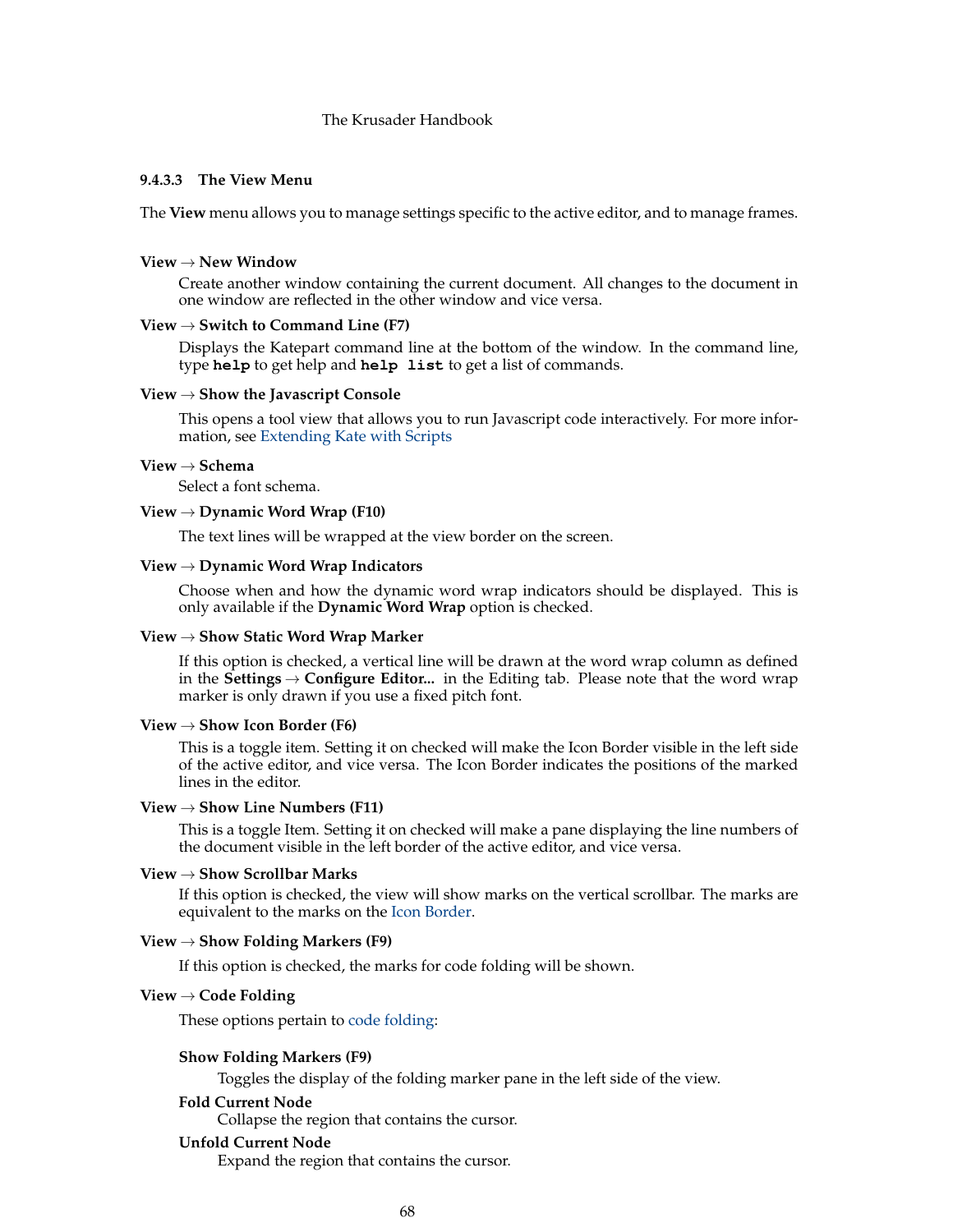### **9.4.3.3 The View Menu**

<span id="page-67-0"></span>The **View** menu allows you to manage settings specific to the active editor, and to manage frames.

#### **View** → **New Window**

Create another window containing the current document. All changes to the document in one window are reflected in the other window and vice versa.

## **View** → **Switch to Command Line (F7)**

Displays the Katepart command line at the bottom of the window. In the command line, type **help** to get help and **help list** to get a list of commands.

#### **View** → **Show the Javascript Console**

This opens a tool view that allows you to run Javascript code interactively. For more information, see [Extending Kate with Scripts](help:/katepart/advanced-editing-tools-scripting.html)

### **View** → **Schema**

Select a font schema.

# **View** → **Dynamic Word Wrap (F10)**

The text lines will be wrapped at the view border on the screen.

### **View** → **Dynamic Word Wrap Indicators**

Choose when and how the dynamic word wrap indicators should be displayed. This is only available if the **Dynamic Word Wrap** option is checked.

### **View** → **Show Static Word Wrap Marker**

If this option is checked, a vertical line will be drawn at the word wrap column as defined in the **Settings** → **Configure Editor...** in the Editing tab. Please note that the word wrap marker is only drawn if you use a fixed pitch font.

### <span id="page-67-1"></span>**View** → **Show Icon Border (F6)**

This is a toggle item. Setting it on checked will make the Icon Border visible in the left side of the active editor, and vice versa. The Icon Border indicates the positions of the marked lines in the editor.

### **View** → **Show Line Numbers (F11)**

This is a toggle Item. Setting it on checked will make a pane displaying the line numbers of the document visible in the left border of the active editor, and vice versa.

### **View** → **Show Scrollbar Marks**

If this option is checked, the view will show marks on the vertical scrollbar. The marks are equivalent to the marks on the [Icon Border.](#page-67-1)

### **View** → **Show Folding Markers (F9)**

If this option is checked, the marks for code folding will be shown.

#### **View** → **Code Folding**

These options pertain to [code folding:](help:/katepart/advanced-editing-tools-code-folding.html)

### **Show Folding Markers (F9)**

Toggles the display of the folding marker pane in the left side of the view.

### **Fold Current Node**

Collapse the region that contains the cursor.

#### **Unfold Current Node**

Expand the region that contains the cursor.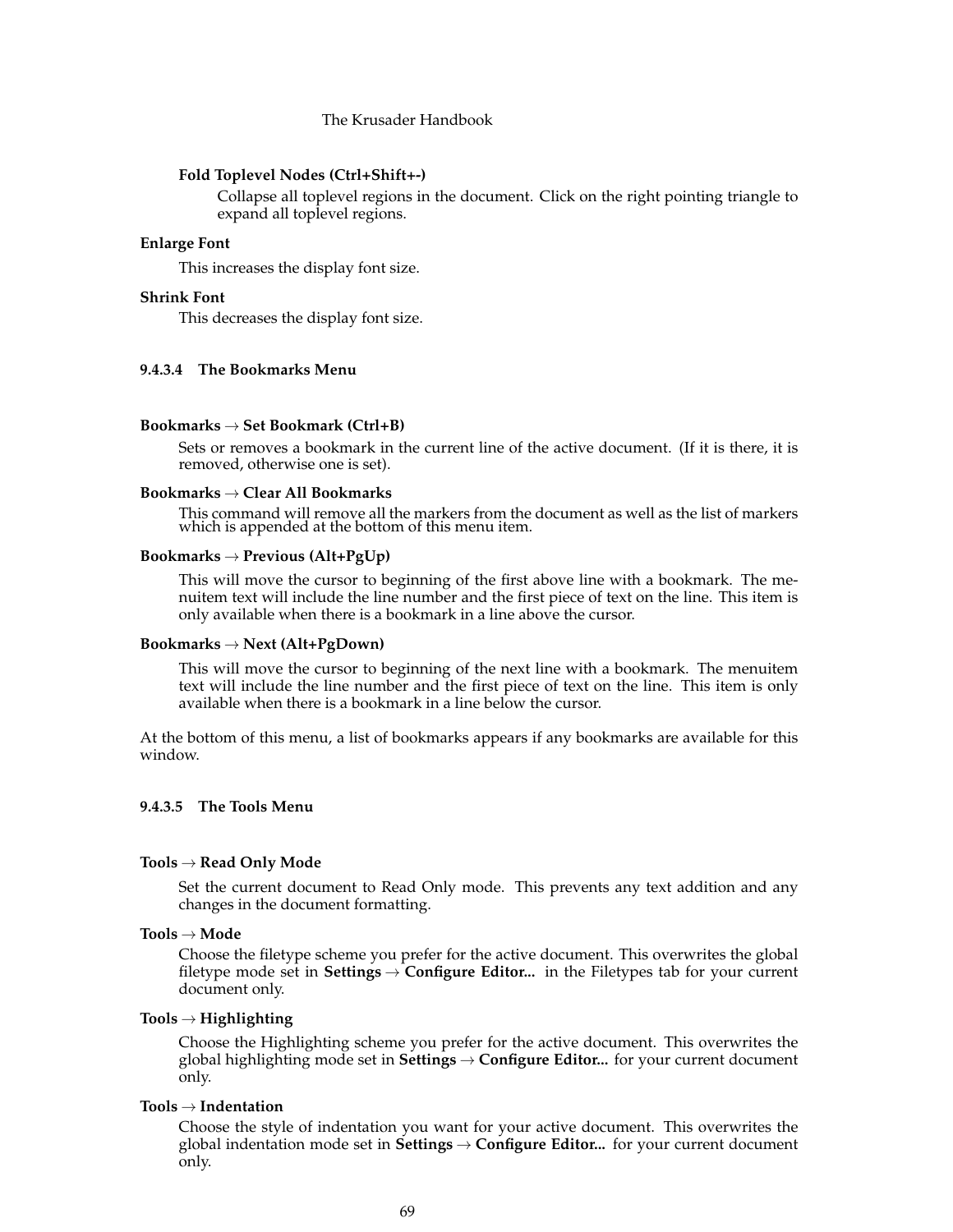#### **Fold Toplevel Nodes (Ctrl+Shift+-)**

Collapse all toplevel regions in the document. Click on the right pointing triangle to expand all toplevel regions.

### **Enlarge Font**

This increases the display font size.

# **Shrink Font**

This decreases the display font size.

### **9.4.3.4 The Bookmarks Menu**

### **Bookmarks** → **Set Bookmark (Ctrl+B)**

Sets or removes a bookmark in the current line of the active document. (If it is there, it is removed, otherwise one is set).

### **Bookmarks** → **Clear All Bookmarks**

This command will remove all the markers from the document as well as the list of markers which is appended at the bottom of this menu item.

### **Bookmarks** → **Previous (Alt+PgUp)**

This will move the cursor to beginning of the first above line with a bookmark. The menuitem text will include the line number and the first piece of text on the line. This item is only available when there is a bookmark in a line above the cursor.

#### **Bookmarks** → **Next (Alt+PgDown)**

This will move the cursor to beginning of the next line with a bookmark. The menuitem text will include the line number and the first piece of text on the line. This item is only available when there is a bookmark in a line below the cursor.

At the bottom of this menu, a list of bookmarks appears if any bookmarks are available for this window.

### **9.4.3.5 The Tools Menu**

### **Tools** → **Read Only Mode**

Set the current document to Read Only mode. This prevents any text addition and any changes in the document formatting.

### **Tools** → **Mode**

Choose the filetype scheme you prefer for the active document. This overwrites the global filetype mode set in **Settings** → **Configure Editor...** in the Filetypes tab for your current document only.

### **Tools** → **Highlighting**

Choose the Highlighting scheme you prefer for the active document. This overwrites the global highlighting mode set in **Settings** → **Configure Editor...** for your current document only.

### **Tools** → **Indentation**

Choose the style of indentation you want for your active document. This overwrites the global indentation mode set in **Settings** → **Configure Editor...** for your current document only.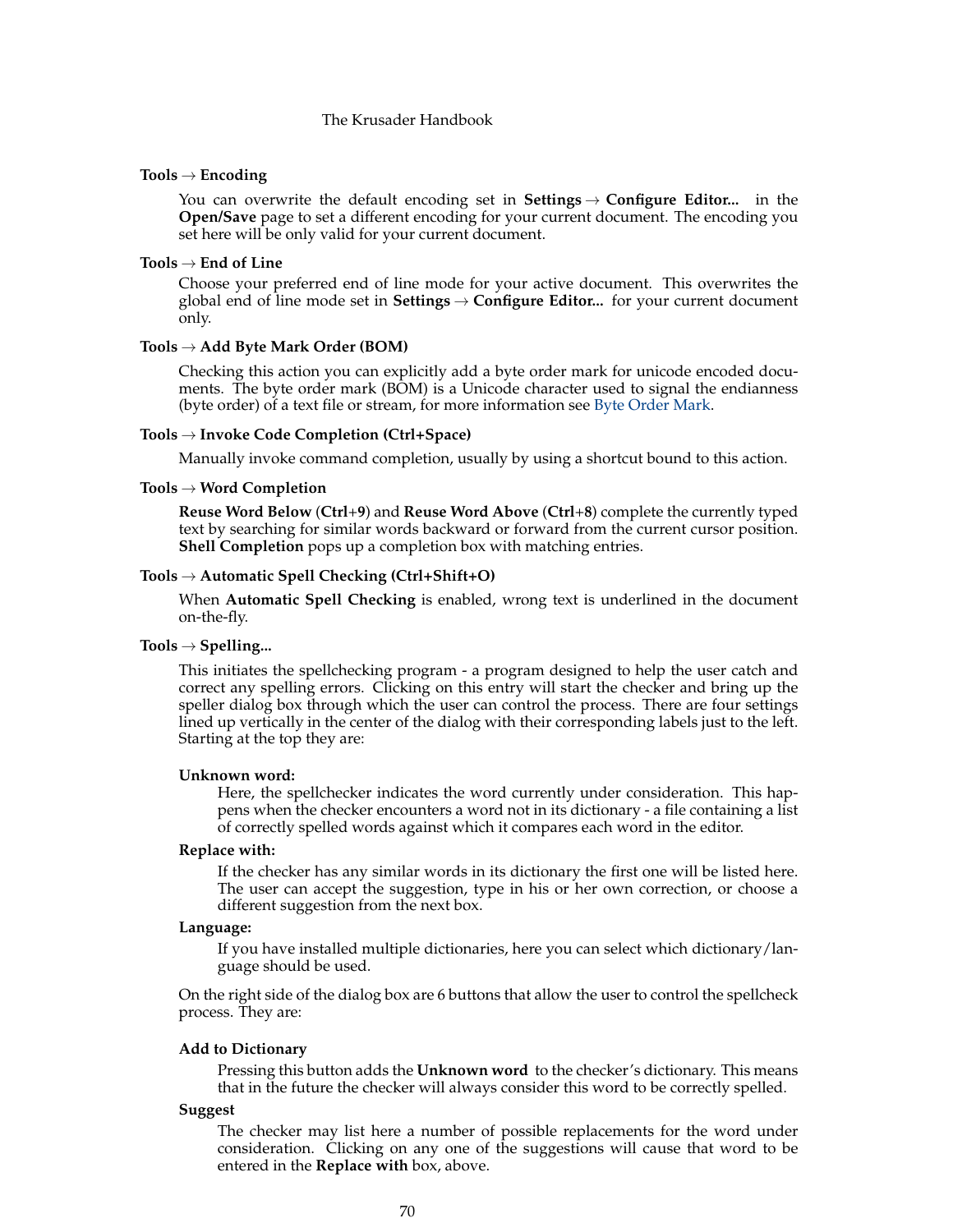#### **Tools** → **Encoding**

You can overwrite the default encoding set in **Settings** → **Configure Editor...** in the **Open/Save** page to set a different encoding for your current document. The encoding you set here will be only valid for your current document.

### **Tools** → **End of Line**

Choose your preferred end of line mode for your active document. This overwrites the global end of line mode set in **Settings** → **Configure Editor...** for your current document only.

#### **Tools** → **Add Byte Mark Order (BOM)**

Checking this action you can explicitly add a byte order mark for unicode encoded documents. The byte order mark (BOM) is a Unicode character used to signal the endianness (byte order) of a text file or stream, for more information see [Byte Order Mark.](https://en.wikipedia.org/wiki/Byte_Order_Mark)

### **Tools** → **Invoke Code Completion (Ctrl+Space)**

Manually invoke command completion, usually by using a shortcut bound to this action.

### **Tools** → **Word Completion**

**Reuse Word Below** (**Ctrl**+**9**) and **Reuse Word Above** (**Ctrl**+**8**) complete the currently typed text by searching for similar words backward or forward from the current cursor position. **Shell Completion** pops up a completion box with matching entries.

# **Tools** → **Automatic Spell Checking (Ctrl+Shift+O)**

When **Automatic Spell Checking** is enabled, wrong text is underlined in the document on-the-fly.

# **Tools** → **Spelling...**

This initiates the spellchecking program - a program designed to help the user catch and correct any spelling errors. Clicking on this entry will start the checker and bring up the speller dialog box through which the user can control the process. There are four settings lined up vertically in the center of the dialog with their corresponding labels just to the left. Starting at the top they are:

#### **Unknown word:**

Here, the spellchecker indicates the word currently under consideration. This happens when the checker encounters a word not in its dictionary - a file containing a list of correctly spelled words against which it compares each word in the editor.

#### **Replace with:**

If the checker has any similar words in its dictionary the first one will be listed here. The user can accept the suggestion, type in his or her own correction, or choose a different suggestion from the next box.

#### **Language:**

If you have installed multiple dictionaries, here you can select which dictionary/language should be used.

On the right side of the dialog box are 6 buttons that allow the user to control the spellcheck process. They are:

### **Add to Dictionary**

Pressing this button adds the **Unknown word** to the checker's dictionary. This means that in the future the checker will always consider this word to be correctly spelled.

# **Suggest**

The checker may list here a number of possible replacements for the word under consideration. Clicking on any one of the suggestions will cause that word to be entered in the **Replace with** box, above.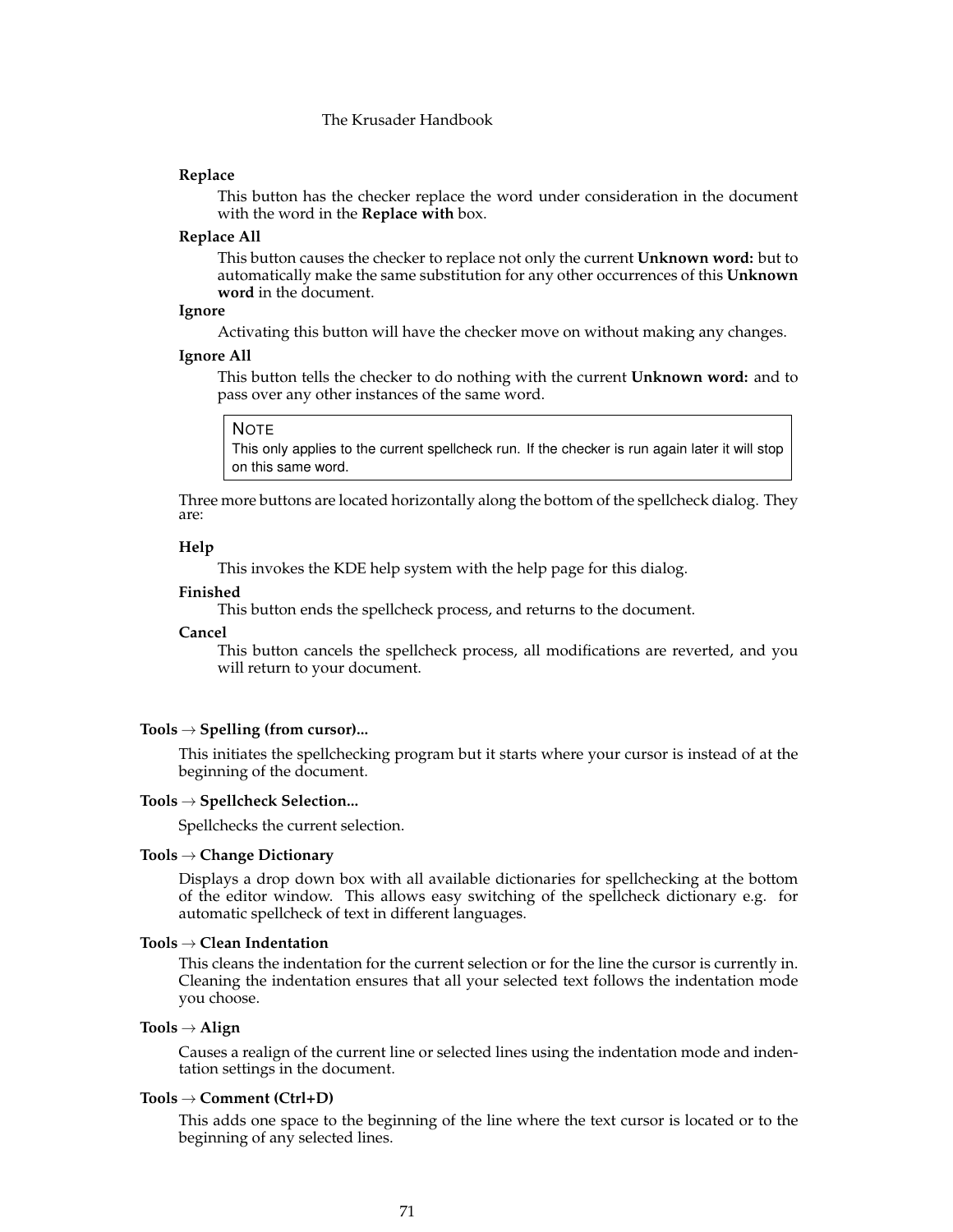### **Replace**

This button has the checker replace the word under consideration in the document with the word in the **Replace with** box.

### **Replace All**

This button causes the checker to replace not only the current **Unknown word:** but to automatically make the same substitution for any other occurrences of this **Unknown word** in the document.

### **Ignore**

Activating this button will have the checker move on without making any changes.

#### **Ignore All**

This button tells the checker to do nothing with the current **Unknown word:** and to pass over any other instances of the same word.

#### NOTE

This only applies to the current spellcheck run. If the checker is run again later it will stop on this same word.

Three more buttons are located horizontally along the bottom of the spellcheck dialog. They are:

# **Help**

This invokes the KDE help system with the help page for this dialog.

#### **Finished**

This button ends the spellcheck process, and returns to the document.

#### **Cancel**

This button cancels the spellcheck process, all modifications are reverted, and you will return to your document.

### **Tools** → **Spelling (from cursor)...**

This initiates the spellchecking program but it starts where your cursor is instead of at the beginning of the document.

#### **Tools** → **Spellcheck Selection...**

Spellchecks the current selection.

### **Tools** → **Change Dictionary**

Displays a drop down box with all available dictionaries for spellchecking at the bottom of the editor window. This allows easy switching of the spellcheck dictionary e.g. for automatic spellcheck of text in different languages.

### **Tools** → **Clean Indentation**

This cleans the indentation for the current selection or for the line the cursor is currently in. Cleaning the indentation ensures that all your selected text follows the indentation mode you choose.

## **Tools** → **Align**

Causes a realign of the current line or selected lines using the indentation mode and indentation settings in the document.

#### **Tools** → **Comment (Ctrl+D)**

This adds one space to the beginning of the line where the text cursor is located or to the beginning of any selected lines.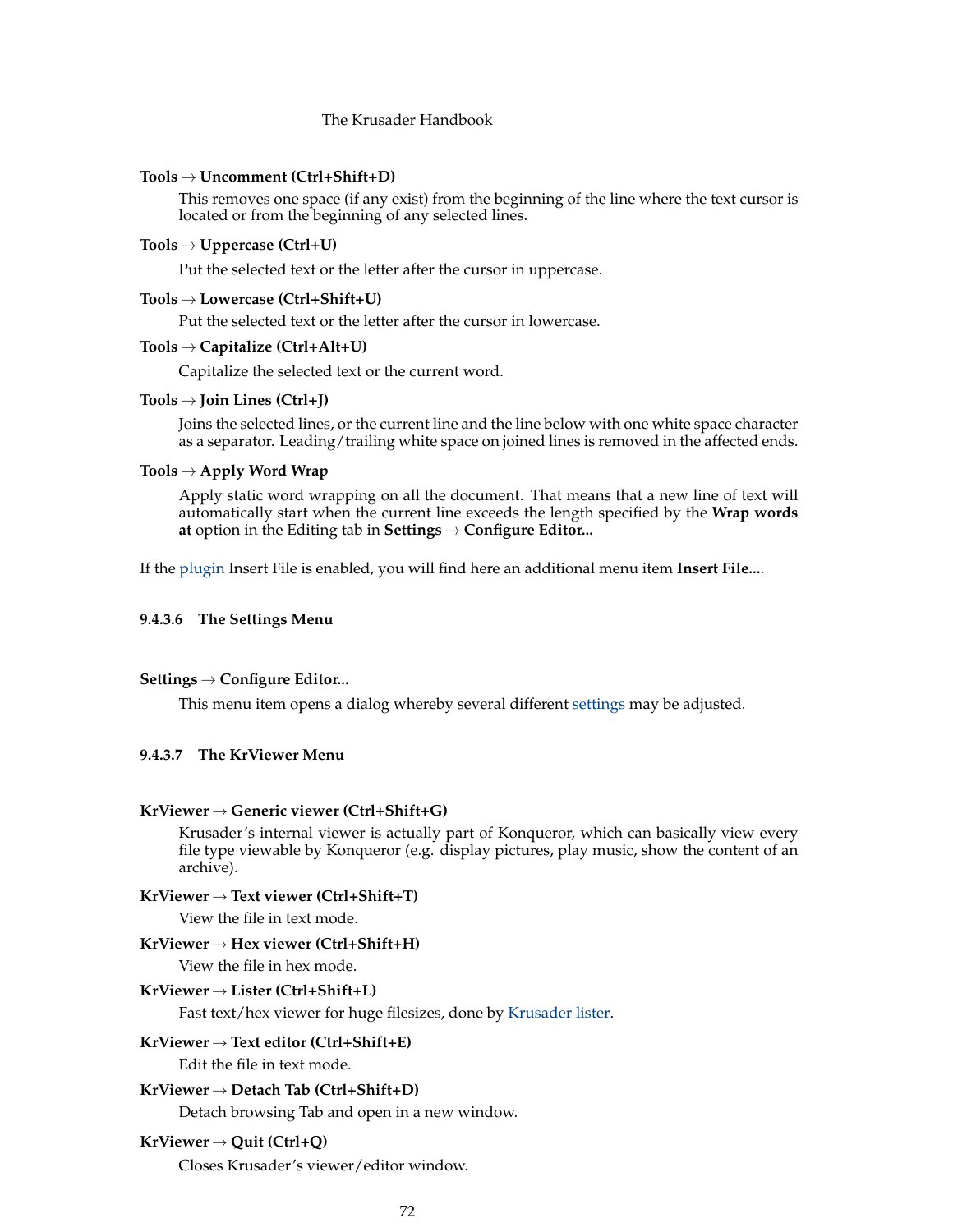### **Tools** → **Uncomment (Ctrl+Shift+D)**

This removes one space (if any exist) from the beginning of the line where the text cursor is located or from the beginning of any selected lines.

# **Tools** → **Uppercase (Ctrl+U)**

Put the selected text or the letter after the cursor in uppercase.

### **Tools** → **Lowercase (Ctrl+Shift+U)**

Put the selected text or the letter after the cursor in lowercase.

### **Tools** → **Capitalize (Ctrl+Alt+U)**

Capitalize the selected text or the current word.

### **Tools** → **Join Lines (Ctrl+J)**

Joins the selected lines, or the current line and the line below with one white space character as a separator. Leading/trailing white space on joined lines is removed in the affected ends.

# **Tools** → **Apply Word Wrap**

Apply static word wrapping on all the document. That means that a new line of text will automatically start when the current line exceeds the length specified by the **Wrap words at** option in the Editing tab in **Settings** → **Configure Editor...**

If the [plugin](#page-80-0) Insert File is enabled, you will find here an additional menu item **Insert File...**.

### <span id="page-71-1"></span>**9.4.3.6 The Settings Menu**

#### **Settings** → **Configure Editor...**

This menu item opens a dialog whereby several different [settings](#page-72-1) may be adjusted.

### <span id="page-71-0"></span>**9.4.3.7 The KrViewer Menu**

### **KrViewer** → **Generic viewer (Ctrl+Shift+G)**

Krusader's internal viewer is actually part of Konqueror, which can basically view every file type viewable by Konqueror (e.g. display pictures, play music, show the content of an archive).

### **KrViewer** → **Text viewer (Ctrl+Shift+T)**

View the file in text mode.

# **KrViewer** → **Hex viewer (Ctrl+Shift+H)**

View the file in hex mode.

# **KrViewer** → **Lister (Ctrl+Shift+L)**

Fast text/hex viewer for huge filesizes, done by [Krusader lister.](#page-102-0)

### **KrViewer** → **Text editor (Ctrl+Shift+E)**

Edit the file in text mode.

### **KrViewer** → **Detach Tab (Ctrl+Shift+D)**

Detach browsing Tab and open in a new window.

## **KrViewer** → **Quit (Ctrl+Q)**

Closes Krusader's viewer/editor window.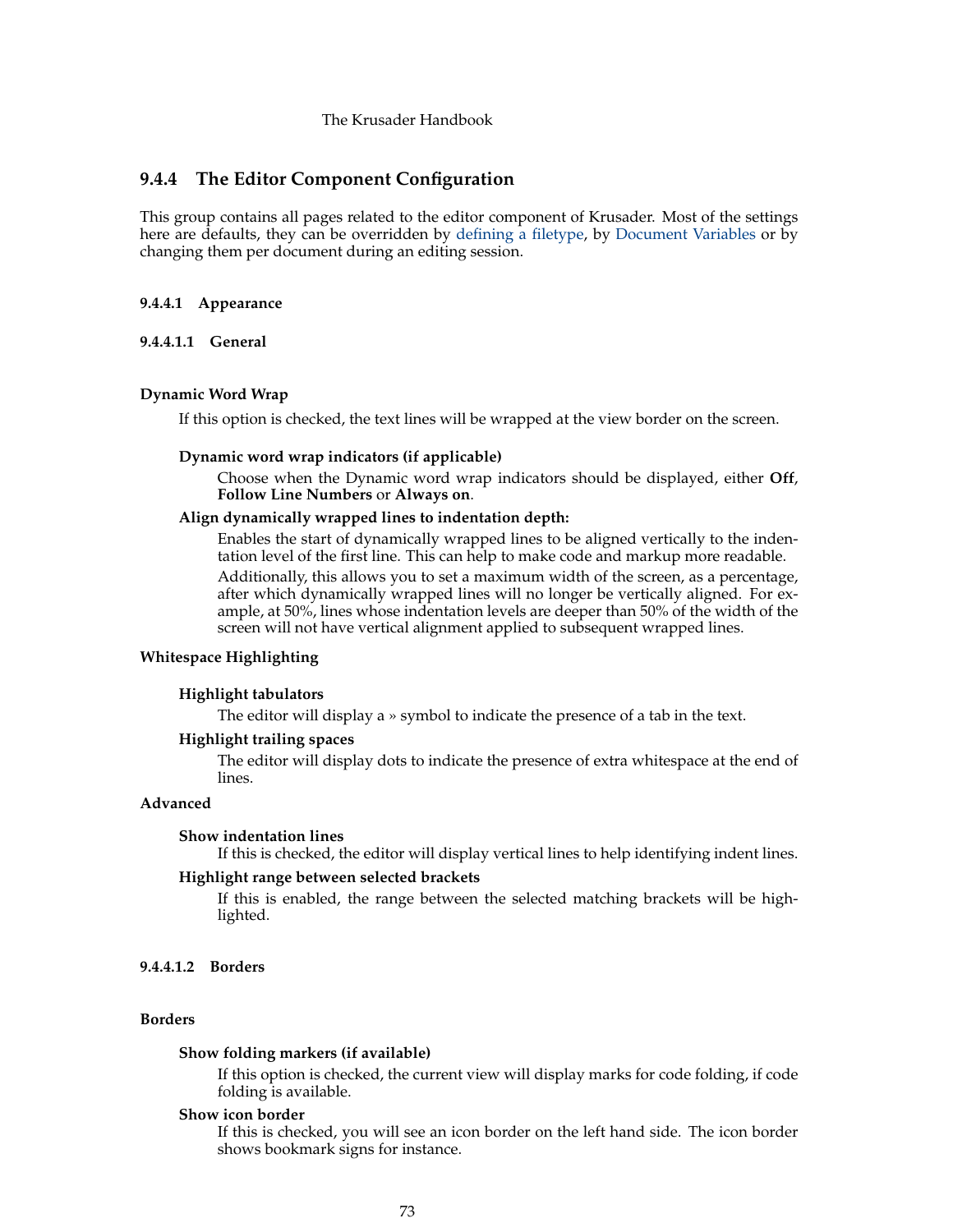# **9.4.4 The Editor Component Configuration**

This group contains all pages related to the editor component of Krusader. Most of the settings here are defaults, they can be overridden by [defining a filetype,](#page-79-0) by [Document Variables](help:/katepart/config-variables.html) or by changing them per document during an editing session.

#### **9.4.4.1 Appearance**

**9.4.4.1.1 General**

#### **Dynamic Word Wrap**

If this option is checked, the text lines will be wrapped at the view border on the screen.

#### **Dynamic word wrap indicators (if applicable)**

Choose when the Dynamic word wrap indicators should be displayed, either **Off**, **Follow Line Numbers** or **Always on**.

# **Align dynamically wrapped lines to indentation depth:**

Enables the start of dynamically wrapped lines to be aligned vertically to the indentation level of the first line. This can help to make code and markup more readable. Additionally, this allows you to set a maximum width of the screen, as a percentage, after which dynamically wrapped lines will no longer be vertically aligned. For example, at 50%, lines whose indentation levels are deeper than 50% of the width of the screen will not have vertical alignment applied to subsequent wrapped lines.

# **Whitespace Highlighting**

#### **Highlight tabulators**

The editor will display a » symbol to indicate the presence of a tab in the text.

#### **Highlight trailing spaces**

The editor will display dots to indicate the presence of extra whitespace at the end of lines.

# **Advanced**

#### **Show indentation lines**

If this is checked, the editor will display vertical lines to help identifying indent lines.

#### **Highlight range between selected brackets**

If this is enabled, the range between the selected matching brackets will be highlighted.

# **9.4.4.1.2 Borders**

#### **Borders**

#### **Show folding markers (if available)**

If this option is checked, the current view will display marks for code folding, if code folding is available.

#### **Show icon border**

If this is checked, you will see an icon border on the left hand side. The icon border shows bookmark signs for instance.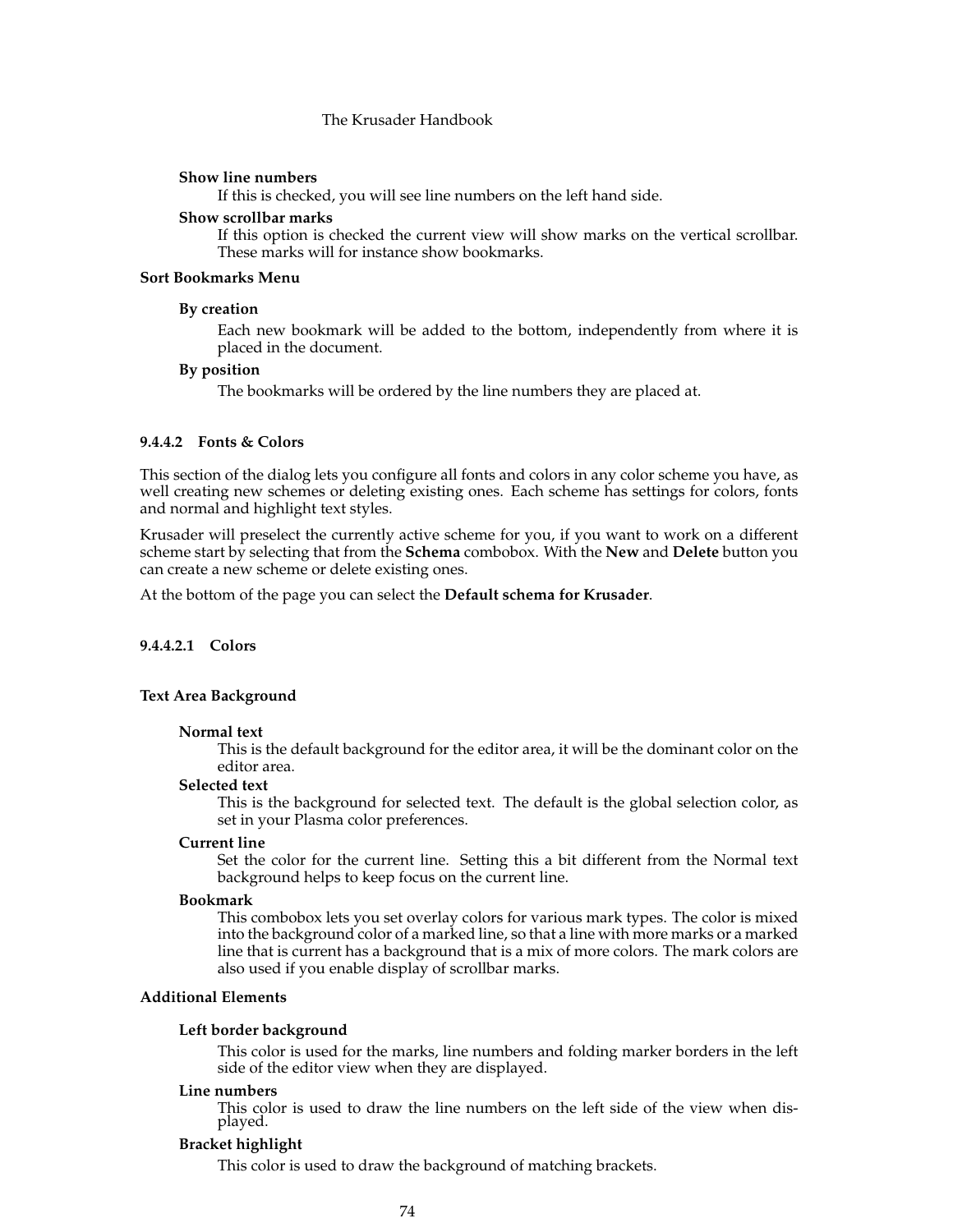#### **Show line numbers**

If this is checked, you will see line numbers on the left hand side.

# **Show scrollbar marks**

If this option is checked the current view will show marks on the vertical scrollbar. These marks will for instance show bookmarks.

# **Sort Bookmarks Menu**

#### **By creation**

Each new bookmark will be added to the bottom, independently from where it is placed in the document.

#### **By position**

The bookmarks will be ordered by the line numbers they are placed at.

# **9.4.4.2 Fonts & Colors**

This section of the dialog lets you configure all fonts and colors in any color scheme you have, as well creating new schemes or deleting existing ones. Each scheme has settings for colors, fonts and normal and highlight text styles.

Krusader will preselect the currently active scheme for you, if you want to work on a different scheme start by selecting that from the **Schema** combobox. With the **New** and **Delete** button you can create a new scheme or delete existing ones.

At the bottom of the page you can select the **Default schema for Krusader**.

# **9.4.4.2.1 Colors**

#### **Text Area Background**

#### **Normal text**

This is the default background for the editor area, it will be the dominant color on the editor area.

#### **Selected text**

This is the background for selected text. The default is the global selection color, as set in your Plasma color preferences.

#### **Current line**

Set the color for the current line. Setting this a bit different from the Normal text background helps to keep focus on the current line.

#### **Bookmark**

This combobox lets you set overlay colors for various mark types. The color is mixed into the background color of a marked line, so that a line with more marks or a marked line that is current has a background that is a mix of more colors. The mark colors are also used if you enable display of scrollbar marks.

#### **Additional Elements**

#### **Left border background**

This color is used for the marks, line numbers and folding marker borders in the left side of the editor view when they are displayed.

#### **Line numbers**

This color is used to draw the line numbers on the left side of the view when displayed.

#### **Bracket highlight**

This color is used to draw the background of matching brackets.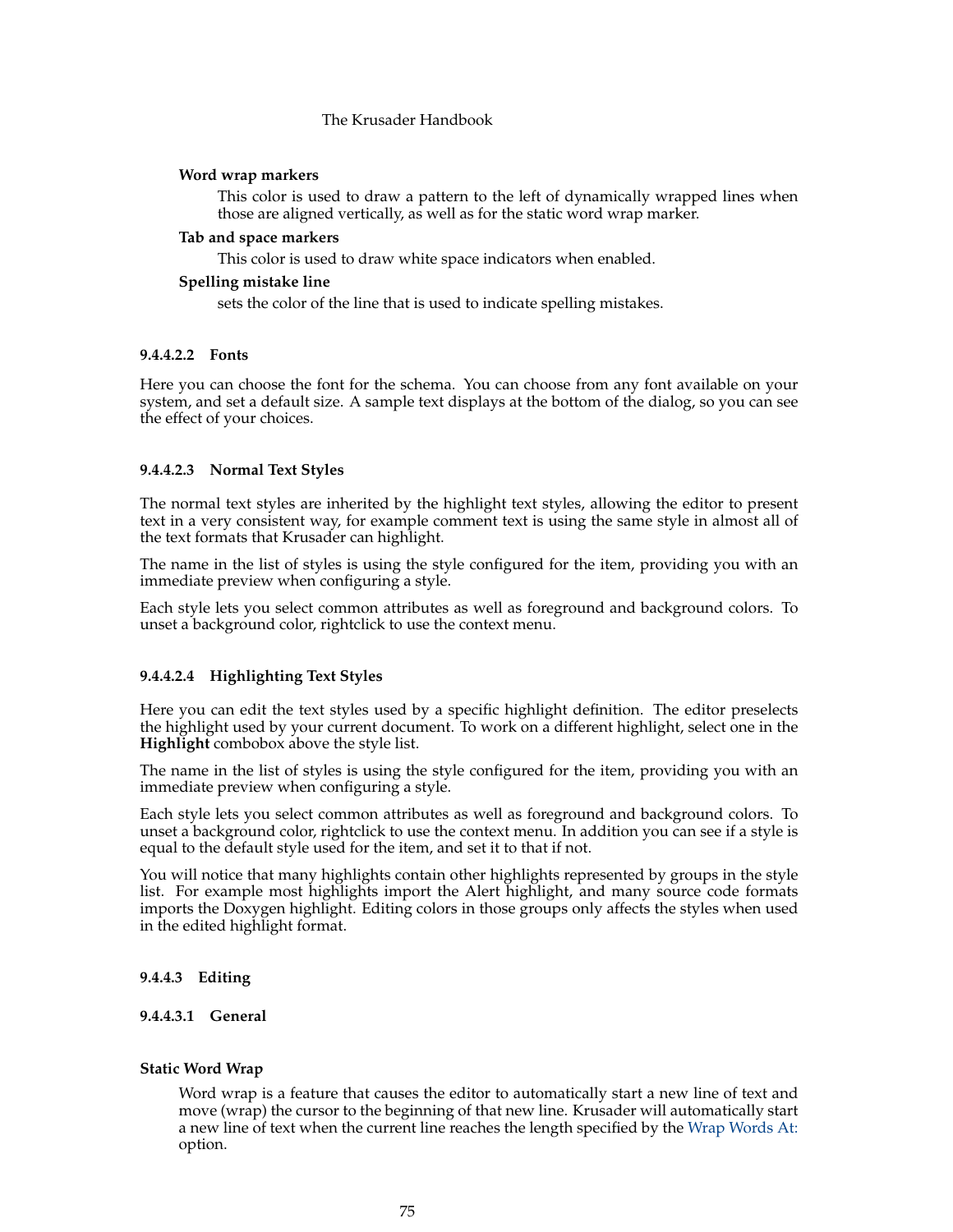# **Word wrap markers**

This color is used to draw a pattern to the left of dynamically wrapped lines when those are aligned vertically, as well as for the static word wrap marker.

## **Tab and space markers**

This color is used to draw white space indicators when enabled.

#### **Spelling mistake line**

sets the color of the line that is used to indicate spelling mistakes.

## **9.4.4.2.2 Fonts**

Here you can choose the font for the schema. You can choose from any font available on your system, and set a default size. A sample text displays at the bottom of the dialog, so you can see the effect of your choices.

## **9.4.4.2.3 Normal Text Styles**

The normal text styles are inherited by the highlight text styles, allowing the editor to present text in a very consistent way, for example comment text is using the same style in almost all of the text formats that Krusader can highlight.

The name in the list of styles is using the style configured for the item, providing you with an immediate preview when configuring a style.

Each style lets you select common attributes as well as foreground and background colors. To unset a background color, rightclick to use the context menu.

## **9.4.4.2.4 Highlighting Text Styles**

Here you can edit the text styles used by a specific highlight definition. The editor preselects the highlight used by your current document. To work on a different highlight, select one in the **Highlight** combobox above the style list.

The name in the list of styles is using the style configured for the item, providing you with an immediate preview when configuring a style.

Each style lets you select common attributes as well as foreground and background colors. To unset a background color, rightclick to use the context menu. In addition you can see if a style is equal to the default style used for the item, and set it to that if not.

You will notice that many highlights contain other highlights represented by groups in the style list. For example most highlights import the Alert highlight, and many source code formats imports the Doxygen highlight. Editing colors in those groups only affects the styles when used in the edited highlight format.

# **9.4.4.3 Editing**

# **9.4.4.3.1 General**

## <span id="page-74-0"></span>**Static Word Wrap**

Word wrap is a feature that causes the editor to automatically start a new line of text and move (wrap) the cursor to the beginning of that new line. Krusader will automatically start a new line of text when the current line reaches the length specified by the [Wrap Words At:](#page-75-0) option.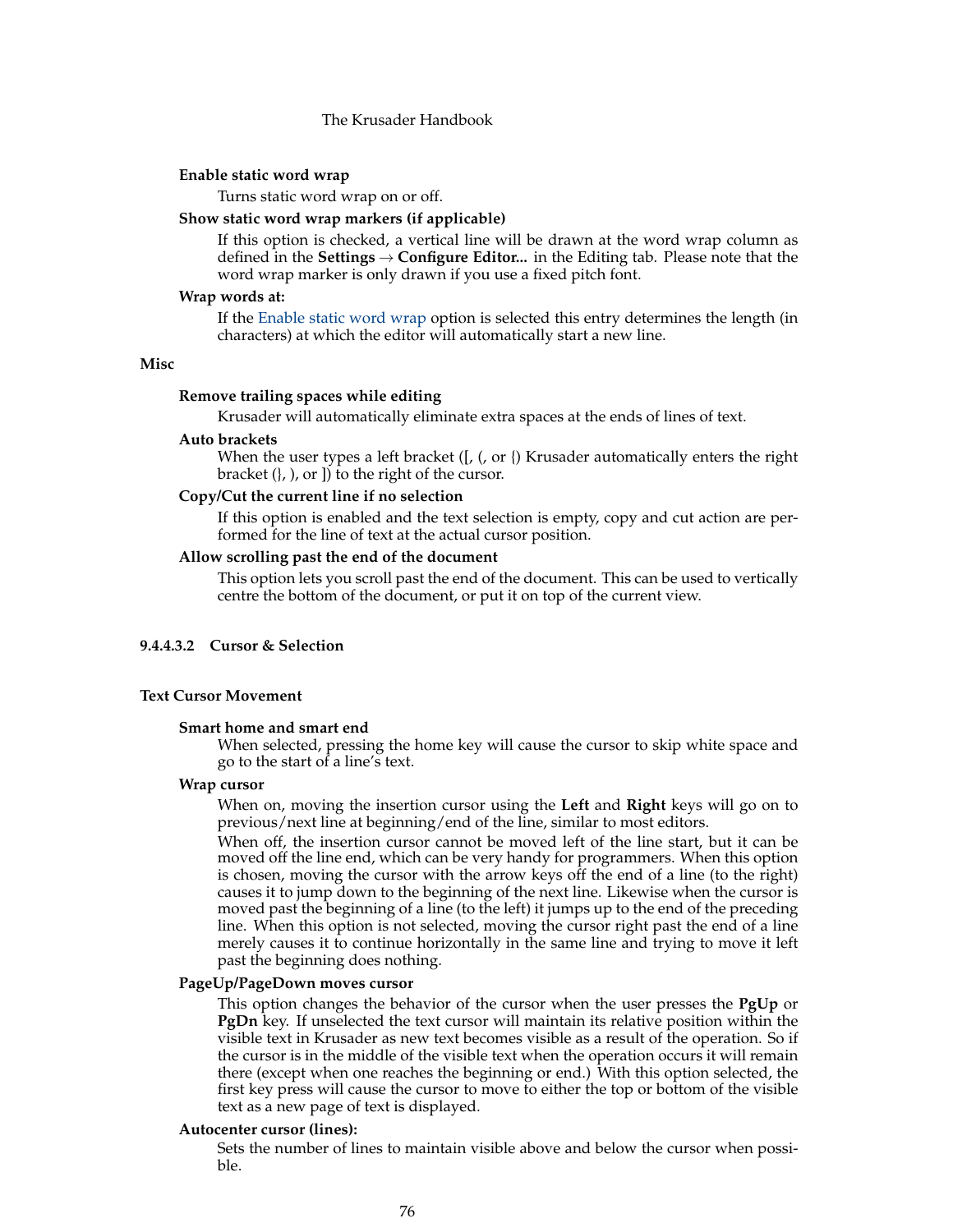#### **Enable static word wrap**

Turns static word wrap on or off.

#### **Show static word wrap markers (if applicable)**

If this option is checked, a vertical line will be drawn at the word wrap column as defined in the **Settings** → **Configure Editor...** in the Editing tab. Please note that the word wrap marker is only drawn if you use a fixed pitch font.

#### <span id="page-75-0"></span>**Wrap words at:**

If the [Enable static word wrap](#page-74-0) option is selected this entry determines the length (in characters) at which the editor will automatically start a new line.

## **Misc**

#### **Remove trailing spaces while editing**

Krusader will automatically eliminate extra spaces at the ends of lines of text.

#### **Auto brackets**

When the user types a left bracket  $([, (, or \)$  Krusader automatically enters the right bracket  $($ ,  $)$ , or  $]$  to the right of the cursor.

#### **Copy/Cut the current line if no selection**

If this option is enabled and the text selection is empty, copy and cut action are performed for the line of text at the actual cursor position.

#### **Allow scrolling past the end of the document**

This option lets you scroll past the end of the document. This can be used to vertically centre the bottom of the document, or put it on top of the current view.

#### **9.4.4.3.2 Cursor & Selection**

#### **Text Cursor Movement**

# **Smart home and smart end**

When selected, pressing the home key will cause the cursor to skip white space and go to the start of a line's text.

#### **Wrap cursor**

When on, moving the insertion cursor using the **Left** and **Right** keys will go on to previous/next line at beginning/end of the line, similar to most editors.

When off, the insertion cursor cannot be moved left of the line start, but it can be moved off the line end, which can be very handy for programmers. When this option is chosen, moving the cursor with the arrow keys off the end of a line (to the right) causes it to jump down to the beginning of the next line. Likewise when the cursor is moved past the beginning of a line (to the left) it jumps up to the end of the preceding line. When this option is not selected, moving the cursor right past the end of a line merely causes it to continue horizontally in the same line and trying to move it left past the beginning does nothing.

#### **PageUp/PageDown moves cursor**

This option changes the behavior of the cursor when the user presses the **PgUp** or **PgDn** key. If unselected the text cursor will maintain its relative position within the visible text in Krusader as new text becomes visible as a result of the operation. So if the cursor is in the middle of the visible text when the operation occurs it will remain there (except when one reaches the beginning or end.) With this option selected, the first key press will cause the cursor to move to either the top or bottom of the visible text as a new page of text is displayed.

#### **Autocenter cursor (lines):**

Sets the number of lines to maintain visible above and below the cursor when possible.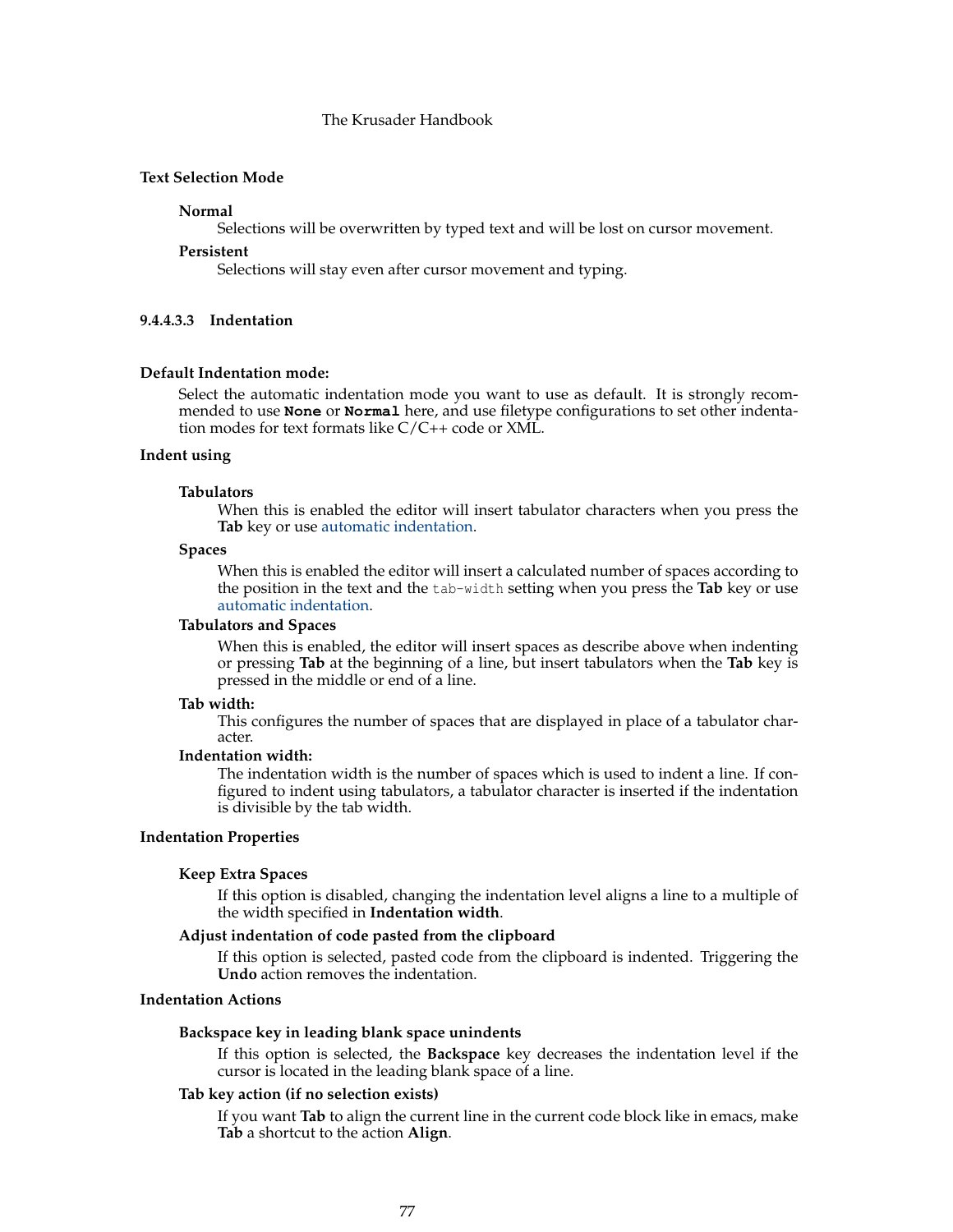# **Text Selection Mode**

#### **Normal**

Selections will be overwritten by typed text and will be lost on cursor movement.

#### **Persistent**

Selections will stay even after cursor movement and typing.

#### **9.4.4.3.3 Indentation**

#### **Default Indentation mode:**

Select the automatic indentation mode you want to use as default. It is strongly recommended to use **None** or **Normal** here, and use filetype configurations to set other indentation modes for text formats like C/C++ code or XML.

# **Indent using**

#### **Tabulators**

When this is enabled the editor will insert tabulator characters when you press the **Tab** key or use [automatic indentation.](help:/katepart/kate-part-autoindent.html)

#### **Spaces**

When this is enabled the editor will insert a calculated number of spaces according to the position in the text and the tab-width setting when you press the **Tab** key or use [automatic indentation.](help:/katepart/kate-part-autoindent.html)

## **Tabulators and Spaces**

When this is enabled, the editor will insert spaces as describe above when indenting or pressing **Tab** at the beginning of a line, but insert tabulators when the **Tab** key is pressed in the middle or end of a line.

#### **Tab width:**

This configures the number of spaces that are displayed in place of a tabulator character.

#### **Indentation width:**

The indentation width is the number of spaces which is used to indent a line. If configured to indent using tabulators, a tabulator character is inserted if the indentation is divisible by the tab width.

# **Indentation Properties**

#### **Keep Extra Spaces**

If this option is disabled, changing the indentation level aligns a line to a multiple of the width specified in **Indentation width**.

## **Adjust indentation of code pasted from the clipboard**

If this option is selected, pasted code from the clipboard is indented. Triggering the **Undo** action removes the indentation.

# **Indentation Actions**

#### **Backspace key in leading blank space unindents**

If this option is selected, the **Backspace** key decreases the indentation level if the cursor is located in the leading blank space of a line.

#### **Tab key action (if no selection exists)**

If you want **Tab** to align the current line in the current code block like in emacs, make **Tab** a shortcut to the action **Align**.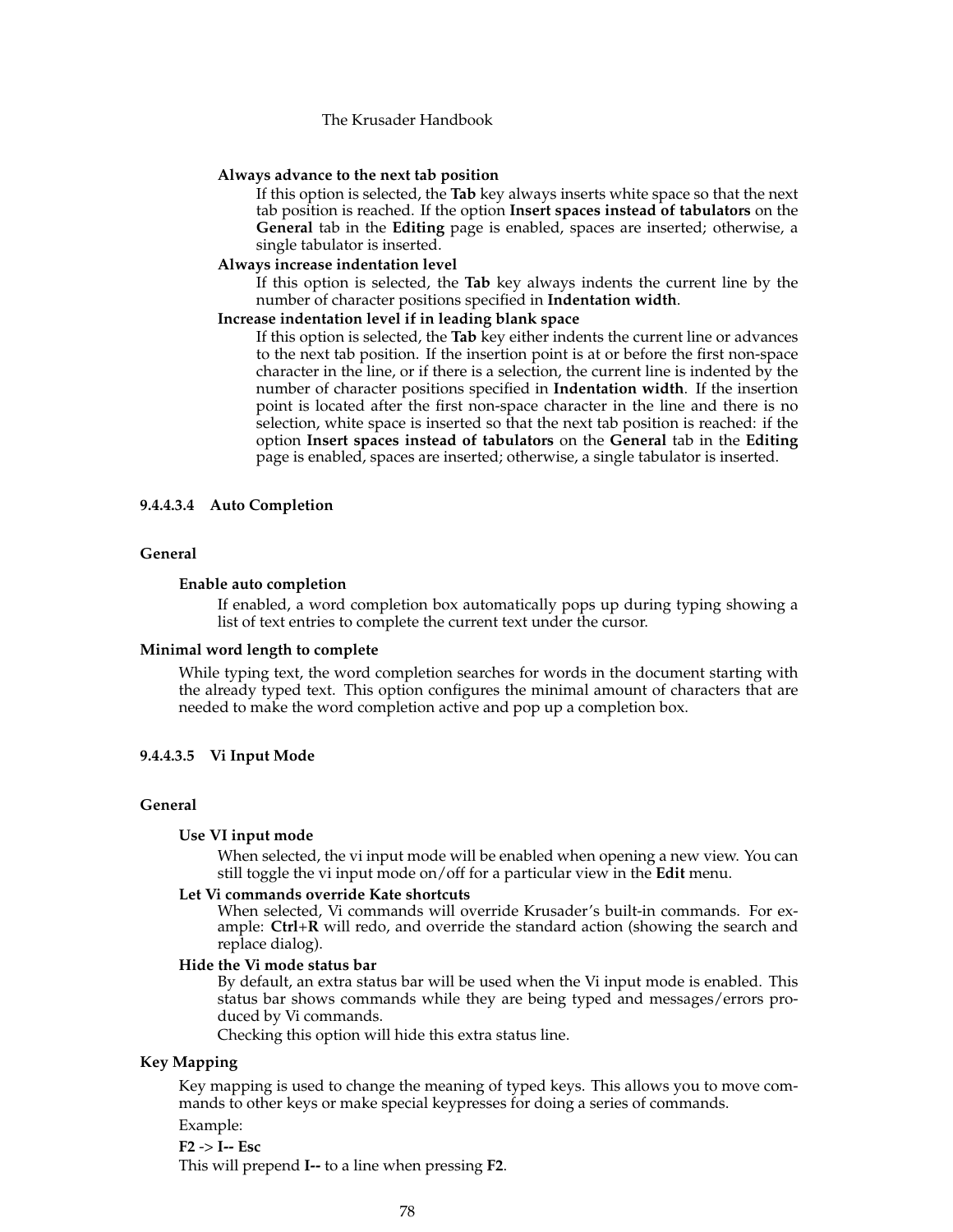#### **Always advance to the next tab position**

If this option is selected, the **Tab** key always inserts white space so that the next tab position is reached. If the option **Insert spaces instead of tabulators** on the **General** tab in the **Editing** page is enabled, spaces are inserted; otherwise, a single tabulator is inserted.

#### **Always increase indentation level**

If this option is selected, the **Tab** key always indents the current line by the number of character positions specified in **Indentation width**.

#### **Increase indentation level if in leading blank space**

If this option is selected, the **Tab** key either indents the current line or advances to the next tab position. If the insertion point is at or before the first non-space character in the line, or if there is a selection, the current line is indented by the number of character positions specified in **Indentation width**. If the insertion point is located after the first non-space character in the line and there is no selection, white space is inserted so that the next tab position is reached: if the option **Insert spaces instead of tabulators** on the **General** tab in the **Editing** page is enabled, spaces are inserted; otherwise, a single tabulator is inserted.

# **9.4.4.3.4 Auto Completion**

#### **General**

#### **Enable auto completion**

If enabled, a word completion box automatically pops up during typing showing a list of text entries to complete the current text under the cursor.

#### **Minimal word length to complete**

While typing text, the word completion searches for words in the document starting with the already typed text. This option configures the minimal amount of characters that are needed to make the word completion active and pop up a completion box.

## **9.4.4.3.5 Vi Input Mode**

#### **General**

#### **Use VI input mode**

When selected, the vi input mode will be enabled when opening a new view. You can still toggle the vi input mode on/off for a particular view in the **Edit** menu.

#### **Let Vi commands override Kate shortcuts**

When selected, Vi commands will override Krusader's built-in commands. For example: **Ctrl**+**R** will redo, and override the standard action (showing the search and replace dialog).

#### **Hide the Vi mode status bar**

By default, an extra status bar will be used when the Vi input mode is enabled. This status bar shows commands while they are being typed and messages/errors produced by Vi commands.

Checking this option will hide this extra status line.

# **Key Mapping**

Key mapping is used to change the meaning of typed keys. This allows you to move commands to other keys or make special keypresses for doing a series of commands.

## Example:

# **F2** -> **I-- Esc**

This will prepend **I--** to a line when pressing **F2**.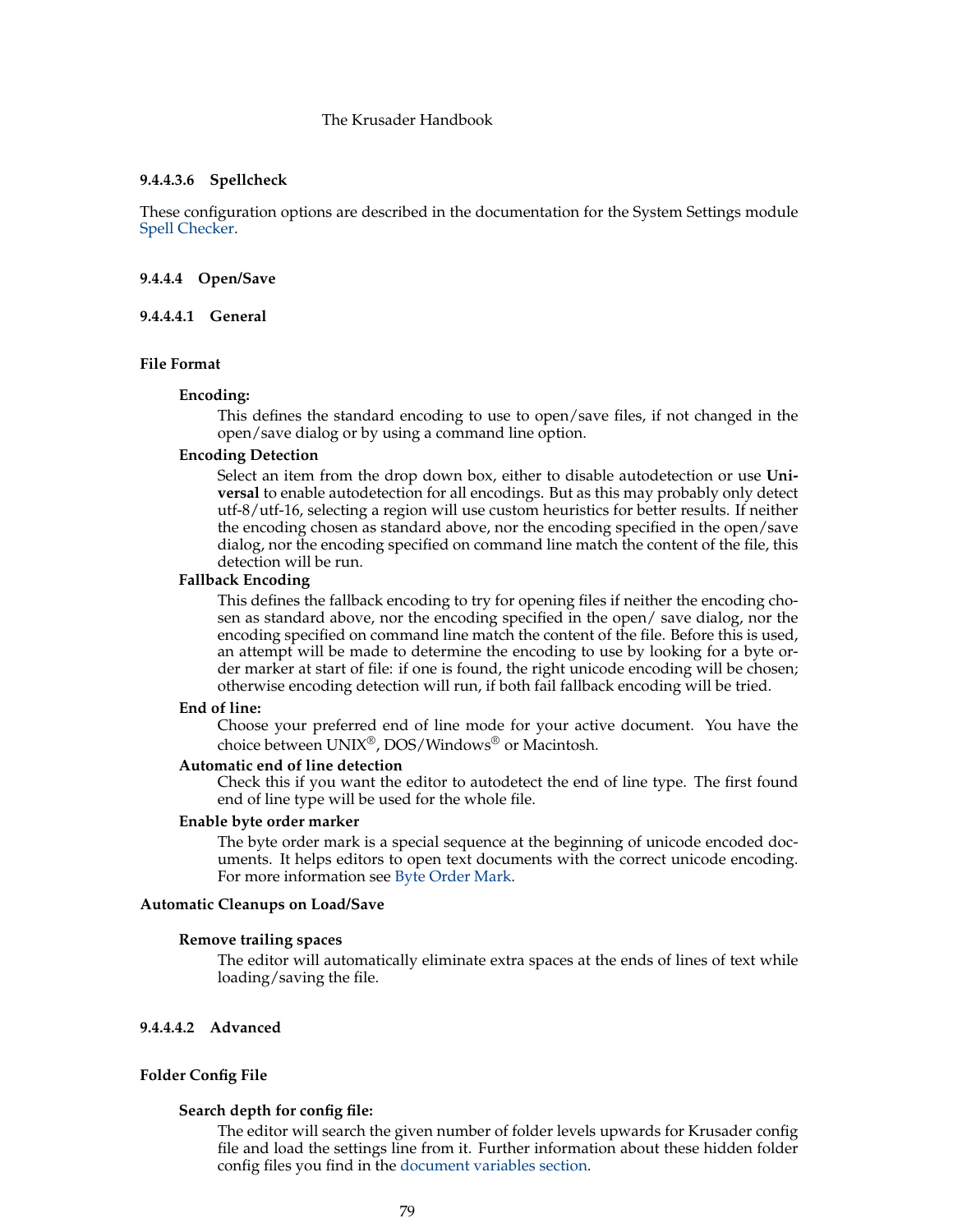## **9.4.4.3.6 Spellcheck**

These configuration options are described in the documentation for the System Settings module [Spell Checker.](help:/kcontrol/spellchecking)

#### **9.4.4.4 Open/Save**

#### **9.4.4.4.1 General**

#### **File Format**

#### **Encoding:**

This defines the standard encoding to use to open/save files, if not changed in the open/save dialog or by using a command line option.

# **Encoding Detection**

Select an item from the drop down box, either to disable autodetection or use **Universal** to enable autodetection for all encodings. But as this may probably only detect utf-8/utf-16, selecting a region will use custom heuristics for better results. If neither the encoding chosen as standard above, nor the encoding specified in the open/save dialog, nor the encoding specified on command line match the content of the file, this detection will be run.

#### **Fallback Encoding**

This defines the fallback encoding to try for opening files if neither the encoding chosen as standard above, nor the encoding specified in the open/ save dialog, nor the encoding specified on command line match the content of the file. Before this is used, an attempt will be made to determine the encoding to use by looking for a byte order marker at start of file: if one is found, the right unicode encoding will be chosen; otherwise encoding detection will run, if both fail fallback encoding will be tried.

#### **End of line:**

Choose your preferred end of line mode for your active document. You have the choice between UNIX®, DOS/Windows® or Macintosh.

#### **Automatic end of line detection**

Check this if you want the editor to autodetect the end of line type. The first found end of line type will be used for the whole file.

#### **Enable byte order marker**

The byte order mark is a special sequence at the beginning of unicode encoded documents. It helps editors to open text documents with the correct unicode encoding. For more information see [Byte Order Mark.](https://en.wikipedia.org/wiki/Byte_Order_Mark)

# **Automatic Cleanups on Load/Save**

#### **Remove trailing spaces**

The editor will automatically eliminate extra spaces at the ends of lines of text while loading/saving the file.

# **9.4.4.4.2 Advanced**

#### **Folder Config File**

#### **Search depth for config file:**

The editor will search the given number of folder levels upwards for Krusader config file and load the settings line from it. Further information about these hidden folder config files you find in the [document variables section.](help:/katepart/config-variables.html)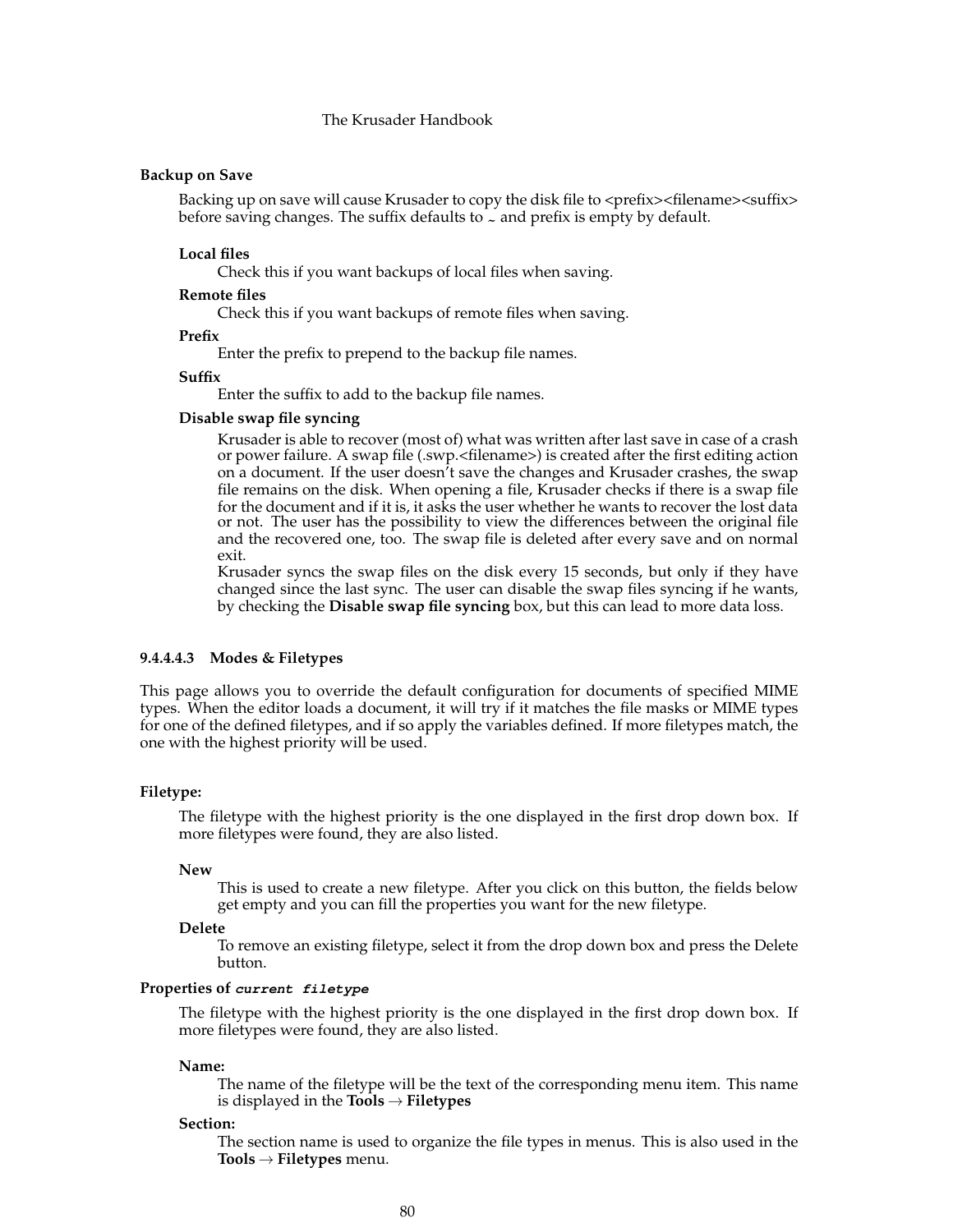#### **Backup on Save**

Backing up on save will cause Krusader to copy the disk file to  $\langle$  prefix> $\langle$ filename> $\langle$ suffix> before saving changes. The suffix defaults to  $\sim$  and prefix is empty by default.

#### **Local files**

Check this if you want backups of local files when saving.

#### **Remote files**

Check this if you want backups of remote files when saving.

#### **Prefix**

Enter the prefix to prepend to the backup file names.

#### **Suffix**

Enter the suffix to add to the backup file names.

#### **Disable swap file syncing**

Krusader is able to recover (most of) what was written after last save in case of a crash or power failure. A swap file (.swp.<filename>) is created after the first editing action on a document. If the user doesn't save the changes and Krusader crashes, the swap file remains on the disk. When opening a file, Krusader checks if there is a swap file for the document and if it is, it asks the user whether he wants to recover the lost data or not. The user has the possibility to view the differences between the original file and the recovered one, too. The swap file is deleted after every save and on normal exit.

Krusader syncs the swap files on the disk every 15 seconds, but only if they have changed since the last sync. The user can disable the swap files syncing if he wants, by checking the **Disable swap file syncing** box, but this can lead to more data loss.

### **9.4.4.4.3 Modes & Filetypes**

<span id="page-79-0"></span>This page allows you to override the default configuration for documents of specified MIME types. When the editor loads a document, it will try if it matches the file masks or MIME types for one of the defined filetypes, and if so apply the variables defined. If more filetypes match, the one with the highest priority will be used.

#### **Filetype:**

The filetype with the highest priority is the one displayed in the first drop down box. If more filetypes were found, they are also listed.

#### **New**

This is used to create a new filetype. After you click on this button, the fields below get empty and you can fill the properties you want for the new filetype.

#### **Delete**

To remove an existing filetype, select it from the drop down box and press the Delete button.

#### **Properties of current filetype**

The filetype with the highest priority is the one displayed in the first drop down box. If more filetypes were found, they are also listed.

#### **Name:**

The name of the filetype will be the text of the corresponding menu item. This name is displayed in the **Tools** → **Filetypes**

#### **Section:**

The section name is used to organize the file types in menus. This is also used in the **Tools** → **Filetypes** menu.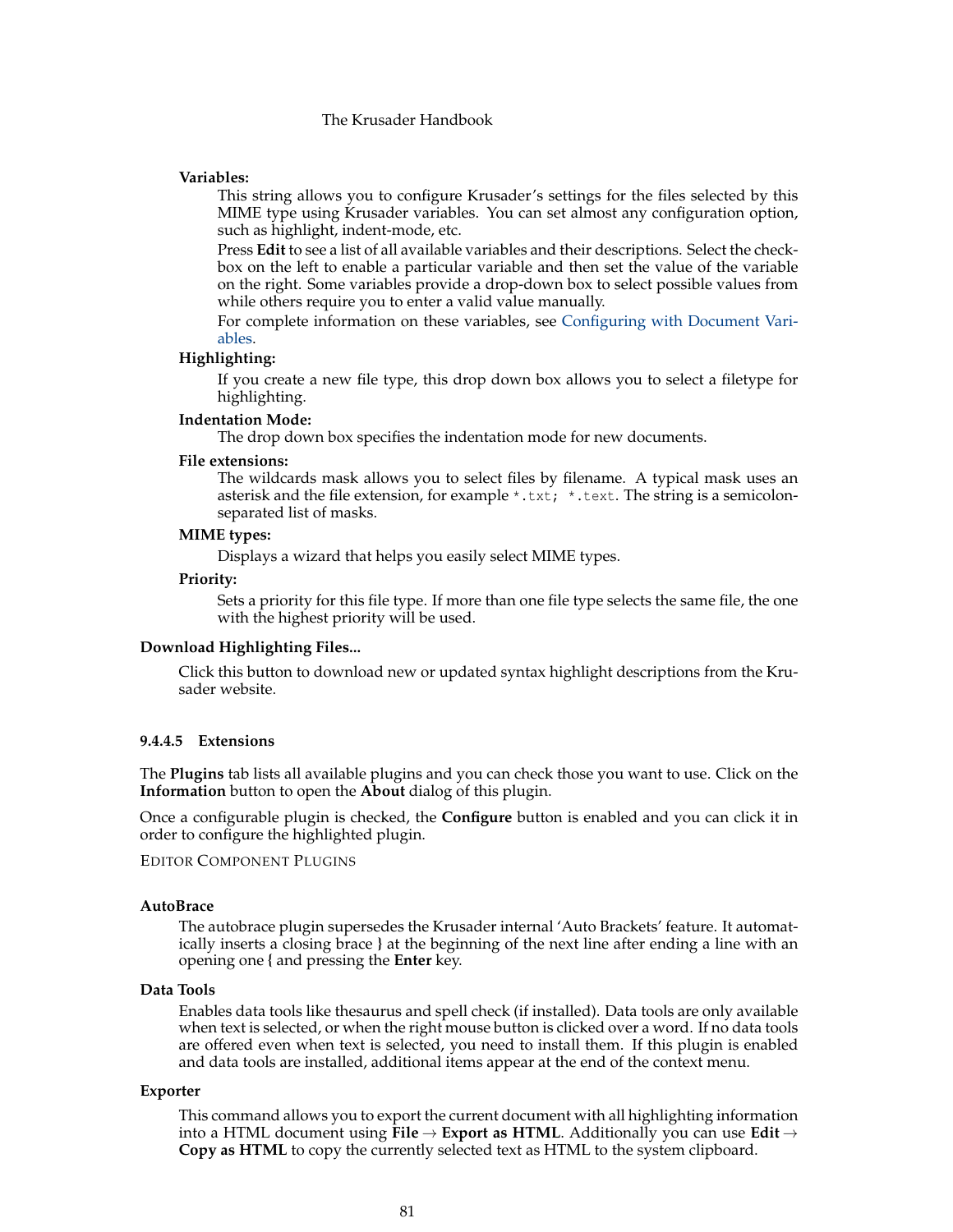# **Variables:**

This string allows you to configure Krusader's settings for the files selected by this MIME type using Krusader variables. You can set almost any configuration option, such as highlight, indent-mode, etc.

Press **Edit** to see a list of all available variables and their descriptions. Select the checkbox on the left to enable a particular variable and then set the value of the variable on the right. Some variables provide a drop-down box to select possible values from while others require you to enter a valid value manually.

For complete information on these variables, see [Configuring with Document Vari](help:/katepart/config-variables.html)[ables.](help:/katepart/config-variables.html)

#### **Highlighting:**

If you create a new file type, this drop down box allows you to select a filetype for highlighting.

#### **Indentation Mode:**

The drop down box specifies the indentation mode for new documents.

#### **File extensions:**

The wildcards mask allows you to select files by filename. A typical mask uses an asterisk and the file extension, for example  $*$ .txt;  $*$ .text. The string is a semicolonseparated list of masks.

#### **MIME types:**

Displays a wizard that helps you easily select MIME types.

#### **Priority:**

Sets a priority for this file type. If more than one file type selects the same file, the one with the highest priority will be used.

#### **Download Highlighting Files...**

Click this button to download new or updated syntax highlight descriptions from the Krusader website.

#### **9.4.4.5 Extensions**

The **Plugins** tab lists all available plugins and you can check those you want to use. Click on the **Information** button to open the **About** dialog of this plugin.

Once a configurable plugin is checked, the **Configure** button is enabled and you can click it in order to configure the highlighted plugin.

EDITOR COMPONENT PLUGINS

#### **AutoBrace**

The autobrace plugin supersedes the Krusader internal 'Auto Brackets' feature. It automatically inserts a closing brace **}** at the beginning of the next line after ending a line with an opening one **{** and pressing the **Enter** key.

#### **Data Tools**

Enables data tools like thesaurus and spell check (if installed). Data tools are only available when text is selected, or when the right mouse button is clicked over a word. If no data tools are offered even when text is selected, you need to install them. If this plugin is enabled and data tools are installed, additional items appear at the end of the context menu.

#### **Exporter**

This command allows you to export the current document with all highlighting information into a HTML document using **File** → **Export as HTML**. Additionally you can use **Edit** → **Copy as HTML** to copy the currently selected text as HTML to the system clipboard.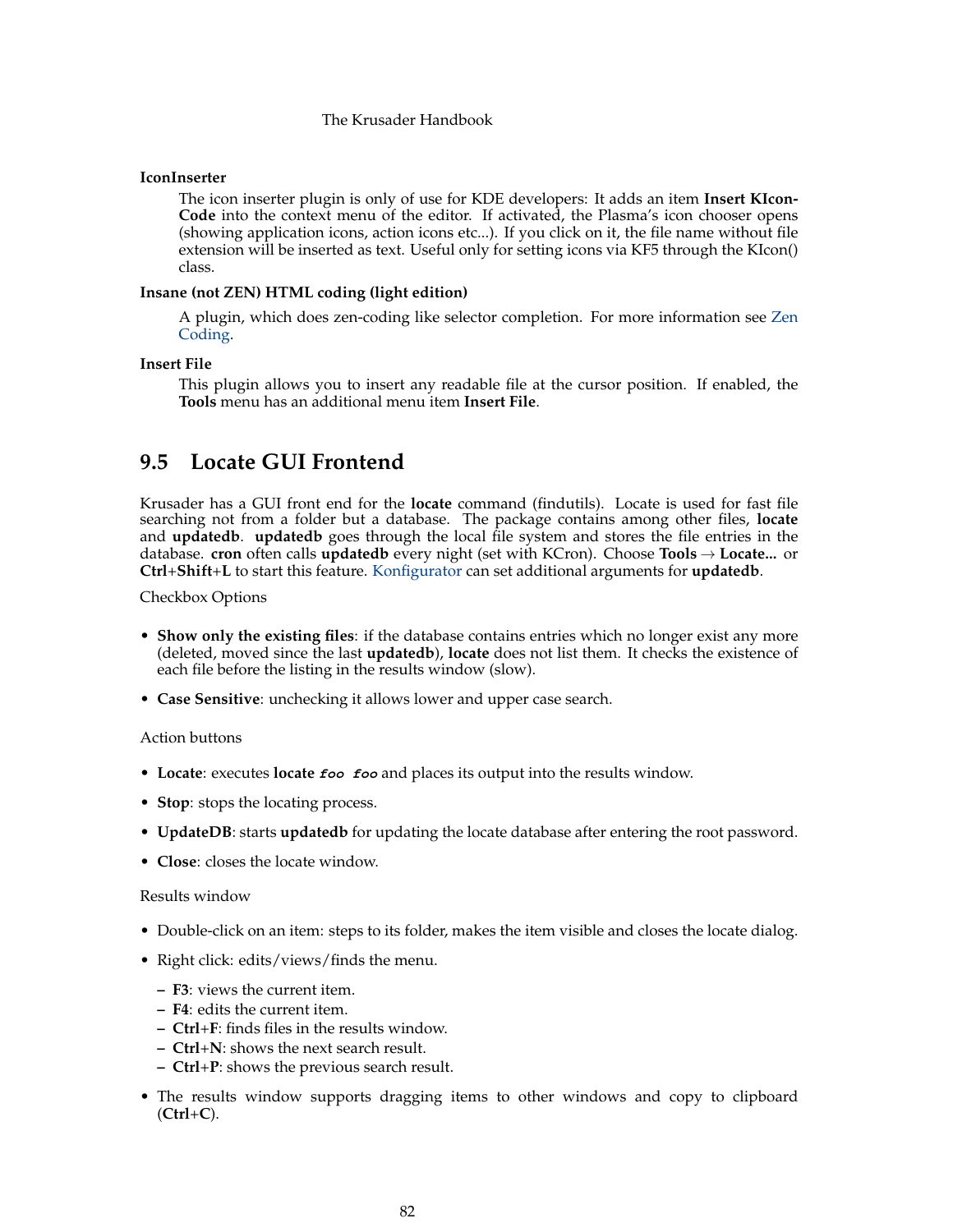# **IconInserter**

The icon inserter plugin is only of use for KDE developers: It adds an item **Insert KIcon-Code** into the context menu of the editor. If activated, the Plasma's icon chooser opens (showing application icons, action icons etc...). If you click on it, the file name without file extension will be inserted as text. Useful only for setting icons via KF5 through the KIcon() class.

#### **Insane (not ZEN) HTML coding (light edition)**

A plugin, which does zen-coding like selector completion. For more information see [Zen](https://en.wikipedia.org/wiki/Zen_Coding) [Coding.](https://en.wikipedia.org/wiki/Zen_Coding)

# **Insert File**

This plugin allows you to insert any readable file at the cursor position. If enabled, the **Tools** menu has an additional menu item **Insert File**.

# **9.5 Locate GUI Frontend**

Krusader has a GUI front end for the **locate** command (findutils). Locate is used for fast file searching not from a folder but a database. The package contains among other files, **locate** and **updatedb**. **updatedb** goes through the local file system and stores the file entries in the database. **cron** often calls **updatedb** every night (set with KCron). Choose **Tools** → **Locate...** or **Ctrl**+**Shift**+**L** to start this feature. [Konfigurator](#page-104-0) can set additional arguments for **updatedb**.

Checkbox Options

- **Show only the existing files**: if the database contains entries which no longer exist any more (deleted, moved since the last **updatedb**), **locate** does not list them. It checks the existence of each file before the listing in the results window (slow).
- **Case Sensitive**: unchecking it allows lower and upper case search.

#### Action buttons

- **Locate**: executes **locate foo foo** and places its output into the results window.
- **Stop**: stops the locating process.
- **UpdateDB**: starts **updatedb** for updating the locate database after entering the root password.
- **Close**: closes the locate window.

## Results window

- Double-click on an item: steps to its folder, makes the item visible and closes the locate dialog.
- Right click: edits/views/finds the menu.
	- **– F3**: views the current item.
	- **– F4**: edits the current item.
	- **– Ctrl**+**F**: finds files in the results window.
	- **– Ctrl**+**N**: shows the next search result.
	- **– Ctrl**+**P**: shows the previous search result.
- The results window supports dragging items to other windows and copy to clipboard (**Ctrl**+**C**).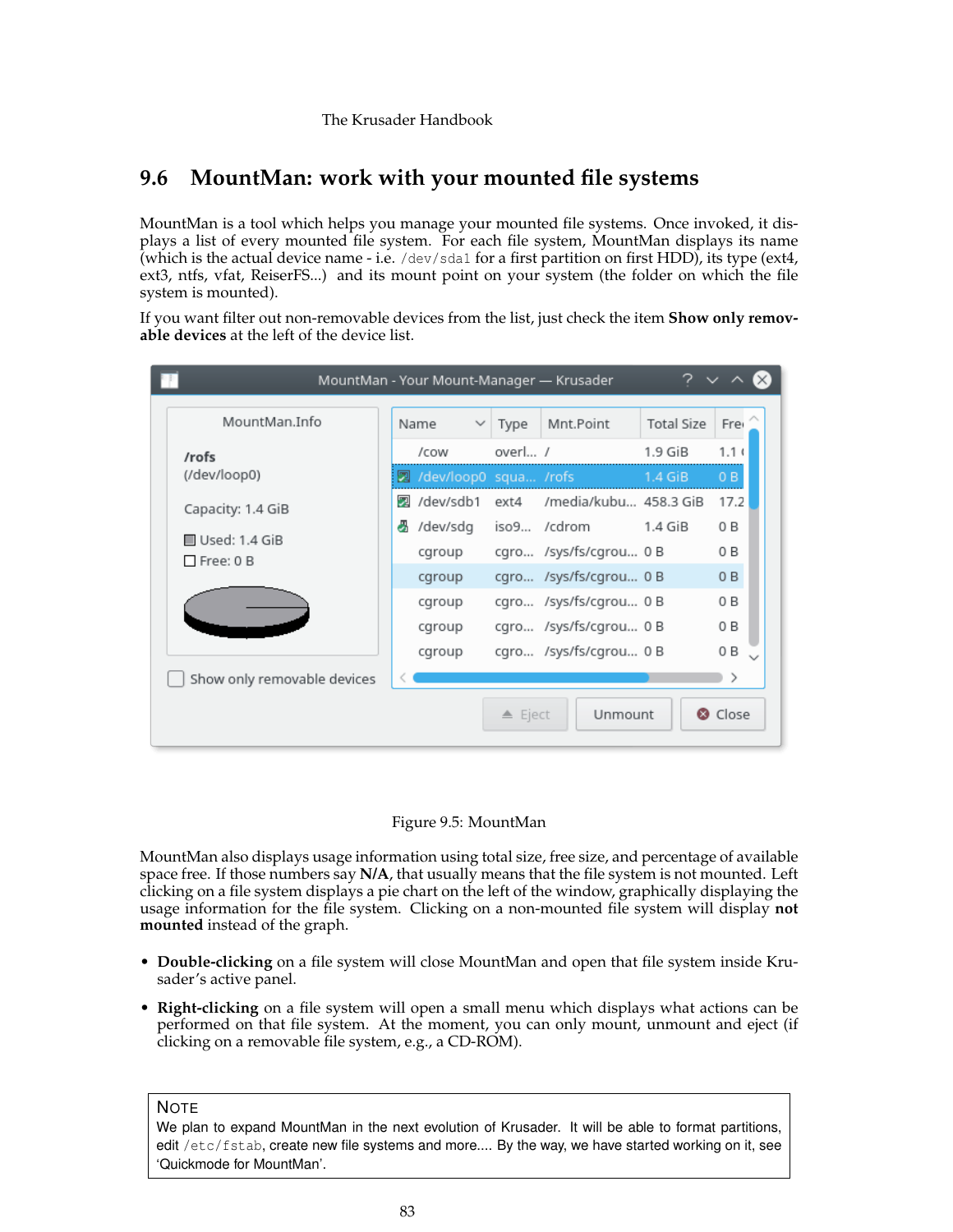# **9.6 MountMan: work with your mounted file systems**

<span id="page-82-0"></span>MountMan is a tool which helps you manage your mounted file systems. Once invoked, it displays a list of every mounted file system. For each file system, MountMan displays its name (which is the actual device name - i.e. /dev/sda1 for a first partition on first HDD), its type (ext4, ext3, ntfs, vfat, ReiserFS...) and its mount point on your system (the folder on which the file system is mounted).

If you want filter out non-removable devices from the list, just check the item **Show only removable devices** at the left of the device list.

| 7<br>MountMan - Your Mount-Manager — Krusader    |                         |              |                   |                            |                   |                  |
|--------------------------------------------------|-------------------------|--------------|-------------------|----------------------------|-------------------|------------------|
| MountMan.Info                                    | Name                    | $\checkmark$ | Type              | Mnt.Point                  | <b>Total Size</b> | Fre              |
| /rofs                                            | /cow                    |              | overl /           |                            | $1.9$ GiB         | 1.1 <sub>1</sub> |
| (/dev/loop0)                                     | 2 /dev/loop0 squa /rofs |              |                   |                            | $1.4$ GiB         | 0B               |
| Capacity: 1.4 GiB                                | 22 /dev/sdb1            |              |                   | ext4 /media/kubu 458.3 GiB |                   | 17.2             |
|                                                  | dev/sdg                 |              |                   | iso9 /cdrom                | $1.4$ GiB         | 0 B              |
| $\blacksquare$ Used: 1.4 GiB<br>$\Box$ Free: 0 B | cgroup                  |              |                   | cgro /sys/fs/cgrou 0 B     |                   | 0 B              |
|                                                  | cgroup                  |              |                   | cgro /sys/fs/cgrou 0 B     |                   | 0B               |
|                                                  | cgroup                  |              |                   | cgro /sys/fs/cgrou 0 B     |                   | 0 B              |
|                                                  | cgroup                  |              |                   | cgro /sys/fs/cgrou 0 B     |                   | 0 B              |
|                                                  | cgroup                  |              |                   | cgro /sys/fs/cgrou 0 B     |                   | 0 B              |
| Show only removable devices                      |                         |              |                   |                            |                   |                  |
|                                                  |                         |              | $\triangle$ Eject | Unmount                    |                   | <b>@</b> Close   |

# Figure 9.5: MountMan

MountMan also displays usage information using total size, free size, and percentage of available space free. If those numbers say **N/A**, that usually means that the file system is not mounted. Left clicking on a file system displays a pie chart on the left of the window, graphically displaying the usage information for the file system. Clicking on a non-mounted file system will display **not mounted** instead of the graph.

- **Double-clicking** on a file system will close MountMan and open that file system inside Krusader's active panel.
- **Right-clicking** on a file system will open a small menu which displays what actions can be performed on that file system. At the moment, you can only mount, unmount and eject (if clicking on a removable file system, e.g., a CD-ROM).

**NOTE** 

We plan to expand MountMan in the next evolution of Krusader. It will be able to format partitions, edit /etc/fstab, create new file systems and more.... By the way, we have started working on it, see 'Quickmode for MountMan'.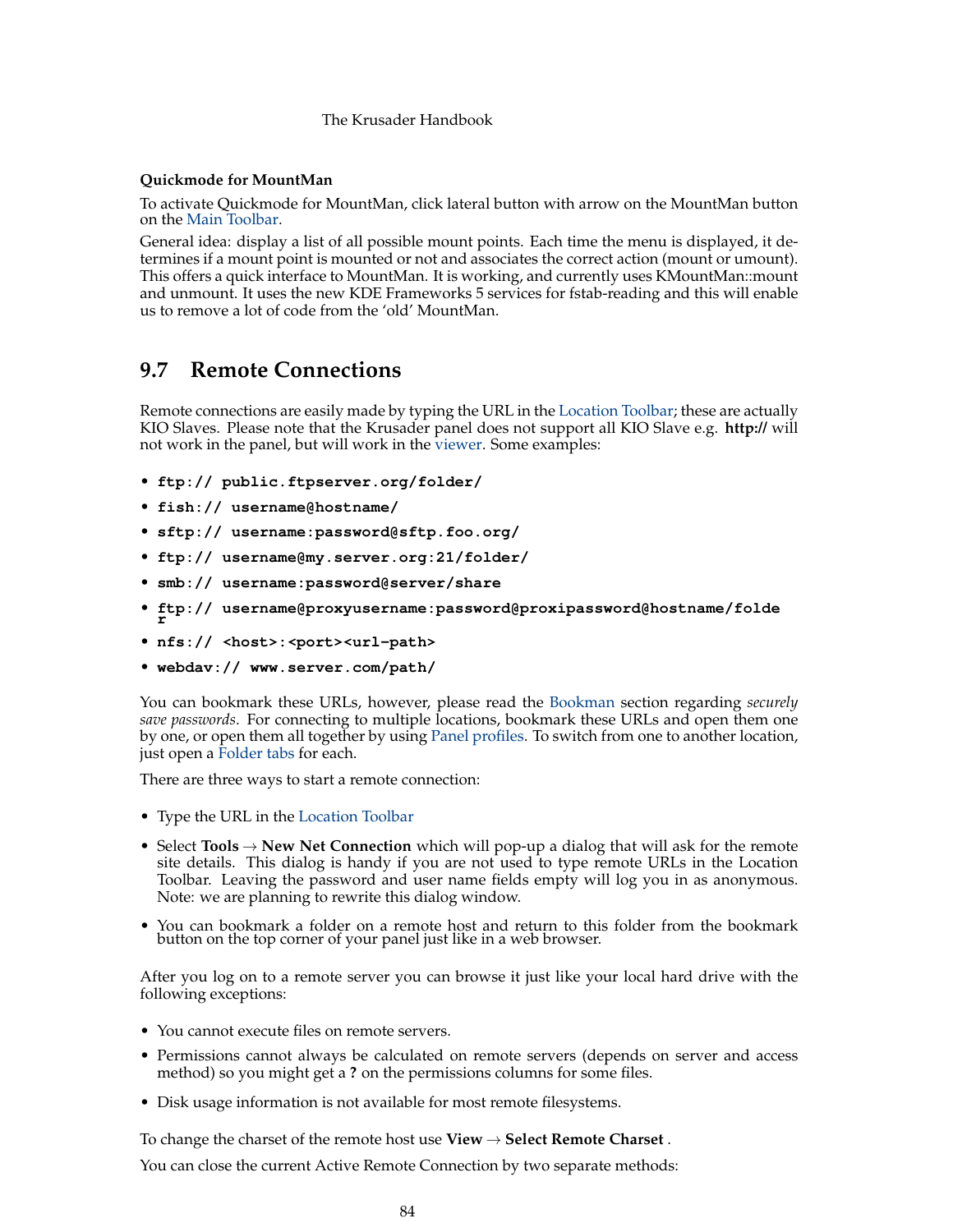# **Quickmode for MountMan**

To activate Quickmode for MountMan, click lateral button with arrow on the MountMan button on the [Main Toolbar.](#page-20-0)

General idea: display a list of all possible mount points. Each time the menu is displayed, it determines if a mount point is mounted or not and associates the correct action (mount or umount). This offers a quick interface to MountMan. It is working, and currently uses KMountMan::mount and unmount. It uses the new KDE Frameworks 5 services for fstab-reading and this will enable us to remove a lot of code from the 'old' MountMan.

# **9.7 Remote Connections**

Remote connections are easily made by typing the URL in the [Location Toolbar;](#page-23-0) these are actually KIO Slaves. Please note that the Krusader panel does not support all KIO Slave e.g. **http://** will not work in the panel, but will work in the [viewer.](#page-63-0) Some examples:

- **ftp:// public.ftpserver.org/folder/**
- **fish:// username@hostname/**
- **sftp:// username:password@sftp.foo.org/**
- **ftp:// username@my.server.org:21/folder/**
- **smb:// username:password@server/share**
- **ftp:// username@proxyusername:password@proxipassword@hostname/folde r**
- **nfs:// <host>:<port><url-path>**
- **webdav:// www.server.com/path/**

You can bookmark these URLs, however, please read the [Bookman](#page-55-0) section regarding *securely save passwords*. For connecting to multiple locations, bookmark these URLs and open them one by one, or open them all together by using [Panel profiles.](#page-38-0) To switch from one to another location, just open a [Folder tabs](#page-27-0) for each.

There are three ways to start a remote connection:

- Type the URL in the [Location Toolbar](#page-23-0)
- Select **Tools** → **New Net Connection** which will pop-up a dialog that will ask for the remote site details. This dialog is handy if you are not used to type remote URLs in the Location Toolbar. Leaving the password and user name fields empty will log you in as anonymous. Note: we are planning to rewrite this dialog window.
- You can bookmark a folder on a remote host and return to this folder from the bookmark button on the top corner of your panel just like in a web browser.

After you log on to a remote server you can browse it just like your local hard drive with the following exceptions:

- You cannot execute files on remote servers.
- Permissions cannot always be calculated on remote servers (depends on server and access method) so you might get a **?** on the permissions columns for some files.
- Disk usage information is not available for most remote filesystems.

To change the charset of the remote host use **View** → **Select Remote Charset** .

You can close the current Active Remote Connection by two separate methods: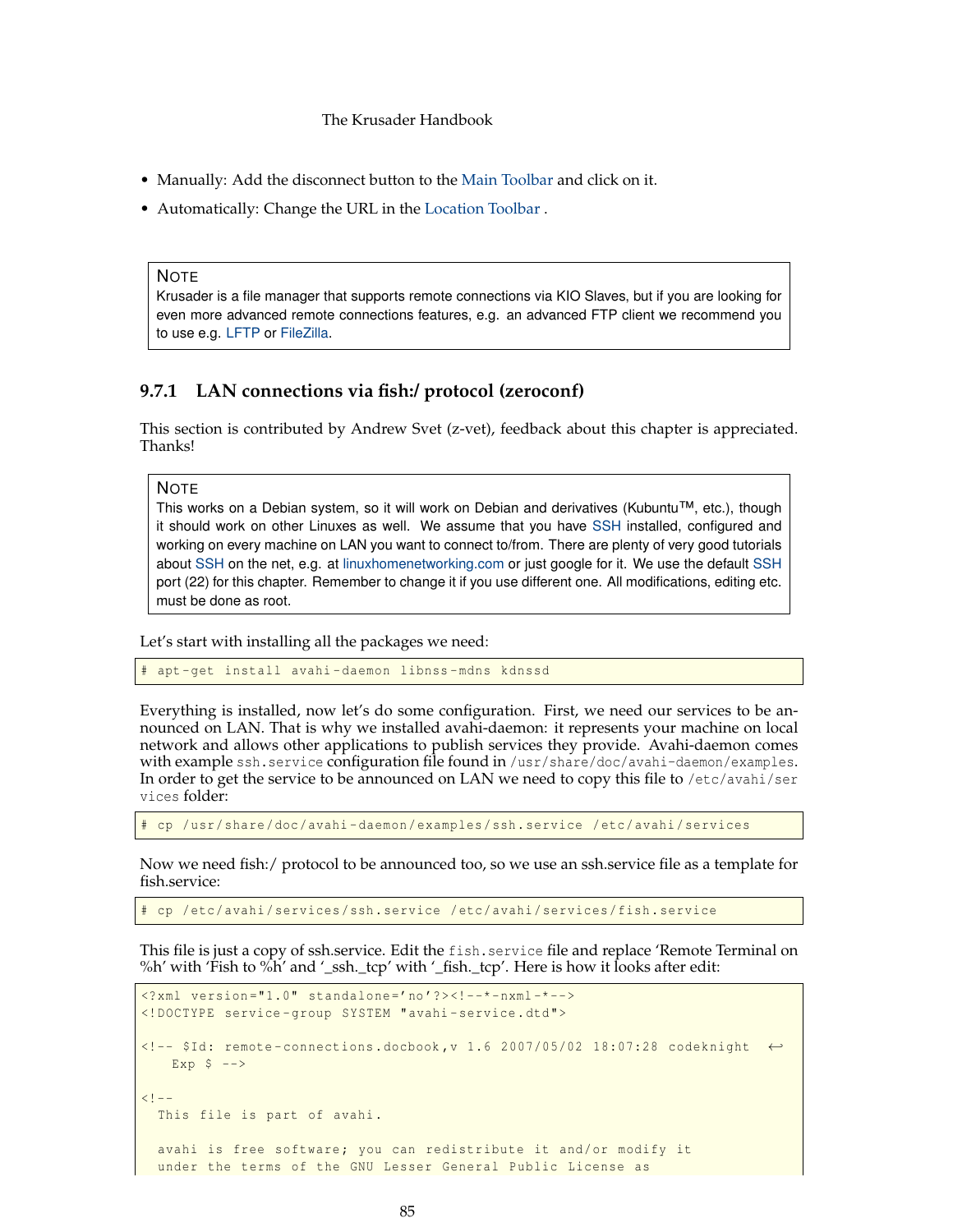- Manually: Add the disconnect button to the [Main Toolbar](#page-20-0) and click on it.
- Automatically: Change the URL in the [Location Toolbar](#page-23-0) .

#### **NOTE**

Krusader is a file manager that supports remote connections via KIO Slaves, but if you are looking for even more advanced remote connections features, e.g. an advanced FTP client we recommend you to use e.g. [LFTP](https://lftp.yar.ru/) or [FileZilla.](https://filezilla-project.org/)

# **9.7.1 LAN connections via fish:/ protocol (zeroconf)**

This section is contributed by Andrew Svet (z-vet), feedback about this chapter is appreciated. Thanks!

**NOTE** 

This works on a Debian system, so it will work on Debian and derivatives (Kubuntu™, etc.), though it should work on other Linuxes as well. We assume that you have [SSH](#page-126-0) installed, configured and working on every machine on LAN you want to connect to/from. There are plenty of very good tutorials about [SSH](#page-126-0) on the net, e.g. at [linuxhomenetworking.com](http://www.linuxhomenetworking.com/wiki/index.php/Quick_HOWTO_:_Ch17_:_Secure_Remote_Logins_and_File_Copying) or just google for it. We use the default [SSH](#page-126-0) port (22) for this chapter. Remember to change it if you use different one. All modifications, editing etc. must be done as root.

Let's start with installing all the packages we need:

apt-get install avahi-daemon libnss-mdns kdnssd

Everything is installed, now let's do some configuration. First, we need our services to be announced on LAN. That is why we installed avahi-daemon: it represents your machine on local network and allows other applications to publish services they provide. Avahi-daemon comes with example ssh.service configuration file found in /usr/share/doc/avahi-daemon/examples. In order to get the service to be announced on LAN we need to copy this file to /etc/avahi/ser vices folder:

cp /usr/share/doc/avahi-daemon/examples/ssh.service /etc/avahi/services

Now we need fish:/ protocol to be announced too, so we use an ssh.service file as a template for fish.service:

cp /etc/avahi/services/ssh.service /etc/avahi/services/fish.service

This file is just a copy of ssh.service. Edit the fish.service file and replace 'Remote Terminal on %h' with 'Fish to %h' and '\_ssh.\_tcp' with '\_fish.\_tcp'. Here is how it looks after edit:

```
\langle ? \text{xml version} = "1.0" standard one='no'?\rangle\langle !--*-nxml-*--><!DOCTYPE service -group SYSTEM "avahi -service.dtd">
<!-- $Id: remote - connections.docbook ,v 1.6 2007/05/02 18:07:28 codeknight ←-
   Exp $ --><! -This file is part of avahi.
  avahi is free software; you can redistribute it and/or modify it
  under the terms of the GNU Lesser General Public License as
```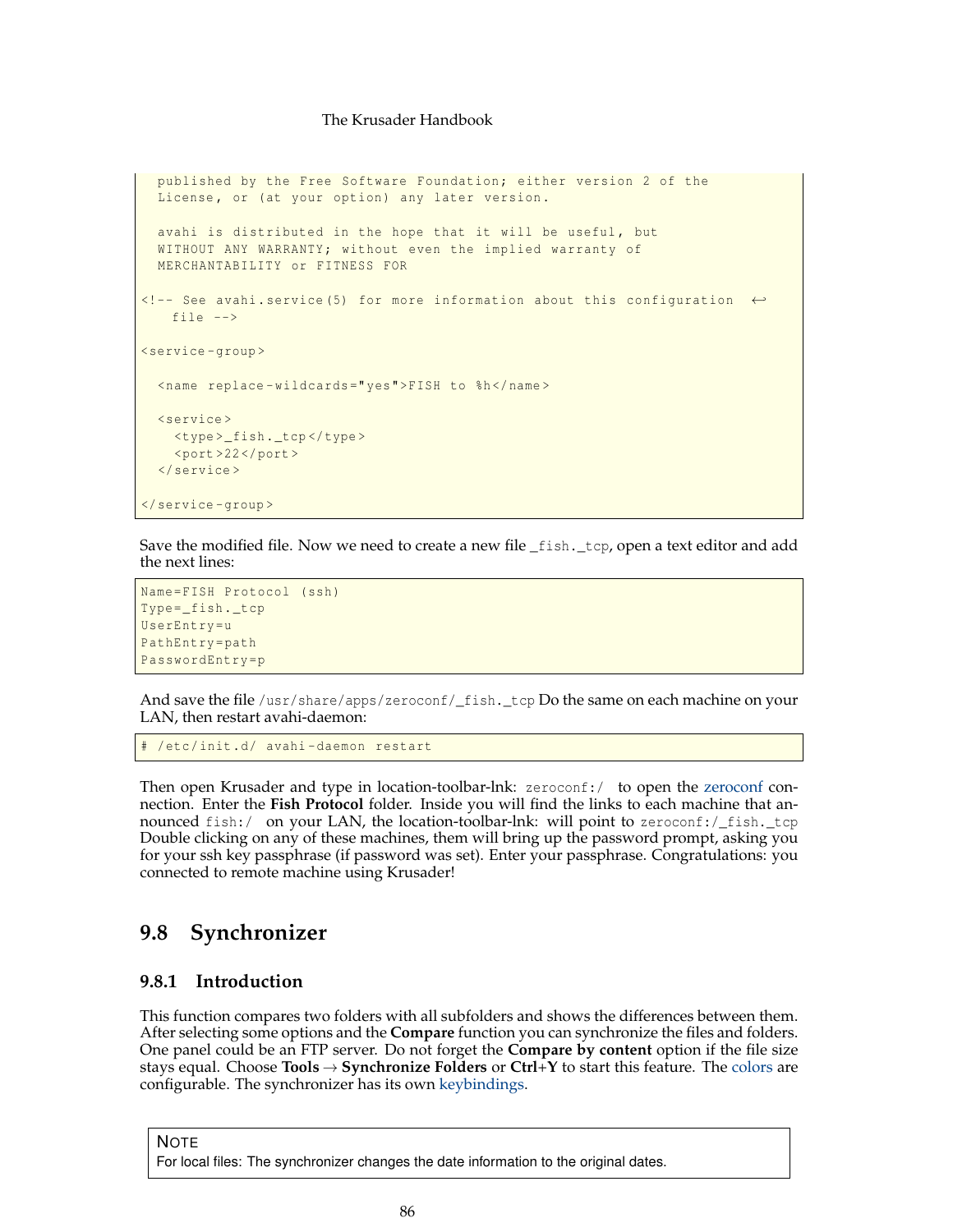```
published by the Free Software Foundation; either version 2 of the
  License, or (at your option) any later version.
 avahi is distributed in the hope that it will be useful, but
 WITHOUT ANY WARRANTY; without even the implied warranty of
 MERCHANTABILITY or FITNESS FOR
<!-- See avahi.service (5) for more information about this configuration ←-
   file -->
<service -group >
  <name replace -wildcards =" yes">FISH to %h</name >
  <service >
   <type >_fish._tcp </type >
   <port >22 </port >
  </service >
</service -group >
```
Save the modified file. Now we need to create a new file \_fish. \_tcp, open a text editor and add the next lines:

```
Name=FISH Protocol (ssh)
Type=_fish._tcp
UserEntry=u
PathEntry=path
PasswordEntry =p
```
And save the file /usr/share/apps/zeroconf/\_fish.\_tcp Do the same on each machine on your LAN, then restart avahi-daemon:

/etc/init.d/ avahi-daemon restart

Then open Krusader and type in location-toolbar-lnk: [zeroconf](#page-127-0):/ to open the zeroconf connection. Enter the **Fish Protocol** folder. Inside you will find the links to each machine that announced fish:/ on your LAN, the location-toolbar-lnk: will point to zeroconf:/\_fish.\_tcp Double clicking on any of these machines, them will bring up the password prompt, asking you for your ssh key passphrase (if password was set). Enter your passphrase. Congratulations: you connected to remote machine using Krusader!

# **9.8 Synchronizer**

# <span id="page-85-0"></span>**9.8.1 Introduction**

This function compares two folders with all subfolders and shows the differences between them. After selecting some options and the **Compare** function you can synchronize the files and folders. One panel could be an FTP server. Do not forget the **Compare by content** option if the file size stays equal. Choose **Tools** → **Synchronize Folders** or **Ctrl**+**Y** to start this feature. The [colors](#page-101-0) are configurable. The synchronizer has its own [keybindings.](#page-0-0)

**NOTE** For local files: The synchronizer changes the date information to the original dates.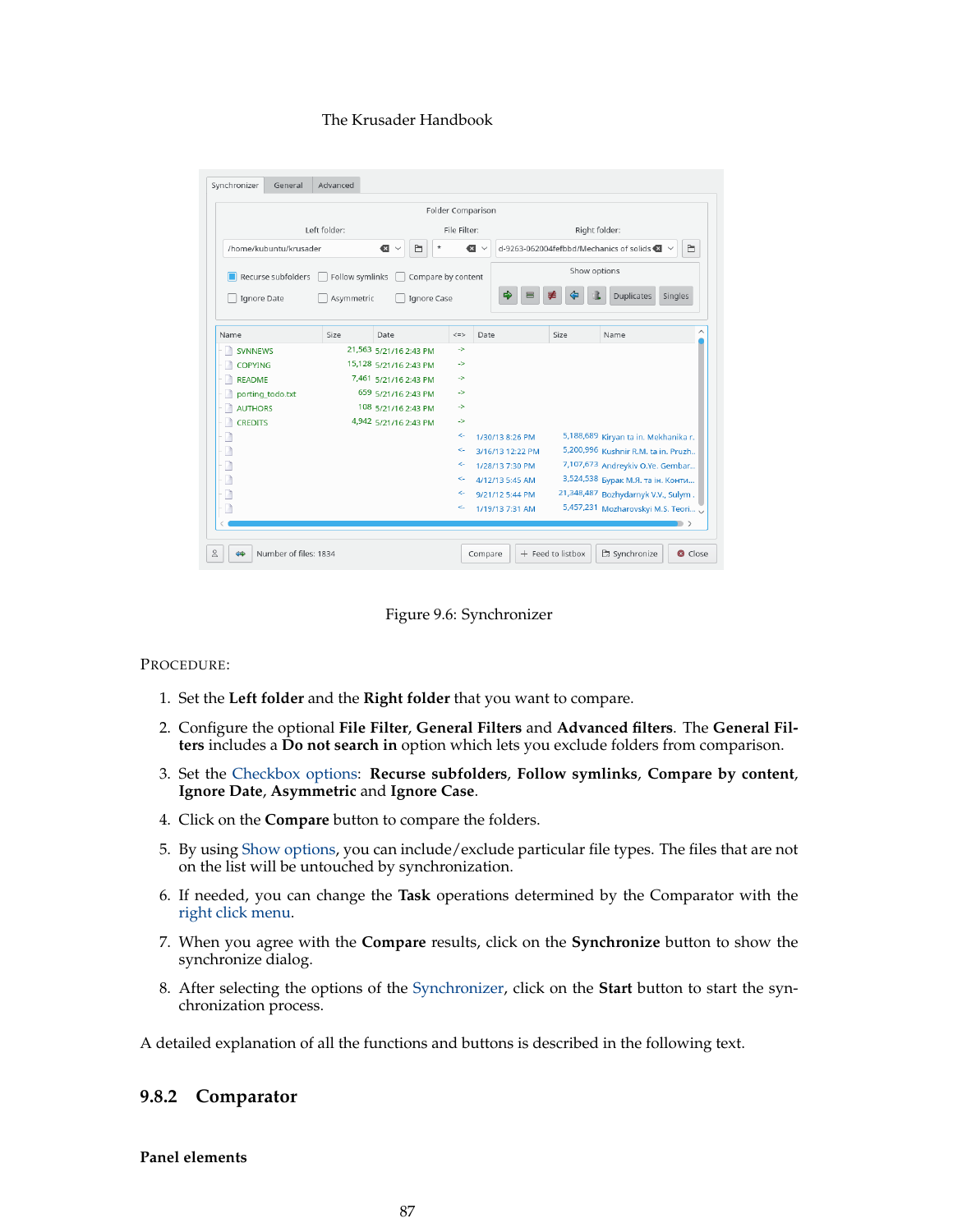|                        |                 |                              |               | Folder Comparison |               |                                                                  |
|------------------------|-----------------|------------------------------|---------------|-------------------|---------------|------------------------------------------------------------------|
|                        | Left folder:    |                              | File Filter:  |                   | Right folder: |                                                                  |
| /home/kubuntu/krusader |                 | Ò<br>$\star$<br>$\leftarrow$ |               | ☎<br>$\checkmark$ |               | d-9263-062004fefbbd/Mechanics of solids $\bigotimes$ $\vee$<br>Ò |
| Recurse subfolders     | Follow symlinks | Compare by content           |               |                   | Show options  |                                                                  |
| Ignore Date            | Asymmetric      | Ignore Case                  |               | ₿                 |               | <b>Duplicates</b><br>Singles                                     |
| Name                   | Size            | Date                         | $\leq$        | Date              | Size          | Name                                                             |
| <b>SVNNEWS</b>         |                 | 21,563 5/21/16 2:43 PM       | $\rightarrow$ |                   |               |                                                                  |
| <b>COPYING</b>         |                 | 15,128 5/21/16 2:43 PM       | $\rightarrow$ |                   |               |                                                                  |
| <b>README</b>          |                 | 7,461 5/21/16 2:43 PM        | ->            |                   |               |                                                                  |
| porting_todo.txt       |                 | 659 5/21/16 2:43 PM          | ->            |                   |               |                                                                  |
| <b>AUTHORS</b>         |                 | 108 5/21/16 2:43 PM          | $\rightarrow$ |                   |               |                                                                  |
| <b>CREDITS</b><br>L.B  |                 | 4,942 5/21/16 2:43 PM        | $\rightarrow$ |                   |               |                                                                  |
| n                      |                 |                              | ς.            | 1/30/13 8:26 PM   |               | 5,188,689 Kiryan ta in. Mekhanika r.                             |
|                        |                 |                              | $\leftarrow$  | 3/16/13 12:22 PM  |               | 5,200,996 Kushnir R.M. ta in. Pruzh                              |
|                        |                 |                              | $\leftarrow$  | 1/28/13 7:30 PM   |               | 7,107,673 Andreykiv O.Ye. Gembar                                 |
| B                      |                 |                              | $\leftarrow$  | 4/12/13 5:45 AM   |               | 3,524,538 Бурак М.Я. та ін. Конти                                |
|                        |                 |                              | $\leftarrow$  | 9/21/12 5:44 PM   |               | 21,348,487 Bozhydarnyk V.V., Sulym.                              |
|                        |                 |                              | $\leftarrow$  | 1/19/13 7:31 AM   |               | 5,457,231 Mozharovskyi M.S. Teori                                |



# PROCEDURE:

- 1. Set the **Left folder** and the **Right folder** that you want to compare.
- 2. Configure the optional **File Filter**, **General Filters** and **Advanced filters**. The **General Filters** includes a **Do not search in** option which lets you exclude folders from comparison.
- 3. Set the [Checkbox options:](#page-87-0) **Recurse subfolders**, **Follow symlinks**, **Compare by content**, **Ignore Date**, **Asymmetric** and **Ignore Case**.
- 4. Click on the **Compare** button to compare the folders.
- 5. By using [Show options,](#page-88-0) you can include/exclude particular file types. The files that are not on the list will be untouched by synchronization.
- 6. If needed, you can change the **Task** operations determined by the Comparator with the [right click menu.](#page-89-0)
- 7. When you agree with the **Compare** results, click on the **Synchronize** button to show the synchronize dialog.
- 8. After selecting the options of the [Synchronizer,](#page-85-0) click on the **Start** button to start the synchronization process.

A detailed explanation of all the functions and buttons is described in the following text.

# **9.8.2 Comparator**

#### **Panel elements**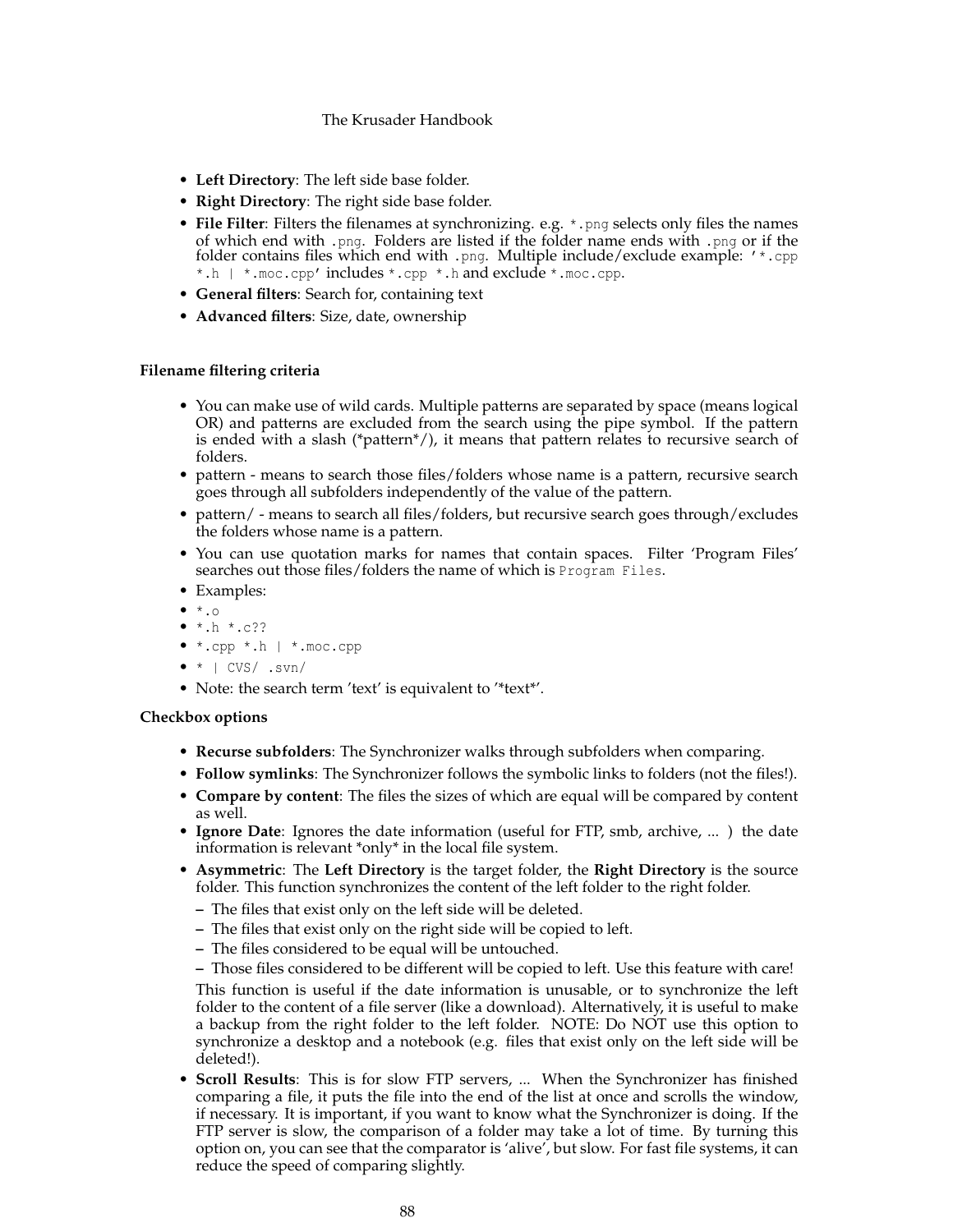- **Left Directory**: The left side base folder.
- **Right Directory**: The right side base folder.
- **File Filter**: Filters the filenames at synchronizing. e.g.  $*$ , png selects only files the names of which end with .png. Folders are listed if the folder name ends with .png or if the folder contains files which end with .png. Multiple include/exclude example: '\*.cpp \*.h | \*.moc.cpp' includes \*.cpp \*.h and exclude \*.moc.cpp.
- **General filters**: Search for, containing text
- **Advanced filters**: Size, date, ownership

#### **Filename filtering criteria**

- You can make use of wild cards. Multiple patterns are separated by space (means logical OR) and patterns are excluded from the search using the pipe symbol. If the pattern is ended with a slash (\*pattern\*/), it means that pattern relates to recursive search of folders.
- pattern means to search those files/folders whose name is a pattern, recursive search goes through all subfolders independently of the value of the pattern.
- pattern/ means to search all files/folders, but recursive search goes through/excludes the folders whose name is a pattern.
- You can use quotation marks for names that contain spaces. Filter 'Program Files' searches out those files/folders the name of which is Program Files.
- Examples:
- $\bullet$   $\star$ .0
- $\bullet$  \*.h \*.c??
- \*.cpp \*.h | \*.moc.cpp
- $\bullet$  \* | CVS/ .svn/
- Note: the search term 'text' is equivalent to '\*text\*'.

#### <span id="page-87-0"></span>**Checkbox options**

- **Recurse subfolders**: The Synchronizer walks through subfolders when comparing.
- **Follow symlinks**: The Synchronizer follows the symbolic links to folders (not the files!).
- **Compare by content**: The files the sizes of which are equal will be compared by content as well.
- **Ignore Date**: Ignores the date information (useful for FTP, smb, archive, ... ) the date information is relevant \*only\* in the local file system.
- **Asymmetric**: The **Left Directory** is the target folder, the **Right Directory** is the source folder. This function synchronizes the content of the left folder to the right folder.
	- **–** The files that exist only on the left side will be deleted.
	- **–** The files that exist only on the right side will be copied to left.
	- **–** The files considered to be equal will be untouched.
	- **–** Those files considered to be different will be copied to left. Use this feature with care!

This function is useful if the date information is unusable, or to synchronize the left folder to the content of a file server (like a download). Alternatively, it is useful to make a backup from the right folder to the left folder. NOTE: Do NOT use this option to synchronize a desktop and a notebook (e.g. files that exist only on the left side will be deleted!).

• **Scroll Results**: This is for slow FTP servers, ... When the Synchronizer has finished comparing a file, it puts the file into the end of the list at once and scrolls the window, if necessary. It is important, if you want to know what the Synchronizer is doing. If the FTP server is slow, the comparison of a folder may take a lot of time. By turning this option on, you can see that the comparator is 'alive', but slow. For fast file systems, it can reduce the speed of comparing slightly.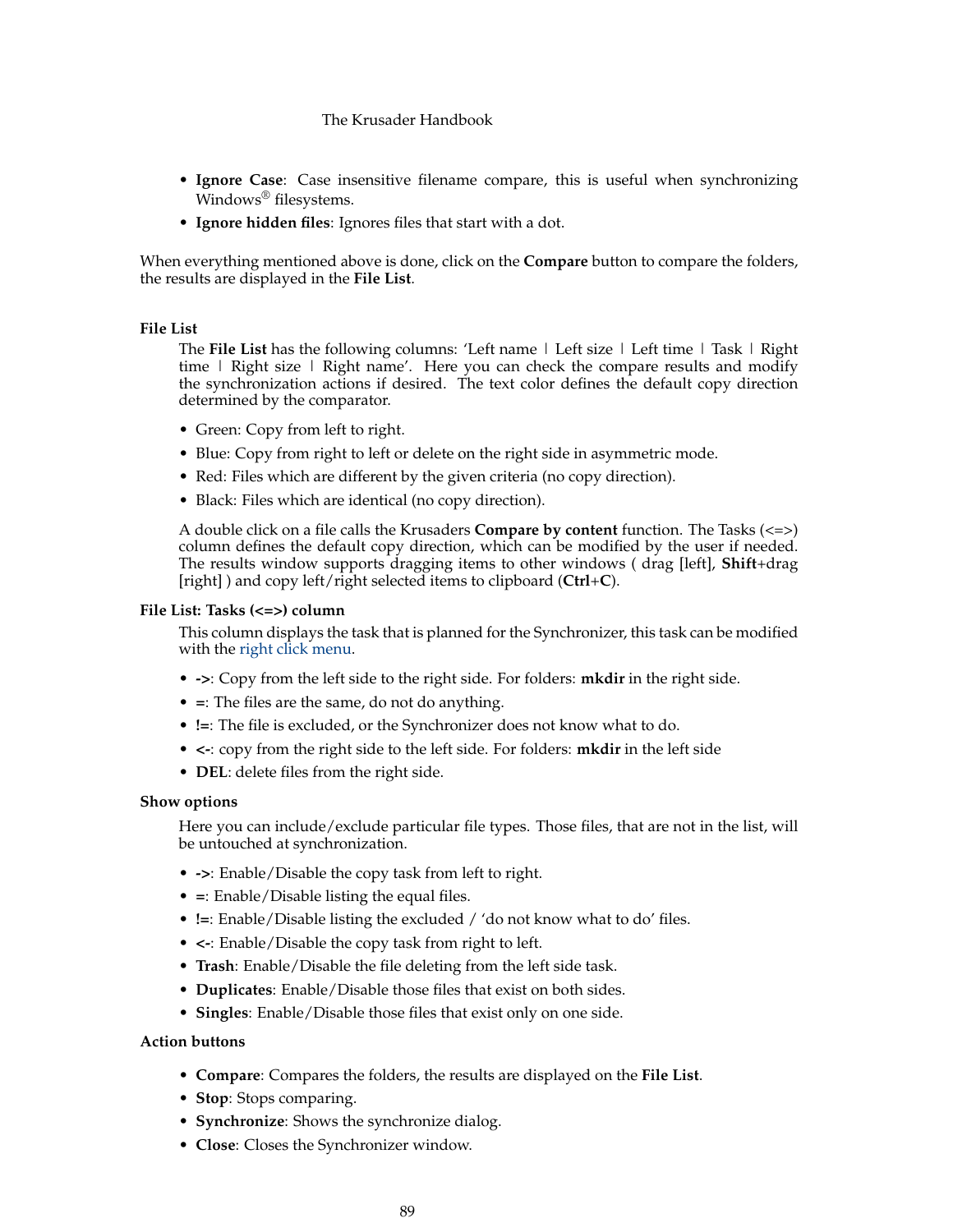- **Ignore Case**: Case insensitive filename compare, this is useful when synchronizing Windows® filesystems.
- **Ignore hidden files**: Ignores files that start with a dot.

When everything mentioned above is done, click on the **Compare** button to compare the folders, the results are displayed in the **File List**.

#### **File List**

The **File List** has the following columns: 'Left name | Left size | Left time | Task | Right time | Right size | Right name'. Here you can check the compare results and modify the synchronization actions if desired. The text color defines the default copy direction determined by the comparator.

- Green: Copy from left to right.
- Blue: Copy from right to left or delete on the right side in asymmetric mode.
- Red: Files which are different by the given criteria (no copy direction).
- Black: Files which are identical (no copy direction).

A double click on a file calls the Krusaders **Compare by content** function. The Tasks (<=>) column defines the default copy direction, which can be modified by the user if needed. The results window supports dragging items to other windows ( drag [left], **Shift**+drag [right] ) and copy left/right selected items to clipboard (**Ctrl**+**C**).

#### **File List: Tasks (<=>) column**

This column displays the task that is planned for the Synchronizer, this task can be modified with the [right click menu.](#page-89-0)

- **->**: Copy from the left side to the right side. For folders: **mkdir** in the right side.
- **=**: The files are the same, do not do anything.
- **!=**: The file is excluded, or the Synchronizer does not know what to do.
- **<-**: copy from the right side to the left side. For folders: **mkdir** in the left side
- **DEL**: delete files from the right side.

## <span id="page-88-0"></span>**Show options**

Here you can include/exclude particular file types. Those files, that are not in the list, will be untouched at synchronization.

- **->**: Enable/Disable the copy task from left to right.
- **=**: Enable/Disable listing the equal files.
- **!=**: Enable/Disable listing the excluded / 'do not know what to do' files.
- **<-**: Enable/Disable the copy task from right to left.
- **Trash**: Enable/Disable the file deleting from the left side task.
- **Duplicates**: Enable/Disable those files that exist on both sides.
- **Singles**: Enable/Disable those files that exist only on one side.

## **Action buttons**

- **Compare**: Compares the folders, the results are displayed on the **File List**.
- **Stop**: Stops comparing.
- **Synchronize**: Shows the synchronize dialog.
- **Close**: Closes the Synchronizer window.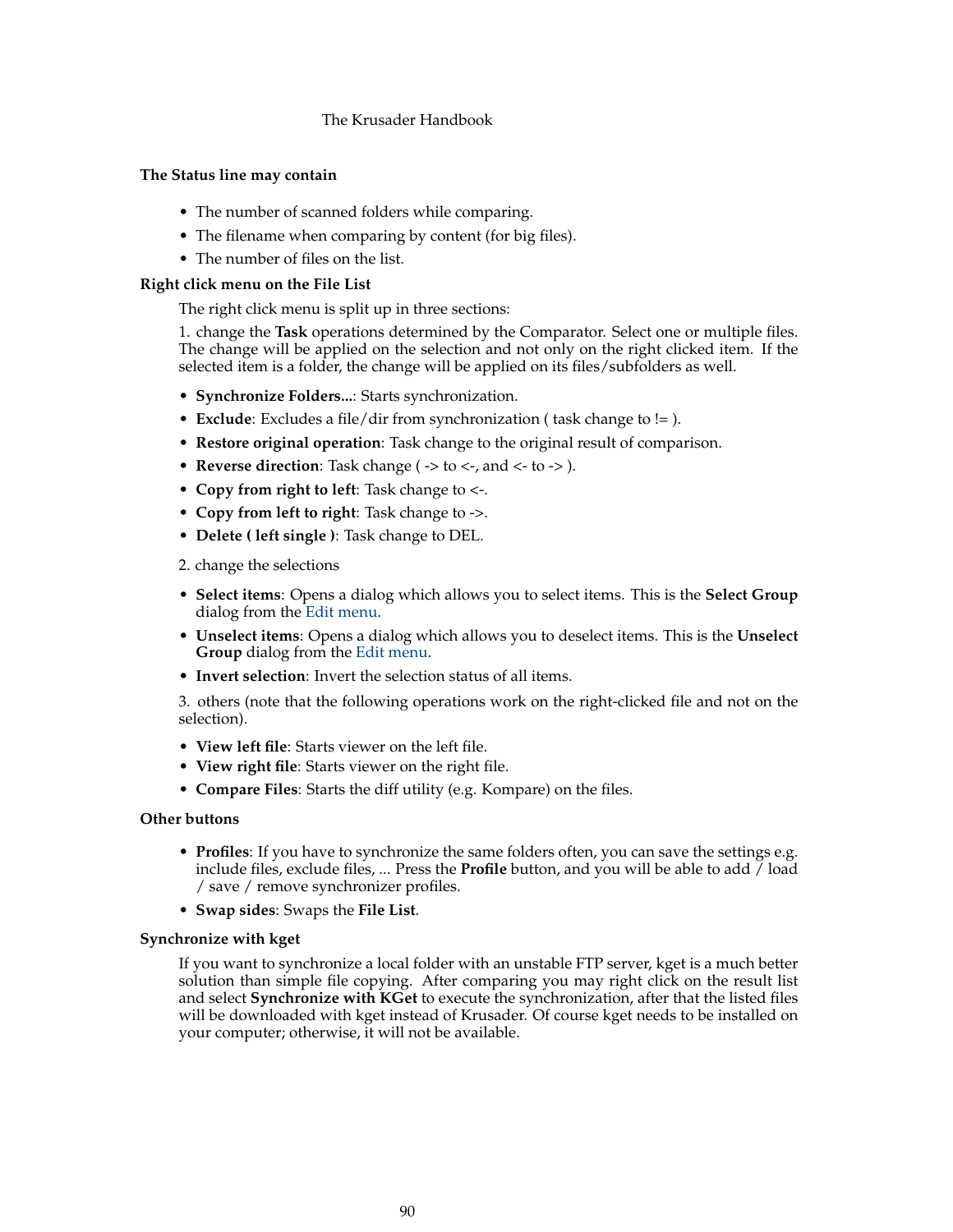# **The Status line may contain**

- The number of scanned folders while comparing.
- The filename when comparing by content (for big files).
- The number of files on the list.

# <span id="page-89-0"></span>**Right click menu on the File List**

The right click menu is split up in three sections:

1. change the **Task** operations determined by the Comparator. Select one or multiple files. The change will be applied on the selection and not only on the right clicked item. If the selected item is a folder, the change will be applied on its files/subfolders as well.

- **Synchronize Folders...**: Starts synchronization.
- **Exclude**: Excludes a file/dir from synchronization ( task change to != ).
- **Restore original operation**: Task change to the original result of comparison.
- **Reverse direction**: Task change ( -> to <-, and <- to -> ).
- **Copy from right to left**: Task change to <-.
- **Copy from left to right**: Task change to ->.
- **Delete ( left single )**: Task change to DEL.
- 2. change the selections
- **Select items**: Opens a dialog which allows you to select items. This is the **Select Group** dialog from the [Edit menu.](#page-40-0)
- **Unselect items**: Opens a dialog which allows you to deselect items. This is the **Unselect Group** dialog from the [Edit menu.](#page-40-0)
- **Invert selection**: Invert the selection status of all items.

3. others (note that the following operations work on the right-clicked file and not on the selection).

- **View left file**: Starts viewer on the left file.
- **View right file**: Starts viewer on the right file.
- **Compare Files**: Starts the diff utility (e.g. Kompare) on the files.

## **Other buttons**

- **Profiles**: If you have to synchronize the same folders often, you can save the settings e.g. include files, exclude files, ... Press the **Profile** button, and you will be able to add / load / save / remove synchronizer profiles.
- **Swap sides**: Swaps the **File List**.

## **Synchronize with kget**

If you want to synchronize a local folder with an unstable FTP server, kget is a much better solution than simple file copying. After comparing you may right click on the result list and select **Synchronize with KGet** to execute the synchronization, after that the listed files will be downloaded with kget instead of Krusader. Of course kget needs to be installed on your computer; otherwise, it will not be available.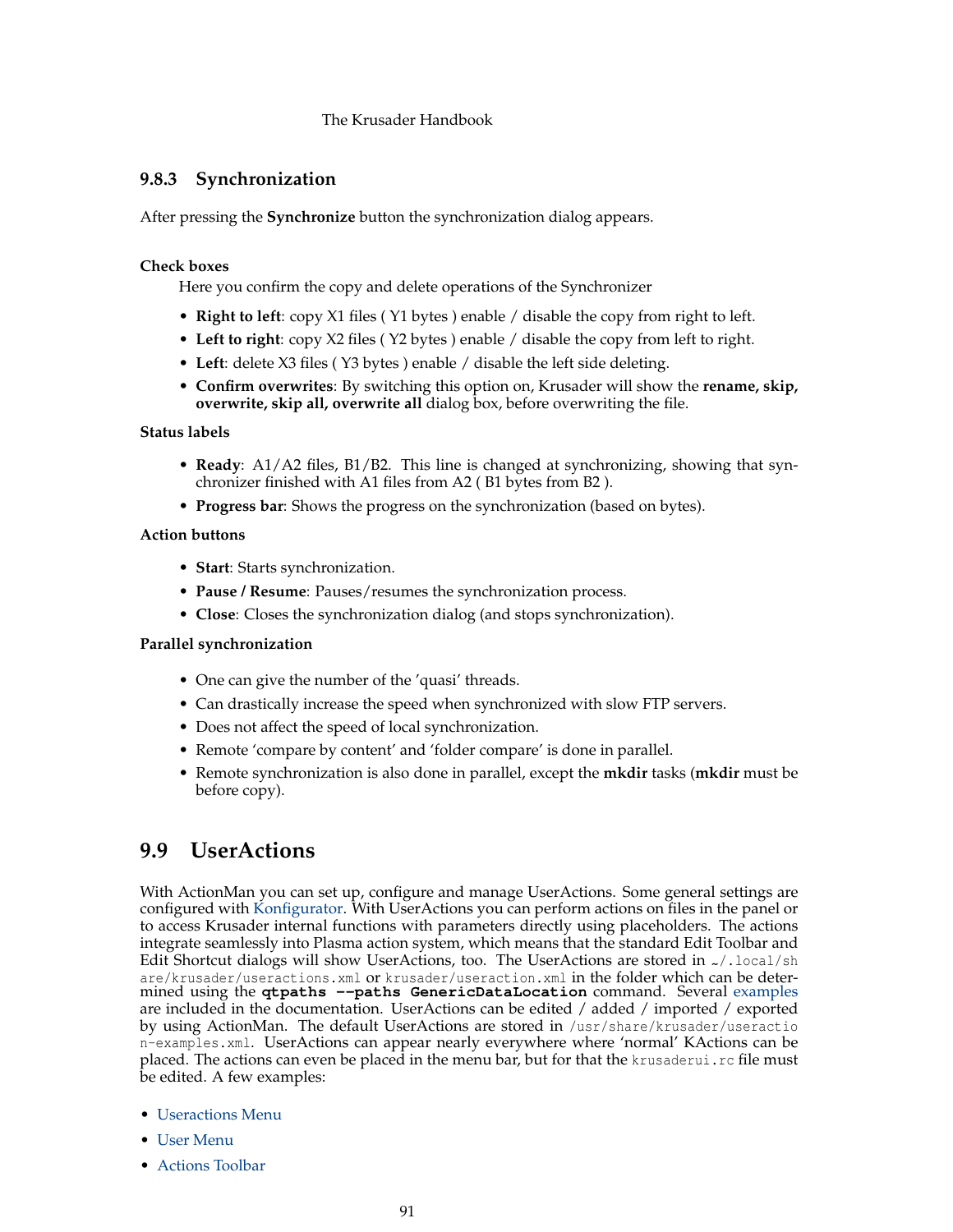# **9.8.3 Synchronization**

After pressing the **Synchronize** button the synchronization dialog appears.

# **Check boxes**

Here you confirm the copy and delete operations of the Synchronizer

- **Right to left**: copy X1 files ( Y1 bytes ) enable / disable the copy from right to left.
- **Left to right**: copy X2 files ( Y2 bytes ) enable / disable the copy from left to right.
- **Left**: delete X3 files ( Y3 bytes ) enable / disable the left side deleting.
- **Confirm overwrites**: By switching this option on, Krusader will show the **rename, skip, overwrite, skip all, overwrite all** dialog box, before overwriting the file.

# **Status labels**

- **Ready**: A1/A2 files, B1/B2. This line is changed at synchronizing, showing that synchronizer finished with A1 files from A2 ( B1 bytes from B2 ).
- **Progress bar**: Shows the progress on the synchronization (based on bytes).

# **Action buttons**

- **Start**: Starts synchronization.
- **Pause / Resume**: Pauses/resumes the synchronization process.
- **Close**: Closes the synchronization dialog (and stops synchronization).

# **Parallel synchronization**

- One can give the number of the 'quasi' threads.
- Can drastically increase the speed when synchronized with slow FTP servers.
- Does not affect the speed of local synchronization.
- Remote 'compare by content' and 'folder compare' is done in parallel.
- Remote synchronization is also done in parallel, except the **mkdir** tasks (**mkdir** must be before copy).

# **9.9 UserActions**

<span id="page-90-0"></span>With ActionMan you can set up, configure and manage UserActions. Some general settings are configured with [Konfigurator.](#page-106-0) With UserActions you can perform actions on files in the panel or to access Krusader internal functions with parameters directly using placeholders. The actions integrate seamlessly into Plasma action system, which means that the standard Edit Toolbar and Edit Shortcut dialogs will show UserActions, too. The UserActions are stored in  $\alpha$ /.local/sh are/krusader/useractions.xml or krusader/useraction.xml in the folder which can be determined using the **qtpaths --paths GenericDataLocation** command. Several [examples](#page-119-0) are included in the documentation. UserActions can be edited / added / imported / exported by using ActionMan. The default UserActions are stored in /usr/share/krusader/useractio n-examples.xml. UserActions can appear nearly everywhere where 'normal' KActions can be placed. The actions can even be placed in the menu bar, but for that the krusaderui.rc file must be edited. A few examples:

- [Useractions Menu](#page-43-0)
- [User Menu](#page-90-0)
- [Actions Toolbar](#page-22-0)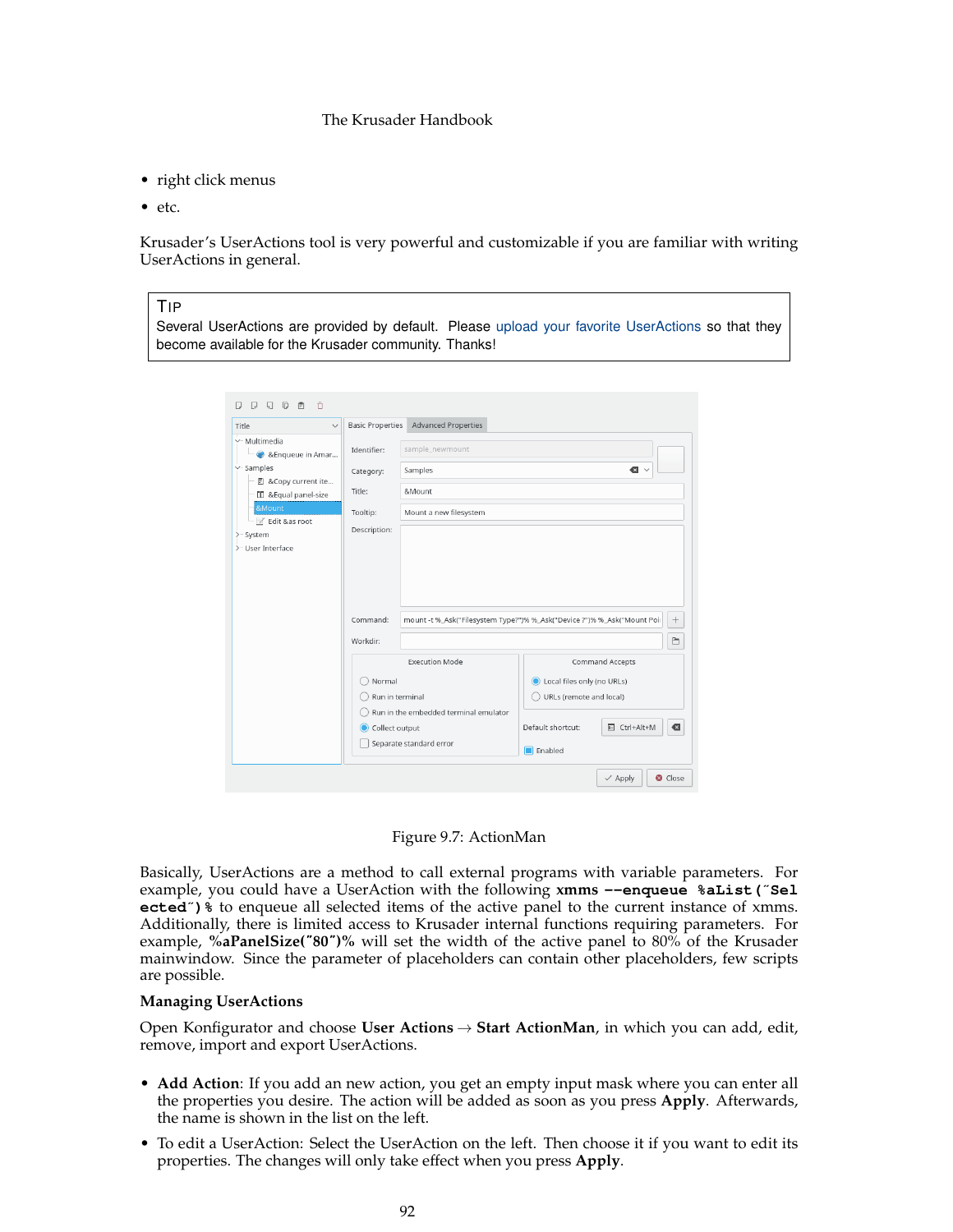- right click menus
- etc.

Krusader's UserActions tool is very powerful and customizable if you are familiar with writing UserActions in general.

# TIP

Several UserActions are provided by default. Please [upload your favorite UserActions](#page-10-0) so that they become available for the Krusader community. Thanks!

| Title<br>$\checkmark$                                          | <b>Basic Properties</b>  | <b>Advanced Properties</b>                                              |           |             |
|----------------------------------------------------------------|--------------------------|-------------------------------------------------------------------------|-----------|-------------|
| v-Multimedia<br>& & Enqueue in Amar                            | Identifier:              | sample_newmount                                                         |           |             |
| $\vee$ -Samples<br>图 &Copy current ite                         | Category:                | Samples                                                                 | $\bullet$ |             |
| <b>II</b> & Equal panel-size                                   | Title:                   | &Mount                                                                  |           |             |
| &Mount<br>Z Edit &as root<br>- System<br>⋋<br>>-User Interface | Tooltip:<br>Description: | Mount a new filesystem                                                  |           |             |
|                                                                |                          |                                                                         |           |             |
|                                                                | Command:                 | mount -t %_Ask("Filesystem Type?")% %_Ask("Device ?")% %_Ask("Mount Poi |           |             |
|                                                                | Workdir:                 |                                                                         |           | $^{+}$<br>盲 |

Figure 9.7: ActionMan

Basically, UserActions are a method to call external programs with variable parameters. For example, you could have a UserAction with the following **xmms --enqueue %aList(**˝**Sel ected**˝**)%** to enqueue all selected items of the active panel to the current instance of xmms. Additionally, there is limited access to Krusader internal functions requiring parameters. For example, **%aPanelSize(**˝**80**˝**)%** will set the width of the active panel to 80% of the Krusader mainwindow. Since the parameter of placeholders can contain other placeholders, few scripts are possible.

#### **Managing UserActions**

Open Konfigurator and choose **User Actions** → **Start ActionMan**, in which you can add, edit, remove, import and export UserActions.

- **Add Action**: If you add an new action, you get an empty input mask where you can enter all the properties you desire. The action will be added as soon as you press **Apply**. Afterwards, the name is shown in the list on the left.
- To edit a UserAction: Select the UserAction on the left. Then choose it if you want to edit its properties. The changes will only take effect when you press **Apply**.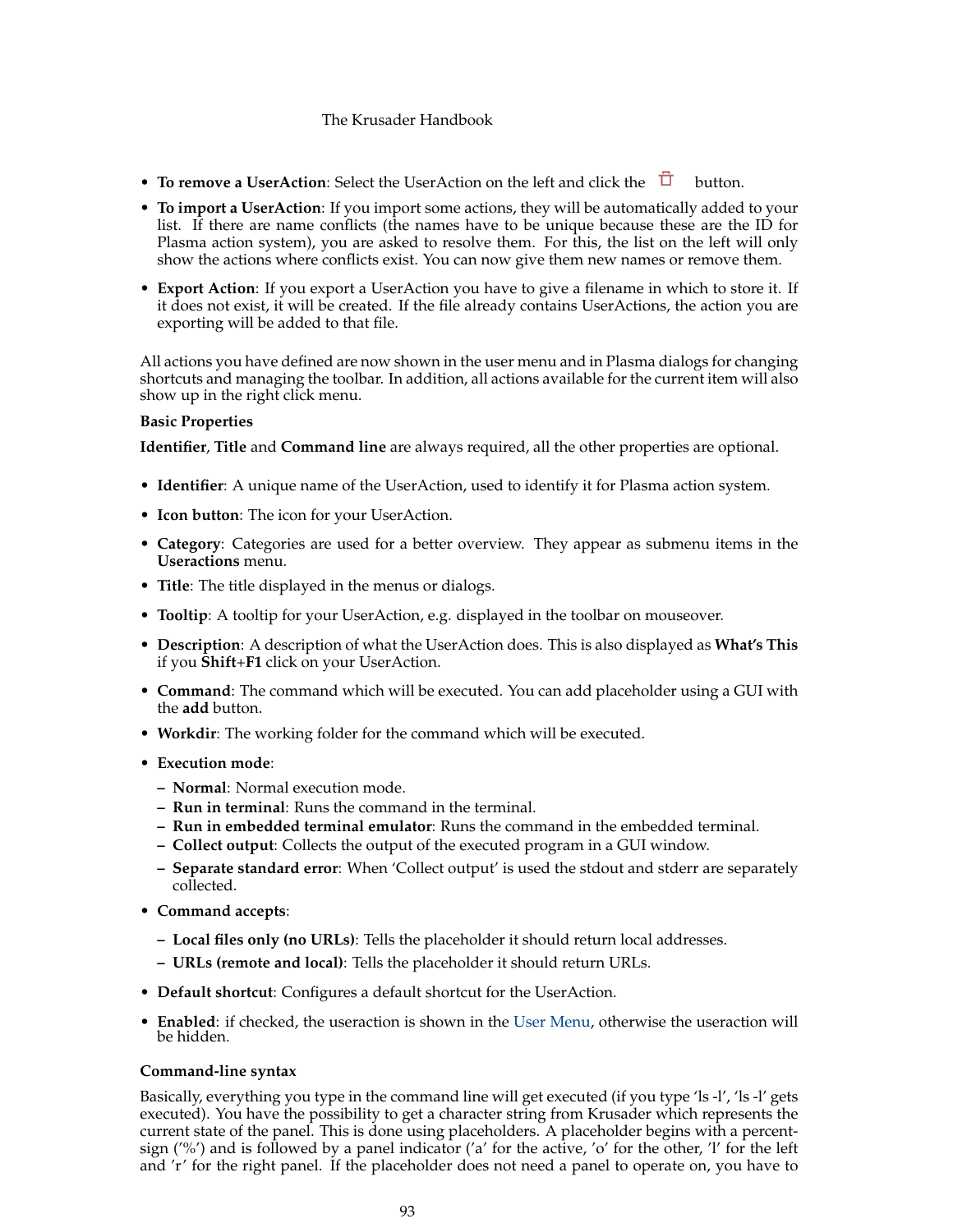- **To remove a UserAction**: Select the UserAction on the left and click the  $\overrightarrow{U}$  button.
- **To import a UserAction**: If you import some actions, they will be automatically added to your list. If there are name conflicts (the names have to be unique because these are the ID for Plasma action system), you are asked to resolve them. For this, the list on the left will only show the actions where conflicts exist. You can now give them new names or remove them.
- **Export Action**: If you export a UserAction you have to give a filename in which to store it. If it does not exist, it will be created. If the file already contains UserActions, the action you are exporting will be added to that file.

All actions you have defined are now shown in the user menu and in Plasma dialogs for changing shortcuts and managing the toolbar. In addition, all actions available for the current item will also show up in the right click menu.

## **Basic Properties**

**Identifier**, **Title** and **Command line** are always required, all the other properties are optional.

- **Identifier**: A unique name of the UserAction, used to identify it for Plasma action system.
- **Icon button**: The icon for your UserAction.
- **Category**: Categories are used for a better overview. They appear as submenu items in the **Useractions** menu.
- **Title**: The title displayed in the menus or dialogs.
- **Tooltip**: A tooltip for your UserAction, e.g. displayed in the toolbar on mouseover.
- **Description**: A description of what the UserAction does. This is also displayed as **What's This** if you **Shift**+**F1** click on your UserAction.
- **Command**: The command which will be executed. You can add placeholder using a GUI with the **add** button.
- **Workdir**: The working folder for the command which will be executed.
- **Execution mode**:
	- **– Normal**: Normal execution mode.
	- **– Run in terminal**: Runs the command in the terminal.
	- **– Run in embedded terminal emulator**: Runs the command in the embedded terminal.
	- **– Collect output**: Collects the output of the executed program in a GUI window.
	- **– Separate standard error**: When 'Collect output' is used the stdout and stderr are separately collected.
- **Command accepts**:
	- **– Local files only (no URLs)**: Tells the placeholder it should return local addresses.
	- **– URLs (remote and local)**: Tells the placeholder it should return URLs.
- **Default shortcut**: Configures a default shortcut for the UserAction.
- **Enabled**: if checked, the useraction is shown in the [User Menu,](#page-90-0) otherwise the useraction will be hidden.

#### **Command-line syntax**

Basically, everything you type in the command line will get executed (if you type 'ls -l', 'ls -l' gets executed). You have the possibility to get a character string from Krusader which represents the current state of the panel. This is done using placeholders. A placeholder begins with a percentsign ('%') and is followed by a panel indicator ('a' for the active, 'o' for the other, 'l' for the left and 'r' for the right panel. If the placeholder does not need a panel to operate on, you have to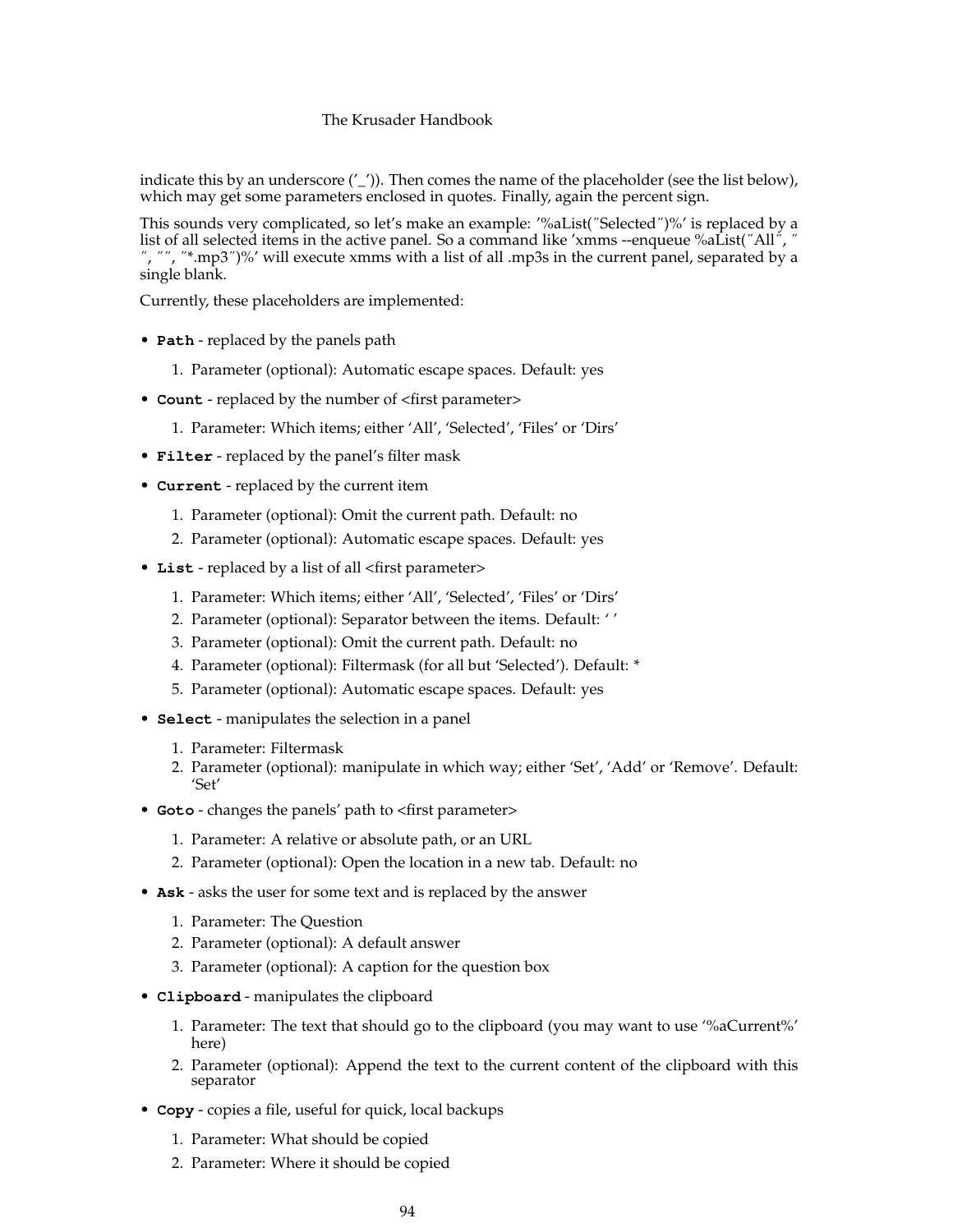indicate this by an underscore ('\_')). Then comes the name of the placeholder (see the list below), which may get some parameters enclosed in quotes. Finally, again the percent sign.

This sounds very complicated, so let's make an example: '%aList(˝Selected˝)%' is replaced by a list of all selected items in the active panel. So a command like 'xmms --enqueue %aList("All",  $\ddot{\ }$ ˝, ˝˝, ˝\*.mp3˝)%' will execute xmms with a list of all .mp3s in the current panel, separated by a single blank.

Currently, these placeholders are implemented:

- **Path** replaced by the panels path
	- 1. Parameter (optional): Automatic escape spaces. Default: yes
- **Count** replaced by the number of <first parameter>
	- 1. Parameter: Which items; either 'All', 'Selected', 'Files' or 'Dirs'
- **Filter** replaced by the panel's filter mask
- **Current** replaced by the current item
	- 1. Parameter (optional): Omit the current path. Default: no
	- 2. Parameter (optional): Automatic escape spaces. Default: yes
- **List** replaced by a list of all <first parameter>
	- 1. Parameter: Which items; either 'All', 'Selected', 'Files' or 'Dirs'
	- 2. Parameter (optional): Separator between the items. Default: ' '
	- 3. Parameter (optional): Omit the current path. Default: no
	- 4. Parameter (optional): Filtermask (for all but 'Selected'). Default: \*
	- 5. Parameter (optional): Automatic escape spaces. Default: yes
- **Select** manipulates the selection in a panel
	- 1. Parameter: Filtermask
	- 2. Parameter (optional): manipulate in which way; either 'Set', 'Add' or 'Remove'. Default: 'Set'
- **Goto** changes the panels' path to <first parameter>
	- 1. Parameter: A relative or absolute path, or an URL
	- 2. Parameter (optional): Open the location in a new tab. Default: no
- **Ask** asks the user for some text and is replaced by the answer
	- 1. Parameter: The Question
	- 2. Parameter (optional): A default answer
	- 3. Parameter (optional): A caption for the question box
- **Clipboard** manipulates the clipboard
	- 1. Parameter: The text that should go to the clipboard (you may want to use '%aCurrent%' here)
	- 2. Parameter (optional): Append the text to the current content of the clipboard with this separator
- **Copy** copies a file, useful for quick, local backups
	- 1. Parameter: What should be copied
	- 2. Parameter: Where it should be copied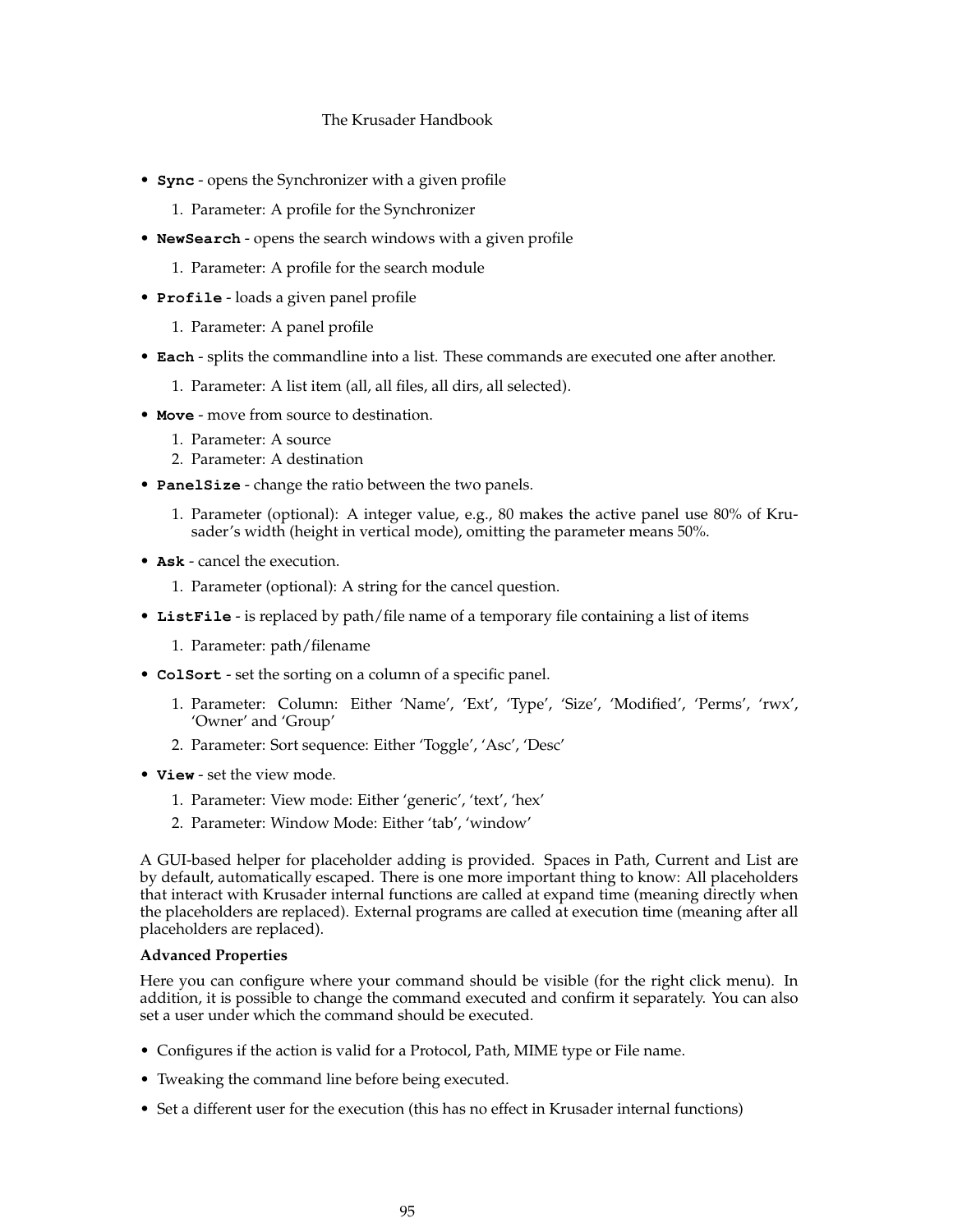- **Sync** opens the Synchronizer with a given profile
	- 1. Parameter: A profile for the Synchronizer
- **NewSearch** opens the search windows with a given profile
	- 1. Parameter: A profile for the search module
- **Profile** loads a given panel profile
	- 1. Parameter: A panel profile
- **Each** splits the commandline into a list. These commands are executed one after another.
	- 1. Parameter: A list item (all, all files, all dirs, all selected).
- **Move** move from source to destination.
	- 1. Parameter: A source
	- 2. Parameter: A destination
- **PanelSize** change the ratio between the two panels.
	- 1. Parameter (optional): A integer value, e.g., 80 makes the active panel use 80% of Krusader's width (height in vertical mode), omitting the parameter means 50%.
- **Ask** cancel the execution.
	- 1. Parameter (optional): A string for the cancel question.
- **ListFile** is replaced by path/file name of a temporary file containing a list of items
	- 1. Parameter: path/filename
- **ColSort** set the sorting on a column of a specific panel.
	- 1. Parameter: Column: Either 'Name', 'Ext', 'Type', 'Size', 'Modified', 'Perms', 'rwx', 'Owner' and 'Group'
	- 2. Parameter: Sort sequence: Either 'Toggle', 'Asc', 'Desc'
- **View** set the view mode.
	- 1. Parameter: View mode: Either 'generic', 'text', 'hex'
	- 2. Parameter: Window Mode: Either 'tab', 'window'

A GUI-based helper for placeholder adding is provided. Spaces in Path, Current and List are by default, automatically escaped. There is one more important thing to know: All placeholders that interact with Krusader internal functions are called at expand time (meaning directly when the placeholders are replaced). External programs are called at execution time (meaning after all placeholders are replaced).

## **Advanced Properties**

Here you can configure where your command should be visible (for the right click menu). In addition, it is possible to change the command executed and confirm it separately. You can also set a user under which the command should be executed.

- Configures if the action is valid for a Protocol, Path, MIME type or File name.
- Tweaking the command line before being executed.
- Set a different user for the execution (this has no effect in Krusader internal functions)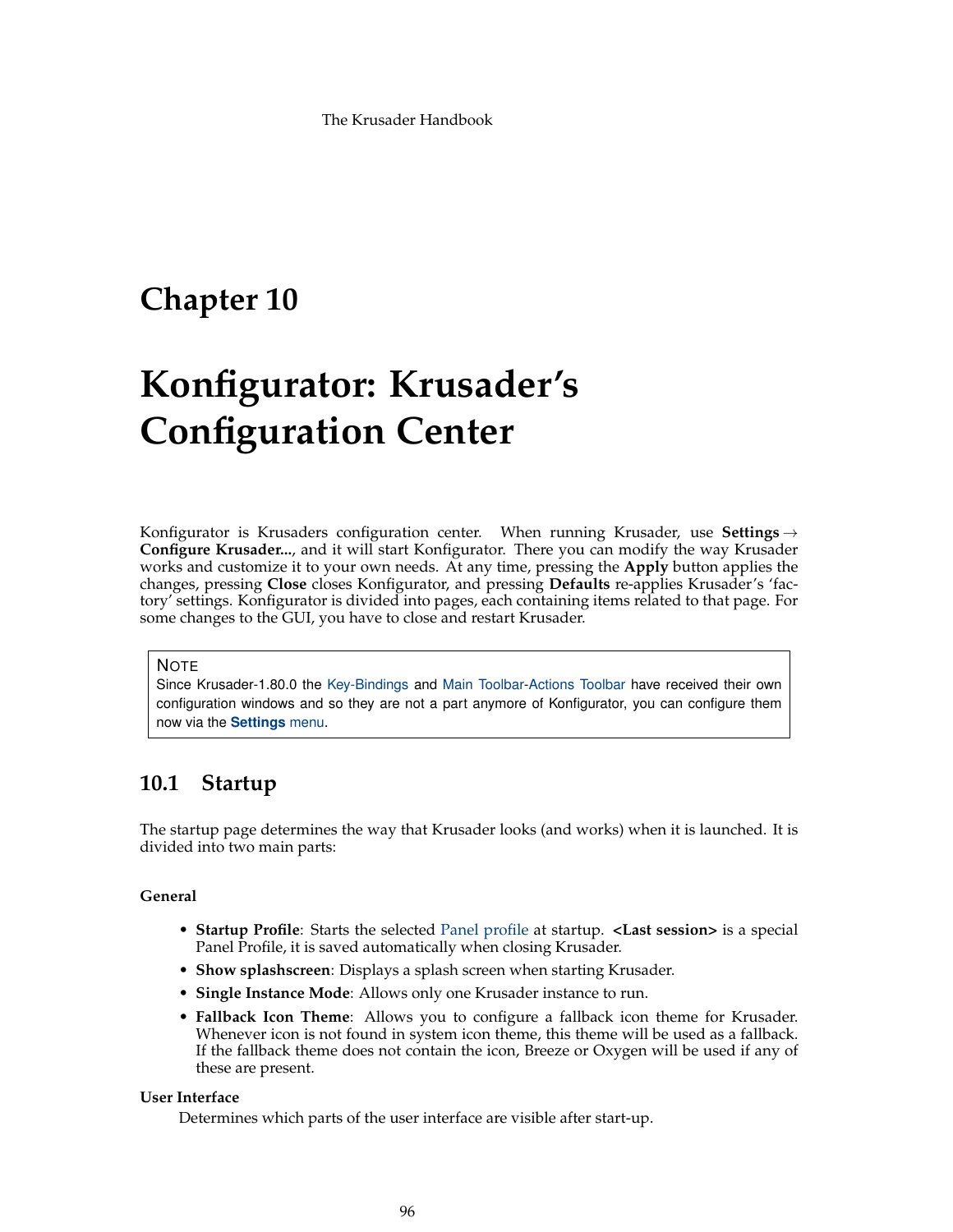# **Chapter 10**

# **Konfigurator: Krusader's Configuration Center**

Konfigurator is Krusaders configuration center. When running Krusader, use **Settings**  $\rightarrow$ **Configure Krusader...**, and it will start Konfigurator. There you can modify the way Krusader works and customize it to your own needs. At any time, pressing the **Apply** button applies the changes, pressing **Close** closes Konfigurator, and pressing **Defaults** re-applies Krusader's 'factory' settings. Konfigurator is divided into pages, each containing items related to that page. For some changes to the GUI, you have to close and restart Krusader.

#### **NOTE**

Since Krusader-1.80.0 the [Key-Bindings](#page-48-0) and [Main Toolbar-](#page-20-0)[Actions Toolbar](#page-22-0) have received their own configuration windows and so they are not a part anymore of Konfigurator, you can configure them now via the **[Settings](#page-45-0)** menu.

# **10.1 Startup**

The startup page determines the way that Krusader looks (and works) when it is launched. It is divided into two main parts:

# **General**

- **Startup Profile**: Starts the selected [Panel profile](#page-38-0) at startup. **<Last session>** is a special Panel Profile, it is saved automatically when closing Krusader.
- **Show splashscreen**: Displays a splash screen when starting Krusader.
- **Single Instance Mode**: Allows only one Krusader instance to run.
- **Fallback Icon Theme**: Allows you to configure a fallback icon theme for Krusader. Whenever icon is not found in system icon theme, this theme will be used as a fallback. If the fallback theme does not contain the icon, Breeze or Oxygen will be used if any of these are present.

#### **User Interface**

Determines which parts of the user interface are visible after start-up.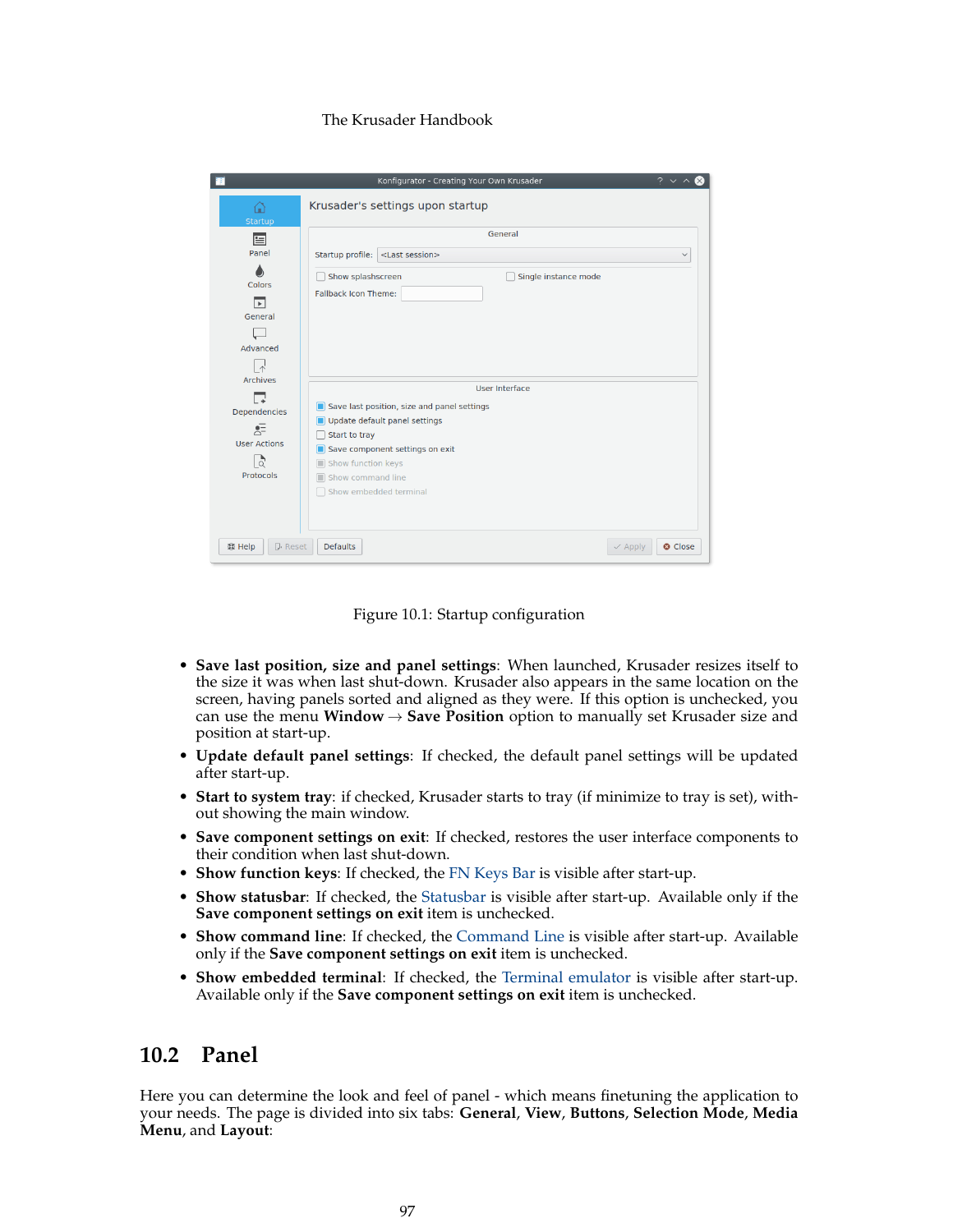|                                                                                                                     | $2 \times$<br>Konfigurator - Creating Your Own Krusader                                                                                                                                                                      |
|---------------------------------------------------------------------------------------------------------------------|------------------------------------------------------------------------------------------------------------------------------------------------------------------------------------------------------------------------------|
| ⋒<br>Startup                                                                                                        | Krusader's settings upon startup                                                                                                                                                                                             |
| 圄<br>Panel<br>Colors<br>⊓<br>General<br>Advanced<br>$\wedge$                                                        | General<br>Startup profile:<br><last session=""><br/><math>\checkmark</math><br/>Show splashscreen<br/>Single instance mode<br/>Fallback Icon Theme:</last>                                                                  |
| <b>Archives</b><br>「∡<br><b>Dependencies</b><br>$\overline{z}$<br><b>User Actions</b><br>$\frac{1}{2}$<br>Protocols | User Interface<br>Save last position, size and panel settings<br>п<br>Update default panel settings<br>Start to tray<br>Save component settings on exit<br>Show function keys<br>Show command line<br>Show embedded terminal |
| 醇 Help<br><b>DReset</b>                                                                                             | <b>Defaults</b><br><b>Q</b> Close<br>$\vee$ Apply                                                                                                                                                                            |

Figure 10.1: Startup configuration

- **Save last position, size and panel settings**: When launched, Krusader resizes itself to the size it was when last shut-down. Krusader also appears in the same location on the screen, having panels sorted and aligned as they were. If this option is unchecked, you can use the menu **Window**  $\rightarrow$  **Save Position** option to manually set Krusader size and position at start-up.
- **Update default panel settings**: If checked, the default panel settings will be updated after start-up.
- **Start to system tray**: if checked, Krusader starts to tray (if minimize to tray is set), without showing the main window.
- **Save component settings on exit**: If checked, restores the user interface components to their condition when last shut-down.
- **Show function keys**: If checked, the [FN Keys Bar](#page-26-0) is visible after start-up.
- **Show statusbar**: If checked, the [Statusbar](#page-20-0) is visible after start-up. Available only if the **Save component settings on exit** item is unchecked.
- **Show command line**: If checked, the [Command Line](#page-25-0) is visible after start-up. Available only if the **Save component settings on exit** item is unchecked.
- **Show embedded terminal**: If checked, the [Terminal emulator](#page-26-1) is visible after start-up. Available only if the **Save component settings on exit** item is unchecked.

# **10.2 Panel**

Here you can determine the look and feel of panel - which means finetuning the application to your needs. The page is divided into six tabs: **General**, **View**, **Buttons**, **Selection Mode**, **Media Menu**, and **Layout**: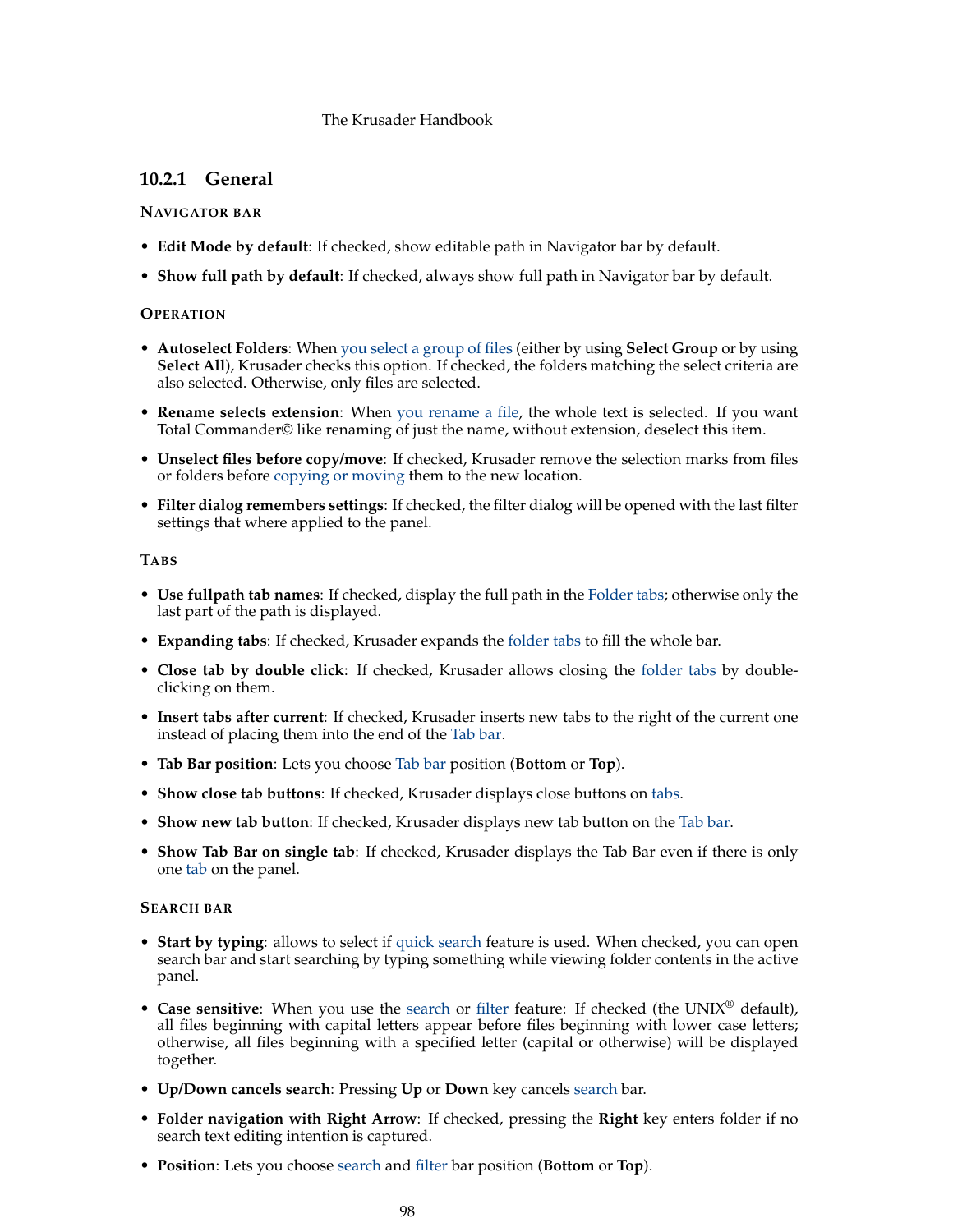# **10.2.1 General**

# **NAVIGATOR BAR**

- **Edit Mode by default**: If checked, show editable path in Navigator bar by default.
- **Show full path by default**: If checked, always show full path in Navigator bar by default.

## **OPERATION**

- **Autoselect Folders**: When [you select a group of files](#page-40-0) (either by using **Select Group** or by using Select All), Krusader checks this option. If checked, the folders matching the select criteria are also selected. Otherwise, only files are selected.
- **Rename selects extension**: When [you rename a file,](#page-32-0) the whole text is selected. If you want Total Commander© like renaming of just the name, without extension, deselect this item.
- **Unselect files before copy/move**: If checked, Krusader remove the selection marks from files or folders before [copying or moving](#page-31-0) them to the new location.
- **Filter dialog remembers settings**: If checked, the filter dialog will be opened with the last filter settings that where applied to the panel.

# **TABS**

- **Use fullpath tab names**: If checked, display the full path in the [Folder tabs;](#page-27-0) otherwise only the last part of the path is displayed.
- **Expanding tabs**: If checked, Krusader expands the [folder tabs](#page-27-0) to fill the whole bar.
- **Close tab by double click**: If checked, Krusader allows closing the [folder tabs](#page-27-0) by doubleclicking on them.
- **Insert tabs after current**: If checked, Krusader inserts new tabs to the right of the current one instead of placing them into the end of the [Tab bar.](#page-27-0)
- **Tab Bar position**: Lets you choose [Tab bar](#page-27-0) position (**Bottom** or **Top**).
- **Show close tab buttons**: If checked, Krusader displays close buttons on [tabs.](#page-27-0)
- **Show new tab button**: If checked, Krusader displays new tab button on the [Tab bar.](#page-27-0)
- **Show Tab Bar on single tab**: If checked, Krusader displays the Tab Bar even if there is only one [tab](#page-27-0) on the panel.

## **SEARCH BAR**

- **Start by typing**: allows to select if [quick search](#page-30-0) feature is used. When checked, you can open search bar and start searching by typing something while viewing folder contents in the active panel.
- **Case sensitive**: When you use the [search](#page-30-0) or [filter](#page-30-1) feature: If checked (the UNIX® default), all files beginning with capital letters appear before files beginning with lower case letters; otherwise, all files beginning with a specified letter (capital or otherwise) will be displayed together.
- **Up/Down cancels search**: Pressing **Up** or **Down** key cancels [search](#page-30-0) bar.
- **Folder navigation with Right Arrow**: If checked, pressing the **Right** key enters folder if no search text editing intention is captured.
- **Position**: Lets you choose [search](#page-30-0) and [filter](#page-30-1) bar position (**Bottom** or **Top**).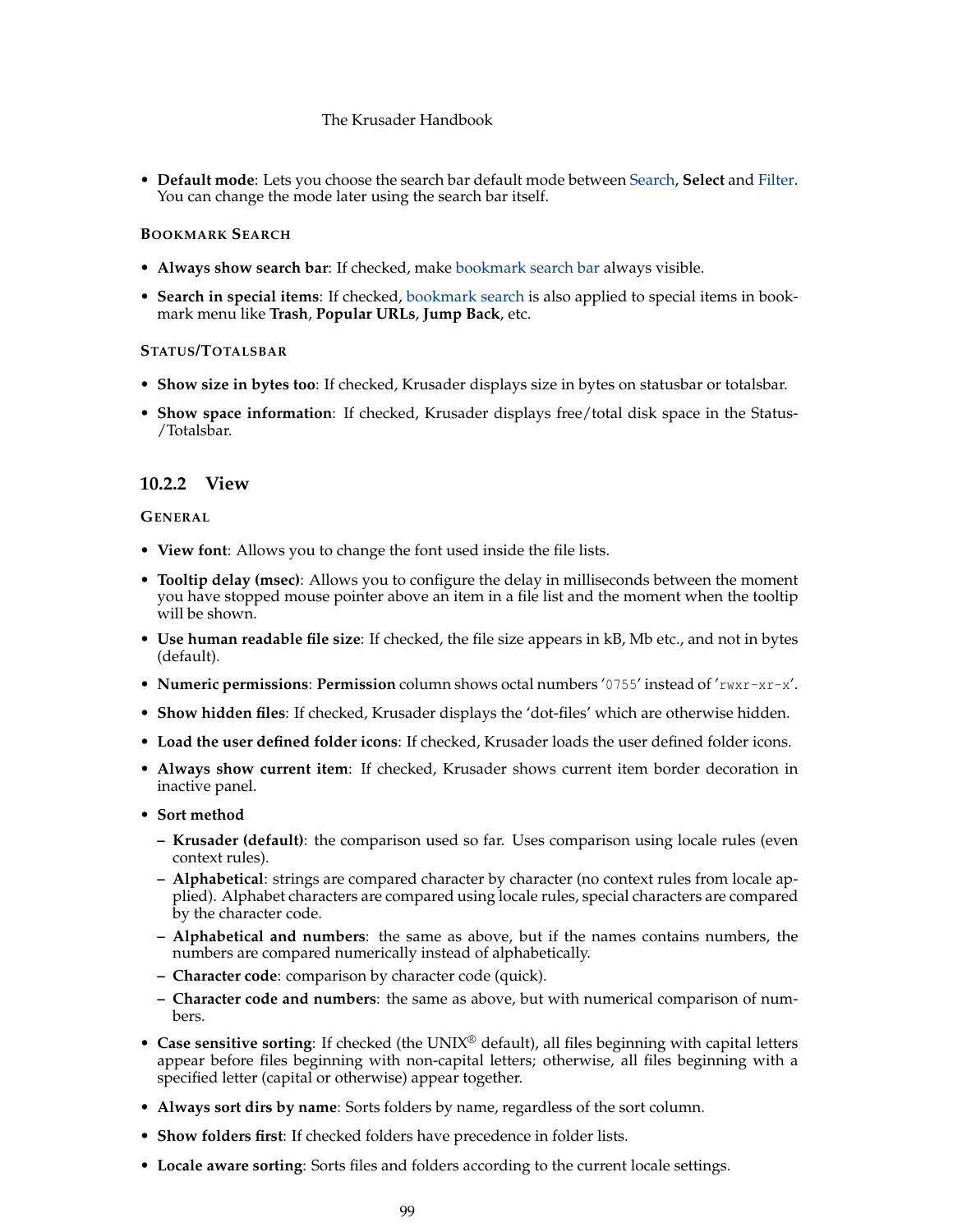• **Default mode**: Lets you choose the search bar default mode between [Search,](#page-30-0) **Select** and [Filter.](#page-30-1) You can change the mode later using the search bar itself.

# **BOOKMARK SEARCH**

- **Always show search bar**: If checked, make [bookmark search bar](#page-55-0) always visible.
- **Search in special items**: If checked, [bookmark search](#page-55-0) is also applied to special items in bookmark menu like **Trash**, **Popular URLs**, **Jump Back**, etc.

# **STATUS/TOTALSBAR**

- **Show size in bytes too**: If checked, Krusader displays size in bytes on statusbar or totalsbar.
- **Show space information**: If checked, Krusader displays free/total disk space in the Status-/Totalsbar.

# **10.2.2 View**

## **GENERAL**

- **View font**: Allows you to change the font used inside the file lists.
- **Tooltip delay (msec)**: Allows you to configure the delay in milliseconds between the moment you have stopped mouse pointer above an item in a file list and the moment when the tooltip will be shown.
- **Use human readable file size**: If checked, the file size appears in kB, Mb etc., and not in bytes (default).
- **Numeric permissions**: **Permission** column shows octal numbers '0755' instead of 'rwxr-xr-x'.
- **Show hidden files**: If checked, Krusader displays the 'dot-files' which are otherwise hidden.
- **Load the user defined folder icons**: If checked, Krusader loads the user defined folder icons.
- **Always show current item**: If checked, Krusader shows current item border decoration in inactive panel.
- **Sort method**
	- **– Krusader (default)**: the comparison used so far. Uses comparison using locale rules (even context rules).
	- **– Alphabetical**: strings are compared character by character (no context rules from locale applied). Alphabet characters are compared using locale rules, special characters are compared by the character code.
	- **– Alphabetical and numbers**: the same as above, but if the names contains numbers, the numbers are compared numerically instead of alphabetically.
	- **– Character code**: comparison by character code (quick).
	- **– Character code and numbers**: the same as above, but with numerical comparison of numbers.
- Case sensitive sorting: If checked (the UNIX<sup>®</sup> default), all files beginning with capital letters appear before files beginning with non-capital letters; otherwise, all files beginning with a specified letter (capital or otherwise) appear together.
- **Always sort dirs by name**: Sorts folders by name, regardless of the sort column.
- **Show folders first**: If checked folders have precedence in folder lists.
- **Locale aware sorting**: Sorts files and folders according to the current locale settings.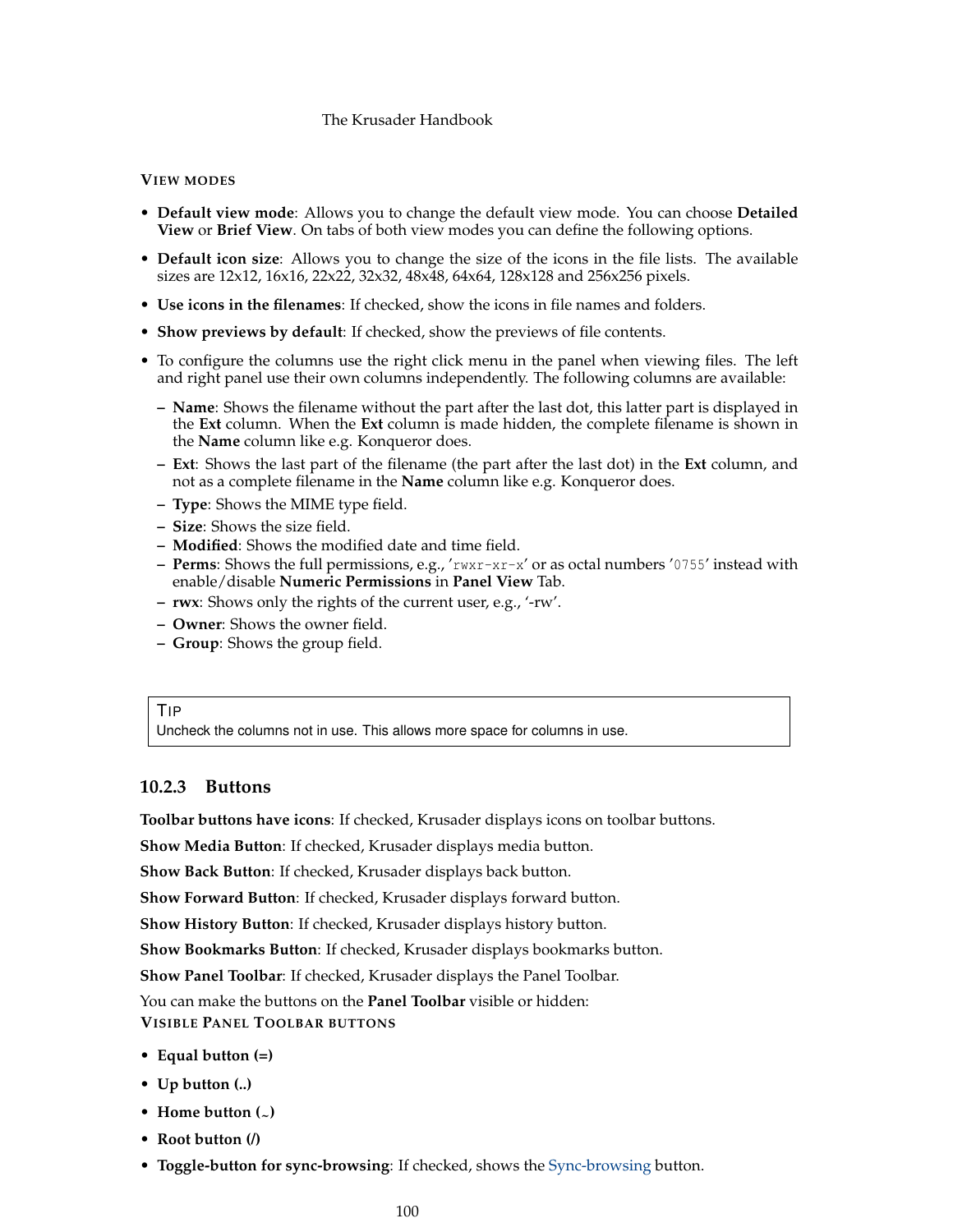# **VIEW MODES**

- **Default view mode**: Allows you to change the default view mode. You can choose **Detailed View** or **Brief View**. On tabs of both view modes you can define the following options.
- **Default icon size**: Allows you to change the size of the icons in the file lists. The available sizes are 12x12, 16x16, 22x22, 32x32, 48x48, 64x64, 128x128 and 256x256 pixels.
- **Use icons in the filenames**: If checked, show the icons in file names and folders.
- **Show previews by default**: If checked, show the previews of file contents.
- To configure the columns use the right click menu in the panel when viewing files. The left and right panel use their own columns independently. The following columns are available:
	- **– Name**: Shows the filename without the part after the last dot, this latter part is displayed in the **Ext** column. When the **Ext** column is made hidden, the complete filename is shown in the **Name** column like e.g. Konqueror does.
	- **– Ext**: Shows the last part of the filename (the part after the last dot) in the **Ext** column, and not as a complete filename in the **Name** column like e.g. Konqueror does.
	- **– Type**: Shows the MIME type field.
	- **– Size**: Shows the size field.
	- **– Modified**: Shows the modified date and time field.
	- **– Perms**: Shows the full permissions, e.g., 'rwxr-xr-x' or as octal numbers '0755' instead with enable/disable **Numeric Permissions** in **Panel View** Tab.
	- **– rwx**: Shows only the rights of the current user, e.g., '-rw'.
	- **– Owner**: Shows the owner field.
	- **– Group**: Shows the group field.

#### TIP

Uncheck the columns not in use. This allows more space for columns in use.

# **10.2.3 Buttons**

**Toolbar buttons have icons**: If checked, Krusader displays icons on toolbar buttons.

**Show Media Button**: If checked, Krusader displays media button.

**Show Back Button**: If checked, Krusader displays back button.

**Show Forward Button**: If checked, Krusader displays forward button.

**Show History Button**: If checked, Krusader displays history button.

**Show Bookmarks Button**: If checked, Krusader displays bookmarks button.

**Show Panel Toolbar**: If checked, Krusader displays the Panel Toolbar.

You can make the buttons on the **Panel Toolbar** visible or hidden:

**VISIBLE PANEL TOOLBAR BUTTONS**

- **Equal button (=)**
- **Up button (..)**
- **Home button**  $($
- **Root button (/)**
- **Toggle-button for sync-browsing**: If checked, shows the [Sync-browsing](#page-22-1) button.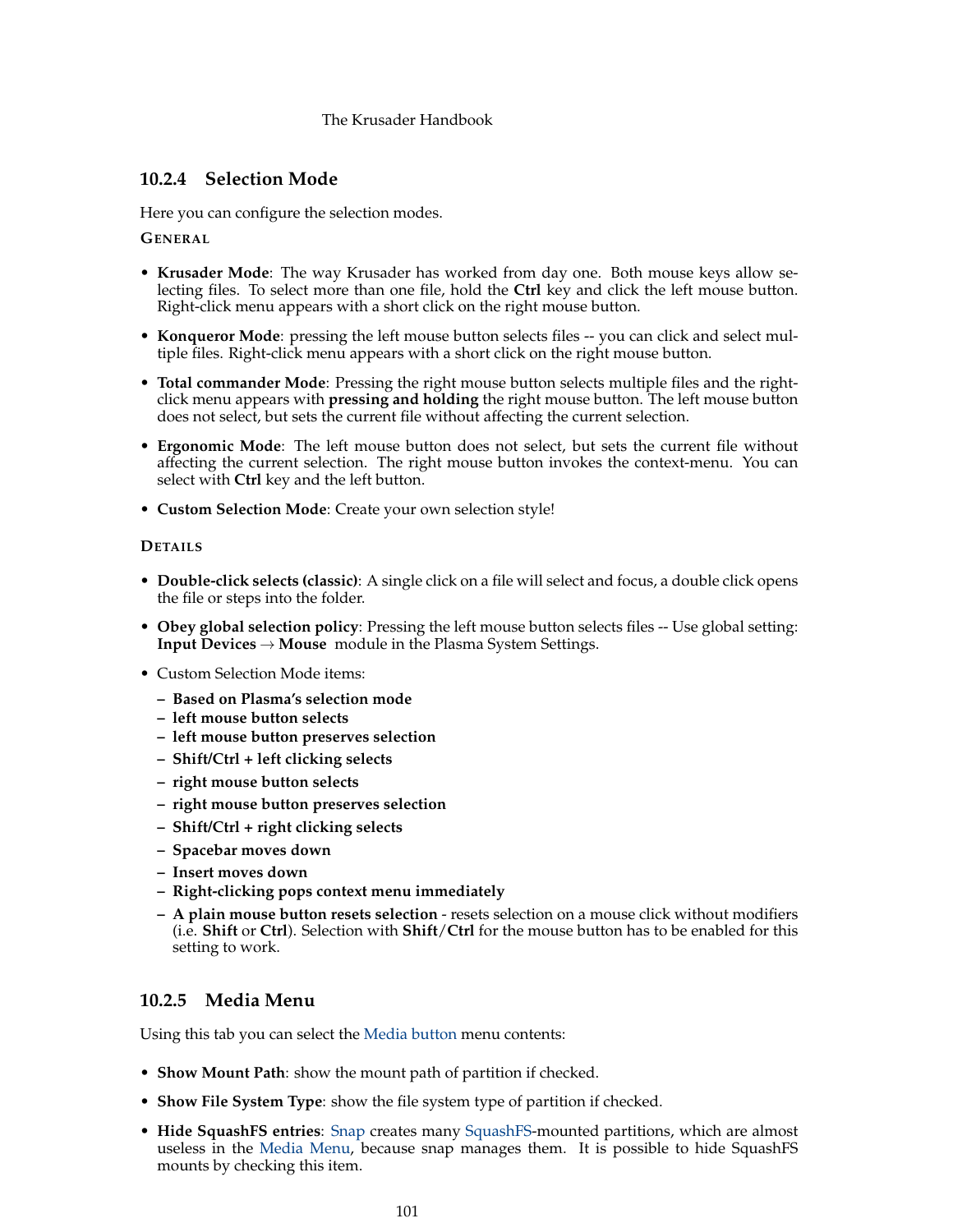# **10.2.4 Selection Mode**

Here you can configure the selection modes.

**GENERAL**

- **Krusader Mode**: The way Krusader has worked from day one. Both mouse keys allow selecting files. To select more than one file, hold the **Ctrl** key and click the left mouse button. Right-click menu appears with a short click on the right mouse button.
- **Konqueror Mode**: pressing the left mouse button selects files -- you can click and select multiple files. Right-click menu appears with a short click on the right mouse button.
- **Total commander Mode**: Pressing the right mouse button selects multiple files and the rightclick menu appears with **pressing and holding** the right mouse button. The left mouse button does not select, but sets the current file without affecting the current selection.
- **Ergonomic Mode**: The left mouse button does not select, but sets the current file without affecting the current selection. The right mouse button invokes the context-menu. You can select with **Ctrl** key and the left button.
- **Custom Selection Mode**: Create your own selection style!

## **DETAILS**

- **Double-click selects (classic)**: A single click on a file will select and focus, a double click opens the file or steps into the folder.
- **Obey global selection policy**: Pressing the left mouse button selects files -- Use global setting: **Input Devices** → **Mouse** module in the Plasma System Settings.
- Custom Selection Mode items:
	- **– Based on Plasma's selection mode**
	- **– left mouse button selects**
	- **– left mouse button preserves selection**
	- **– Shift/Ctrl + left clicking selects**
	- **– right mouse button selects**
	- **– right mouse button preserves selection**
	- **– Shift/Ctrl + right clicking selects**
	- **– Spacebar moves down**
	- **– Insert moves down**
	- **– Right-clicking pops context menu immediately**
	- **– A plain mouse button resets selection** resets selection on a mouse click without modifiers (i.e. **Shift** or **Ctrl**). Selection with **Shift**/**Ctrl** for the mouse button has to be enabled for this setting to work.

# **10.2.5 Media Menu**

Using this tab you can select the [Media button](#page-0-0) menu contents:

- **Show Mount Path**: show the mount path of partition if checked.
- **Show File System Type**: show the file system type of partition if checked.
- **Hide SquashFS entries**: [Snap](https://snapcraft.io/) creates many [SquashFS-](https://en.wikipedia.org/wiki/SquashFS)mounted partitions, which are almost useless in the [Media Menu,](#page-23-0) because snap manages them. It is possible to hide SquashFS mounts by checking this item.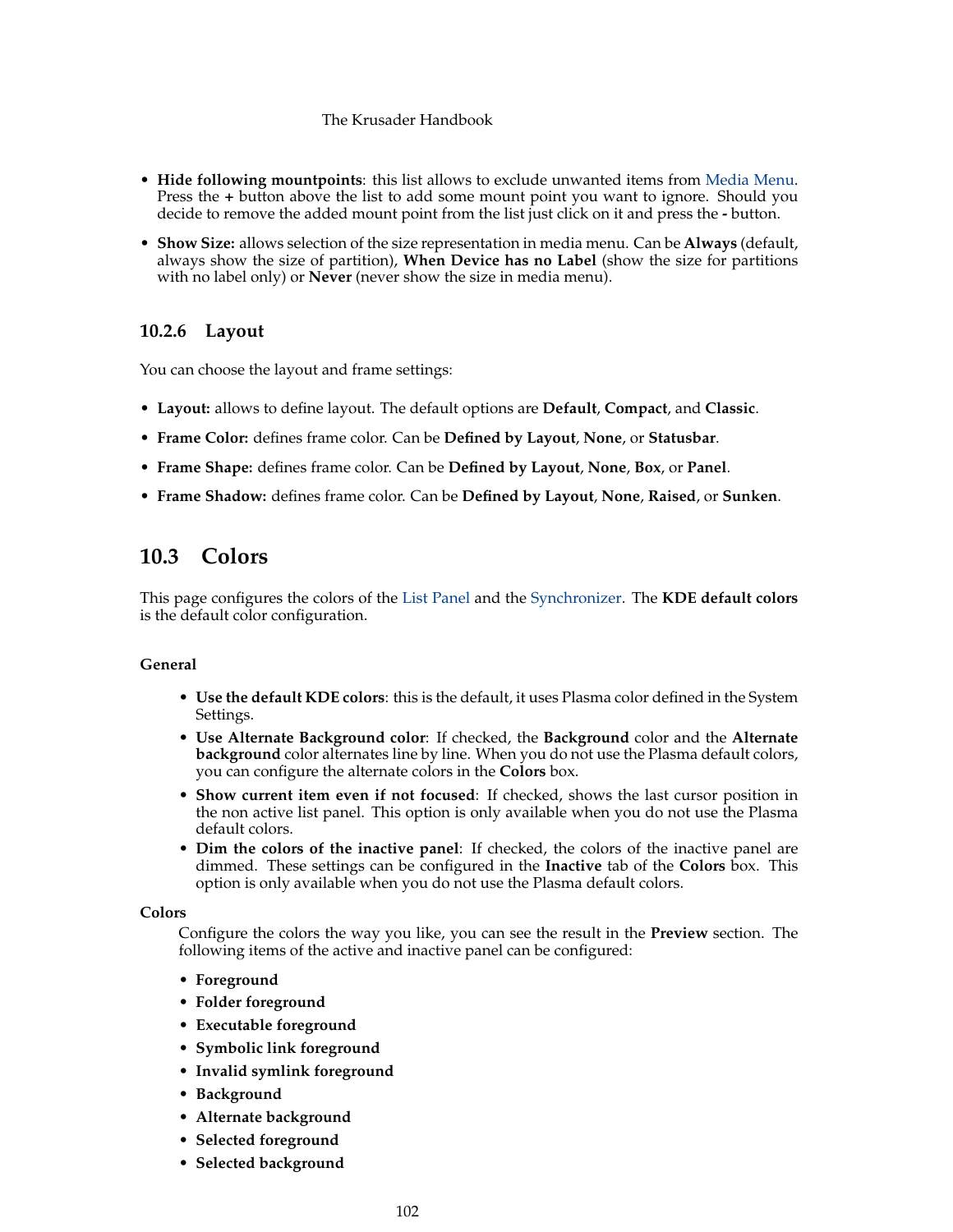- **Hide following mountpoints**: this list allows to exclude unwanted items from [Media Menu.](#page-23-0) Press the **+** button above the list to add some mount point you want to ignore. Should you decide to remove the added mount point from the list just click on it and press the **-** button.
- **Show Size:** allows selection of the size representation in media menu. Can be **Always** (default, always show the size of partition), **When Device has no Label** (show the size for partitions with no label only) or **Never** (never show the size in media menu).

# **10.2.6 Layout**

You can choose the layout and frame settings:

- **Layout:** allows to define layout. The default options are **Default**, **Compact**, and **Classic**.
- **Frame Color:** defines frame color. Can be **Defined by Layout**, **None**, or **Statusbar**.
- **Frame Shape:** defines frame color. Can be **Defined by Layout**, **None**, **Box**, or **Panel**.
- **Frame Shadow:** defines frame color. Can be **Defined by Layout**, **None**, **Raised**, or **Sunken**.

# **10.3 Colors**

<span id="page-101-0"></span>This page configures the colors of the [List Panel](#page-23-0) and the [Synchronizer.](#page-85-0) The **KDE default colors** is the default color configuration.

# **General**

- **Use the default KDE colors**: this is the default, it uses Plasma color defined in the System Settings.
- **Use Alternate Background color**: If checked, the **Background** color and the **Alternate background** color alternates line by line. When you do not use the Plasma default colors, you can configure the alternate colors in the **Colors** box.
- **Show current item even if not focused**: If checked, shows the last cursor position in the non active list panel. This option is only available when you do not use the Plasma default colors.
- **Dim the colors of the inactive panel**: If checked, the colors of the inactive panel are dimmed. These settings can be configured in the **Inactive** tab of the **Colors** box. This option is only available when you do not use the Plasma default colors.

# **Colors**

Configure the colors the way you like, you can see the result in the **Preview** section. The following items of the active and inactive panel can be configured:

- **Foreground**
- **Folder foreground**
- **Executable foreground**
- **Symbolic link foreground**
- **Invalid symlink foreground**
- **Background**
- **Alternate background**
- **Selected foreground**
- **Selected background**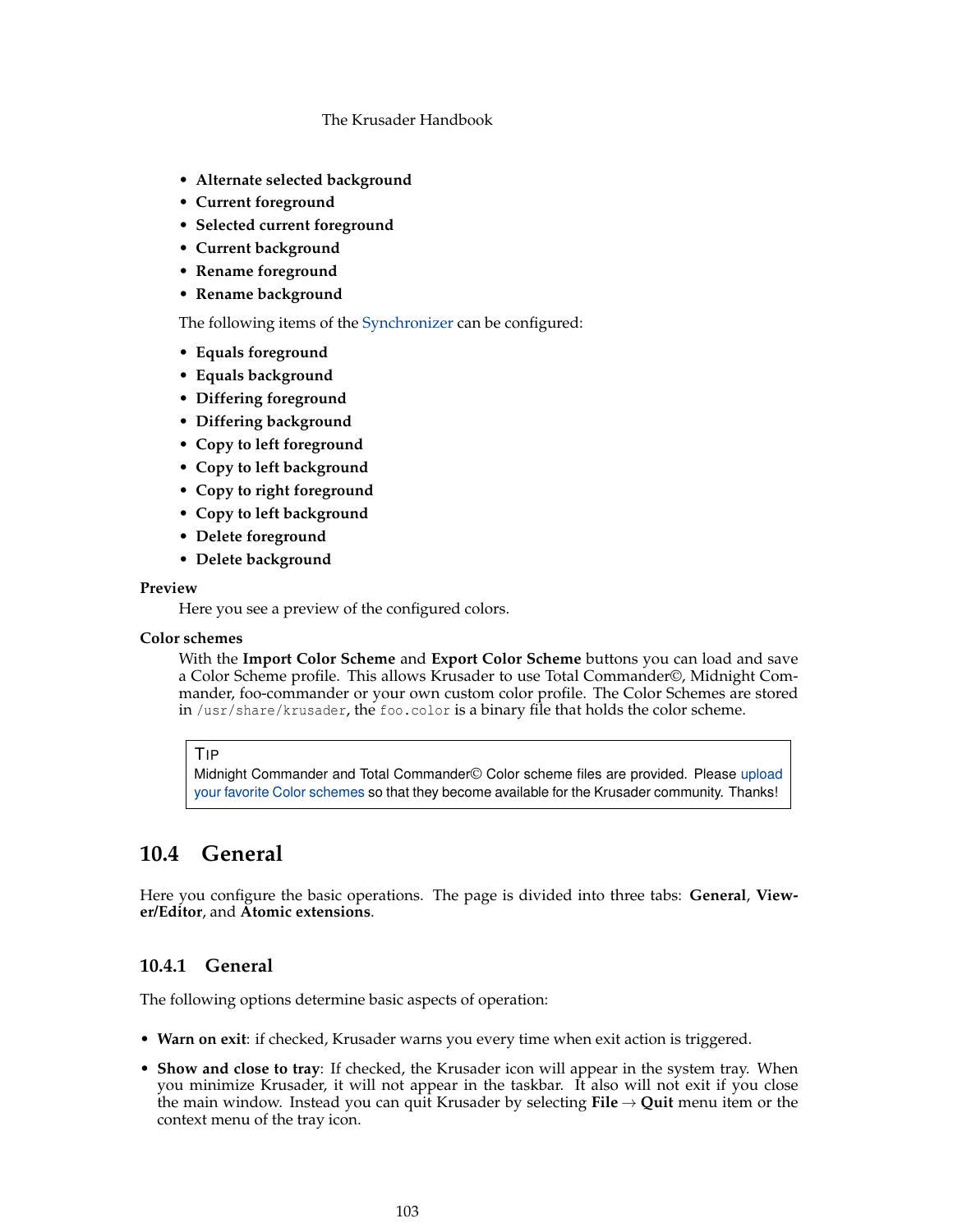- **Alternate selected background**
- **Current foreground**
- **Selected current foreground**
- **Current background**
- **Rename foreground**
- **Rename background**

The following items of the [Synchronizer](#page-85-0) can be configured:

- **Equals foreground**
- **Equals background**
- **Differing foreground**
- **Differing background**
- **Copy to left foreground**
- **Copy to left background**
- **Copy to right foreground**
- **Copy to left background**
- **Delete foreground**
- **Delete background**

# **Preview**

Here you see a preview of the configured colors.

# **Color schemes**

With the **Import Color Scheme** and **Export Color Scheme** buttons you can load and save a Color Scheme profile. This allows Krusader to use Total Commander©, Midnight Commander, foo-commander or your own custom color profile. The Color Schemes are stored in /usr/share/krusader, the foo.color is a binary file that holds the color scheme.

#### TIP

Midnight Commander and Total Commander© Color scheme files are provided. Please [upload](#page-10-0) [your favorite Color schemes](#page-10-0) so that they become available for the Krusader community. Thanks!

# **10.4 General**

Here you configure the basic operations. The page is divided into three tabs: **General**, **Viewer/Editor**, and **Atomic extensions**.

# **10.4.1 General**

The following options determine basic aspects of operation:

- **Warn on exit**: if checked, Krusader warns you every time when exit action is triggered.
- **Show and close to tray**: If checked, the Krusader icon will appear in the system tray. When you minimize Krusader, it will not appear in the taskbar. It also will not exit if you close the main window. Instead you can quit Krusader by selecting  $\text{File} \rightarrow \text{Quit}$  menu item or the context menu of the tray icon.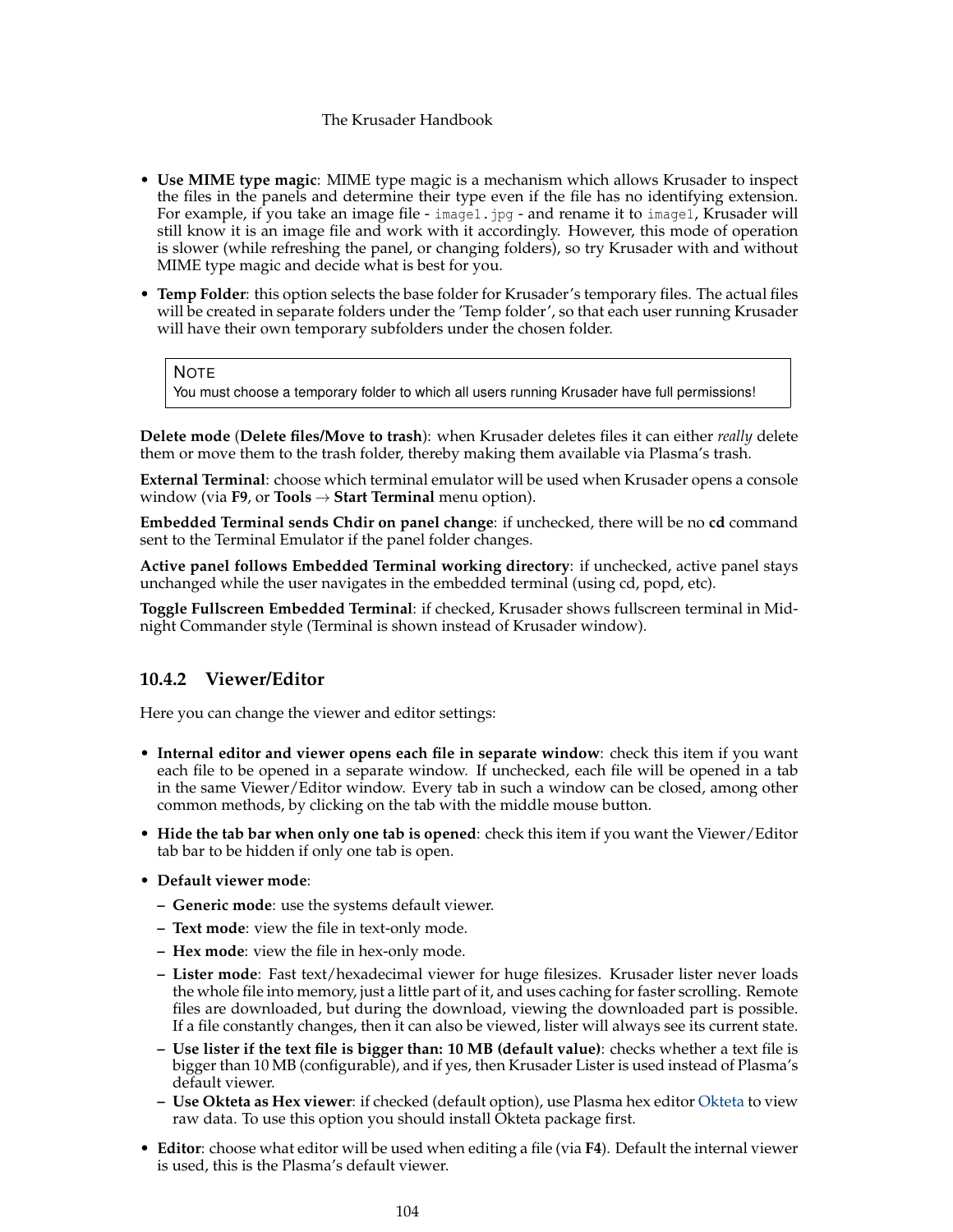- **Use MIME type magic**: MIME type magic is a mechanism which allows Krusader to inspect the files in the panels and determine their type even if the file has no identifying extension. For example, if you take an image file - image1.jpg - and rename it to image1, Krusader will still know it is an image file and work with it accordingly. However, this mode of operation is slower (while refreshing the panel, or changing folders), so try Krusader with and without MIME type magic and decide what is best for you.
- **Temp Folder**: this option selects the base folder for Krusader's temporary files. The actual files will be created in separate folders under the 'Temp folder', so that each user running Krusader will have their own temporary subfolders under the chosen folder.

**NOTE** 

You must choose a temporary folder to which all users running Krusader have full permissions!

**Delete mode** (**Delete files/Move to trash**): when Krusader deletes files it can either *really* delete them or move them to the trash folder, thereby making them available via Plasma's trash.

**External Terminal**: choose which terminal emulator will be used when Krusader opens a console window (via **F9**, or **Tools** → **Start Terminal** menu option).

**Embedded Terminal sends Chdir on panel change**: if unchecked, there will be no **cd** command sent to the Terminal Emulator if the panel folder changes.

**Active panel follows Embedded Terminal working directory**: if unchecked, active panel stays unchanged while the user navigates in the embedded terminal (using cd, popd, etc).

**Toggle Fullscreen Embedded Terminal**: if checked, Krusader shows fullscreen terminal in Midnight Commander style (Terminal is shown instead of Krusader window).

# **10.4.2 Viewer/Editor**

Here you can change the viewer and editor settings:

- **Internal editor and viewer opens each file in separate window**: check this item if you want each file to be opened in a separate window. If unchecked, each file will be opened in a tab in the same Viewer/Editor window. Every tab in such a window can be closed, among other common methods, by clicking on the tab with the middle mouse button.
- **Hide the tab bar when only one tab is opened**: check this item if you want the Viewer/Editor tab bar to be hidden if only one tab is open.
- **Default viewer mode**:
	- **– Generic mode**: use the systems default viewer.
	- **– Text mode**: view the file in text-only mode.
	- **– Hex mode**: view the file in hex-only mode.
	- **– Lister mode**: Fast text/hexadecimal viewer for huge filesizes. Krusader lister never loads the whole file into memory, just a little part of it, and uses caching for faster scrolling. Remote files are downloaded, but during the download, viewing the downloaded part is possible. If a file constantly changes, then it can also be viewed, lister will always see its current state.
	- **– Use lister if the text file is bigger than: 10 MB (default value)**: checks whether a text file is bigger than 10 MB (configurable), and if yes, then Krusader Lister is used instead of Plasma's default viewer.
	- **– Use Okteta as Hex viewer**: if checked (default option), use Plasma hex editor [Okteta](https://docs.kde.org/index.php?application=okteta) to view raw data. To use this option you should install Okteta package first.
- **Editor**: choose what editor will be used when editing a file (via **F4**). Default the internal viewer is used, this is the Plasma's default viewer.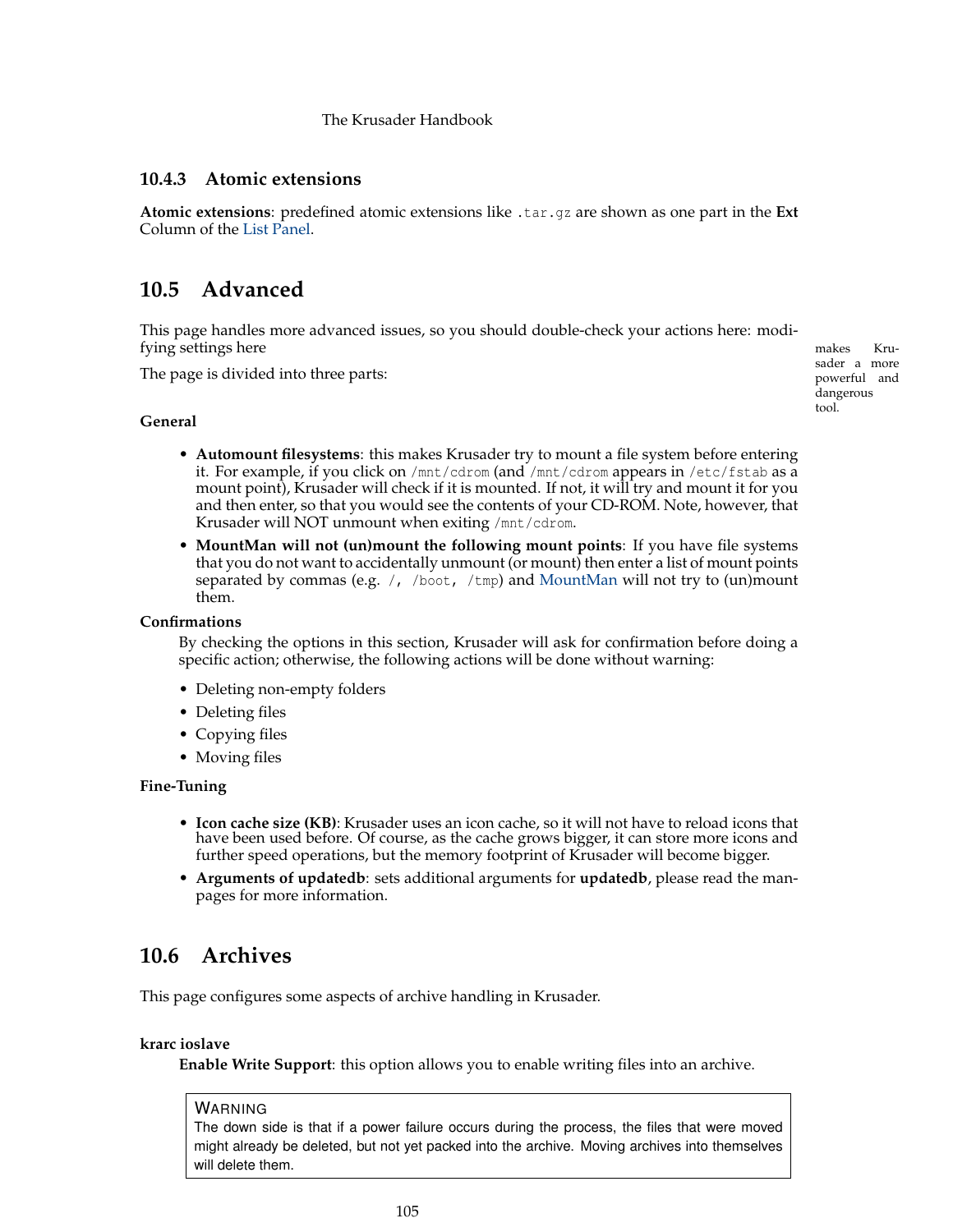# **10.4.3 Atomic extensions**

**Atomic extensions**: predefined atomic extensions like .tar.gz are shown as one part in the **Ext** Column of the [List Panel.](#page-23-0)

# **10.5 Advanced**

<span id="page-104-0"></span>This page handles more advanced issues, so you should double-check your actions here: modifying settings here makes and the makes Kru-

The page is divided into three parts:

**General**

- **Automount filesystems**: this makes Krusader try to mount a file system before entering it. For example, if you click on /mnt/cdrom (and /mnt/cdrom appears in /etc/fstab as a mount point), Krusader will check if it is mounted. If not, it will try and mount it for you and then enter, so that you would see the contents of your CD-ROM. Note, however, that Krusader will NOT unmount when exiting /mnt/cdrom.
- **MountMan will not (un)mount the following mount points**: If you have file systems that you do not want to accidentally unmount (or mount) then enter a list of mount points separated by commas (e.g.  $/$ , /boot, /tmp) and [MountMan](#page-82-0) will not try to (un)mount them.

#### **Confirmations**

By checking the options in this section, Krusader will ask for confirmation before doing a specific action; otherwise, the following actions will be done without warning:

- Deleting non-empty folders
- Deleting files
- Copying files
- Moving files

## **Fine-Tuning**

- **Icon cache size (KB)**: Krusader uses an icon cache, so it will not have to reload icons that have been used before. Of course, as the cache grows bigger, it can store more icons and further speed operations, but the memory footprint of Krusader will become bigger.
- **Arguments of updatedb**: sets additional arguments for **updatedb**, please read the manpages for more information.

# **10.6 Archives**

<span id="page-104-1"></span>This page configures some aspects of archive handling in Krusader.

# **krarc ioslave**

**Enable Write Support**: this option allows you to enable writing files into an archive.

#### WARNING

The down side is that if a power failure occurs during the process, the files that were moved might already be deleted, but not yet packed into the archive. Moving archives into themselves will delete them.

sader a more powerful and dangerous tool.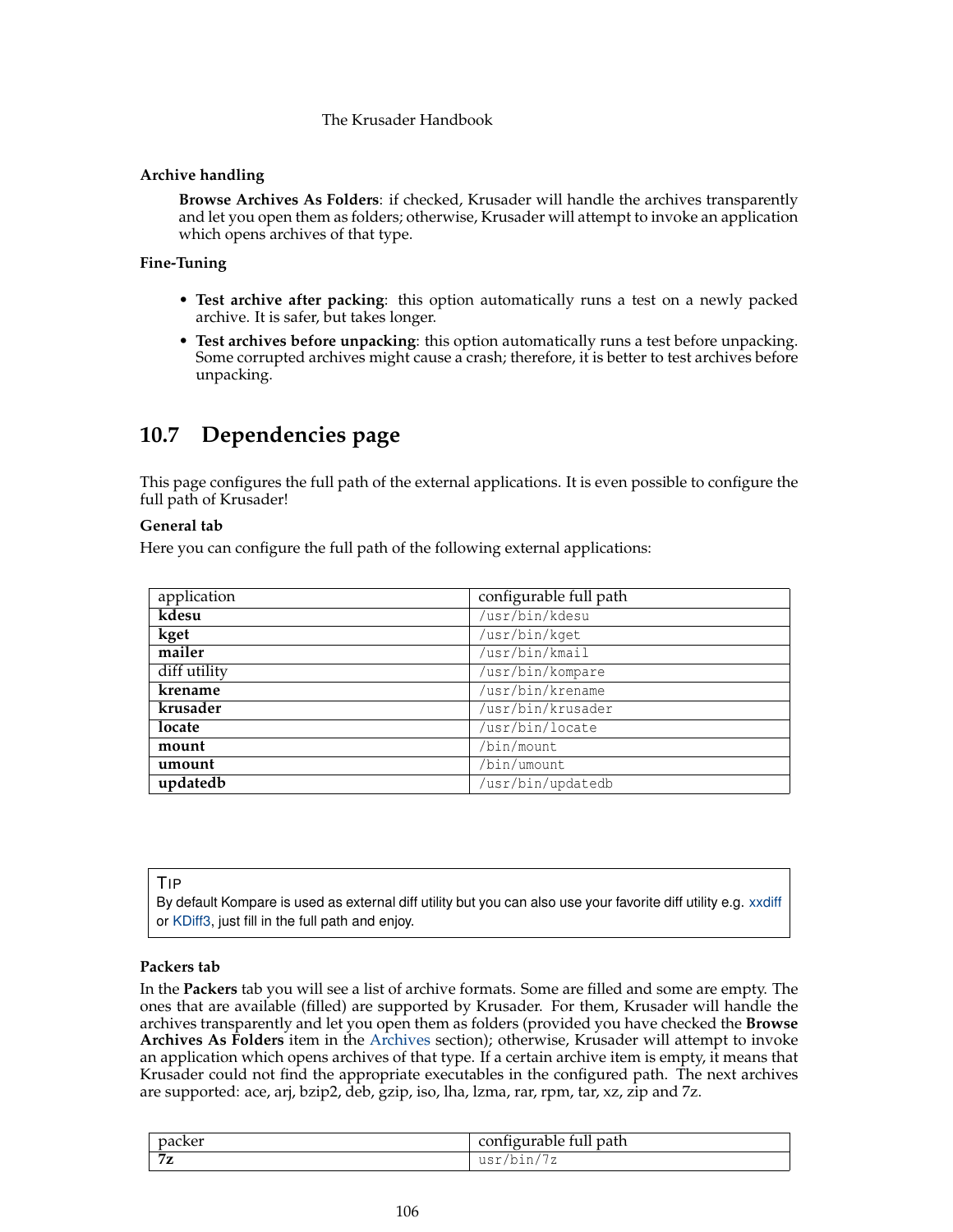# **Archive handling**

**Browse Archives As Folders**: if checked, Krusader will handle the archives transparently and let you open them as folders; otherwise, Krusader will attempt to invoke an application which opens archives of that type.

# **Fine-Tuning**

- **Test archive after packing**: this option automatically runs a test on a newly packed archive. It is safer, but takes longer.
- **Test archives before unpacking**: this option automatically runs a test before unpacking. Some corrupted archives might cause a crash; therefore, it is better to test archives before unpacking.

# **10.7 Dependencies page**

This page configures the full path of the external applications. It is even possible to configure the full path of Krusader!

# **General tab**

Here you can configure the full path of the following external applications:

| application  | configurable full path |
|--------------|------------------------|
| kdesu        | /usr/bin/kdesu         |
| kget         | /usr/bin/kget          |
| mailer       | /usr/bin/kmail         |
| diff utility | /usr/bin/kompare       |
| krename      | /usr/bin/krename       |
| krusader     | /usr/bin/krusader      |
| locate       | /usr/bin/locate        |
| mount        | /bin/mount             |
| umount       | /bin/umount            |
| updatedb     | /usr/bin/updatedb      |

## TIP

By default Kompare is used as external diff utility but you can also use your favorite diff utility e.g. [xxdiff](http://furius.ca/xxdiff/) or [KDiff3,](https://www.kde.org/applications/development/kdiff3/) just fill in the full path and enjoy.

# **Packers tab**

In the **Packers** tab you will see a list of archive formats. Some are filled and some are empty. The ones that are available (filled) are supported by Krusader. For them, Krusader will handle the archives transparently and let you open them as folders (provided you have checked the **Browse Archives As Folders** item in the [Archives](#page-104-1) section); otherwise, Krusader will attempt to invoke an application which opens archives of that type. If a certain archive item is empty, it means that Krusader could not find the appropriate executables in the configured path. The next archives are supported: ace, arj, bzip2, deb, gzip, iso, lha, lzma, rar, rpm, tar, xz, zip and 7z.

| packer          | configurable full path                                     |
|-----------------|------------------------------------------------------------|
| $7\sigma$<br>74 | 7<br>11SY<br>$n_{\ell}$<br>▵<br><u>uuri</u><br>- 2011 - 22 |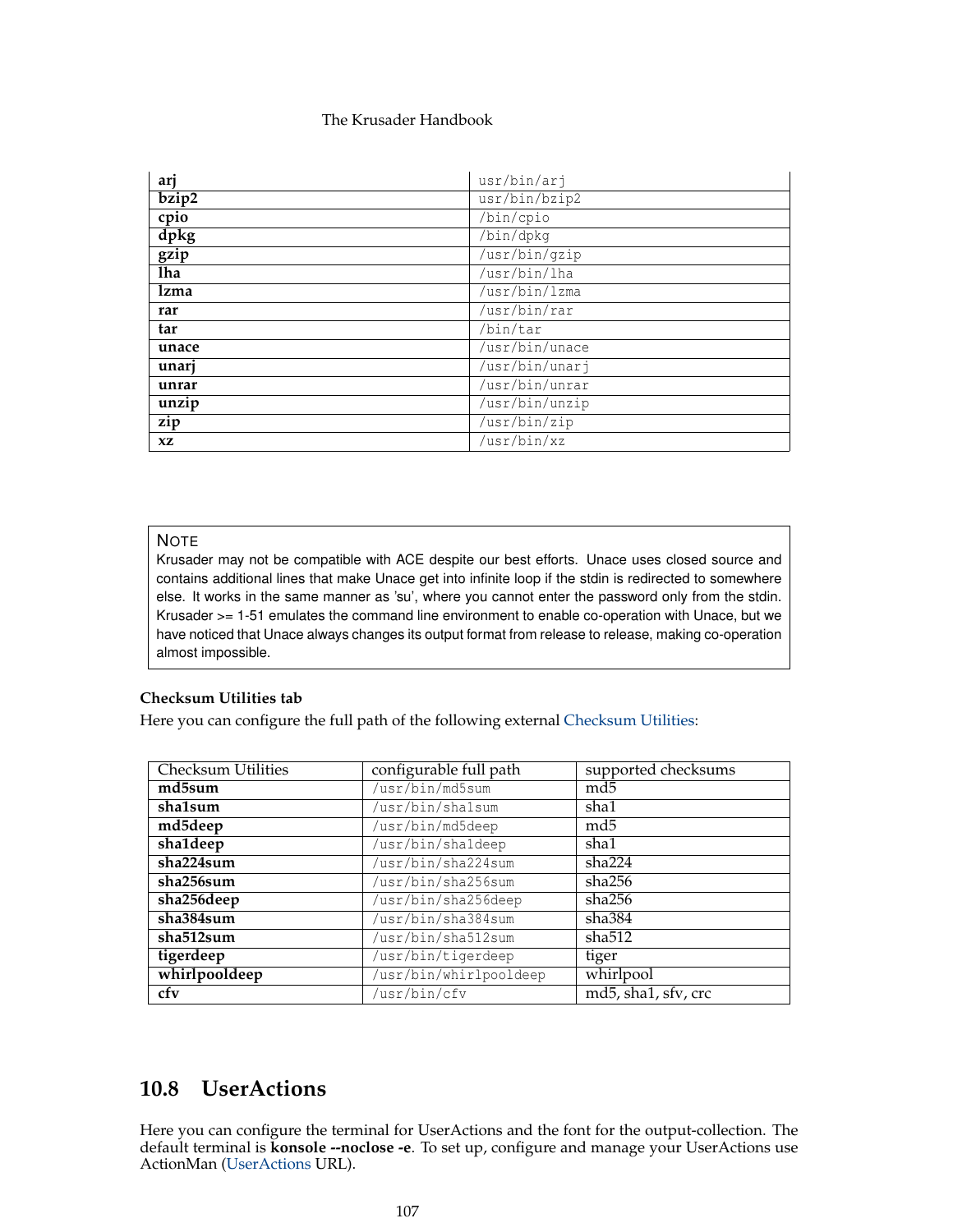| arj       | usr/bin/arj    |
|-----------|----------------|
| bzip2     | usr/bin/bzip2  |
| cpio      | /bin/cpio      |
| dpkg      | /bin/dpkq      |
| gzip      | /usr/bin/gzip  |
| lha       | /usr/bin/lha   |
| lzma      | /usr/bin/lzma  |
| rar       | /usr/bin/rar   |
| tar       | /bin/tar       |
| unace     | /usr/bin/unace |
| unarj     | /usr/bin/unarj |
| unrar     | /usr/bin/unrar |
| unzip     | /usr/bin/unzip |
| zip       | /usr/bin/zip   |
| <b>XZ</b> | /usr/bin/xz    |

# **NOTE**

Krusader may not be compatible with ACE despite our best efforts. Unace uses closed source and contains additional lines that make Unace get into infinite loop if the stdin is redirected to somewhere else. It works in the same manner as 'su', where you cannot enter the password only from the stdin. Krusader >= 1-51 emulates the command line environment to enable co-operation with Unace, but we have noticed that Unace always changes its output format from release to release, making co-operation almost impossible.

## **Checksum Utilities tab**

Here you can configure the full path of the following external [Checksum Utilities:](#page-37-0)

| <b>Checksum Utilities</b> | configurable full path | supported checksums |
|---------------------------|------------------------|---------------------|
| md5sum                    | /usr/bin/md5sum        | md5                 |
| sha1sum                   | /usr/bin/shalsum       | sha1                |
| md5deep                   | /usr/bin/md5deep       | md5                 |
| sha1deep                  | /usr/bin/shaldeep      | sha1                |
| sha224sum                 | /usr/bin/sha224sum     | sha224              |
| sha256sum                 | /usr/bin/sha256sum     | sha256              |
| sha256deep                | /usr/bin/sha256deep    | sha256              |
| sha384sum                 | /usr/bin/sha384sum     | sha $384$           |
| sha512sum                 | /usr/bin/sha512sum     | sha512              |
| tigerdeep                 | /usr/bin/tigerdeep     | tiger               |
| whirlpooldeep             | /usr/bin/whirlpooldeep | whirlpool           |
| cfv                       | /usr/bin/cfv           | md5, sha1, sfv, crc |

# **10.8 UserActions**

<span id="page-106-0"></span>Here you can configure the terminal for UserActions and the font for the output-collection. The default terminal is **konsole --noclose -e**. To set up, configure and manage your UserActions use ActionMan [\(UserActions](#page-90-0) URL).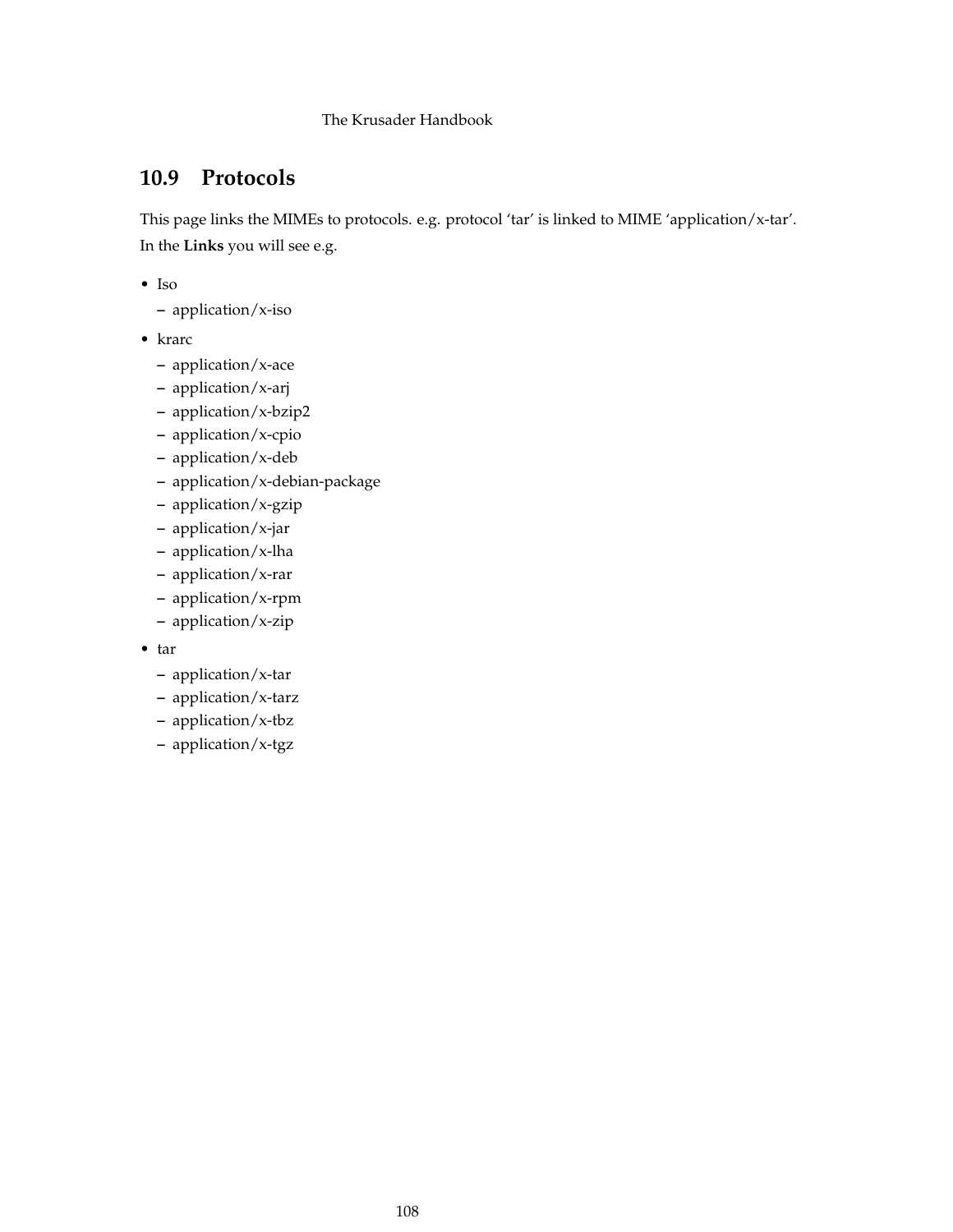# **10.9 Protocols**

This page links the MIMEs to protocols. e.g. protocol 'tar' is linked to MIME 'application/x-tar'. In the **Links** you will see e.g.

- Iso
	- **–** application/x-iso
- krarc
	- **–** application/x-ace
	- **–** application/x-arj
	- **–** application/x-bzip2
	- **–** application/x-cpio
	- **–** application/x-deb
	- **–** application/x-debian-package
	- **–** application/x-gzip
	- **–** application/x-jar
	- **–** application/x-lha
	- **–** application/x-rar
	- **–** application/x-rpm
	- **–** application/x-zip
- tar
	- **–** application/x-tar
	- **–** application/x-tarz
	- **–** application/x-tbz
	- **–** application/x-tgz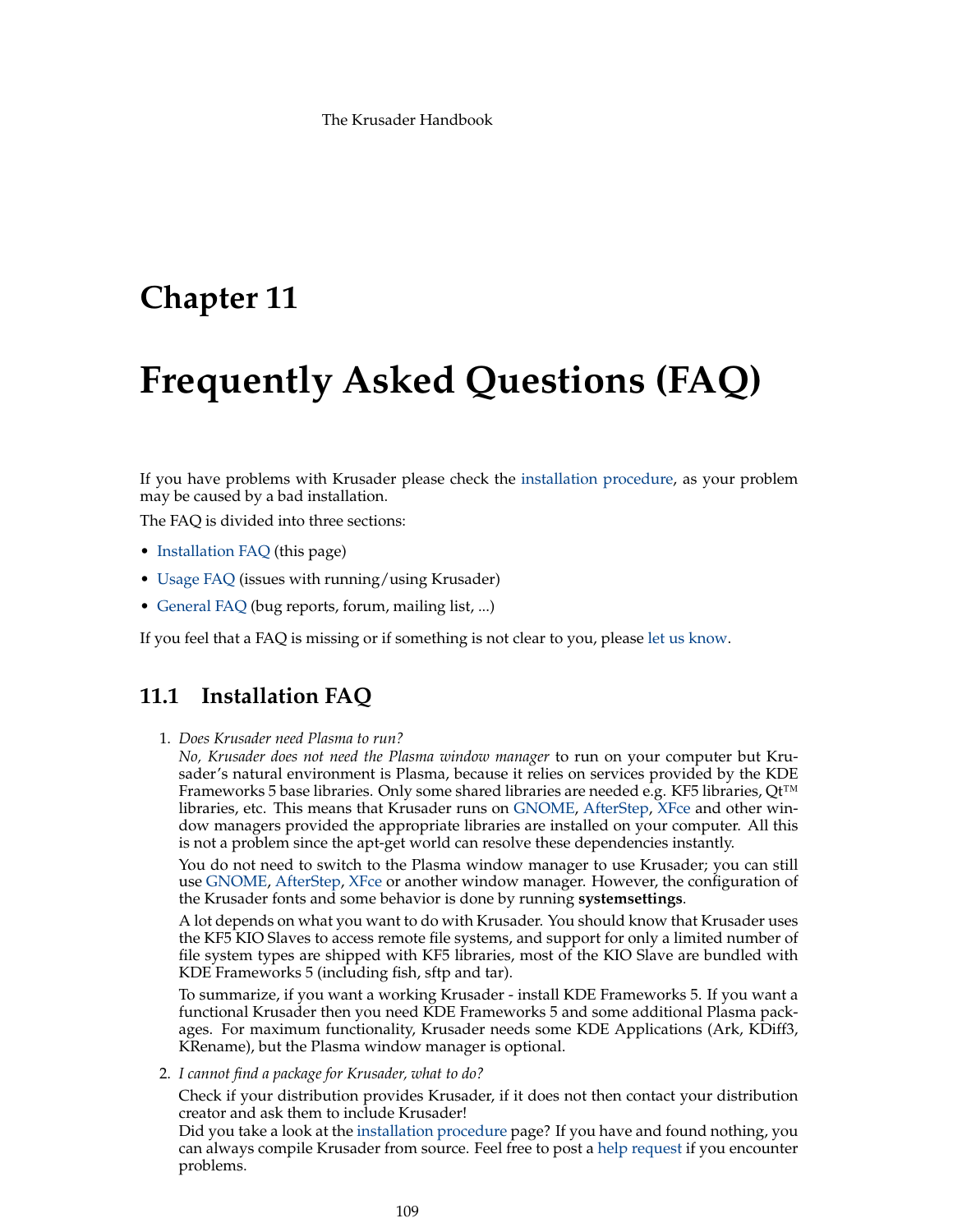# **Chapter 11**

# **Frequently Asked Questions (FAQ)**

<span id="page-108-1"></span>If you have problems with Krusader please check the [installation procedure,](https://krusader.org/get-involved/index.html) as your problem may be caused by a bad installation.

The FAQ is divided into three sections:

- [Installation FAQ](#page-108-0) (this page)
- [Usage FAQ](#page-109-0) (issues with running/using Krusader)
- [General FAQ](#page-111-0) (bug reports, forum, mailing list, ...)

If you feel that a FAQ is missing or if something is not clear to you, please [let us know.](#page-12-0)

# **11.1 Installation FAQ**

<span id="page-108-0"></span>1. *Does Krusader need Plasma to run?*

*No, Krusader does not need the Plasma window manager* to run on your computer but Krusader's natural environment is Plasma, because it relies on services provided by the KDE Frameworks 5 base libraries. Only some shared libraries are needed e.g. KF5 libraries, Qt<sup>™</sup> libraries, etc. This means that Krusader runs on [GNOME,](https://www.gnome.org) [AfterStep,](http://www.afterstep.org/) [XFce](https://www.xfce.org/) and other window managers provided the appropriate libraries are installed on your computer. All this is not a problem since the apt-get world can resolve these dependencies instantly.

You do not need to switch to the Plasma window manager to use Krusader; you can still use [GNOME,](https://www.gnome.org) [AfterStep,](http://www.afterstep.org/) [XFce](https://www.xfce.org/) or another window manager. However, the configuration of the Krusader fonts and some behavior is done by running **systemsettings**.

A lot depends on what you want to do with Krusader. You should know that Krusader uses the KF5 KIO Slaves to access remote file systems, and support for only a limited number of file system types are shipped with KF5 libraries, most of the KIO Slave are bundled with KDE Frameworks 5 (including fish, sftp and tar).

To summarize, if you want a working Krusader - install KDE Frameworks 5. If you want a functional Krusader then you need KDE Frameworks 5 and some additional Plasma packages. For maximum functionality, Krusader needs some KDE Applications (Ark, KDiff3, KRename), but the Plasma window manager is optional.

2. *I cannot find a package for Krusader, what to do?*

Check if your distribution provides Krusader, if it does not then contact your distribution creator and ask them to include Krusader!

Did you take a look at the [installation procedure](https://krusader.org/get-involved/index.html) page? If you have and found nothing, you can always compile Krusader from source. Feel free to post a [help request](#page-0-0) if you encounter problems.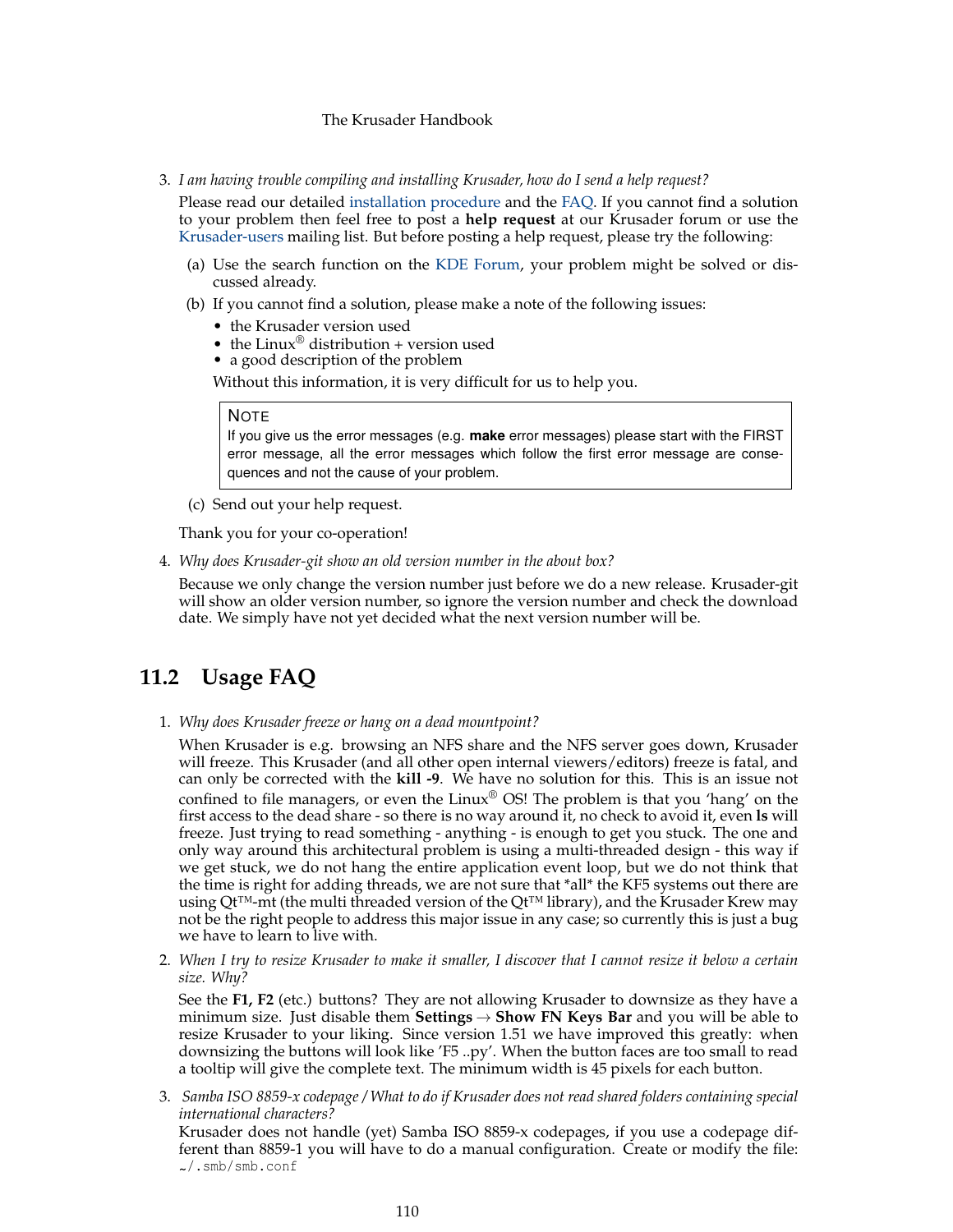3. *I am having trouble compiling and installing Krusader, how do I send a help request?*

Please read our detailed [installation procedure](https://krusader.org/get-involved/index.html) and the [FAQ.](#page-108-1) If you cannot find a solution to your problem then feel free to post a **help request** at our Krusader forum or use the [Krusader-users](https://groups.google.com/group/krusader-users) mailing list. But before posting a help request, please try the following:

- (a) Use the search function on the [KDE Forum,](https://forum.kde.org/viewforum.php?f=225) your problem might be solved or discussed already.
- (b) If you cannot find a solution, please make a note of the following issues:
	- the Krusader version used
	- the Linux® distribution + version used
	- a good description of the problem

Without this information, it is very difficult for us to help you.

### NOTE

If you give us the error messages (e.g. **make** error messages) please start with the FIRST error message, all the error messages which follow the first error message are consequences and not the cause of your problem.

(c) Send out your help request.

Thank you for your co-operation!

4. *Why does Krusader-git show an old version number in the about box?*

Because we only change the version number just before we do a new release. Krusader-git will show an older version number, so ignore the version number and check the download date. We simply have not yet decided what the next version number will be.

# **11.2 Usage FAQ**

<span id="page-109-0"></span>1. *Why does Krusader freeze or hang on a dead mountpoint?*

When Krusader is e.g. browsing an NFS share and the NFS server goes down, Krusader will freeze. This Krusader (and all other open internal viewers/editors) freeze is fatal, and can only be corrected with the **kill -9**. We have no solution for this. This is an issue not confined to file managers, or even the Linux<sup>®</sup> OS! The problem is that you 'hang' on the first access to the dead share - so there is no way around it, no check to avoid it, even **ls** will freeze. Just trying to read something - anything - is enough to get you stuck. The one and only way around this architectural problem is using a multi-threaded design - this way if we get stuck, we do not hang the entire application event loop, but we do not think that the time is right for adding threads, we are not sure that \*all\* the KF5 systems out there are using Qt™-mt (the multi threaded version of the Qt™ library), and the Krusader Krew may not be the right people to address this major issue in any case; so currently this is just a bug we have to learn to live with.

2. *When I try to resize Krusader to make it smaller, I discover that I cannot resize it below a certain size. Why?*

See the **F1, F2** (etc.) buttons? They are not allowing Krusader to downsize as they have a minimum size. Just disable them **Settings**  $\rightarrow$  **Show FN Keys Bar** and you will be able to resize Krusader to your liking. Since version 1.51 we have improved this greatly: when downsizing the buttons will look like 'F5 ..py'. When the button faces are too small to read a tooltip will give the complete text. The minimum width is 45 pixels for each button.

3. *Samba ISO 8859-x codepage / What to do if Krusader does not read shared folders containing special international characters?*

Krusader does not handle (yet) Samba ISO 8859-x codepages, if you use a codepage different than 8859-1 you will have to do a manual configuration. Create or modify the file: ~/.smb/smb.conf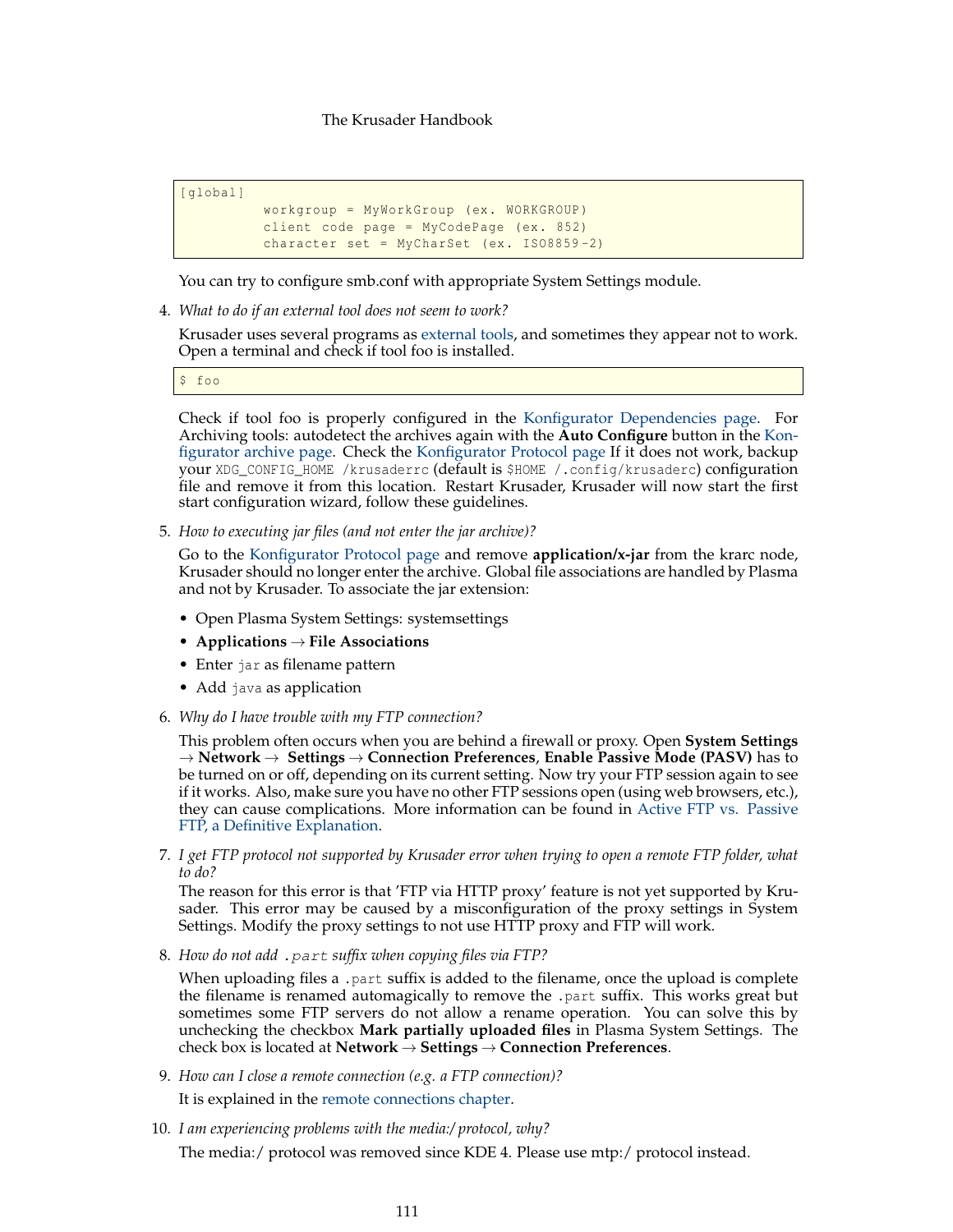```
[global]
```

```
workgroup = MyWorkGroup (ex. WORKGROUP)
client code page = MyCodePage (ex. 852)
character set = MyCharSet (ex. ISO8859 -2)
```
You can try to configure smb.conf with appropriate System Settings module.

4. *What to do if an external tool does not seem to work?*

Krusader uses several programs as [external tools,](#page-105-0) and sometimes they appear not to work. Open a terminal and check if tool foo is installed.

\$ foo

Check if tool foo is properly configured in the [Konfigurator Dependencies page.](#page-105-0) For Archiving tools: autodetect the archives again with the **Auto Configure** button in the [Kon](#page-104-0)[figurator archive page.](#page-104-0) Check the [Konfigurator Protocol page](#page-107-0) If it does not work, backup your XDG\_CONFIG\_HOME /krusaderrc (default is \$HOME /.config/krusaderc) configuration file and remove it from this location. Restart Krusader, Krusader will now start the first start configuration wizard, follow these guidelines.

5. *How to executing jar files (and not enter the jar archive)?*

Go to the [Konfigurator Protocol page](#page-107-0) and remove **application/x-jar** from the krarc node, Krusader should no longer enter the archive. Global file associations are handled by Plasma and not by Krusader. To associate the jar extension:

- Open Plasma System Settings: systemsettings
- **Applications** → **File Associations**
- Enter jar as filename pattern
- Add java as application
- 6. *Why do I have trouble with my FTP connection?*

This problem often occurs when you are behind a firewall or proxy. Open **System Settings** → **Network** → **Settings** → **Connection Preferences**, **Enable Passive Mode (PASV)** has to be turned on or off, depending on its current setting. Now try your FTP session again to see if it works. Also, make sure you have no other FTP sessions open (using web browsers, etc.), they can cause complications. More information can be found in [Active FTP vs. Passive](https://slacksite.com/other/ftp.html) [FTP, a Definitive Explanation.](https://slacksite.com/other/ftp.html)

7. *I get FTP protocol not supported by Krusader error when trying to open a remote FTP folder, what to do?*

The reason for this error is that 'FTP via HTTP proxy' feature is not yet supported by Krusader. This error may be caused by a misconfiguration of the proxy settings in System Settings. Modify the proxy settings to not use HTTP proxy and FTP will work.

8. *How do not add* .part *suffix when copying files via FTP?*

When uploading files a .part suffix is added to the filename, once the upload is complete the filename is renamed automagically to remove the .part suffix. This works great but sometimes some FTP servers do not allow a rename operation. You can solve this by unchecking the checkbox **Mark partially uploaded files** in Plasma System Settings. The check box is located at **Network** → **Settings** → **Connection Preferences**.

- 9. *How can I close a remote connection (e.g. a FTP connection)?* It is explained in the [remote connections chapter.](#page-83-0)
- 10. *I am experiencing problems with the media:/ protocol, why?*

The media:/ protocol was removed since KDE 4. Please use mtp:/ protocol instead.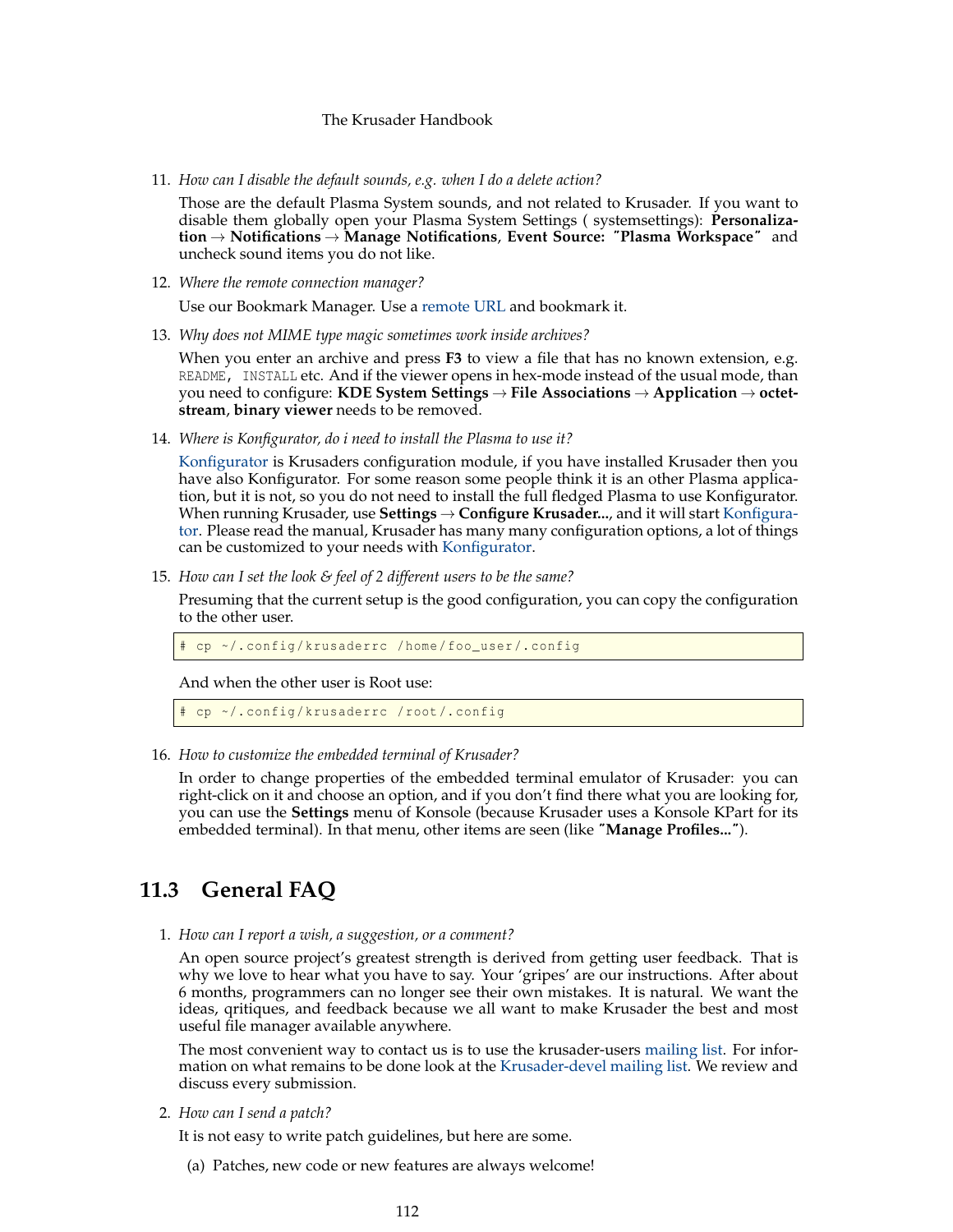11. *How can I disable the default sounds, e.g. when I do a delete action?*

Those are the default Plasma System sounds, and not related to Krusader. If you want to disable them globally open your Plasma System Settings ( systemsettings): **Personalization** → **Notifications** → **Manage Notifications**, **Event Source:** ˝**Plasma Workspace**˝ and uncheck sound items you do not like.

12. *Where the remote connection manager?*

Use our Bookmark Manager. Use a [remote URL](#page-83-0) and bookmark it.

13. *Why does not MIME type magic sometimes work inside archives?*

When you enter an archive and press **F3** to view a file that has no known extension, e.g. README, INSTALL etc. And if the viewer opens in hex-mode instead of the usual mode, than you need to configure: **KDE System Settings** → **File Associations** → **Application** → **octetstream**, **binary viewer** needs to be removed.

14. *Where is Konfigurator, do i need to install the Plasma to use it?*

[Konfigurator](#page-95-0) is Krusaders configuration module, if you have installed Krusader then you have also Konfigurator. For some reason some people think it is an other Plasma application, but it is not, so you do not need to install the full fledged Plasma to use Konfigurator. When running Krusader, use **Settings** → **Configure Krusader...**, and it will start [Konfigura](#page-95-0)[tor.](#page-95-0) Please read the manual, Krusader has many many configuration options, a lot of things can be customized to your needs with [Konfigurator.](#page-95-0)

15. *How can I set the look & feel of 2 different users to be the same?*

Presuming that the current setup is the good configuration, you can copy the configuration to the other user.

cp ~/.config/krusaderrc /home/foo\_user/.config

And when the other user is Root use:

# cp ~/. config/krusaderrc /root /. config

16. *How to customize the embedded terminal of Krusader?*

In order to change properties of the embedded terminal emulator of Krusader: you can right-click on it and choose an option, and if you don't find there what you are looking for, you can use the **Settings** menu of Konsole (because Krusader uses a Konsole KPart for its embedded terminal). In that menu, other items are seen (like ˝**Manage Profiles...**˝).

# **11.3 General FAQ**

<span id="page-111-0"></span>1. *How can I report a wish, a suggestion, or a comment?*

An open source project's greatest strength is derived from getting user feedback. That is why we love to hear what you have to say. Your 'gripes' are our instructions. After about 6 months, programmers can no longer see their own mistakes. It is natural. We want the ideas, qritiques, and feedback because we all want to make Krusader the best and most useful file manager available anywhere.

The most convenient way to contact us is to use the krusader-users [mailing list.](https://krusader.org/get-involved/mailing-lists/index.html) For information on what remains to be done look at the [Krusader-devel mailing list.](https://groups.google.com/group/krusader-devel) We review and discuss every submission.

2. *How can I send a patch?*

It is not easy to write patch guidelines, but here are some.

(a) Patches, new code or new features are always welcome!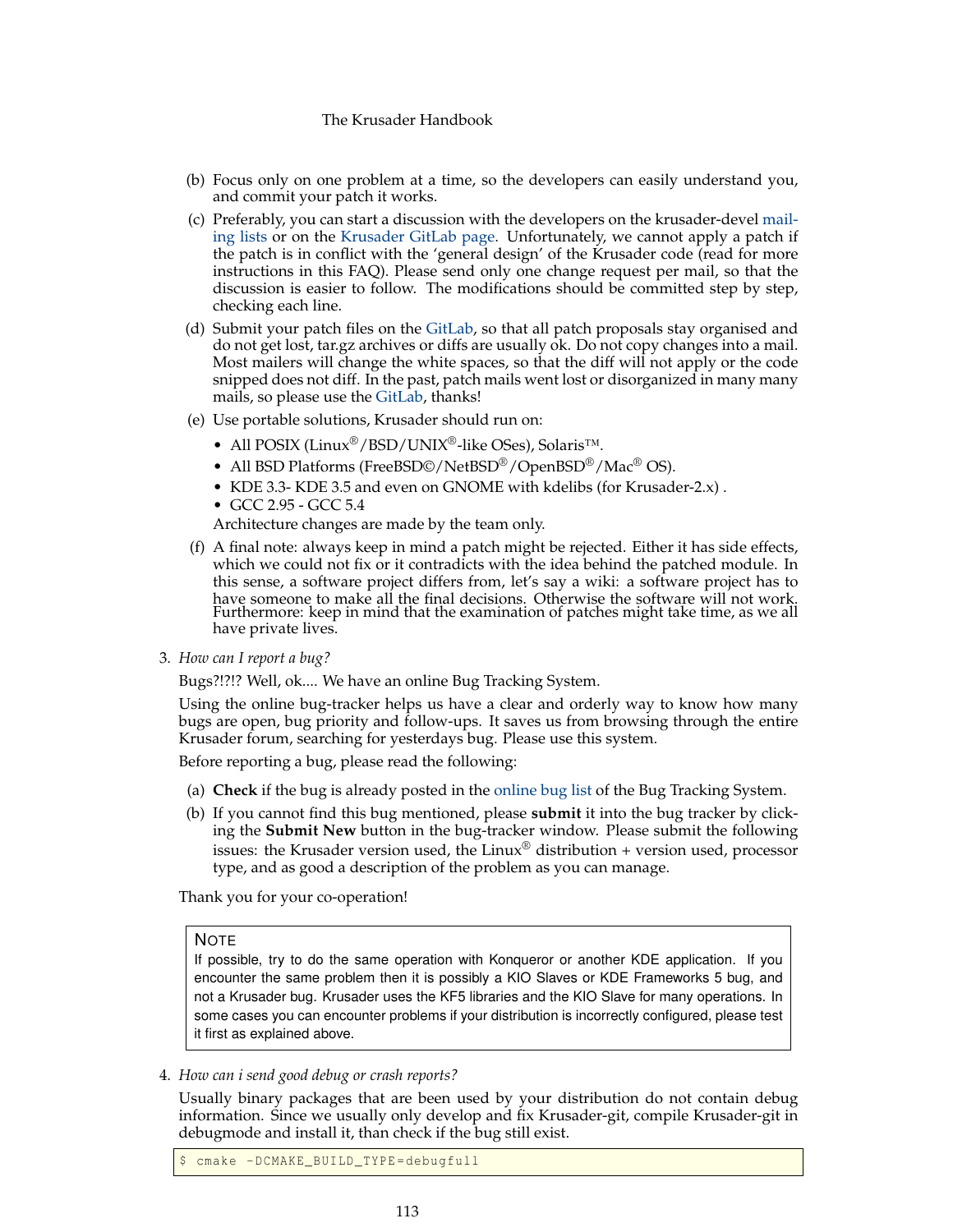- (b) Focus only on one problem at a time, so the developers can easily understand you, and commit your patch it works.
- (c) Preferably, you can start a discussion with the developers on the krusader-devel [mail](https://krusader.org/get-involved/mailing-lists/index.html)[ing lists](https://krusader.org/get-involved/mailing-lists/index.html) or on the [Krusader GitLab page.](https://invent.kde.org/utilities/krusader/-/merge_requests) Unfortunately, we cannot apply a patch if the patch is in conflict with the 'general design' of the Krusader code (read for more instructions in this FAQ). Please send only one change request per mail, so that the discussion is easier to follow. The modifications should be committed step by step, checking each line.
- (d) Submit your patch files on the [GitLab,](https://invent.kde.org/utilities/krusader/-/merge_requests) so that all patch proposals stay organised and do not get lost, tar.gz archives or diffs are usually ok. Do not copy changes into a mail. Most mailers will change the white spaces, so that the diff will not apply or the code snipped does not diff. In the past, patch mails went lost or disorganized in many many mails, so please use the [GitLab,](https://community.kde.org/Infrastructure/GitLab) thanks!
- (e) Use portable solutions, Krusader should run on:
	- All POSIX (Linux®/BSD/UNIX®-like OSes), Solaris™.
	- All BSD Platforms (FreeBSD©/NetBSD®/OpenBSD®/Mac® OS).
	- KDE 3.3- KDE 3.5 and even on GNOME with kdelibs (for Krusader-2.x) .
	- GCC 2.95 GCC 5.4

Architecture changes are made by the team only.

(f) A final note: always keep in mind a patch might be rejected. Either it has side effects, which we could not fix or it contradicts with the idea behind the patched module. In this sense, a software project differs from, let's say a wiki: a software project has to have someone to make all the final decisions. Otherwise the software will not work. Furthermore: keep in mind that the examination of patches might take time, as we all have private lives.

3. *How can I report a bug?*

Bugs?!?!? Well, ok.... We have an online Bug Tracking System.

Using the online bug-tracker helps us have a clear and orderly way to know how many bugs are open, bug priority and follow-ups. It saves us from browsing through the entire Krusader forum, searching for yesterdays bug. Please use this system.

Before reporting a bug, please read the following:

- (a) **Check** if the bug is already posted in the [online bug list](https://bugs.kde.org) of the Bug Tracking System.
- (b) If you cannot find this bug mentioned, please **submit** it into the bug tracker by clicking the **Submit New** button in the bug-tracker window. Please submit the following issues: the Krusader version used, the Linux<sup>®</sup> distribution + version used, processor type, and as good a description of the problem as you can manage.

Thank you for your co-operation!

# **NOTE**

If possible, try to do the same operation with Konqueror or another KDE application. If you encounter the same problem then it is possibly a KIO Slaves or KDE Frameworks 5 bug, and not a Krusader bug. Krusader uses the KF5 libraries and the KIO Slave for many operations. In some cases you can encounter problems if your distribution is incorrectly configured, please test it first as explained above.

4. *How can i send good debug or crash reports?*

Usually binary packages that are been used by your distribution do not contain debug information. Since we usually only develop and fix Krusader-git, compile Krusader-git in debugmode and install it, than check if the bug still exist.

cmake -DCMAKE\_BUILD\_TYPE=debugfull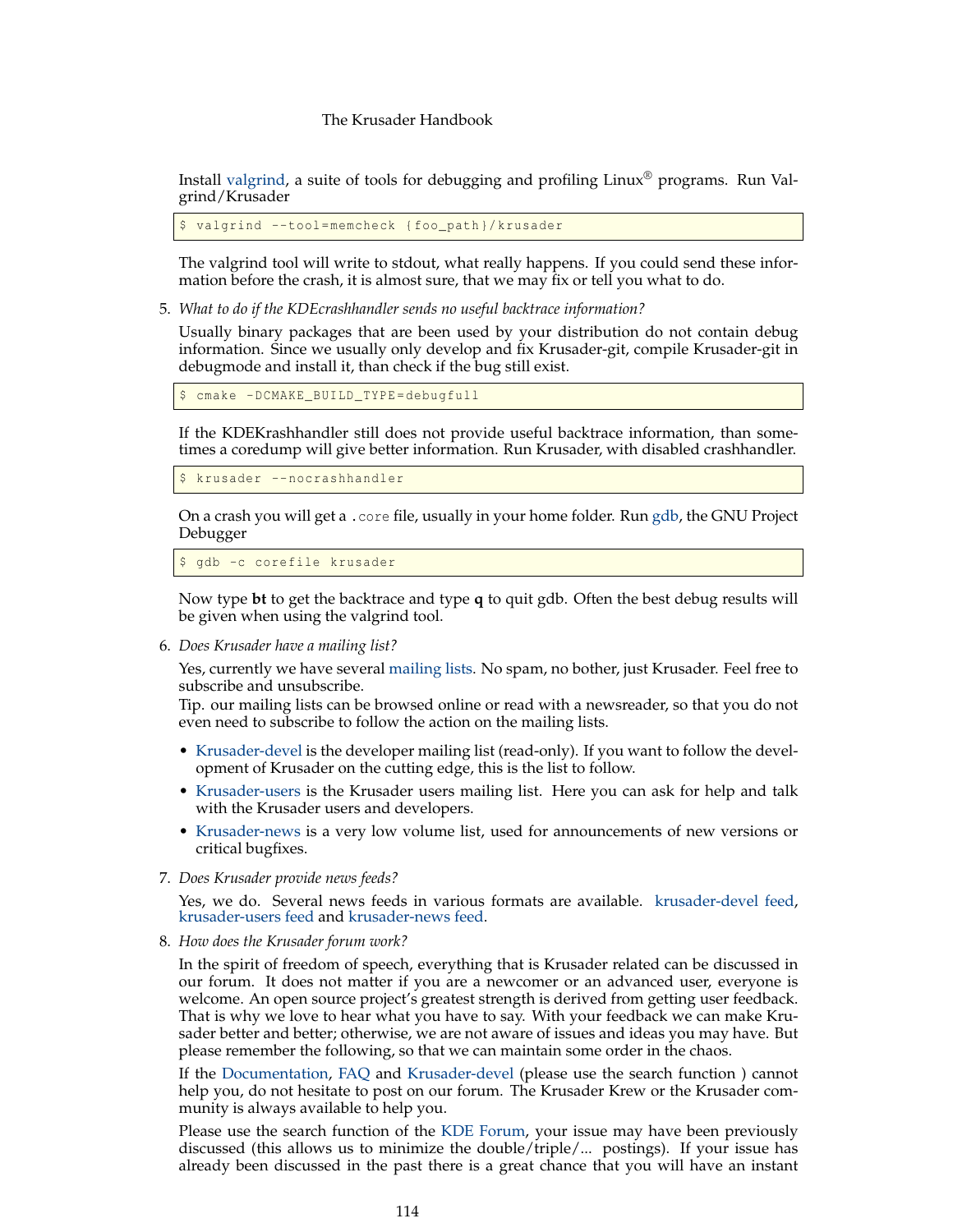Install [valgrind,](https://valgrind.org) a suite of tools for debugging and profiling Linux® programs. Run Valgrind/Krusader

valgrind --tool=memcheck {foo\_path}/krusader

The valgrind tool will write to stdout, what really happens. If you could send these information before the crash, it is almost sure, that we may fix or tell you what to do.

5. *What to do if the KDEcrashhandler sends no useful backtrace information?*

Usually binary packages that are been used by your distribution do not contain debug information. Since we usually only develop and fix Krusader-git, compile Krusader-git in debugmode and install it, than check if the bug still exist.

cmake -DCMAKE\_BUILD\_TYPE=debugfull

If the KDEKrashhandler still does not provide useful backtrace information, than sometimes a coredump will give better information. Run Krusader, with disabled crashhandler.

\$ krusader --nocrashhandler

On a crash you will get a .core file, usually in your home folder. Run [gdb,](https://sourceware.org/gdb/) the GNU Project Debugger

\$ gdb -c corefile krusader

Now type **bt** to get the backtrace and type **q** to quit gdb. Often the best debug results will be given when using the valgrind tool.

6. *Does Krusader have a mailing list?*

Yes, currently we have several [mailing lists.](https://krusader.org/get-involved/mailing-lists/index.html) No spam, no bother, just Krusader. Feel free to subscribe and unsubscribe.

Tip. our mailing lists can be browsed online or read with a newsreader, so that you do not even need to subscribe to follow the action on the mailing lists.

- [Krusader-devel](https://groups.google.com/group/krusader-devel) is the developer mailing list (read-only). If you want to follow the development of Krusader on the cutting edge, this is the list to follow.
- [Krusader-users](https://groups.google.com/group/krusader-users) is the Krusader users mailing list. Here you can ask for help and talk with the Krusader users and developers.
- [Krusader-news](http://groups.google.com/group/krusader-news) is a very low volume list, used for announcements of new versions or critical bugfixes.
- 7. *Does Krusader provide news feeds?*

Yes, we do. Several news feeds in various formats are available. [krusader-devel feed,](https://groups.google.com/group/krusader-devel/feeds) [krusader-users feed](https://groups.google.com/group/krusader-users/feeds) and [krusader-news feed.](https://groups.google.com/group/krusader-news/feeds)

8. *How does the Krusader forum work?*

In the spirit of freedom of speech, everything that is Krusader related can be discussed in our forum. It does not matter if you are a newcomer or an advanced user, everyone is welcome. An open source project's greatest strength is derived from getting user feedback. That is why we love to hear what you have to say. With your feedback we can make Krusader better and better; otherwise, we are not aware of issues and ideas you may have. But please remember the following, so that we can maintain some order in the chaos.

If the [Documentation,](#page-0-0) [FAQ](#page-108-1) and [Krusader-devel](https://groups.google.com/group/krusader-devel) (please use the search function ) cannot help you, do not hesitate to post on our forum. The Krusader Krew or the Krusader community is always available to help you.

Please use the search function of the [KDE Forum,](https://forum.kde.org/viewforum.php?f=225) your issue may have been previously discussed (this allows us to minimize the double/triple/... postings). If your issue has already been discussed in the past there is a great chance that you will have an instant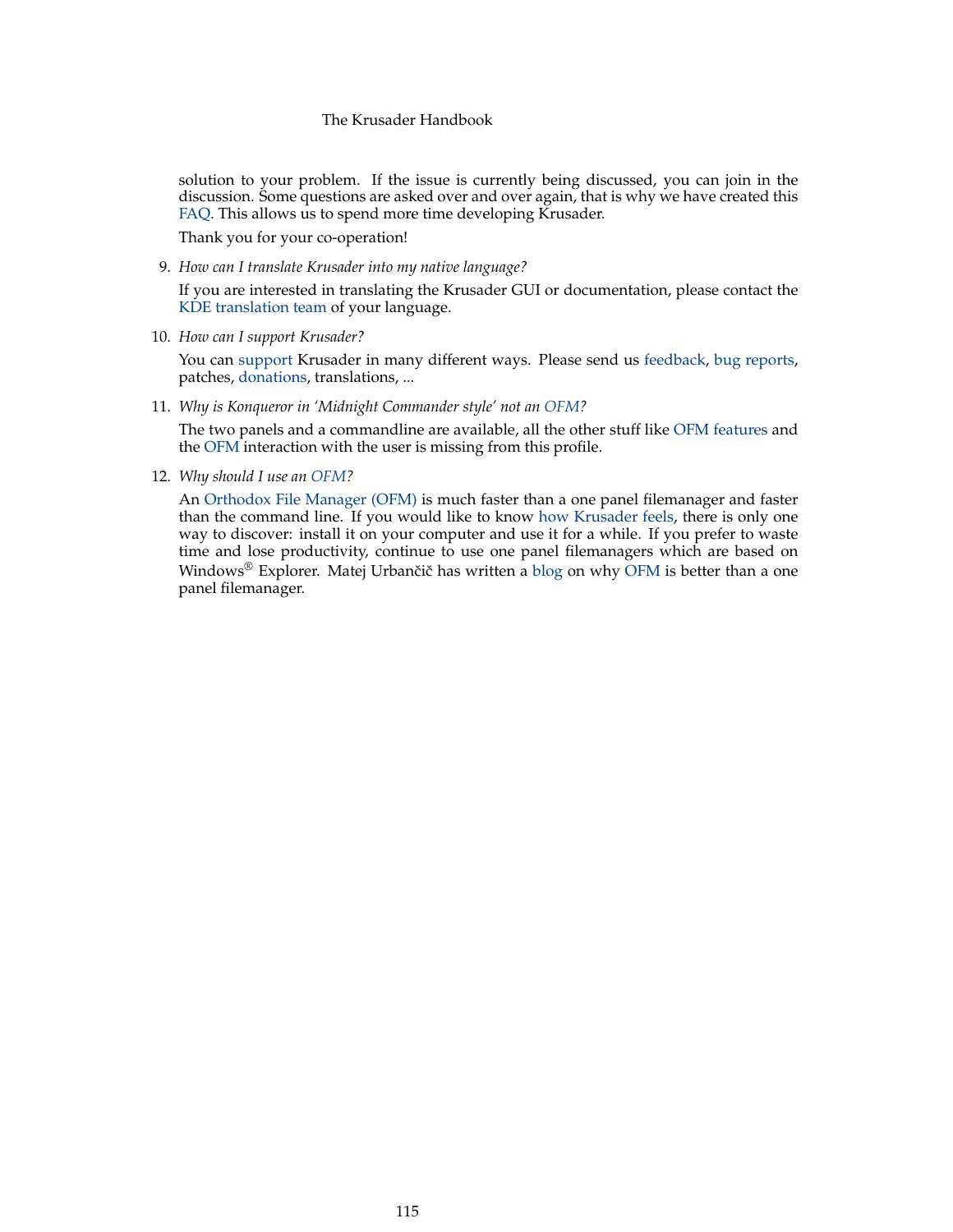<span id="page-114-0"></span>solution to your problem. If the issue is currently being discussed, you can join in the discussion. Some questions are asked over and over again, that is why we have created this [FAQ.](#page-108-1) This allows us to spend more time developing Krusader.

Thank you for your co-operation!

9. *How can I translate Krusader into my native language?*

If you are interested in translating the Krusader GUI or documentation, please contact the [KDE translation team](https://l10n.kde.org/teams-list.php) of your language.

10. *How can I support Krusader?*

You can [support](#page-10-0) Krusader in many different ways. Please send us [feedback,](#page-0-0) [bug reports,](#page-0-0) patches, [donations,](#page-10-0) translations, ...

11. *Why is Konqueror in 'Midnight Commander style' not an [OFM?](#page-126-0)*

The two panels and a commandline are available, all the other stuff like [OFM features](#page-16-0) and the [OFM](#page-126-0) interaction with the user is missing from this profile.

12. *Why should I use an [OFM?](#page-126-0)*

An [Orthodox File Manager \(OFM\)](https://www.softpanorama.org/OFM/index.shtml) is much faster than a one panel filemanager and faster than the command line. If you would like to know [how Krusader feels,](https://www.softpedia.com/reviews/linux/Krusader-18193.shtml) there is only one way to discover: install it on your computer and use it for a while. If you prefer to waste time and lose productivity, continue to use one panel filemanagers which are based on Windows® Explorer. Matej Urbančič has written a [blog](https://murban.blogspot.com/2006/01/krusader-and-konqueror-twin-versus-one.html) on why [OFM](#page-126-0) is better than a one panel filemanager.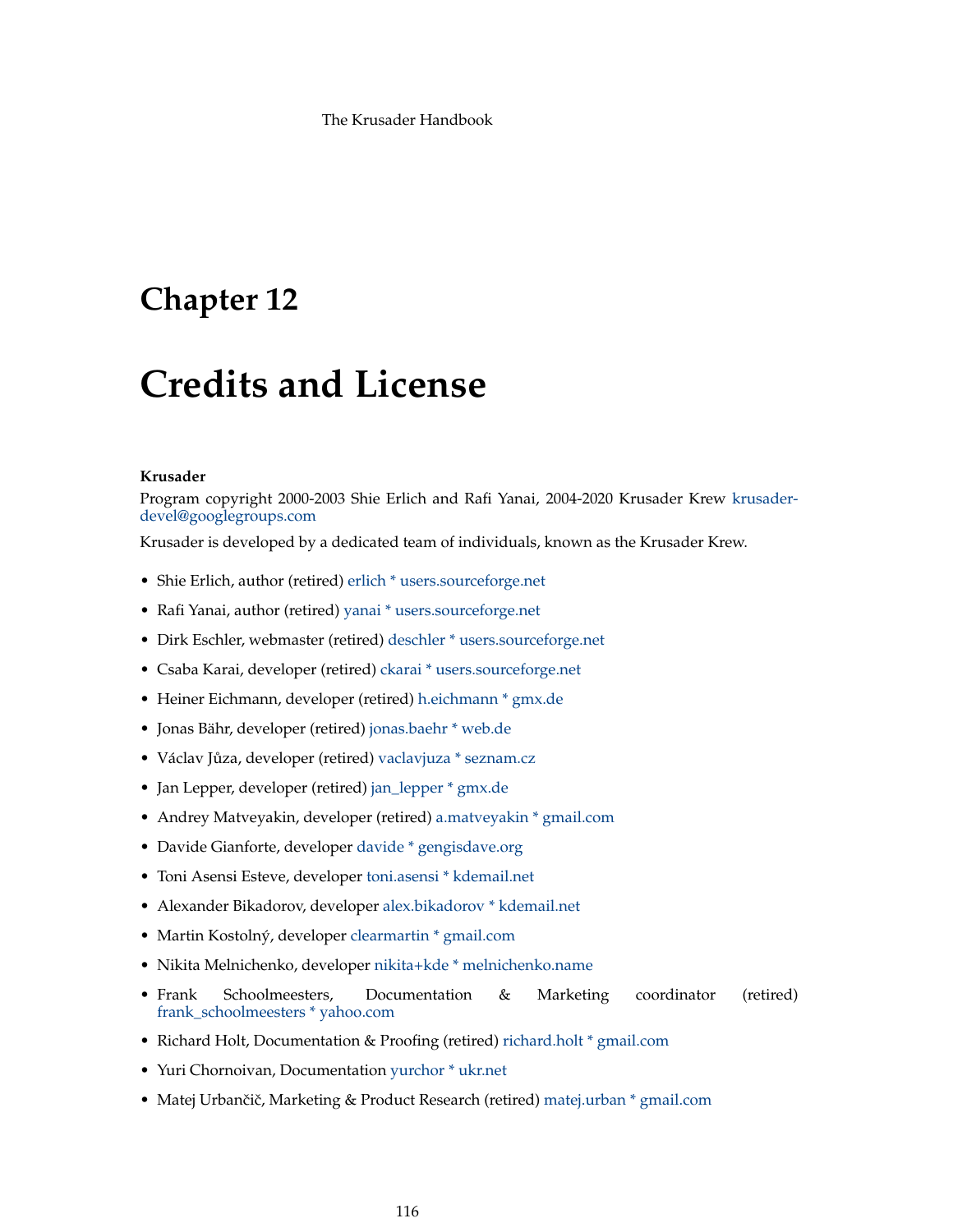# **Chapter 12**

# **Credits and License**

#### **Krusader**

Program copyright 2000-2003 Shie Erlich and Rafi Yanai, 2004-2020 Krusader Krew [krusader](mailto:krusader-devel@googlegroups.com)[devel@googlegroups.com](mailto:krusader-devel@googlegroups.com)

Krusader is developed by a dedicated team of individuals, known as the Krusader Krew.

- Shie Erlich, author (retired) [erlich \\* users.sourceforge.net](mailto:erlich * users.sourceforge.net)
- Rafi Yanai, author (retired) [yanai \\* users.sourceforge.net](mailto:yanai * users.sourceforge.net)
- Dirk Eschler, webmaster (retired) [deschler \\* users.sourceforge.net](mailto:deschler * users.sourceforge.net)
- Csaba Karai, developer (retired) [ckarai \\* users.sourceforge.net](mailto:ckarai * users.sourceforge.net)
- Heiner Eichmann, developer (retired) [h.eichmann \\* gmx.de](mailto:h.eichmann * gmx.de)
- Jonas Bähr, developer (retired) [jonas.baehr \\* web.de](mailto:jonas.baehr * web.de)
- Václav Jůza, developer (retired) [vaclavjuza \\* seznam.cz](mailto:vaclavjuza * seznam.cz)
- Jan Lepper, developer (retired) [jan\\_lepper \\* gmx.de](mailto:jan_lepper * gmx.de)
- Andrey Matveyakin, developer (retired) [a.matveyakin \\* gmail.com](mailto:a.matveyakin * gmail.com)
- Davide Gianforte, developer [davide \\* gengisdave.org](mailto:davide * gengisdave.org)
- Toni Asensi Esteve, developer [toni.asensi \\* kdemail.net](mailto:toni.asensi * kdemail.net)
- Alexander Bikadorov, developer [alex.bikadorov \\* kdemail.net](mailto:alex.bikadorov * kdemail.net)
- Martin Kostolný, developer [clearmartin \\* gmail.com](mailto:clearmartin * gmail.com)
- Nikita Melnichenko, developer [nikita+kde \\* melnichenko.name](mailto:nikita+kde * melnichenko.name)
- Frank Schoolmeesters, Documentation & Marketing coordinator (retired) [frank\\_schoolmeesters \\* yahoo.com](mailto:frank_schoolmeesters * yahoo.com)
- Richard Holt, Documentation & Proofing (retired) [richard.holt \\* gmail.com](mailto:richard.holt * gmail.com)
- Yuri Chornoivan, Documentation [yurchor \\* ukr.net](mailto:yurchor * ukr.net)
- Matej Urbančič, Marketing & Product Research (retired) [matej.urban \\* gmail.com](mailto:matej.urban * gmail.com)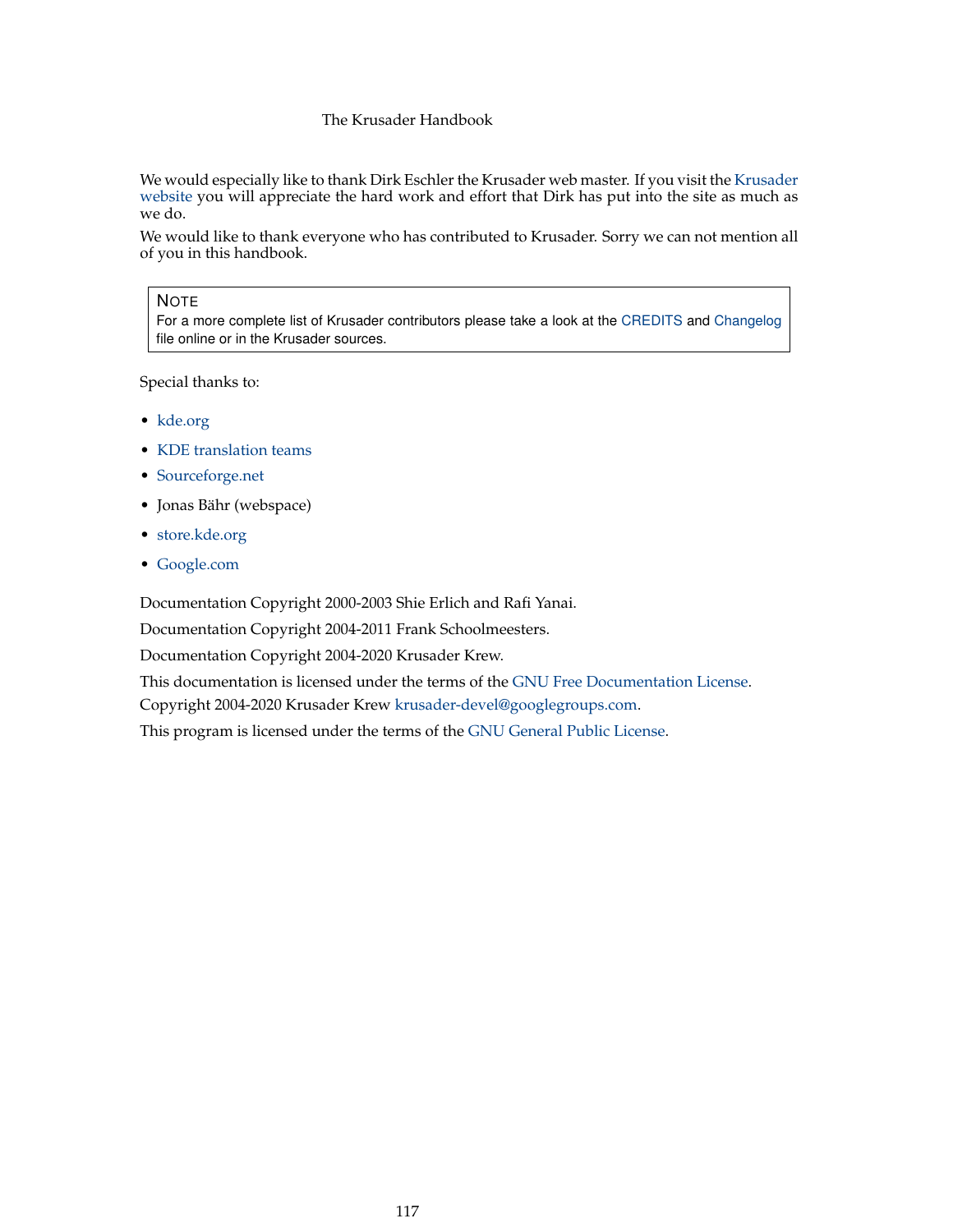<span id="page-116-0"></span>We would especially like to thank Dirk Eschler the Krusader web master. If you visit the [Krusader](https://www.krusader.org) [website](https://www.krusader.org) you will appreciate the hard work and effort that Dirk has put into the site as much as we do.

We would like to thank everyone who has contributed to Krusader. Sorry we can not mention all of you in this handbook.

# **NOTE**

For a more complete list of Krusader contributors please take a look at the [CREDITS](https://commits.kde.org/krusader?path=CREDITS) and [Changelog](https://commits.kde.org/krusader?path=ChangeLog) file online or in the Krusader sources.

Special thanks to:

- [kde.org](https://www.kde.org/)
- [KDE translation teams](https://l10n.kde.org/)
- [Sourceforge.net](http://sourceforge.net/)
- Jonas Bähr (webspace)
- [store.kde.org](https://store.kde.org)
- [Google.com](https://www.google.com)

Documentation Copyright 2000-2003 Shie Erlich and Rafi Yanai.

Documentation Copyright 2004-2011 Frank Schoolmeesters.

Documentation Copyright 2004-2020 Krusader Krew.

This documentation is licensed under the terms of the [GNU Free Documentation License.](fdl-license.html) Copyright 2004-2020 Krusader Krew [krusader-devel@googlegroups.com.](mailto:krusader-devel@googlegroups.com)

This program is licensed under the terms of the [GNU General Public License.](gpl-license.html)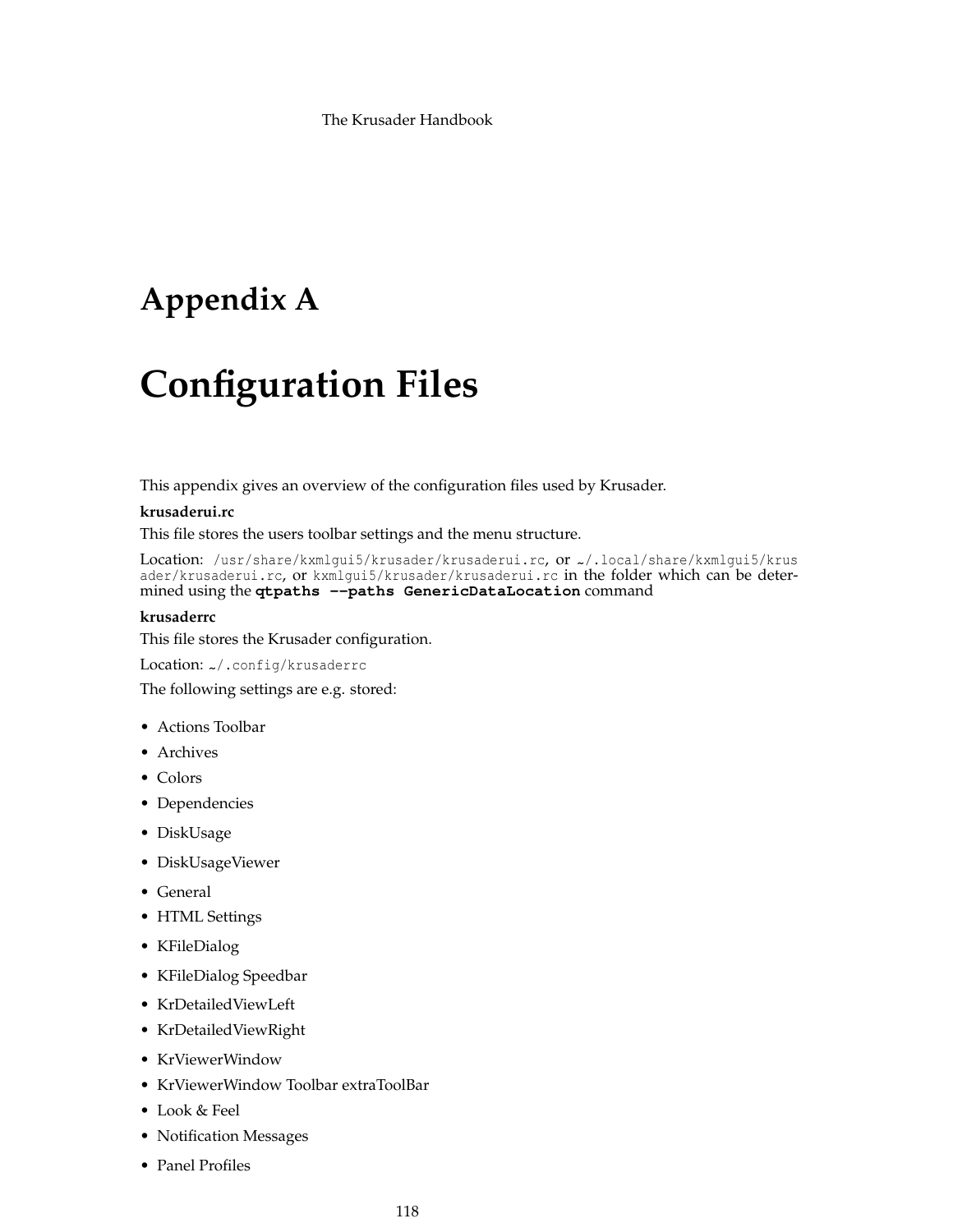# **Appendix A**

# **Configuration Files**

This appendix gives an overview of the configuration files used by Krusader.

## **krusaderui.rc**

This file stores the users toolbar settings and the menu structure.

Location: /usr/share/kxmlgui5/krusader/krusaderui.rc, or ~/.local/share/kxmlgui5/krus ader/krusaderui.rc, or kxmlgui5/krusader/krusaderui.rc in the folder which can be determined using the **qtpaths --paths GenericDataLocation** command

# **krusaderrc**

This file stores the Krusader configuration.

### Location: ~/.config/krusaderrc

The following settings are e.g. stored:

- Actions Toolbar
- Archives
- Colors
- Dependencies
- DiskUsage
- DiskUsageViewer
- General
- HTML Settings
- KFileDialog
- KFileDialog Speedbar
- KrDetailedViewLeft
- KrDetailedViewRight
- KrViewerWindow
- KrViewerWindow Toolbar extraToolBar
- Look & Feel
- Notification Messages
- Panel Profiles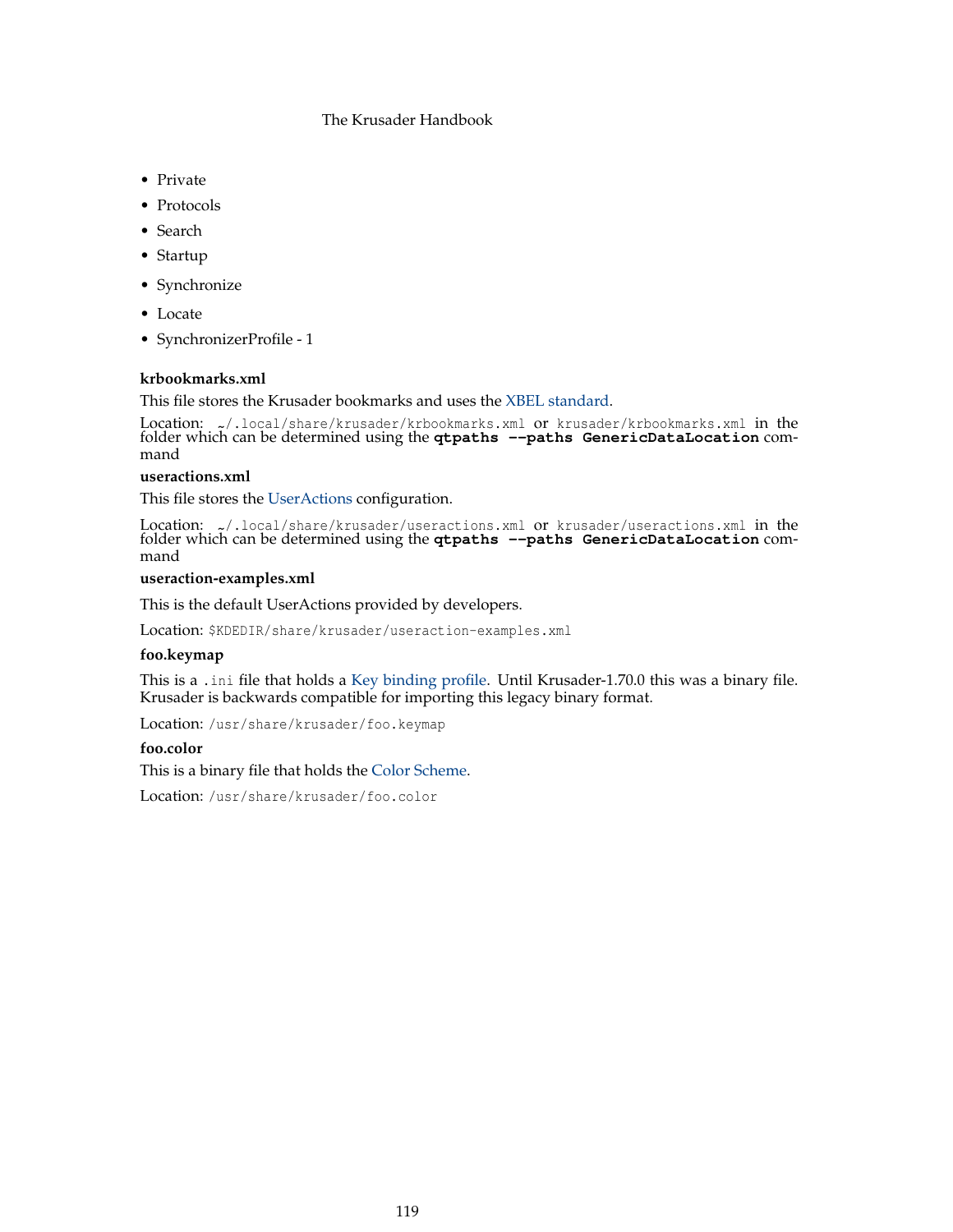- Private
- Protocols
- Search
- Startup
- Synchronize
- Locate
- SynchronizerProfile 1

# **krbookmarks.xml**

This file stores the Krusader bookmarks and uses the [XBEL standard.](http://grail.sourceforge.net/info/xbel.html)

Location: ~/.local/share/krusader/krbookmarks.xml or krusader/krbookmarks.xml in the folder which can be determined using the **qtpaths --paths GenericDataLocation** command

# **useractions.xml**

This file stores the [UserActions](#page-90-0) configuration.

Location: ~/.local/share/krusader/useractions.xml or krusader/useractions.xml in the folder which can be determined using the **qtpaths --paths GenericDataLocation** command

# **useraction-examples.xml**

This is the default UserActions provided by developers.

Location: \$KDEDIR/share/krusader/useraction-examples.xml

# **foo.keymap**

This is a .ini file that holds a [Key binding profile.](#page-46-0) Until Krusader-1.70.0 this was a binary file. Krusader is backwards compatible for importing this legacy binary format.

Location: /usr/share/krusader/foo.keymap

# **foo.color**

This is a binary file that holds the [Color Scheme.](#page-101-0)

Location: /usr/share/krusader/foo.color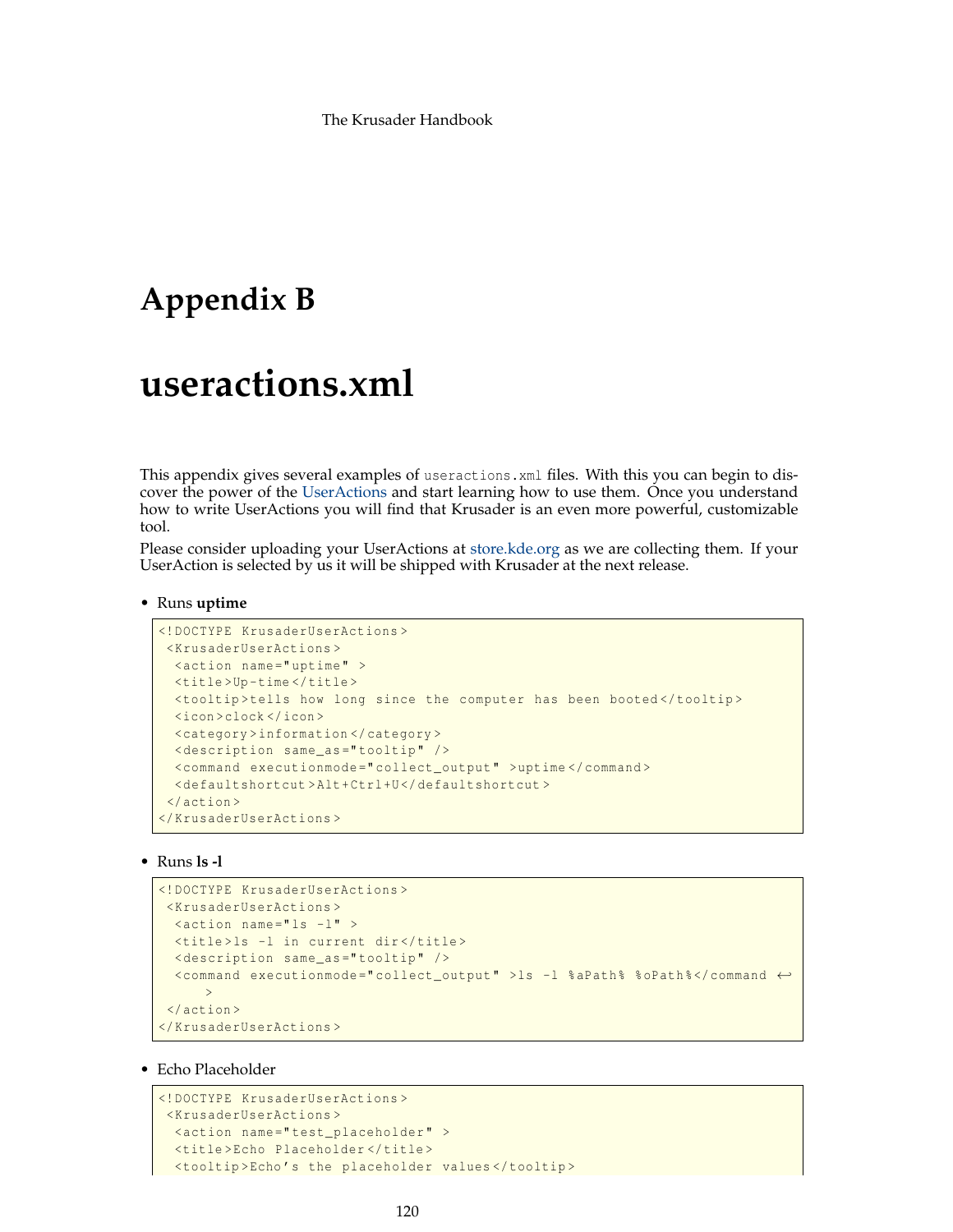# **Appendix B**

# **useractions.xml**

This appendix gives several examples of useractions.xml files. With this you can begin to discover the power of the [UserActions](#page-90-0) and start learning how to use them. Once you understand how to write UserActions you will find that Krusader is an even more powerful, customizable tool.

Please consider uploading your UserActions at [store.kde.org](https://store.kde.org) as we are collecting them. If your UserAction is selected by us it will be shipped with Krusader at the next release.

#### • Runs **uptime**

```
<!DOCTYPE KrusaderUserActions >
<KrusaderUserActions >
 <action name =" uptime" >
 <title >Up -time </title >
 <tooltip >tells how long since the computer has been booted </ tooltip >
 <icon >clock </icon >
 <category >information </ category >
 <description same_as =" tooltip" />
 <command executionmode =" collect_output " >uptime </ command >
 <defaultshortcut >Alt+Ctrl+U</ defaultshortcut >
</action >
</KrusaderUserActions >
```
## • Runs **ls -l**

```
<!DOCTYPE KrusaderUserActions >
<KrusaderUserActions >
 \leq action name="ls -l" >
 <title>ls -l in current dir </title>
 <description same_as =" tooltip" />
  <command executionmode =" collect_output " >ls -l %aPath% %oPath % </command ←-
     \rightarrow</action >
</KrusaderUserActions >
```
# • Echo Placeholder

```
<!DOCTYPE KrusaderUserActions >
<KrusaderUserActions >
  <action name =" test_placeholder " >
  <title >Echo Placeholder </title >
  <tooltip >Echo 's the placeholder values </ tooltip >
```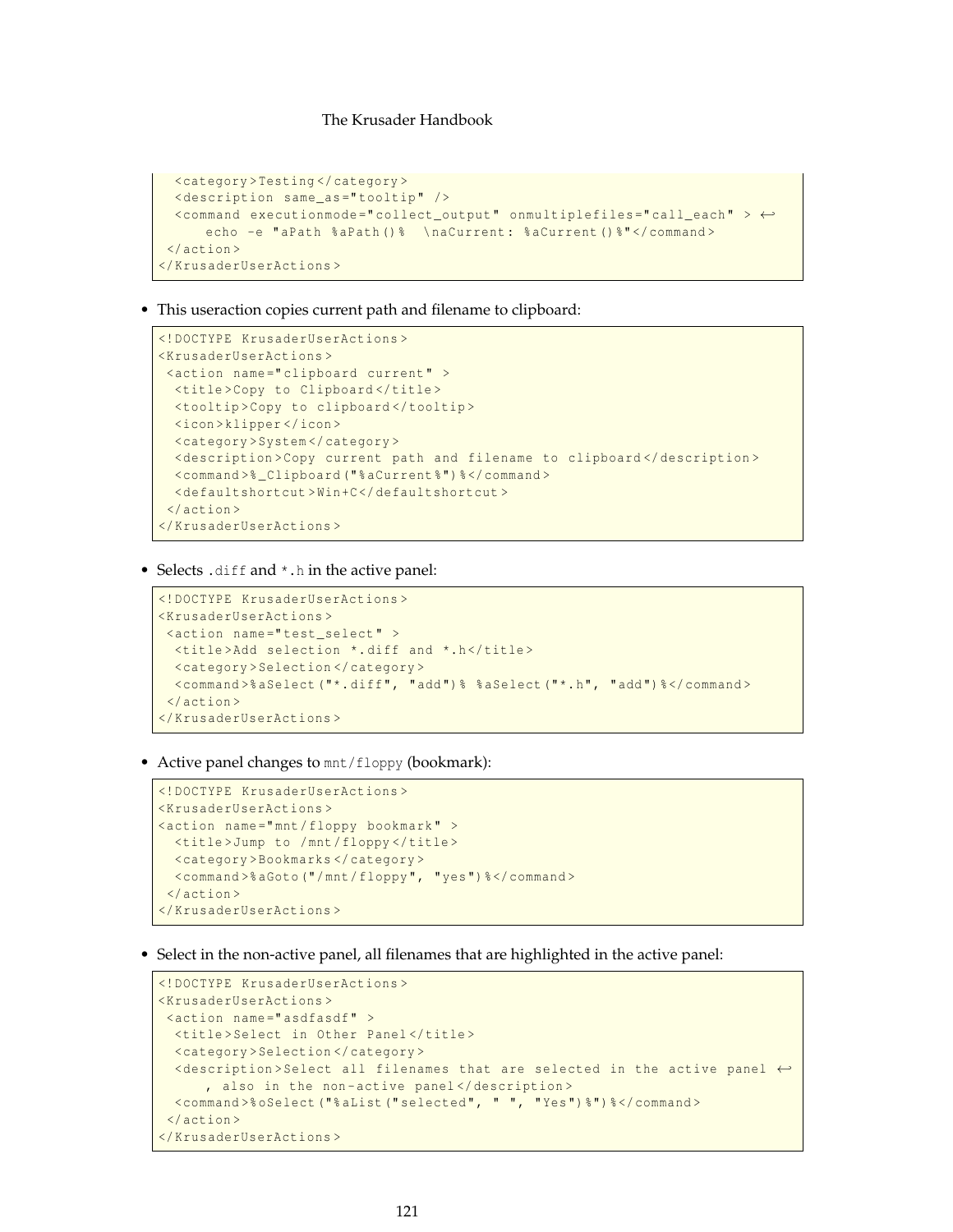```
<category >Testing </ category >
 <description same_as =" tooltip" />
 <command executionmode =" collect_output " onmultiplefiles =" call_each" > ←-
     echo -e "aPath %aPath () % \naCurrent: %aCurrent () % "</ command>
</action >
</KrusaderUserActions >
```
• This useraction copies current path and filename to clipboard:

```
<!DOCTYPE KrusaderUserActions >
<KrusaderUserActions >
<action name =" clipboard current" >
 <title>Copy to Clipboard</title>
 <tooltip >Copy to clipboard </ tooltip >
 <icon >klipper </icon >
  <category >System </ category >
  <description >Copy current path and filename to clipboard </ description >
  <command >% _Clipboard ("% aCurrent %") % </command >
  <defaultshortcut >Win+C</ defaultshortcut >
</action >
</KrusaderUserActions >
```
• Selects .diff and \*.h in the active panel:

```
<!DOCTYPE KrusaderUserActions >
<KrusaderUserActions >
<action name =" test_select" >
 <title >Add selection *. diff and *.h</title >
 <category >Selection </ category >
 <command >% aSelect ("*. diff", "add") % %aSelect ("*.h", "add") % </command >
</action >
</KrusaderUserActions >
```
• Active panel changes to  $mnt/floppy$  (bookmark):

```
<!DOCTYPE KrusaderUserActions >
<KrusaderUserActions >
<action name =" mnt/floppy bookmark" >
 <title >Jump to /mnt/floppy </title >
 <category >Bookmarks </ category >
 <command >% aGoto ("/ mnt/floppy", "yes") % </command >
</action >
</KrusaderUserActions >
```
• Select in the non-active panel, all filenames that are highlighted in the active panel:

```
<!DOCTYPE KrusaderUserActions >
<KrusaderUserActions >
<action name="asdfasdf" >
  <title>Select in Other Panel</title>
 <category >Selection </ category >
 \leq <description > Select all filenames that are selected in the active panel \leftrightarrow, also in the non-active panel</description>
 <command >% oSelect ("% aList (" selected", " ", "Yes") %") % </command >
</action >
</KrusaderUserActions >
```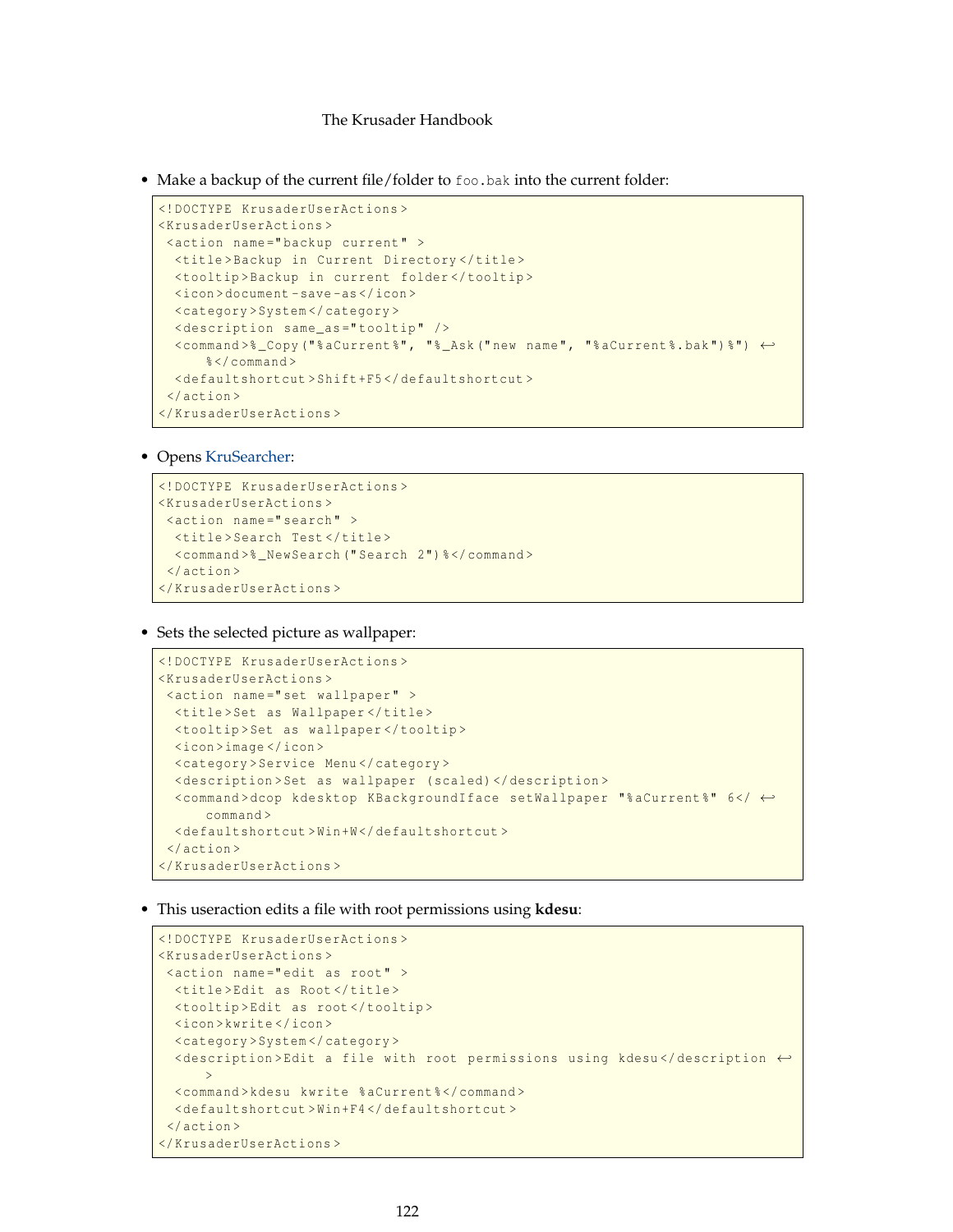• Make a backup of the current file/folder to foo.bak into the current folder:

```
<!DOCTYPE KrusaderUserActions >
<KrusaderUserActions >
<action name =" backup current" >
  <title >Backup in Current Directory </title >
  <tooltip >Backup in current folder </ tooltip >
  <icon >document -save -as </icon >
  <category >System </ category >
  <description same_as =" tooltip" />
  <command >% _Copy ("% aCurrent %" , "% _Ask (" new name", "% aCurrent %. bak") %") ←-
     %</command>
 <defaultshortcut >Shift+F5 </ defaultshortcut >
</action >
</KrusaderUserActions >
```
#### • Opens [KruSearcher:](#page-59-0)

```
<!DOCTYPE KrusaderUserActions >
<KrusaderUserActions >
<action name="search" >
 <title>Search Test</title>
 <command >% _NewSearch (" Search 2") % </command >
</action >
</KrusaderUserActions >
```
• Sets the selected picture as wallpaper:

```
<!DOCTYPE KrusaderUserActions >
<KrusaderUserActions >
<action name =" set wallpaper" >
 <title >Set as Wallpaper </title >
 <tooltip >Set as wallpaper </ tooltip >
 <icon >image </icon >
 <category >Service Menu </ category >
 <description >Set as wallpaper (scaled) </description >
 <command >dcop kdesktop KBackgroundIface setWallpaper "% aCurrent %" 6 </ ←-
      command >
 <defaultshortcut >Win+W</ defaultshortcut >
</action >
</KrusaderUserActions >
```
• This useraction edits a file with root permissions using **kdesu**:

```
<!DOCTYPE KrusaderUserActions >
<KrusaderUserActions >
<action name =" edit as root" >
 <title >Edit as Root </title >
 <tooltip >Edit as root </ tooltip >
 <icon >kwrite </icon >
  <category >System </ category >
  <description >Edit a file with root permissions using kdesu </ description ←-
      >
  <command >kdesu kwrite %aCurrent % </command >
  <defaultshortcut >Win+F4 </ defaultshortcut >
</action >
</KrusaderUserActions >
```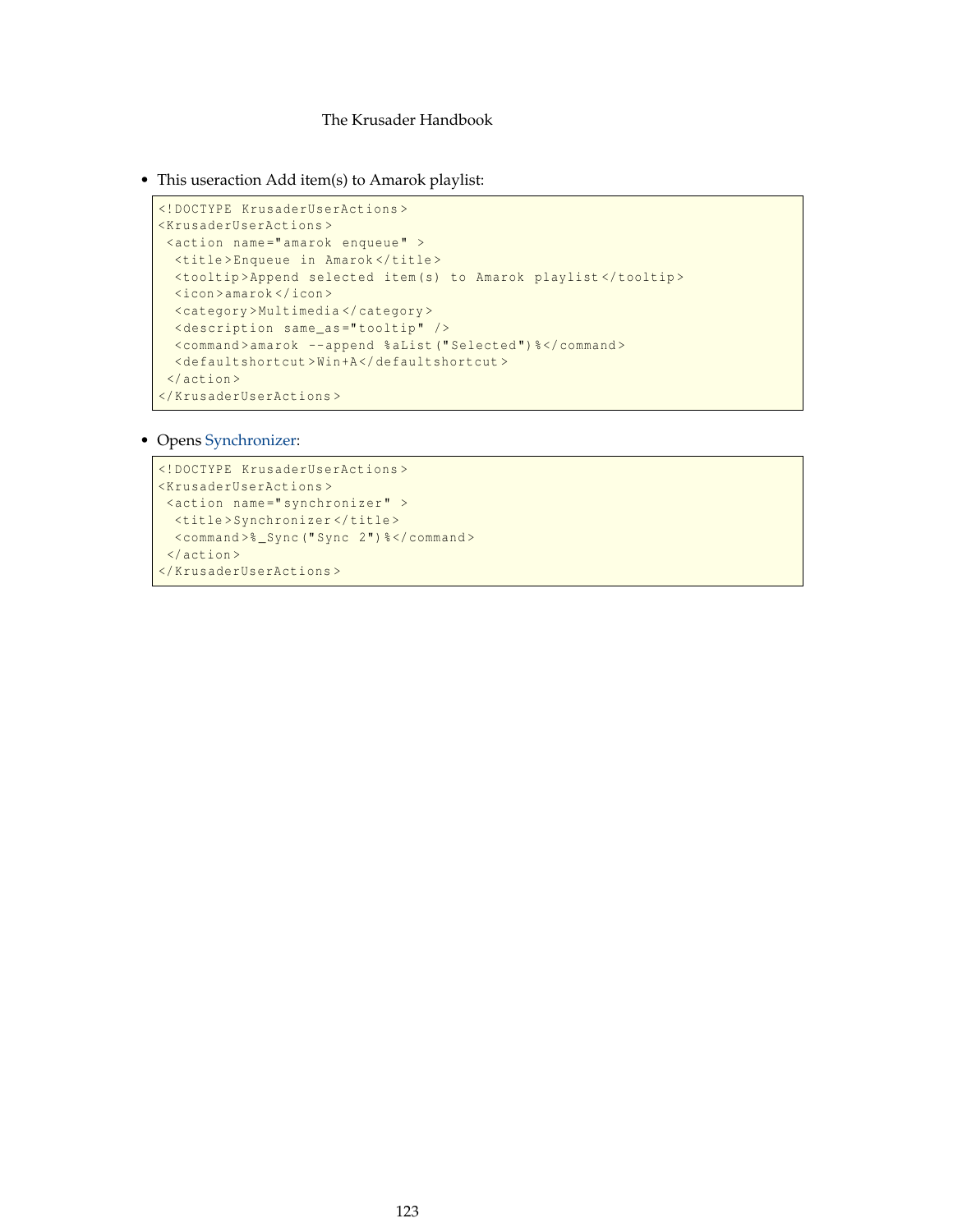<span id="page-122-0"></span>• This useraction Add item(s) to Amarok playlist:

```
<!DOCTYPE KrusaderUserActions >
<KrusaderUserActions >
<action name =" amarok enqueue" >
 <title >Enqueue in Amarok </title >
 <tooltip >Append selected item(s) to Amarok playlist </ tooltip >
 <icon >amarok </icon >
 <category >Multimedia </ category >
 <description same_as =" tooltip" />
 <command >amarok --append %aList (" Selected ") % </command >
 <defaultshortcut >Win+A</ defaultshortcut >
</action >
</KrusaderUserActions >
```
• Opens [Synchronizer:](#page-85-0)

```
<!DOCTYPE KrusaderUserActions >
<KrusaderUserActions >
<action name="synchronizer" >
 <title >Synchronizer </title >
 <command >% _Sync (" Sync 2") % </command >
</action >
</KrusaderUserActions >
```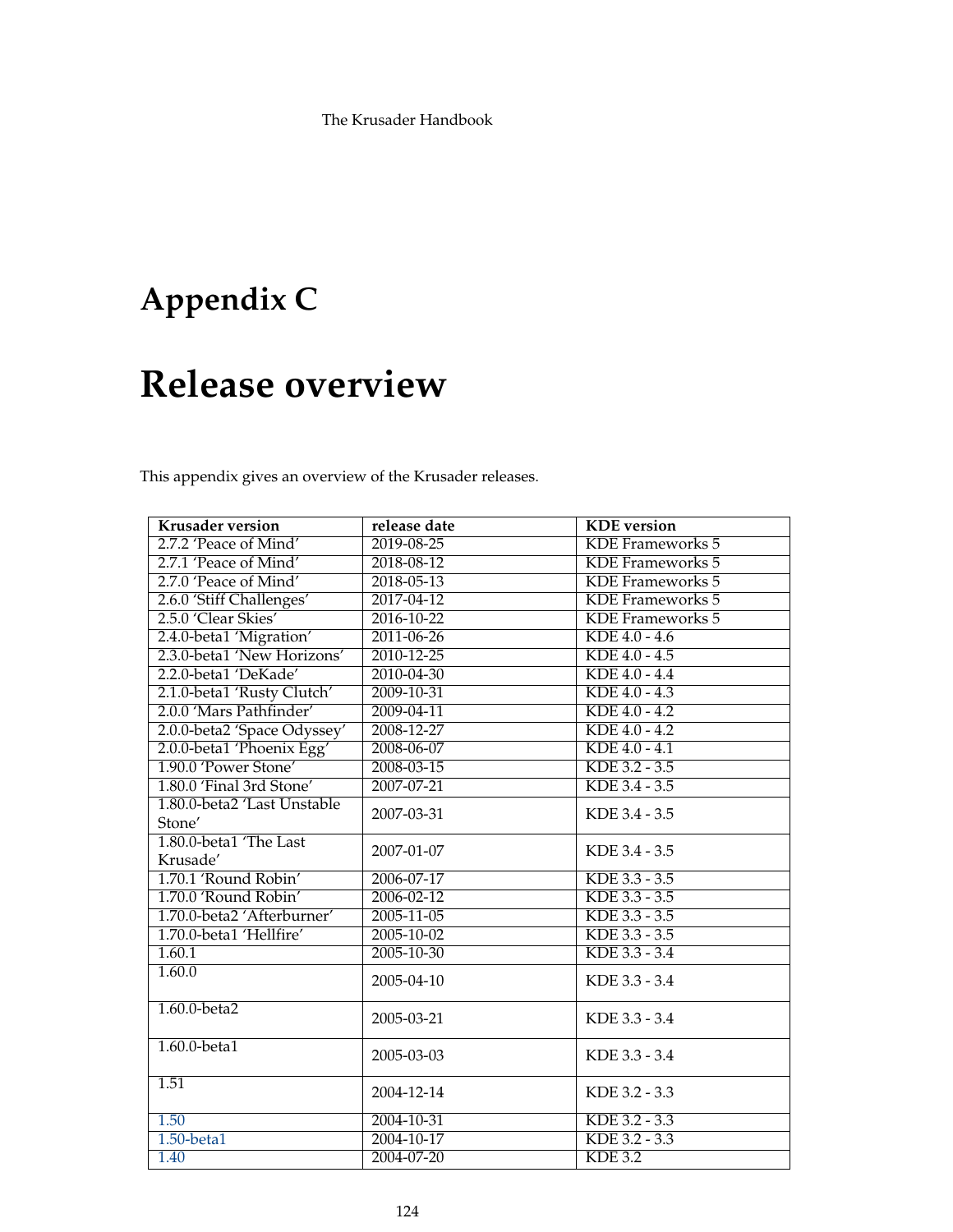# **Appendix C**

# **Release overview**

This appendix gives an overview of the Krusader releases.

| <b>Krusader version</b>     | release date     | <b>KDE</b> version      |
|-----------------------------|------------------|-------------------------|
| 2.7.2 'Peace of Mind'       | 2019-08-25       | <b>KDE</b> Frameworks 5 |
| 2.7.1 'Peace of Mind'       | 2018-08-12       | <b>KDE</b> Frameworks 5 |
| 2.7.0 'Peace of Mind'       | 2018-05-13       | KDE Frameworks 5        |
| 2.6.0 'Stiff Challenges'    | 2017-04-12       | <b>KDE</b> Frameworks 5 |
| 2.5.0 'Clear Skies'         | 2016-10-22       | <b>KDE</b> Frameworks 5 |
| 2.4.0-beta1 'Migration'     | 2011-06-26       | $KDE$ 4.0 - 4.6         |
| 2.3.0-beta1 'New Horizons'  | $2010 - 12 - 25$ | $KDE$ 4.0 - 4.5         |
| 2.2.0-beta1 'DeKade'        | 2010-04-30       | $KDE 4.0 - 4.4$         |
| 2.1.0-beta1 'Rusty Clutch'  | 2009-10-31       | $KDE 4.0 - 4.3$         |
| 2.0.0 'Mars Pathfinder'     | 2009-04-11       | KDE 4.0 - 4.2           |
| 2.0.0-beta2 'Space Odyssey' | 2008-12-27       | KDE 4.0 - 4.2           |
| 2.0.0-beta1 'Phoenix Egg'   | 2008-06-07       | KDE 4.0 - 4.1           |
| 1.90.0 'Power Stone'        | 2008-03-15       | KDE 3.2 - 3.5           |
| 1.80.0 'Final 3rd Stone'    | 2007-07-21       | KDE 3.4 - 3.5           |
| 1.80.0-beta2 'Last Unstable | 2007-03-31       | KDE 3.4 - 3.5           |
| Stone'                      |                  |                         |
| 1.80.0-beta1 'The Last      | 2007-01-07       | KDE 3.4 - 3.5           |
| Krusade'                    |                  |                         |
| 1.70.1 'Round Robin'        | 2006-07-17       | KDE 3.3 - 3.5           |
| 1.70.0 'Round Robin'        | 2006-02-12       | KDE 3.3 - 3.5           |
| 1.70.0-beta2 'Afterburner'  | 2005-11-05       | KDE 3.3 - 3.5           |
| 1.70.0-beta1 'Hellfire'     | $2005 - 10 - 02$ | KDE 3.3 - 3.5           |
| 1.60.1                      | $2005 - 10 - 30$ | KDE 3.3 - 3.4           |
| 1.60.0                      | 2005-04-10       | KDE 3.3 - 3.4           |
| $1.60.0$ -beta $2$          | 2005-03-21       | KDE 3.3 - 3.4           |
| $1.60.0$ -beta $1$          | 2005-03-03       | KDE 3.3 - 3.4           |
| 1.51                        | 2004-12-14       | KDE 3.2 - 3.3           |
| 1.50                        | 2004-10-31       | KDE 3.2 - 3.3           |
| $1.50$ -beta $1$            | 2004-10-17       | KDE 3.2 - 3.3           |
| 1.40                        | 2004-07-20       | KDE 3.2                 |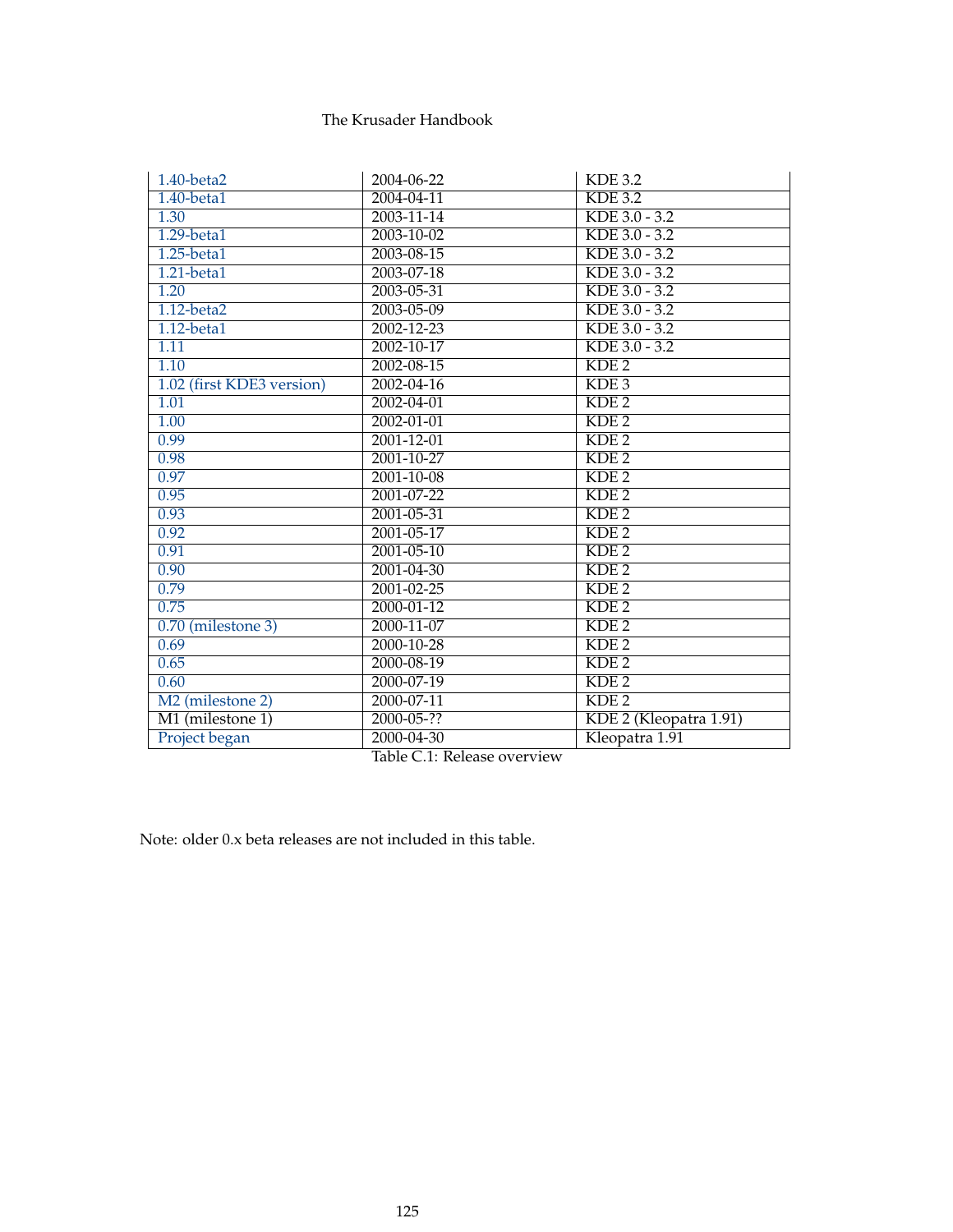<span id="page-124-0"></span>

| 1.40-beta2                   | 2004-06-22       | <b>KDE 3.2</b>         |
|------------------------------|------------------|------------------------|
| $1.40$ -beta $1$             | 2004-04-11       | $KDE$ 3.2              |
| 1.30                         | $2003 - 11 - 14$ | $KDE 3.0 - 3.2$        |
| $1.29 - beta1$               | 2003-10-02       | $KDE 3.0 - 3.2$        |
| $1.25$ -beta $1$             | 2003-08-15       | KDE 3.0 - 3.2          |
| $1.21$ -beta $1$             | 2003-07-18       | KDE 3.0 - 3.2          |
| 1.20                         | 2003-05-31       | KDE 3.0 - 3.2          |
| $1.12$ -beta $2$             | 2003-05-09       | $KDE 3.0 - 3.2$        |
| $1.12$ -beta $1$             | $2002 - 12 - 23$ | $KDE 3.0 - 3.2$        |
| 1.11                         | $2002 - 10 - 17$ | $KDE 3.0 - 3.2$        |
| 1.10                         | $2002 - 08 - 15$ | KDE <sub>2</sub>       |
| 1.02 (first KDE3 version)    | 2002-04-16       | KDE3                   |
| 1.01                         | 2002-04-01       | KDE <sub>2</sub>       |
| 1.00                         | 2002-01-01       | KDE <sub>2</sub>       |
| 0.99                         | 2001-12-01       | KDE <sub>2</sub>       |
| 0.98                         | 2001-10-27       | KDE <sub>2</sub>       |
| 0.97                         | 2001-10-08       | KDE <sub>2</sub>       |
| 0.95                         | 2001-07-22       | KDE <sub>2</sub>       |
| 0.93                         | $2001 - 05 - 31$ | KDE <sub>2</sub>       |
| 0.92                         | $2001 - 05 - 17$ | KDE <sub>2</sub>       |
| 0.91                         | $2001 - 05 - 10$ | KDE <sub>2</sub>       |
| 0.90                         | 2001-04-30       | KDE <sub>2</sub>       |
| 0.79                         | 2001-02-25       | KDE <sub>2</sub>       |
| 0.75                         | $2000 - 01 - 12$ | KDE <sub>2</sub>       |
| $0.70$ (milestone 3)         | 2000-11-07       | KDE <sub>2</sub>       |
| 0.69                         | $2000 - 10 - 28$ | KDE <sub>2</sub>       |
| 0.65                         | $2000 - 08 - 19$ | KDE <sub>2</sub>       |
| 0.60                         | 2000-07-19       | KDE <sub>2</sub>       |
| M <sub>2</sub> (milestone 2) | 2000-07-11       | KDE <sub>2</sub>       |
| M1 (milestone 1)             | 2000-05-??       | KDE 2 (Kleopatra 1.91) |
| Project began                | 2000-04-30       | Kleopatra 1.91         |

Table C.1: Release overview

Note: older 0.x beta releases are not included in this table.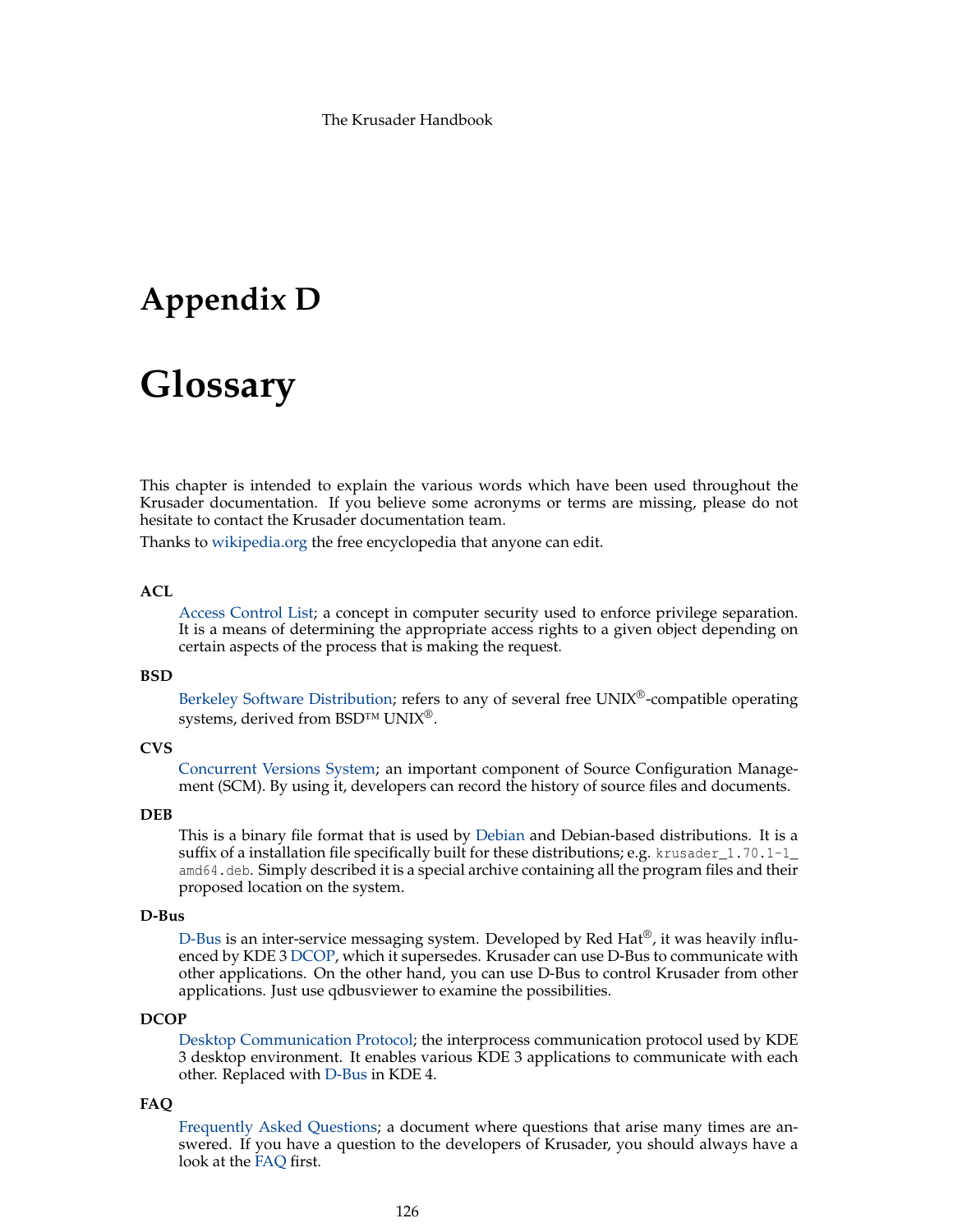# **Appendix D**

# **Glossary**

This chapter is intended to explain the various words which have been used throughout the Krusader documentation. If you believe some acronyms or terms are missing, please do not hesitate to contact the Krusader documentation team.

Thanks to [wikipedia.org](https://en.wikipedia.org/) the free encyclopedia that anyone can edit.

### **ACL**

[Access Control List;](https://en.wikipedia.org/wiki/Access_control_list) a concept in computer security used to enforce privilege separation. It is a means of determining the appropriate access rights to a given object depending on certain aspects of the process that is making the request.

#### **BSD**

[Berkeley Software Distribution;](https://en.wikipedia.org/wiki/Bsd) refers to any of several free UNIX®-compatible operating systems, derived from BSD™ UNIX<sup>®</sup>.

# <span id="page-125-2"></span>**CVS**

[Concurrent Versions System;](https://en.wikipedia.org/wiki/Concurrent_Versions_System) an important component of Source Configuration Management (SCM). By using it, developers can record the history of source files and documents.

### **DEB**

This is a binary file format that is used by [Debian](https://en.wikipedia.org/wiki/Debian) and Debian-based distributions. It is a suffix of a installation file specifically built for these distributions; e.g. krusader  $\leq 1.70.1\text{-}1$ amd64.deb. Simply described it is a special archive containing all the program files and their proposed location on the system.

# <span id="page-125-1"></span>**D-Bus**

[D-Bus](https://freedesktop.org/wiki/Software/dbus) is an inter-service messaging system. Developed by Red Hat<sup>®</sup>, it was heavily influenced by KDE 3 [DCOP,](#page-125-0) which it supersedes. Krusader can use D-Bus to communicate with other applications. On the other hand, you can use D-Bus to control Krusader from other applications. Just use qdbusviewer to examine the possibilities.

# <span id="page-125-0"></span>**DCOP**

[Desktop Communication Protocol;](https://en.wikipedia.org/wiki/Dcop) the interprocess communication protocol used by KDE 3 desktop environment. It enables various KDE 3 applications to communicate with each other. Replaced with [D-Bus](#page-125-1) in KDE 4.

#### **FAQ**

[Frequently Asked Questions;](#page-108-1) a document where questions that arise many times are answered. If you have a question to the developers of Krusader, you should always have a look at the [FAQ](#page-108-1) first.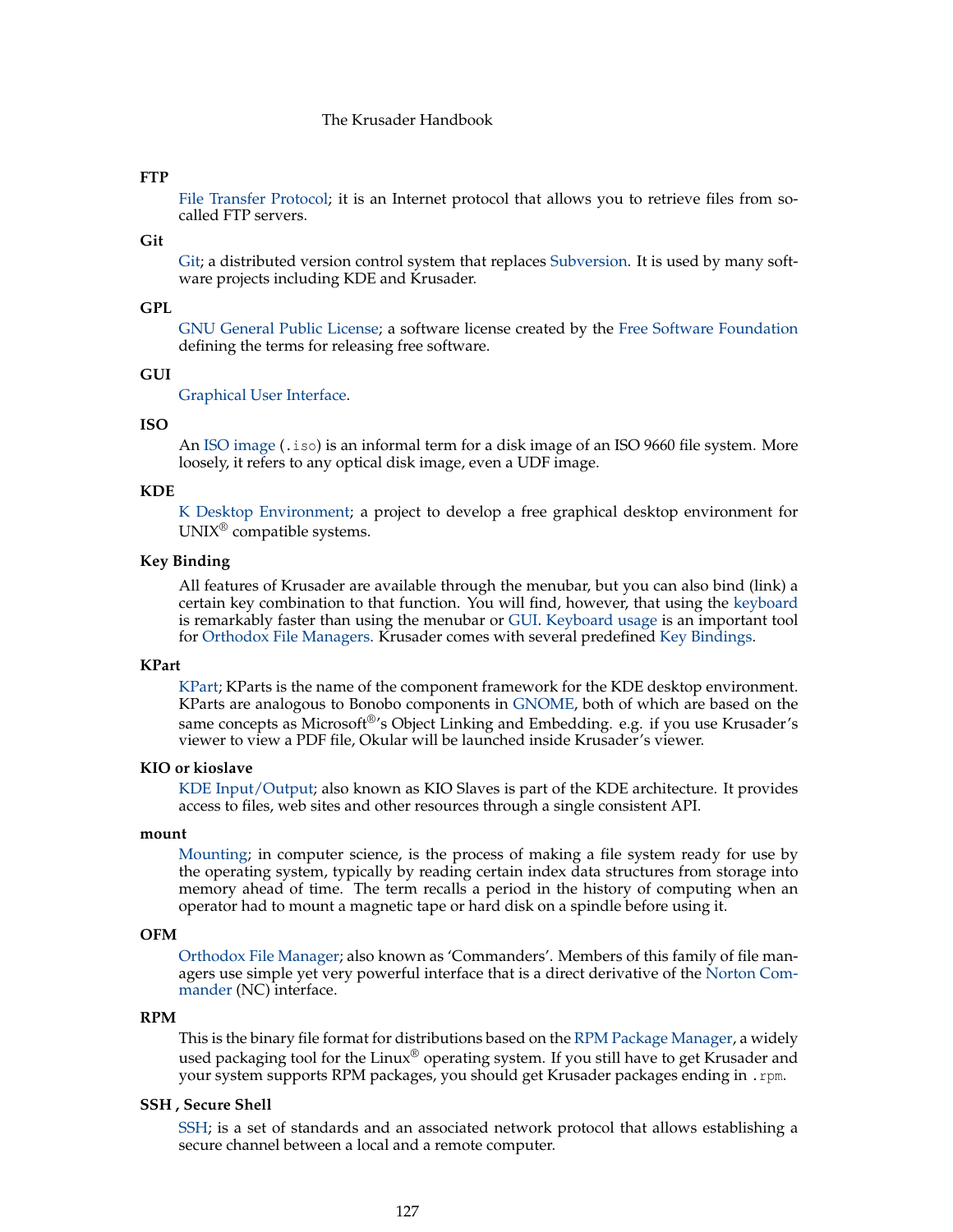## **FTP**

[File Transfer Protocol;](https://en.wikipedia.org/wiki/File_Transfer_Protocol) it is an Internet protocol that allows you to retrieve files from socalled FTP servers.

# **Git**

[Git;](https://en.wikipedia.org/wiki/Git_(software)) a distributed version control system that replaces [Subversion.](#page-127-0) It is used by many software projects including KDE and Krusader.

## **GPL**

[GNU General Public License;](https://en.wikipedia.org/wiki/Gpl) a software license created by the [Free Software Foundation](https://www.fsf.org/) defining the terms for releasing free software.

## <span id="page-126-1"></span>**GUI**

[Graphical User Interface.](https://en.wikipedia.org/wiki/Graphical_user_interface)

### **ISO**

An [ISO image](https://en.wikipedia.org/wiki/ISO_image) (.iso) is an informal term for a disk image of an ISO 9660 file system. More loosely, it refers to any optical disk image, even a UDF image.

#### **KDE**

[K Desktop Environment;](https://en.wikipedia.org/wiki/Kde) a project to develop a free graphical desktop environment for UNIX® compatible systems.

### **Key Binding**

All features of Krusader are available through the menubar, but you can also bind (link) a certain key combination to that function. You will find, however, that using the [keyboard](#page-48-0) is remarkably faster than using the menubar or [GUI.](#page-126-1) [Keyboard usage](#page-48-0) is an important tool for [Orthodox File Managers.](#page-126-0) Krusader comes with several predefined [Key Bindings.](#page-48-1)

# **KPart**

[KPart;](https://en.wikipedia.org/wiki/KPart) KParts is the name of the component framework for the KDE desktop environment. KParts are analogous to Bonobo components in [GNOME,](https://www.gnome.org) both of which are based on the same concepts as Microsoft<sup>®'</sup>s Object Linking and Embedding. e.g. if you use Krusader's viewer to view a PDF file, Okular will be launched inside Krusader's viewer.

#### **KIO or kioslave**

[KDE Input/Output;](https://en.wikipedia.org/wiki/Kioslave) also known as KIO Slaves is part of the KDE architecture. It provides access to files, web sites and other resources through a single consistent API.

#### **mount**

[Mounting;](https://en.wikipedia.org/wiki/Mount_%28computing%29) in computer science, is the process of making a file system ready for use by the operating system, typically by reading certain index data structures from storage into memory ahead of time. The term recalls a period in the history of computing when an operator had to mount a magnetic tape or hard disk on a spindle before using it.

### <span id="page-126-0"></span>**OFM**

[Orthodox File Manager;](http://www.softpanorama.org/OFM/index.shtml) also known as 'Commanders'. Members of this family of file managers use simple yet very powerful interface that is a direct derivative of the [Norton Com](https://en.wikipedia.org/wiki/Norton_Commander)[mander](https://en.wikipedia.org/wiki/Norton_Commander) (NC) interface.

## **RPM**

This is the binary file format for distributions based on the [RPM Package Manager,](http://www.rpm.org/) a widely used packaging tool for the Linux<sup>®</sup> operating system. If you still have to get Krusader and your system supports RPM packages, you should get Krusader packages ending in .rpm.

### **SSH , Secure Shell**

[SSH;](https://en.wikipedia.org/wiki/SSH) is a set of standards and an associated network protocol that allows establishing a secure channel between a local and a remote computer.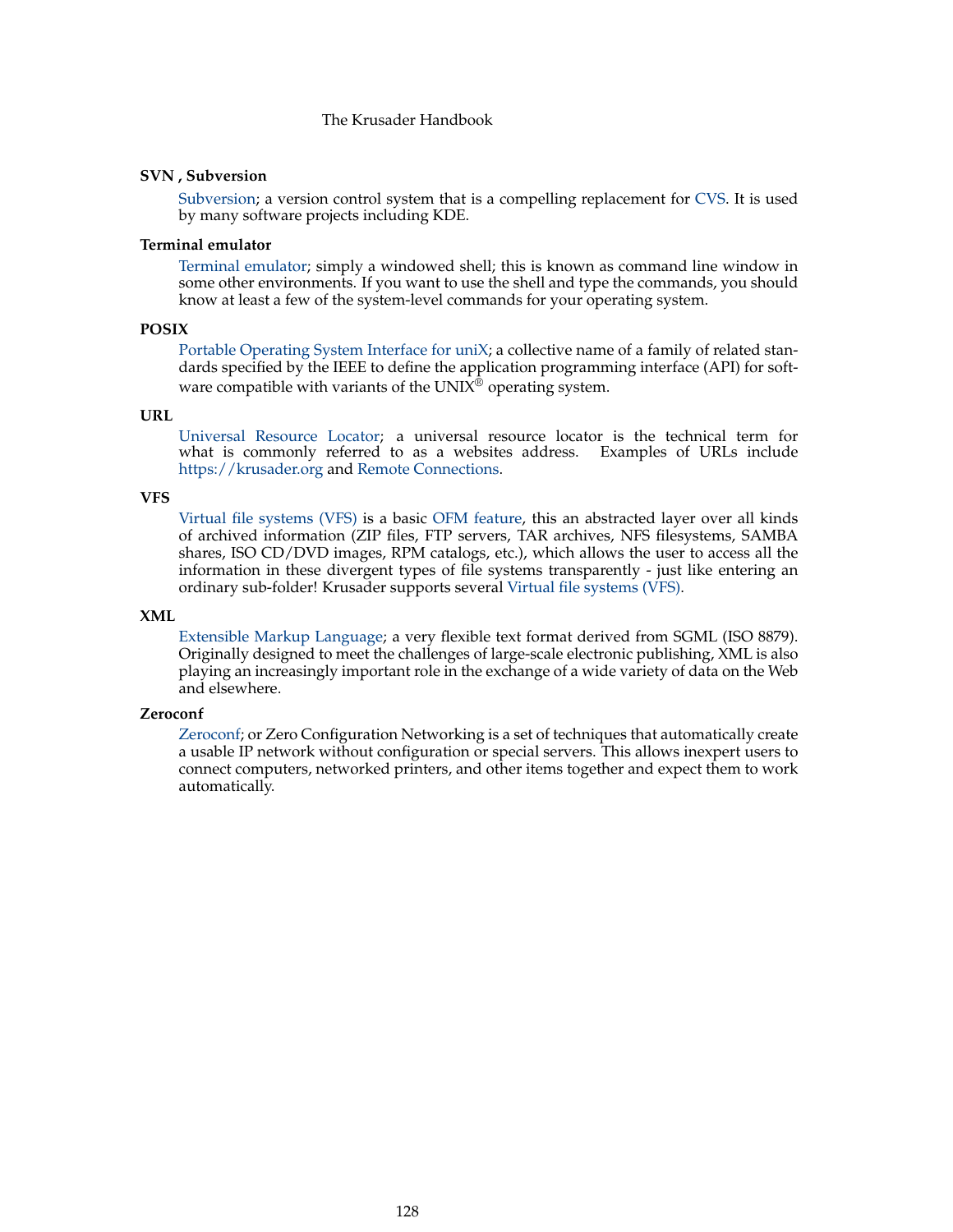### <span id="page-127-0"></span>**SVN , Subversion**

[Subversion;](https://en.wikipedia.org/wiki/Subversion) a version control system that is a compelling replacement for [CVS.](#page-125-2) It is used by many software projects including KDE.

# **Terminal emulator**

[Terminal emulator;](https://en.wikipedia.org/wiki/Terminal_emulator) simply a windowed shell; this is known as command line window in some other environments. If you want to use the shell and type the commands, you should know at least a few of the system-level commands for your operating system.

## **POSIX**

[Portable Operating System Interface for uniX;](https://en.wikipedia.org/wiki/Posix) a collective name of a family of related standards specified by the IEEE to define the application programming interface (API) for software compatible with variants of the  $UNI\hat{X}^{\hat{\otimes}}$  operating system.

#### **URL**

[Universal Resource Locator;](https://en.wikipedia.org/wiki/URL) a universal resource locator is the technical term for what is commonly referred to as a websites address. Examples of URLs include <https://krusader.org> and [Remote Connections.](#page-83-0)

#### **VFS**

[Virtual file systems \(VFS\)](#page-35-0) is a basic [OFM feature,](#page-16-0) this an abstracted layer over all kinds of archived information (ZIP files, FTP servers, TAR archives, NFS filesystems, SAMBA shares, ISO CD/DVD images, RPM catalogs, etc.), which allows the user to access all the information in these divergent types of file systems transparently - just like entering an ordinary sub-folder! Krusader supports several [Virtual file systems \(VFS\).](#page-35-0)

#### **XML**

[Extensible Markup Language;](https://en.wikipedia.org/wiki/Xml) a very flexible text format derived from SGML (ISO 8879). Originally designed to meet the challenges of large-scale electronic publishing, XML is also playing an increasingly important role in the exchange of a wide variety of data on the Web and elsewhere.

#### **Zeroconf**

[Zeroconf;](https://en.wikipedia.org/wiki/Zeroconf) or Zero Configuration Networking is a set of techniques that automatically create a usable IP network without configuration or special servers. This allows inexpert users to connect computers, networked printers, and other items together and expect them to work automatically.